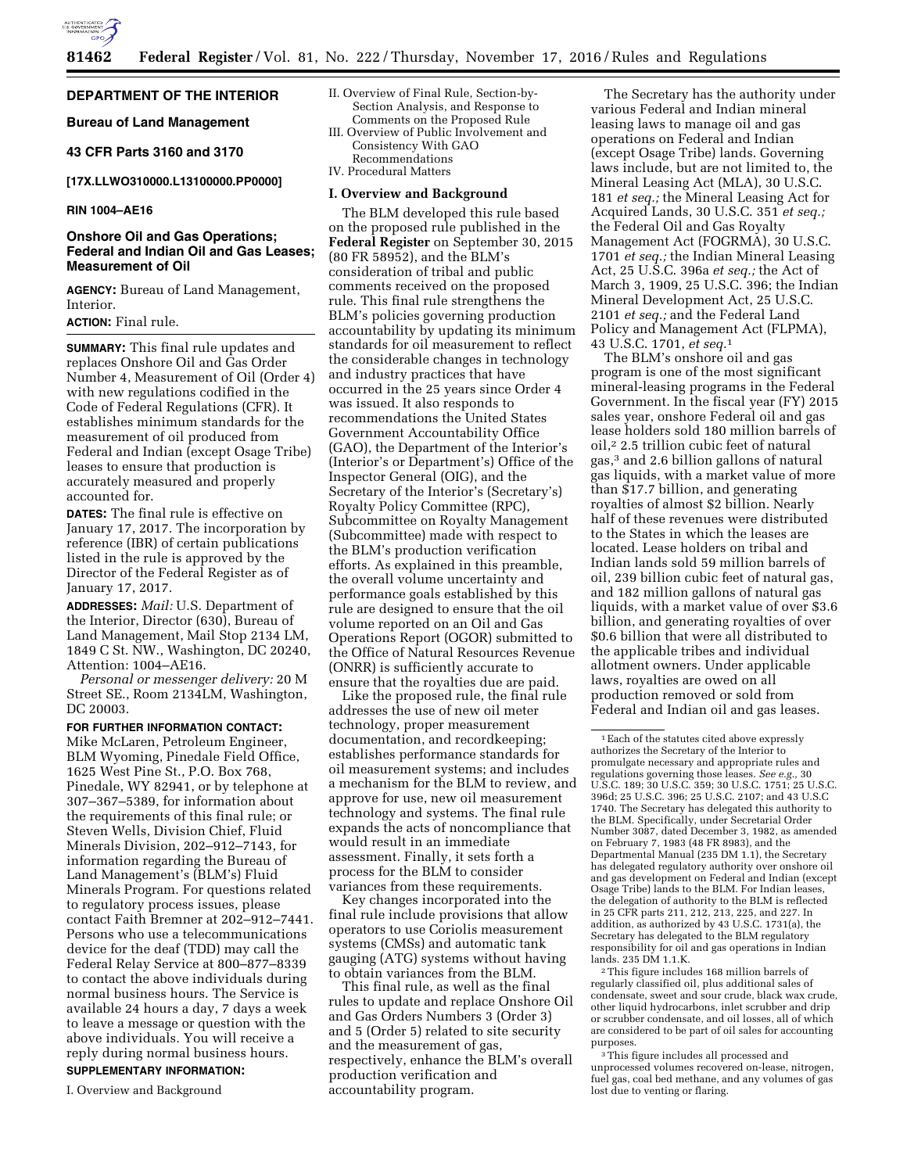

## **DEPARTMENT OF THE INTERIOR**

**Bureau of Land Management** 

### **43 CFR Parts 3160 and 3170**

**[17X.LLWO310000.L13100000.PP0000]** 

### **RIN 1004–AE16**

## **Onshore Oil and Gas Operations; Federal and Indian Oil and Gas Leases; Measurement of Oil**

**AGENCY:** Bureau of Land Management, Interior.

# **ACTION:** Final rule.

**SUMMARY:** This final rule updates and replaces Onshore Oil and Gas Order Number 4, Measurement of Oil (Order 4) with new regulations codified in the Code of Federal Regulations (CFR). It establishes minimum standards for the measurement of oil produced from Federal and Indian (except Osage Tribe) leases to ensure that production is accurately measured and properly accounted for.

**DATES:** The final rule is effective on January 17, 2017. The incorporation by reference (IBR) of certain publications listed in the rule is approved by the Director of the Federal Register as of January 17, 2017.

**ADDRESSES:** *Mail:* U.S. Department of the Interior, Director (630), Bureau of Land Management, Mail Stop 2134 LM, 1849 C St. NW., Washington, DC 20240, Attention: 1004–AE16.

*Personal or messenger delivery:* 20 M Street SE., Room 2134LM, Washington, DC 20003.

#### **FOR FURTHER INFORMATION CONTACT:**

Mike McLaren, Petroleum Engineer, BLM Wyoming, Pinedale Field Office, 1625 West Pine St., P.O. Box 768, Pinedale, WY 82941, or by telephone at 307–367–5389, for information about the requirements of this final rule; or Steven Wells, Division Chief, Fluid Minerals Division, 202–912–7143, for information regarding the Bureau of Land Management's (BLM's) Fluid Minerals Program. For questions related to regulatory process issues, please contact Faith Bremner at 202–912–7441. Persons who use a telecommunications device for the deaf (TDD) may call the Federal Relay Service at 800–877–8339 to contact the above individuals during normal business hours. The Service is available 24 hours a day, 7 days a week to leave a message or question with the above individuals. You will receive a reply during normal business hours.

### **SUPPLEMENTARY INFORMATION:**

I. Overview and Background

- II. Overview of Final Rule, Section-by-Section Analysis, and Response to Comments on the Proposed Rule
- III. Overview of Public Involvement and Consistency With GAO Recommendations
- IV. Procedural Matters

#### **I. Overview and Background**

The BLM developed this rule based on the proposed rule published in the **Federal Register** on September 30, 2015 (80 FR 58952), and the BLM's consideration of tribal and public comments received on the proposed rule. This final rule strengthens the BLM's policies governing production accountability by updating its minimum standards for oil measurement to reflect the considerable changes in technology and industry practices that have occurred in the 25 years since Order 4 was issued. It also responds to recommendations the United States Government Accountability Office (GAO), the Department of the Interior's (Interior's or Department's) Office of the Inspector General (OIG), and the Secretary of the Interior's (Secretary's) Royalty Policy Committee (RPC), Subcommittee on Royalty Management (Subcommittee) made with respect to the BLM's production verification efforts. As explained in this preamble, the overall volume uncertainty and performance goals established by this rule are designed to ensure that the oil volume reported on an Oil and Gas Operations Report (OGOR) submitted to the Office of Natural Resources Revenue (ONRR) is sufficiently accurate to ensure that the royalties due are paid.

Like the proposed rule, the final rule addresses the use of new oil meter technology, proper measurement documentation, and recordkeeping; establishes performance standards for oil measurement systems; and includes a mechanism for the BLM to review, and approve for use, new oil measurement technology and systems. The final rule expands the acts of noncompliance that would result in an immediate assessment. Finally, it sets forth a process for the BLM to consider variances from these requirements.

Key changes incorporated into the final rule include provisions that allow operators to use Coriolis measurement systems (CMSs) and automatic tank gauging (ATG) systems without having to obtain variances from the BLM.

This final rule, as well as the final rules to update and replace Onshore Oil and Gas Orders Numbers 3 (Order 3) and 5 (Order 5) related to site security and the measurement of gas, respectively, enhance the BLM's overall production verification and accountability program.

The Secretary has the authority under various Federal and Indian mineral leasing laws to manage oil and gas operations on Federal and Indian (except Osage Tribe) lands. Governing laws include, but are not limited to, the Mineral Leasing Act (MLA), 30 U.S.C. 181 *et seq.;* the Mineral Leasing Act for Acquired Lands, 30 U.S.C. 351 *et seq.;*  the Federal Oil and Gas Royalty Management Act (FOGRMA), 30 U.S.C. 1701 *et seq.;* the Indian Mineral Leasing Act, 25 U.S.C. 396a *et seq.;* the Act of March 3, 1909, 25 U.S.C. 396; the Indian Mineral Development Act, 25 U.S.C. 2101 *et seq.;* and the Federal Land Policy and Management Act (FLPMA), 43 U.S.C. 1701, *et seq.*1

The BLM's onshore oil and gas program is one of the most significant mineral-leasing programs in the Federal Government. In the fiscal year (FY) 2015 sales year, onshore Federal oil and gas lease holders sold 180 million barrels of oil,2 2.5 trillion cubic feet of natural gas,3 and 2.6 billion gallons of natural gas liquids, with a market value of more than \$17.7 billion, and generating royalties of almost \$2 billion. Nearly half of these revenues were distributed to the States in which the leases are located. Lease holders on tribal and Indian lands sold 59 million barrels of oil, 239 billion cubic feet of natural gas, and 182 million gallons of natural gas liquids, with a market value of over \$3.6 billion, and generating royalties of over \$0.6 billion that were all distributed to the applicable tribes and individual allotment owners. Under applicable laws, royalties are owed on all production removed or sold from Federal and Indian oil and gas leases.

2This figure includes 168 million barrels of regularly classified oil, plus additional sales of condensate, sweet and sour crude, black wax crude, other liquid hydrocarbons, inlet scrubber and drip or scrubber condensate, and oil losses, all of which are considered to be part of oil sales for accounting purposes.

3This figure includes all processed and unprocessed volumes recovered on-lease, nitrogen, fuel gas, coal bed methane, and any volumes of gas lost due to venting or flaring.

<sup>1</sup>Each of the statutes cited above expressly authorizes the Secretary of the Interior to promulgate necessary and appropriate rules and regulations governing those leases. *See e.g.,* 30 U.S.C. 189; 30 U.S.C. 359; 30 U.S.C. 1751; 25 U.S.C. 396d; 25 U.S.C. 396; 25 U.S.C. 2107; and 43 U.S.C 1740. The Secretary has delegated this authority to the BLM. Specifically, under Secretarial Order Number 3087, dated December 3, 1982, as amended on February 7, 1983 (48 FR 8983), and the Departmental Manual (235 DM 1.1), the Secretary has delegated regulatory authority over onshore oil and gas development on Federal and Indian (except Osage Tribe) lands to the BLM. For Indian leases, the delegation of authority to the BLM is reflected in 25 CFR parts 211, 212, 213, 225, and 227. In addition, as authorized by 43 U.S.C. 1731(a), the Secretary has delegated to the BLM regulatory responsibility for oil and gas operations in Indian lands. 235 DM 1.1.K.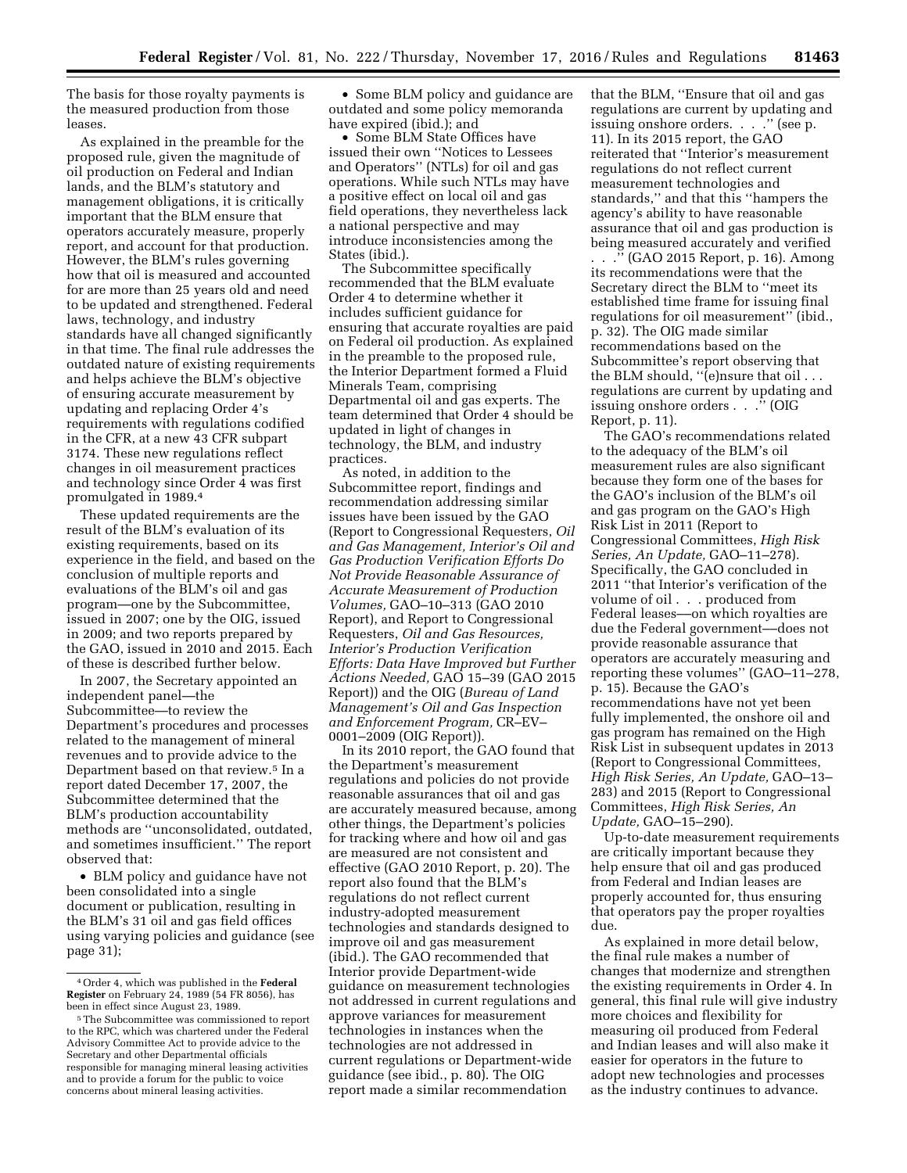The basis for those royalty payments is the measured production from those leases.

As explained in the preamble for the proposed rule, given the magnitude of oil production on Federal and Indian lands, and the BLM's statutory and management obligations, it is critically important that the BLM ensure that operators accurately measure, properly report, and account for that production. However, the BLM's rules governing how that oil is measured and accounted for are more than 25 years old and need to be updated and strengthened. Federal laws, technology, and industry standards have all changed significantly in that time. The final rule addresses the outdated nature of existing requirements and helps achieve the BLM's objective of ensuring accurate measurement by updating and replacing Order 4's requirements with regulations codified in the CFR, at a new 43 CFR subpart 3174. These new regulations reflect changes in oil measurement practices and technology since Order 4 was first promulgated in 1989.4

These updated requirements are the result of the BLM's evaluation of its existing requirements, based on its experience in the field, and based on the conclusion of multiple reports and evaluations of the BLM's oil and gas program—one by the Subcommittee, issued in 2007; one by the OIG, issued in 2009; and two reports prepared by the GAO, issued in 2010 and 2015. Each of these is described further below.

In 2007, the Secretary appointed an independent panel—the Subcommittee—to review the Department's procedures and processes related to the management of mineral revenues and to provide advice to the Department based on that review.5 In a report dated December 17, 2007, the Subcommittee determined that the BLM's production accountability methods are ''unconsolidated, outdated, and sometimes insufficient.'' The report observed that:

• BLM policy and guidance have not been consolidated into a single document or publication, resulting in the BLM's 31 oil and gas field offices using varying policies and guidance (see page 31);

• Some BLM policy and guidance are outdated and some policy memoranda have expired (ibid.); and

• Some BLM State Offices have issued their own ''Notices to Lessees and Operators'' (NTLs) for oil and gas operations. While such NTLs may have a positive effect on local oil and gas field operations, they nevertheless lack a national perspective and may introduce inconsistencies among the States (ibid.).

The Subcommittee specifically recommended that the BLM evaluate Order 4 to determine whether it includes sufficient guidance for ensuring that accurate royalties are paid on Federal oil production. As explained in the preamble to the proposed rule, the Interior Department formed a Fluid Minerals Team, comprising Departmental oil and gas experts. The team determined that Order 4 should be updated in light of changes in technology, the BLM, and industry practices.

As noted, in addition to the Subcommittee report, findings and recommendation addressing similar issues have been issued by the GAO (Report to Congressional Requesters, *Oil and Gas Management, Interior's Oil and Gas Production Verification Efforts Do Not Provide Reasonable Assurance of Accurate Measurement of Production Volumes,* GAO–10–313 (GAO 2010 Report), and Report to Congressional Requesters, *Oil and Gas Resources, Interior's Production Verification Efforts: Data Have Improved but Further Actions Needed,* GAO 15–39 (GAO 2015 Report)) and the OIG (*Bureau of Land Management's Oil and Gas Inspection and Enforcement Program,* CR–EV– 0001–2009 (OIG Report)).

In its 2010 report, the GAO found that the Department's measurement regulations and policies do not provide reasonable assurances that oil and gas are accurately measured because, among other things, the Department's policies for tracking where and how oil and gas are measured are not consistent and effective (GAO 2010 Report, p. 20). The report also found that the BLM's regulations do not reflect current industry-adopted measurement technologies and standards designed to improve oil and gas measurement (ibid.). The GAO recommended that Interior provide Department-wide guidance on measurement technologies not addressed in current regulations and approve variances for measurement technologies in instances when the technologies are not addressed in current regulations or Department-wide guidance (see ibid., p. 80). The OIG report made a similar recommendation

that the BLM, ''Ensure that oil and gas regulations are current by updating and issuing onshore orders. . . . " (see p. 11). In its 2015 report, the GAO reiterated that ''Interior's measurement regulations do not reflect current measurement technologies and standards,'' and that this ''hampers the agency's ability to have reasonable assurance that oil and gas production is being measured accurately and verified

. . .'' (GAO 2015 Report, p. 16). Among its recommendations were that the Secretary direct the BLM to ''meet its established time frame for issuing final regulations for oil measurement'' (ibid., p. 32). The OIG made similar recommendations based on the Subcommittee's report observing that the BLM should, "(e)nsure that oil.. regulations are current by updating and issuing onshore orders . . .'' (OIG Report, p. 11).

The GAO's recommendations related to the adequacy of the BLM's oil measurement rules are also significant because they form one of the bases for the GAO's inclusion of the BLM's oil and gas program on the GAO's High Risk List in 2011 (Report to Congressional Committees, *High Risk Series, An Update,* GAO–11–278). Specifically, the GAO concluded in 2011 ''that Interior's verification of the volume of oil . . . produced from Federal leases––on which royalties are due the Federal government––does not provide reasonable assurance that operators are accurately measuring and reporting these volumes'' (GAO–11–278, p. 15). Because the GAO's recommendations have not yet been fully implemented, the onshore oil and gas program has remained on the High Risk List in subsequent updates in 2013 (Report to Congressional Committees, *High Risk Series, An Update,* GAO–13– 283) and 2015 (Report to Congressional Committees, *High Risk Series, An Update,* GAO–15–290).

Up-to-date measurement requirements are critically important because they help ensure that oil and gas produced from Federal and Indian leases are properly accounted for, thus ensuring that operators pay the proper royalties due.

As explained in more detail below, the final rule makes a number of changes that modernize and strengthen the existing requirements in Order 4. In general, this final rule will give industry more choices and flexibility for measuring oil produced from Federal and Indian leases and will also make it easier for operators in the future to adopt new technologies and processes as the industry continues to advance.

<sup>4</sup>Order 4, which was published in the **Federal Register** on February 24, 1989 (54 FR 8056), has been in effect since August 23, 1989.

<sup>5</sup>The Subcommittee was commissioned to report to the RPC, which was chartered under the Federal Advisory Committee Act to provide advice to the Secretary and other Departmental officials responsible for managing mineral leasing activities and to provide a forum for the public to voice concerns about mineral leasing activities.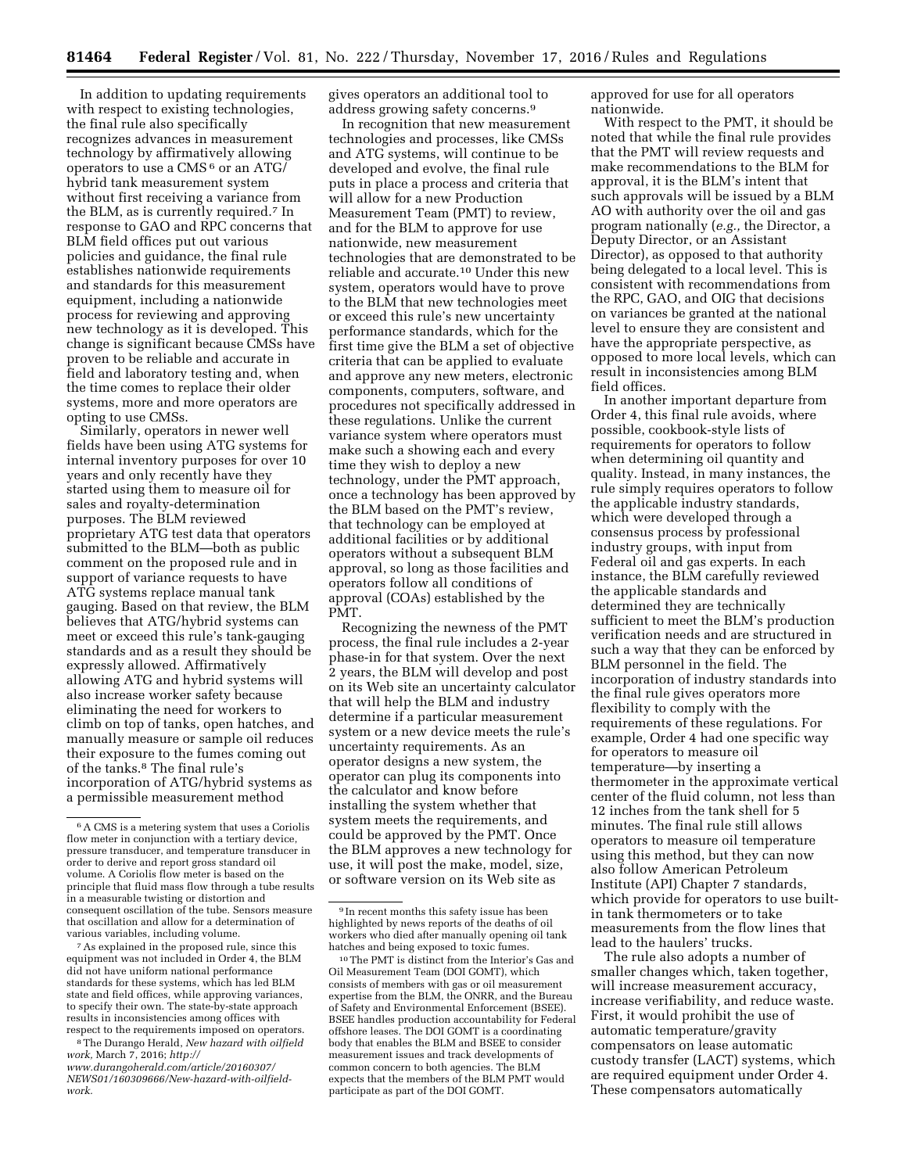In addition to updating requirements with respect to existing technologies, the final rule also specifically recognizes advances in measurement technology by affirmatively allowing operators to use a CMS 6 or an ATG/ hybrid tank measurement system without first receiving a variance from the BLM, as is currently required.7 In response to GAO and RPC concerns that BLM field offices put out various policies and guidance, the final rule establishes nationwide requirements and standards for this measurement equipment, including a nationwide process for reviewing and approving new technology as it is developed. This change is significant because CMSs have proven to be reliable and accurate in field and laboratory testing and, when the time comes to replace their older systems, more and more operators are opting to use CMSs.

Similarly, operators in newer well fields have been using ATG systems for internal inventory purposes for over 10 years and only recently have they started using them to measure oil for sales and royalty-determination purposes. The BLM reviewed proprietary ATG test data that operators submitted to the BLM—both as public comment on the proposed rule and in support of variance requests to have ATG systems replace manual tank gauging. Based on that review, the BLM believes that ATG/hybrid systems can meet or exceed this rule's tank-gauging standards and as a result they should be expressly allowed. Affirmatively allowing ATG and hybrid systems will also increase worker safety because eliminating the need for workers to climb on top of tanks, open hatches, and manually measure or sample oil reduces their exposure to the fumes coming out of the tanks.8 The final rule's incorporation of ATG/hybrid systems as a permissible measurement method

7As explained in the proposed rule, since this equipment was not included in Order 4, the BLM did not have uniform national performance standards for these systems, which has led BLM state and field offices, while approving variances, to specify their own. The state-by-state approach results in inconsistencies among offices with respect to the requirements imposed on operators.

8The Durango Herald, *New hazard with oilfield work,* March 7, 2016; *[http://](http://www.durangoherald.com/article/20160307/NEWS01/160309666/New-hazard-with-oilfield-work) www.durangoherald.com/article/20160307/* 

*[NEWS01/160309666/New-hazard-with-oilfield](http://www.durangoherald.com/article/20160307/NEWS01/160309666/New-hazard-with-oilfield-work)[work.](http://www.durangoherald.com/article/20160307/NEWS01/160309666/New-hazard-with-oilfield-work)* 

gives operators an additional tool to address growing safety concerns.9

In recognition that new measurement technologies and processes, like CMSs and ATG systems, will continue to be developed and evolve, the final rule puts in place a process and criteria that will allow for a new Production Measurement Team (PMT) to review, and for the BLM to approve for use nationwide, new measurement technologies that are demonstrated to be reliable and accurate.10 Under this new system, operators would have to prove to the BLM that new technologies meet or exceed this rule's new uncertainty performance standards, which for the first time give the BLM a set of objective criteria that can be applied to evaluate and approve any new meters, electronic components, computers, software, and procedures not specifically addressed in these regulations. Unlike the current variance system where operators must make such a showing each and every time they wish to deploy a new technology, under the PMT approach, once a technology has been approved by the BLM based on the PMT's review, that technology can be employed at additional facilities or by additional operators without a subsequent BLM approval, so long as those facilities and operators follow all conditions of approval (COAs) established by the PMT.

Recognizing the newness of the PMT process, the final rule includes a 2-year phase-in for that system. Over the next 2 years, the BLM will develop and post on its Web site an uncertainty calculator that will help the BLM and industry determine if a particular measurement system or a new device meets the rule's uncertainty requirements. As an operator designs a new system, the operator can plug its components into the calculator and know before installing the system whether that system meets the requirements, and could be approved by the PMT. Once the BLM approves a new technology for use, it will post the make, model, size, or software version on its Web site as

approved for use for all operators nationwide.

With respect to the PMT, it should be noted that while the final rule provides that the PMT will review requests and make recommendations to the BLM for approval, it is the BLM's intent that such approvals will be issued by a BLM AO with authority over the oil and gas program nationally (*e.g.,* the Director, a Deputy Director, or an Assistant Director), as opposed to that authority being delegated to a local level. This is consistent with recommendations from the RPC, GAO, and OIG that decisions on variances be granted at the national level to ensure they are consistent and have the appropriate perspective, as opposed to more local levels, which can result in inconsistencies among BLM field offices.

In another important departure from Order 4, this final rule avoids, where possible, cookbook-style lists of requirements for operators to follow when determining oil quantity and quality. Instead, in many instances, the rule simply requires operators to follow the applicable industry standards, which were developed through a consensus process by professional industry groups, with input from Federal oil and gas experts. In each instance, the BLM carefully reviewed the applicable standards and determined they are technically sufficient to meet the BLM's production verification needs and are structured in such a way that they can be enforced by BLM personnel in the field. The incorporation of industry standards into the final rule gives operators more flexibility to comply with the requirements of these regulations. For example, Order 4 had one specific way for operators to measure oil temperature—by inserting a thermometer in the approximate vertical center of the fluid column, not less than 12 inches from the tank shell for 5 minutes. The final rule still allows operators to measure oil temperature using this method, but they can now also follow American Petroleum Institute (API) Chapter 7 standards, which provide for operators to use builtin tank thermometers or to take measurements from the flow lines that lead to the haulers' trucks.

The rule also adopts a number of smaller changes which, taken together, will increase measurement accuracy, increase verifiability, and reduce waste. First, it would prohibit the use of automatic temperature/gravity compensators on lease automatic custody transfer (LACT) systems, which are required equipment under Order 4. These compensators automatically

<sup>6</sup>A CMS is a metering system that uses a Coriolis flow meter in conjunction with a tertiary device, pressure transducer, and temperature transducer in order to derive and report gross standard oil volume. A Coriolis flow meter is based on the principle that fluid mass flow through a tube results in a measurable twisting or distortion and consequent oscillation of the tube. Sensors measure that oscillation and allow for a determination of various variables, including volume.

<sup>&</sup>lt;sup>9</sup> In recent months this safety issue has been highlighted by news reports of the deaths of oil workers who died after manually opening oil tank hatches and being exposed to toxic fumes.

<sup>10</sup>The PMT is distinct from the Interior's Gas and Oil Measurement Team (DOI GOMT), which consists of members with gas or oil measurement expertise from the BLM, the ONRR, and the Bureau of Safety and Environmental Enforcement (BSEE). BSEE handles production accountability for Federal offshore leases. The DOI GOMT is a coordinating body that enables the BLM and BSEE to consider measurement issues and track developments of common concern to both agencies. The BLM expects that the members of the BLM PMT would participate as part of the DOI GOMT.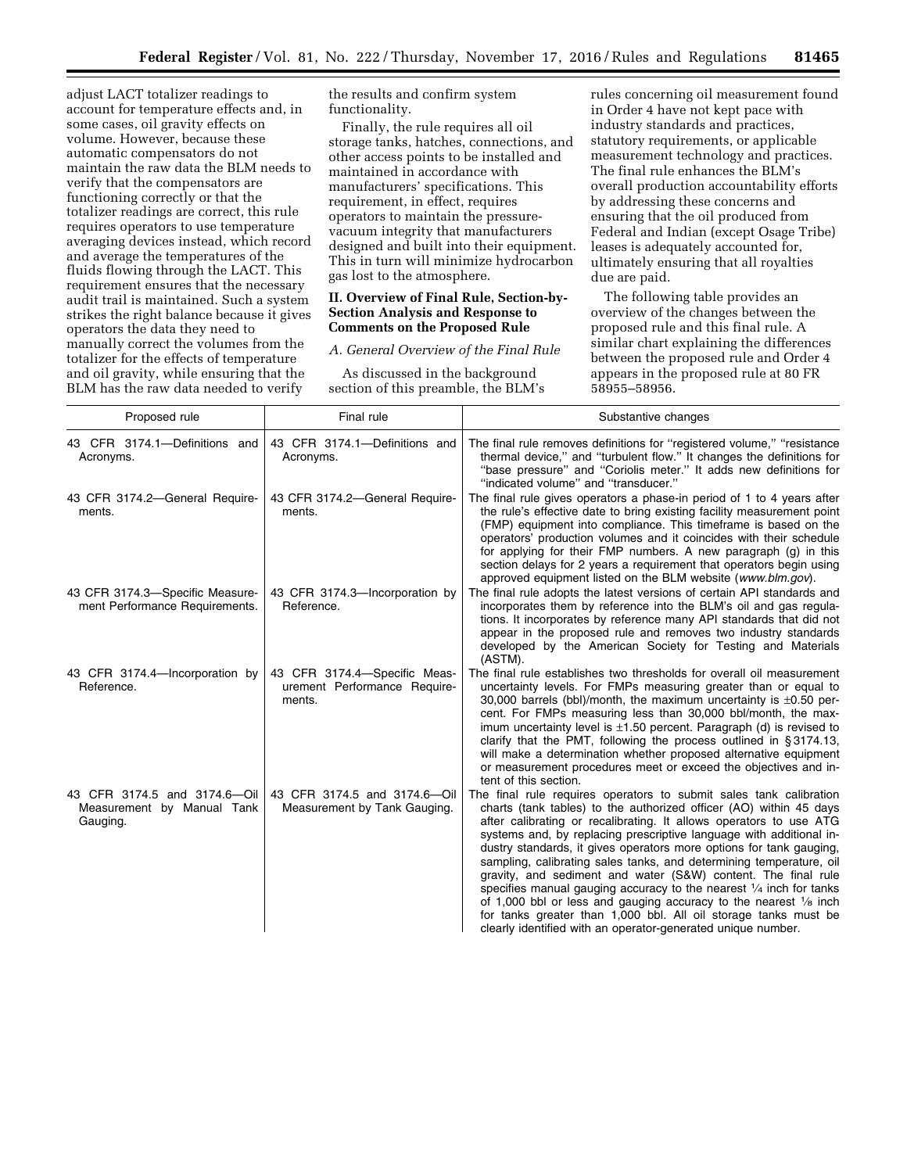adjust LACT totalizer readings to account for temperature effects and, in some cases, oil gravity effects on volume. However, because these automatic compensators do not maintain the raw data the BLM needs to verify that the compensators are functioning correctly or that the totalizer readings are correct, this rule requires operators to use temperature averaging devices instead, which record and average the temperatures of the fluids flowing through the LACT. This requirement ensures that the necessary audit trail is maintained. Such a system strikes the right balance because it gives operators the data they need to manually correct the volumes from the totalizer for the effects of temperature and oil gravity, while ensuring that the BLM has the raw data needed to verify

the results and confirm system functionality.

Finally, the rule requires all oil storage tanks, hatches, connections, and other access points to be installed and maintained in accordance with manufacturers' specifications. This requirement, in effect, requires operators to maintain the pressurevacuum integrity that manufacturers designed and built into their equipment. This in turn will minimize hydrocarbon gas lost to the atmosphere.

## **II. Overview of Final Rule, Section-by-Section Analysis and Response to Comments on the Proposed Rule**

#### *A. General Overview of the Final Rule*

As discussed in the background section of this preamble, the BLM's

rules concerning oil measurement found in Order 4 have not kept pace with industry standards and practices, statutory requirements, or applicable measurement technology and practices. The final rule enhances the BLM's overall production accountability efforts by addressing these concerns and ensuring that the oil produced from Federal and Indian (except Osage Tribe) leases is adequately accounted for, ultimately ensuring that all royalties due are paid.

The following table provides an overview of the changes between the proposed rule and this final rule. A similar chart explaining the differences between the proposed rule and Order 4 appears in the proposed rule at 80 FR 58955–58956.

| Proposed rule                                                          | Final rule                                                             | Substantive changes                                                                                                                                                                                                                                                                                                                                                                                                                                                                                                                                                                                                                                                                                                                                                                                     |
|------------------------------------------------------------------------|------------------------------------------------------------------------|---------------------------------------------------------------------------------------------------------------------------------------------------------------------------------------------------------------------------------------------------------------------------------------------------------------------------------------------------------------------------------------------------------------------------------------------------------------------------------------------------------------------------------------------------------------------------------------------------------------------------------------------------------------------------------------------------------------------------------------------------------------------------------------------------------|
| 43 CFR 3174.1-Definitions and<br>Acronyms.                             | 43 CFR 3174.1-Definitions and<br>Acronyms.                             | The final rule removes definitions for "registered volume," "resistance<br>thermal device," and "turbulent flow." It changes the definitions for<br>"base pressure" and "Coriolis meter." It adds new definitions for<br>"indicated volume" and "transducer."                                                                                                                                                                                                                                                                                                                                                                                                                                                                                                                                           |
| 43 CFR 3174.2-General Require-<br>ments.                               | 43 CFR 3174.2-General Require-<br>ments.                               | The final rule gives operators a phase-in period of 1 to 4 years after<br>the rule's effective date to bring existing facility measurement point<br>(FMP) equipment into compliance. This timeframe is based on the<br>operators' production volumes and it coincides with their schedule<br>for applying for their FMP numbers. A new paragraph (g) in this<br>section delays for 2 years a requirement that operators begin using<br>approved equipment listed on the BLM website (www.blm.gov).                                                                                                                                                                                                                                                                                                      |
| 43 CFR 3174.3-Specific Measure-<br>ment Performance Requirements.      | 43 CFR 3174.3-Incorporation by<br>Reference.                           | The final rule adopts the latest versions of certain API standards and<br>incorporates them by reference into the BLM's oil and gas regula-<br>tions. It incorporates by reference many API standards that did not<br>appear in the proposed rule and removes two industry standards<br>developed by the American Society for Testing and Materials<br>(ASTM).                                                                                                                                                                                                                                                                                                                                                                                                                                          |
| 43 CFR 3174.4-Incorporation by<br>Reference.                           | 43 CFR 3174.4-Specific Meas-<br>urement Performance Require-<br>ments. | The final rule establishes two thresholds for overall oil measurement<br>uncertainty levels. For FMPs measuring greater than or equal to<br>30,000 barrels (bbl)/month, the maximum uncertainty is $\pm 0.50$ per-<br>cent. For FMPs measuring less than 30,000 bbl/month, the max-<br>imum uncertainty level is $\pm 1.50$ percent. Paragraph (d) is revised to<br>clarify that the PMT, following the process outlined in §3174.13,<br>will make a determination whether proposed alternative equipment<br>or measurement procedures meet or exceed the objectives and in-<br>tent of this section.                                                                                                                                                                                                   |
| 43 CFR 3174.5 and 3174.6-Oil<br>Measurement by Manual Tank<br>Gauging. | 43 CFR 3174.5 and 3174.6-Oil<br>Measurement by Tank Gauging.           | The final rule requires operators to submit sales tank calibration<br>charts (tank tables) to the authorized officer (AO) within 45 days<br>after calibrating or recalibrating. It allows operators to use ATG<br>systems and, by replacing prescriptive language with additional in-<br>dustry standards, it gives operators more options for tank gauging,<br>sampling, calibrating sales tanks, and determining temperature, oil<br>gravity, and sediment and water (S&W) content. The final rule<br>specifies manual gauging accuracy to the nearest $\frac{1}{4}$ inch for tanks<br>of 1,000 bbl or less and gauging accuracy to the nearest $\frac{1}{8}$ inch<br>for tanks greater than 1,000 bbl. All oil storage tanks must be<br>clearly identified with an operator-generated unique number. |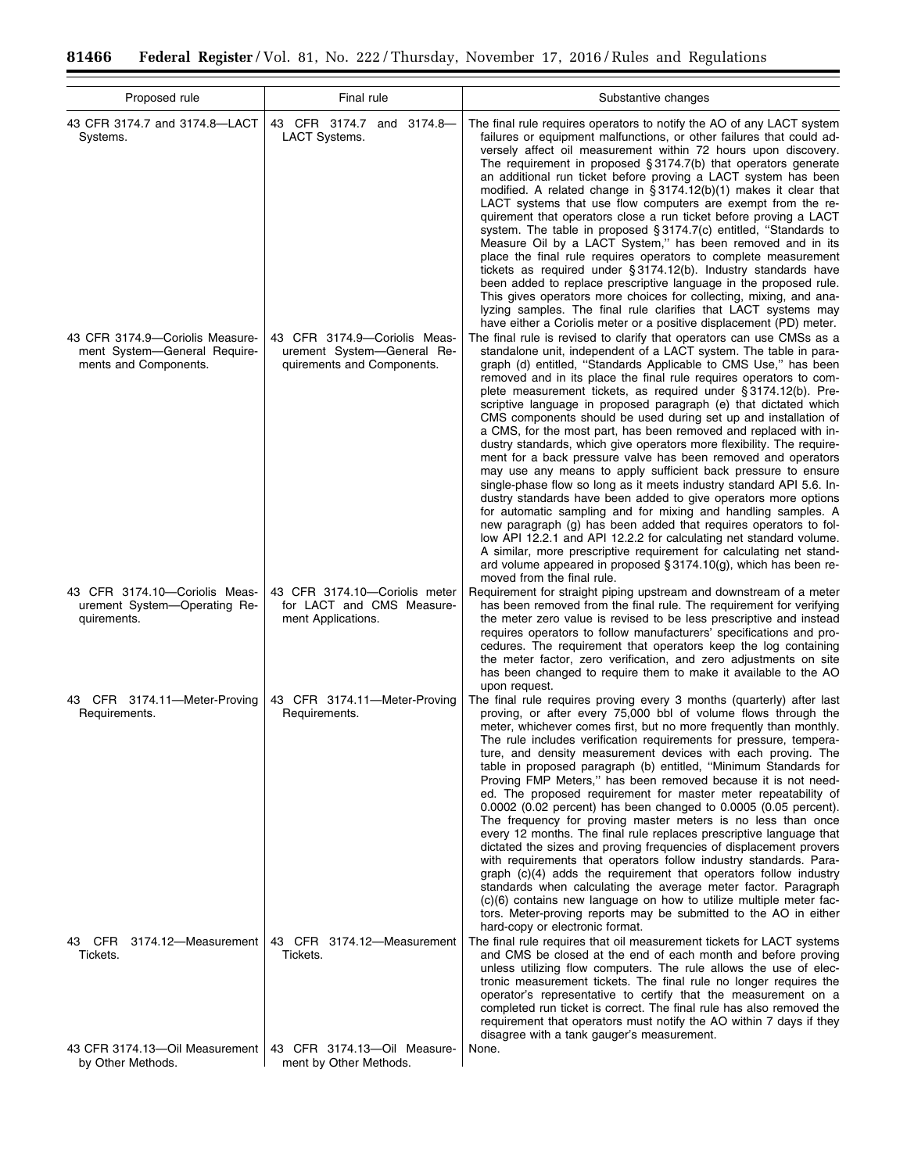÷.

 $\equiv$ 

| Proposed rule                                                                            | Final rule                                                                               | Substantive changes                                                                                                                                                                                                                                                                                                                                                                                                                                                                                                                                                                                                                                                                                                                                                                                                                                                                                                                                                                                                                                                                                                                                                                                                                                                                                             |
|------------------------------------------------------------------------------------------|------------------------------------------------------------------------------------------|-----------------------------------------------------------------------------------------------------------------------------------------------------------------------------------------------------------------------------------------------------------------------------------------------------------------------------------------------------------------------------------------------------------------------------------------------------------------------------------------------------------------------------------------------------------------------------------------------------------------------------------------------------------------------------------------------------------------------------------------------------------------------------------------------------------------------------------------------------------------------------------------------------------------------------------------------------------------------------------------------------------------------------------------------------------------------------------------------------------------------------------------------------------------------------------------------------------------------------------------------------------------------------------------------------------------|
| 43 CFR 3174.7 and 3174.8-LACT<br>Systems.                                                | 43 CFR 3174.7 and 3174.8-<br>LACT Systems.                                               | The final rule requires operators to notify the AO of any LACT system<br>failures or equipment malfunctions, or other failures that could ad-<br>versely affect oil measurement within 72 hours upon discovery.<br>The requirement in proposed $\S 3174.7(b)$ that operators generate<br>an additional run ticket before proving a LACT system has been<br>modified. A related change in §3174.12(b)(1) makes it clear that<br>LACT systems that use flow computers are exempt from the re-<br>quirement that operators close a run ticket before proving a LACT<br>system. The table in proposed §3174.7(c) entitled, "Standards to<br>Measure Oil by a LACT System," has been removed and in its<br>place the final rule requires operators to complete measurement<br>tickets as required under §3174.12(b). Industry standards have<br>been added to replace prescriptive language in the proposed rule.<br>This gives operators more choices for collecting, mixing, and ana-<br>lyzing samples. The final rule clarifies that LACT systems may<br>have either a Coriolis meter or a positive displacement (PD) meter.                                                                                                                                                                                     |
| 43 CFR 3174.9-Coriolis Measure-<br>ment System-General Require-<br>ments and Components. | 43 CFR 3174.9-Coriolis Meas-<br>urement System-General Re-<br>quirements and Components. | The final rule is revised to clarify that operators can use CMSs as a<br>standalone unit, independent of a LACT system. The table in para-<br>graph (d) entitled, "Standards Applicable to CMS Use," has been<br>removed and in its place the final rule requires operators to com-<br>plete measurement tickets, as required under § 3174.12(b). Pre-<br>scriptive language in proposed paragraph (e) that dictated which<br>CMS components should be used during set up and installation of<br>a CMS, for the most part, has been removed and replaced with in-<br>dustry standards, which give operators more flexibility. The require-<br>ment for a back pressure valve has been removed and operators<br>may use any means to apply sufficient back pressure to ensure<br>single-phase flow so long as it meets industry standard API 5.6. In-<br>dustry standards have been added to give operators more options<br>for automatic sampling and for mixing and handling samples. A<br>new paragraph (g) has been added that requires operators to fol-<br>low API 12.2.1 and API 12.2.2 for calculating net standard volume.<br>A similar, more prescriptive requirement for calculating net stand-<br>ard volume appeared in proposed $\S 3174.10(g)$ , which has been re-<br>moved from the final rule. |
| 43 CFR 3174.10-Coriolis Meas-<br>urement System-Operating Re-<br>quirements.             | 43 CFR 3174.10-Coriolis meter<br>for LACT and CMS Measure-<br>ment Applications.         | Requirement for straight piping upstream and downstream of a meter<br>has been removed from the final rule. The requirement for verifying<br>the meter zero value is revised to be less prescriptive and instead<br>requires operators to follow manufacturers' specifications and pro-<br>cedures. The requirement that operators keep the log containing<br>the meter factor, zero verification, and zero adjustments on site<br>has been changed to require them to make it available to the AO<br>upon request.                                                                                                                                                                                                                                                                                                                                                                                                                                                                                                                                                                                                                                                                                                                                                                                             |
| 43 CFR 3174.11-Meter-Proving<br>Requirements.                                            | 43 CFR 3174.11-Meter-Proving<br>Requirements.                                            | The final rule requires proving every 3 months (quarterly) after last<br>proving, or after every 75,000 bbl of volume flows through the<br>meter, whichever comes first, but no more frequently than monthly.<br>The rule includes verification requirements for pressure, tempera-<br>ture, and density measurement devices with each proving. The<br>table in proposed paragraph (b) entitled, "Minimum Standards for<br>Proving FMP Meters," has been removed because it is not need-<br>ed. The proposed requirement for master meter repeatability of<br>0.0002 (0.02 percent) has been changed to 0.0005 (0.05 percent).<br>The frequency for proving master meters is no less than once<br>every 12 months. The final rule replaces prescriptive language that<br>dictated the sizes and proving frequencies of displacement provers<br>with requirements that operators follow industry standards. Para-<br>graph (c)(4) adds the requirement that operators follow industry<br>standards when calculating the average meter factor. Paragraph<br>(c)(6) contains new language on how to utilize multiple meter fac-<br>tors. Meter-proving reports may be submitted to the AO in either<br>hard-copy or electronic format.                                                                             |
| 3174.12-Measurement<br>43 CFR<br>Tickets.                                                | 43 CFR 3174.12-Measurement<br>Tickets.                                                   | The final rule requires that oil measurement tickets for LACT systems<br>and CMS be closed at the end of each month and before proving<br>unless utilizing flow computers. The rule allows the use of elec-<br>tronic measurement tickets. The final rule no longer requires the<br>operator's representative to certify that the measurement on a<br>completed run ticket is correct. The final rule has also removed the<br>requirement that operators must notify the AO within 7 days if they<br>disagree with a tank gauger's measurement.                                                                                                                                                                                                                                                                                                                                                                                                                                                                                                                                                                                                                                                                                                                                                                 |
| 43 CFR 3174.13-Oil Measurement<br>by Other Methods.                                      | 43 CFR 3174.13-Oil Measure-<br>ment by Other Methods.                                    | None.                                                                                                                                                                                                                                                                                                                                                                                                                                                                                                                                                                                                                                                                                                                                                                                                                                                                                                                                                                                                                                                                                                                                                                                                                                                                                                           |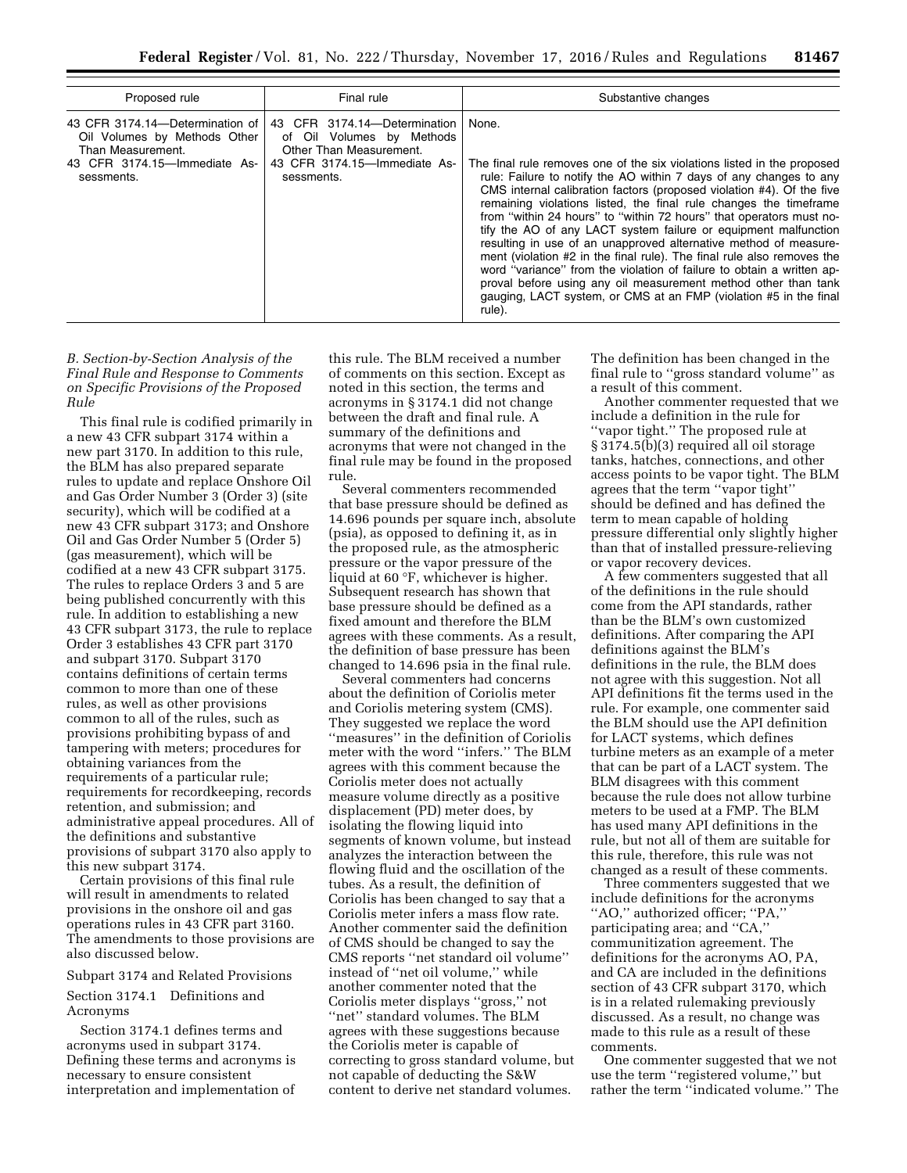| Proposed rule                                                                                                                      | Final rule                                                                                                                         | Substantive changes                                                                                                                                                                                                                                                                                                                                                                                                                                                                                                                                                                                                                                                                                                                                                                                                    |
|------------------------------------------------------------------------------------------------------------------------------------|------------------------------------------------------------------------------------------------------------------------------------|------------------------------------------------------------------------------------------------------------------------------------------------------------------------------------------------------------------------------------------------------------------------------------------------------------------------------------------------------------------------------------------------------------------------------------------------------------------------------------------------------------------------------------------------------------------------------------------------------------------------------------------------------------------------------------------------------------------------------------------------------------------------------------------------------------------------|
| 43 CFR 3174.14-Determination of<br>Oil Volumes by Methods Other<br>Than Measurement.<br>43 CFR 3174.15-Immediate As-<br>sessments. | 43 CFR 3174.14-Determination<br>of Oil Volumes by Methods<br>Other Than Measurement.<br>43 CFR 3174.15-Immediate As-<br>sessments. | None.<br>The final rule removes one of the six violations listed in the proposed<br>rule: Failure to notify the AO within 7 days of any changes to any<br>CMS internal calibration factors (proposed violation #4). Of the five<br>remaining violations listed, the final rule changes the timeframe<br>from "within 24 hours" to "within 72 hours" that operators must no-<br>tify the AO of any LACT system failure or equipment malfunction<br>resulting in use of an unapproved alternative method of measure-<br>ment (violation #2 in the final rule). The final rule also removes the<br>word "variance" from the violation of failure to obtain a written ap-<br>proval before using any oil measurement method other than tank<br>gauging, LACT system, or CMS at an FMP (violation #5 in the final<br>rule). |

*B. Section-by-Section Analysis of the Final Rule and Response to Comments on Specific Provisions of the Proposed Rule* 

This final rule is codified primarily in a new 43 CFR subpart 3174 within a new part 3170. In addition to this rule, the BLM has also prepared separate rules to update and replace Onshore Oil and Gas Order Number 3 (Order 3) (site security), which will be codified at a new 43 CFR subpart 3173; and Onshore Oil and Gas Order Number 5 (Order 5) (gas measurement), which will be codified at a new 43 CFR subpart 3175. The rules to replace Orders 3 and 5 are being published concurrently with this rule. In addition to establishing a new 43 CFR subpart 3173, the rule to replace Order 3 establishes 43 CFR part 3170 and subpart 3170. Subpart 3170 contains definitions of certain terms common to more than one of these rules, as well as other provisions common to all of the rules, such as provisions prohibiting bypass of and tampering with meters; procedures for obtaining variances from the requirements of a particular rule; requirements for recordkeeping, records retention, and submission; and administrative appeal procedures. All of the definitions and substantive provisions of subpart 3170 also apply to this new subpart 3174.

Certain provisions of this final rule will result in amendments to related provisions in the onshore oil and gas operations rules in 43 CFR part 3160. The amendments to those provisions are also discussed below.

#### Subpart 3174 and Related Provisions

Section 3174.1 Definitions and Acronyms

Section 3174.1 defines terms and acronyms used in subpart 3174. Defining these terms and acronyms is necessary to ensure consistent interpretation and implementation of

this rule. The BLM received a number of comments on this section. Except as noted in this section, the terms and acronyms in § 3174.1 did not change between the draft and final rule. A summary of the definitions and acronyms that were not changed in the final rule may be found in the proposed rule.

Several commenters recommended that base pressure should be defined as 14.696 pounds per square inch, absolute (psia), as opposed to defining it, as in the proposed rule, as the atmospheric pressure or the vapor pressure of the liquid at 60 °F, whichever is higher. Subsequent research has shown that base pressure should be defined as a fixed amount and therefore the BLM agrees with these comments. As a result, the definition of base pressure has been changed to 14.696 psia in the final rule.

Several commenters had concerns about the definition of Coriolis meter and Coriolis metering system (CMS). They suggested we replace the word ''measures'' in the definition of Coriolis meter with the word ''infers.'' The BLM agrees with this comment because the Coriolis meter does not actually measure volume directly as a positive displacement (PD) meter does, by isolating the flowing liquid into segments of known volume, but instead analyzes the interaction between the flowing fluid and the oscillation of the tubes. As a result, the definition of Coriolis has been changed to say that a Coriolis meter infers a mass flow rate. Another commenter said the definition of CMS should be changed to say the CMS reports ''net standard oil volume'' instead of ''net oil volume,'' while another commenter noted that the Coriolis meter displays ''gross,'' not ''net'' standard volumes. The BLM agrees with these suggestions because the Coriolis meter is capable of correcting to gross standard volume, but not capable of deducting the S&W content to derive net standard volumes.

The definition has been changed in the final rule to ''gross standard volume'' as a result of this comment.

Another commenter requested that we include a definition in the rule for ''vapor tight.'' The proposed rule at § 3174.5(b)(3) required all oil storage tanks, hatches, connections, and other access points to be vapor tight. The BLM agrees that the term ''vapor tight'' should be defined and has defined the term to mean capable of holding pressure differential only slightly higher than that of installed pressure-relieving or vapor recovery devices.

A few commenters suggested that all of the definitions in the rule should come from the API standards, rather than be the BLM's own customized definitions. After comparing the API definitions against the BLM's definitions in the rule, the BLM does not agree with this suggestion. Not all API definitions fit the terms used in the rule. For example, one commenter said the BLM should use the API definition for LACT systems, which defines turbine meters as an example of a meter that can be part of a LACT system. The BLM disagrees with this comment because the rule does not allow turbine meters to be used at a FMP. The BLM has used many API definitions in the rule, but not all of them are suitable for this rule, therefore, this rule was not changed as a result of these comments.

Three commenters suggested that we include definitions for the acronyms ''AO,'' authorized officer; ''PA,'' participating area; and ''CA,'' communitization agreement. The definitions for the acronyms AO, PA, and CA are included in the definitions section of 43 CFR subpart 3170, which is in a related rulemaking previously discussed. As a result, no change was made to this rule as a result of these comments.

One commenter suggested that we not use the term ''registered volume,'' but rather the term ''indicated volume.'' The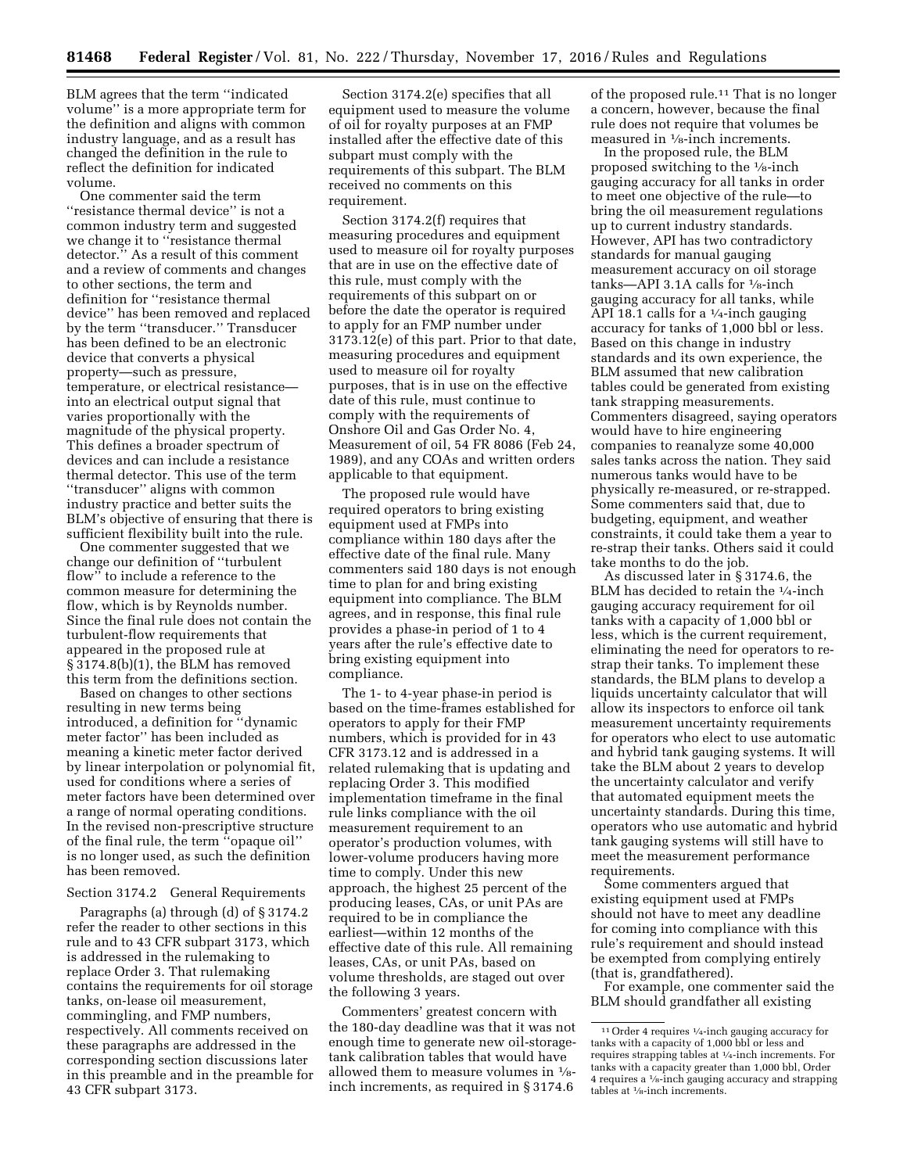BLM agrees that the term ''indicated volume'' is a more appropriate term for the definition and aligns with common industry language, and as a result has changed the definition in the rule to reflect the definition for indicated volume.

One commenter said the term ''resistance thermal device'' is not a common industry term and suggested we change it to ''resistance thermal detector.'' As a result of this comment and a review of comments and changes to other sections, the term and definition for ''resistance thermal device'' has been removed and replaced by the term ''transducer.'' Transducer has been defined to be an electronic device that converts a physical property—such as pressure, temperature, or electrical resistance into an electrical output signal that varies proportionally with the magnitude of the physical property. This defines a broader spectrum of devices and can include a resistance thermal detector. This use of the term ''transducer'' aligns with common industry practice and better suits the BLM's objective of ensuring that there is sufficient flexibility built into the rule.

One commenter suggested that we change our definition of ''turbulent flow'' to include a reference to the common measure for determining the flow, which is by Reynolds number. Since the final rule does not contain the turbulent-flow requirements that appeared in the proposed rule at § 3174.8(b)(1), the BLM has removed this term from the definitions section.

Based on changes to other sections resulting in new terms being introduced, a definition for ''dynamic meter factor'' has been included as meaning a kinetic meter factor derived by linear interpolation or polynomial fit, used for conditions where a series of meter factors have been determined over a range of normal operating conditions. In the revised non-prescriptive structure of the final rule, the term ''opaque oil'' is no longer used, as such the definition has been removed.

## Section 3174.2 General Requirements

Paragraphs (a) through (d) of § 3174.2 refer the reader to other sections in this rule and to 43 CFR subpart 3173, which is addressed in the rulemaking to replace Order 3. That rulemaking contains the requirements for oil storage tanks, on-lease oil measurement, commingling, and FMP numbers, respectively. All comments received on these paragraphs are addressed in the corresponding section discussions later in this preamble and in the preamble for 43 CFR subpart 3173.

Section 3174.2(e) specifies that all equipment used to measure the volume of oil for royalty purposes at an FMP installed after the effective date of this subpart must comply with the requirements of this subpart. The BLM received no comments on this requirement.

Section 3174.2(f) requires that measuring procedures and equipment used to measure oil for royalty purposes that are in use on the effective date of this rule, must comply with the requirements of this subpart on or before the date the operator is required to apply for an FMP number under 3173.12(e) of this part. Prior to that date, measuring procedures and equipment used to measure oil for royalty purposes, that is in use on the effective date of this rule, must continue to comply with the requirements of Onshore Oil and Gas Order No. 4, Measurement of oil, 54 FR 8086 (Feb 24, 1989), and any COAs and written orders applicable to that equipment.

The proposed rule would have required operators to bring existing equipment used at FMPs into compliance within 180 days after the effective date of the final rule. Many commenters said 180 days is not enough time to plan for and bring existing equipment into compliance. The BLM agrees, and in response, this final rule provides a phase-in period of 1 to 4 years after the rule's effective date to bring existing equipment into compliance.

The 1- to 4-year phase-in period is based on the time-frames established for operators to apply for their FMP numbers, which is provided for in 43 CFR 3173.12 and is addressed in a related rulemaking that is updating and replacing Order 3. This modified implementation timeframe in the final rule links compliance with the oil measurement requirement to an operator's production volumes, with lower-volume producers having more time to comply. Under this new approach, the highest 25 percent of the producing leases, CAs, or unit PAs are required to be in compliance the earliest—within 12 months of the effective date of this rule. All remaining leases, CAs, or unit PAs, based on volume thresholds, are staged out over the following 3 years.

Commenters' greatest concern with the 180-day deadline was that it was not enough time to generate new oil-storagetank calibration tables that would have allowed them to measure volumes in 1⁄8 inch increments, as required in § 3174.6

of the proposed rule.<sup>11</sup> That is no longer a concern, however, because the final rule does not require that volumes be measured in 1⁄8-inch increments.

In the proposed rule, the BLM proposed switching to the  $\frac{1}{8}$ -inch gauging accuracy for all tanks in order to meet one objective of the rule—to bring the oil measurement regulations up to current industry standards. However, API has two contradictory standards for manual gauging measurement accuracy on oil storage tanks—API 3.1A calls for  $\frac{1}{8}$ -inch gauging accuracy for all tanks, while API 18.1 calls for a  $\frac{1}{4}$ -inch gauging accuracy for tanks of 1,000 bbl or less. Based on this change in industry standards and its own experience, the BLM assumed that new calibration tables could be generated from existing tank strapping measurements. Commenters disagreed, saying operators would have to hire engineering companies to reanalyze some 40,000 sales tanks across the nation. They said numerous tanks would have to be physically re-measured, or re-strapped. Some commenters said that, due to budgeting, equipment, and weather constraints, it could take them a year to re-strap their tanks. Others said it could take months to do the job.

As discussed later in § 3174.6, the BLM has decided to retain the 1/4-inch gauging accuracy requirement for oil tanks with a capacity of 1,000 bbl or less, which is the current requirement, eliminating the need for operators to restrap their tanks. To implement these standards, the BLM plans to develop a liquids uncertainty calculator that will allow its inspectors to enforce oil tank measurement uncertainty requirements for operators who elect to use automatic and hybrid tank gauging systems. It will take the BLM about 2 years to develop the uncertainty calculator and verify that automated equipment meets the uncertainty standards. During this time, operators who use automatic and hybrid tank gauging systems will still have to meet the measurement performance requirements.

Some commenters argued that existing equipment used at FMPs should not have to meet any deadline for coming into compliance with this rule's requirement and should instead be exempted from complying entirely (that is, grandfathered).

For example, one commenter said the BLM should grandfather all existing

<sup>11</sup>Order 4 requires 1⁄4-inch gauging accuracy for tanks with a capacity of 1,000 bbl or less and requires strapping tables at 1⁄4-inch increments. For tanks with a capacity greater than 1,000 bbl, Order 4 requires a 1⁄8-inch gauging accuracy and strapping tables at 1⁄8-inch increments.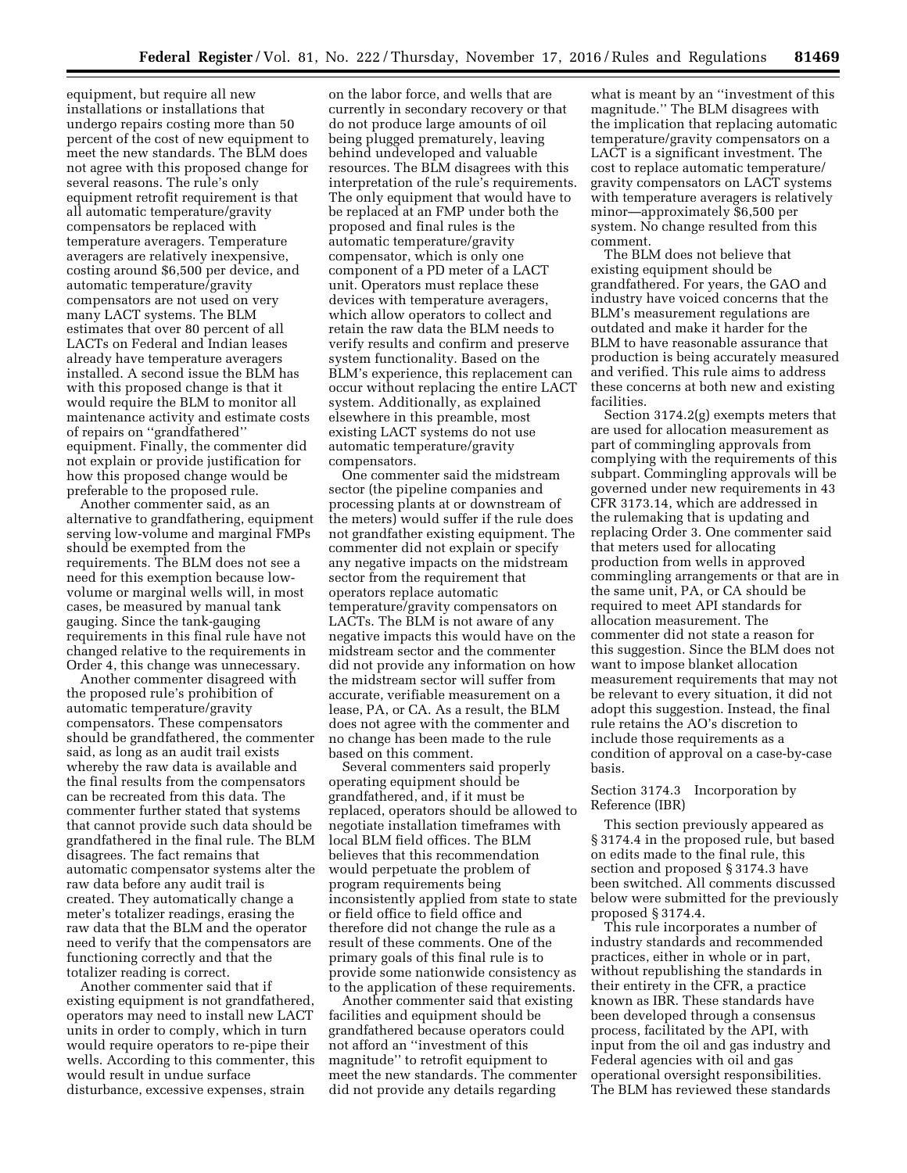equipment, but require all new installations or installations that undergo repairs costing more than 50 percent of the cost of new equipment to meet the new standards. The BLM does not agree with this proposed change for several reasons. The rule's only equipment retrofit requirement is that all automatic temperature/gravity compensators be replaced with temperature averagers. Temperature averagers are relatively inexpensive, costing around \$6,500 per device, and automatic temperature/gravity compensators are not used on very many LACT systems. The BLM estimates that over 80 percent of all LACTs on Federal and Indian leases already have temperature averagers installed. A second issue the BLM has with this proposed change is that it would require the BLM to monitor all maintenance activity and estimate costs of repairs on ''grandfathered'' equipment. Finally, the commenter did not explain or provide justification for how this proposed change would be preferable to the proposed rule.

Another commenter said, as an alternative to grandfathering, equipment serving low-volume and marginal FMPs should be exempted from the requirements. The BLM does not see a need for this exemption because lowvolume or marginal wells will, in most cases, be measured by manual tank gauging. Since the tank-gauging requirements in this final rule have not changed relative to the requirements in Order 4, this change was unnecessary.

Another commenter disagreed with the proposed rule's prohibition of automatic temperature/gravity compensators. These compensators should be grandfathered, the commenter said, as long as an audit trail exists whereby the raw data is available and the final results from the compensators can be recreated from this data. The commenter further stated that systems that cannot provide such data should be grandfathered in the final rule. The BLM disagrees. The fact remains that automatic compensator systems alter the raw data before any audit trail is created. They automatically change a meter's totalizer readings, erasing the raw data that the BLM and the operator need to verify that the compensators are functioning correctly and that the totalizer reading is correct.

Another commenter said that if existing equipment is not grandfathered, operators may need to install new LACT units in order to comply, which in turn would require operators to re-pipe their wells. According to this commenter, this would result in undue surface disturbance, excessive expenses, strain

on the labor force, and wells that are currently in secondary recovery or that do not produce large amounts of oil being plugged prematurely, leaving behind undeveloped and valuable resources. The BLM disagrees with this interpretation of the rule's requirements. The only equipment that would have to be replaced at an FMP under both the proposed and final rules is the automatic temperature/gravity compensator, which is only one component of a PD meter of a LACT unit. Operators must replace these devices with temperature averagers, which allow operators to collect and retain the raw data the BLM needs to verify results and confirm and preserve system functionality. Based on the BLM's experience, this replacement can occur without replacing the entire LACT system. Additionally, as explained elsewhere in this preamble, most existing LACT systems do not use automatic temperature/gravity compensators.

One commenter said the midstream sector (the pipeline companies and processing plants at or downstream of the meters) would suffer if the rule does not grandfather existing equipment. The commenter did not explain or specify any negative impacts on the midstream sector from the requirement that operators replace automatic temperature/gravity compensators on LACTs. The BLM is not aware of any negative impacts this would have on the midstream sector and the commenter did not provide any information on how the midstream sector will suffer from accurate, verifiable measurement on a lease, PA, or CA. As a result, the BLM does not agree with the commenter and no change has been made to the rule based on this comment.

Several commenters said properly operating equipment should be grandfathered, and, if it must be replaced, operators should be allowed to negotiate installation timeframes with local BLM field offices. The BLM believes that this recommendation would perpetuate the problem of program requirements being inconsistently applied from state to state or field office to field office and therefore did not change the rule as a result of these comments. One of the primary goals of this final rule is to provide some nationwide consistency as to the application of these requirements.

Another commenter said that existing facilities and equipment should be grandfathered because operators could not afford an ''investment of this magnitude'' to retrofit equipment to meet the new standards. The commenter did not provide any details regarding

what is meant by an ''investment of this magnitude.'' The BLM disagrees with the implication that replacing automatic temperature/gravity compensators on a LACT is a significant investment. The cost to replace automatic temperature/ gravity compensators on LACT systems with temperature averagers is relatively minor—approximately \$6,500 per system. No change resulted from this comment.

The BLM does not believe that existing equipment should be grandfathered. For years, the GAO and industry have voiced concerns that the BLM's measurement regulations are outdated and make it harder for the BLM to have reasonable assurance that production is being accurately measured and verified. This rule aims to address these concerns at both new and existing facilities.

Section 3174.2(g) exempts meters that are used for allocation measurement as part of commingling approvals from complying with the requirements of this subpart. Commingling approvals will be governed under new requirements in 43 CFR 3173.14, which are addressed in the rulemaking that is updating and replacing Order 3. One commenter said that meters used for allocating production from wells in approved commingling arrangements or that are in the same unit, PA, or CA should be required to meet API standards for allocation measurement. The commenter did not state a reason for this suggestion. Since the BLM does not want to impose blanket allocation measurement requirements that may not be relevant to every situation, it did not adopt this suggestion. Instead, the final rule retains the AO's discretion to include those requirements as a condition of approval on a case-by-case basis.

## Section 3174.3 Incorporation by Reference (IBR)

This section previously appeared as § 3174.4 in the proposed rule, but based on edits made to the final rule, this section and proposed § 3174.3 have been switched. All comments discussed below were submitted for the previously proposed § 3174.4.

This rule incorporates a number of industry standards and recommended practices, either in whole or in part, without republishing the standards in their entirety in the CFR, a practice known as IBR. These standards have been developed through a consensus process, facilitated by the API, with input from the oil and gas industry and Federal agencies with oil and gas operational oversight responsibilities. The BLM has reviewed these standards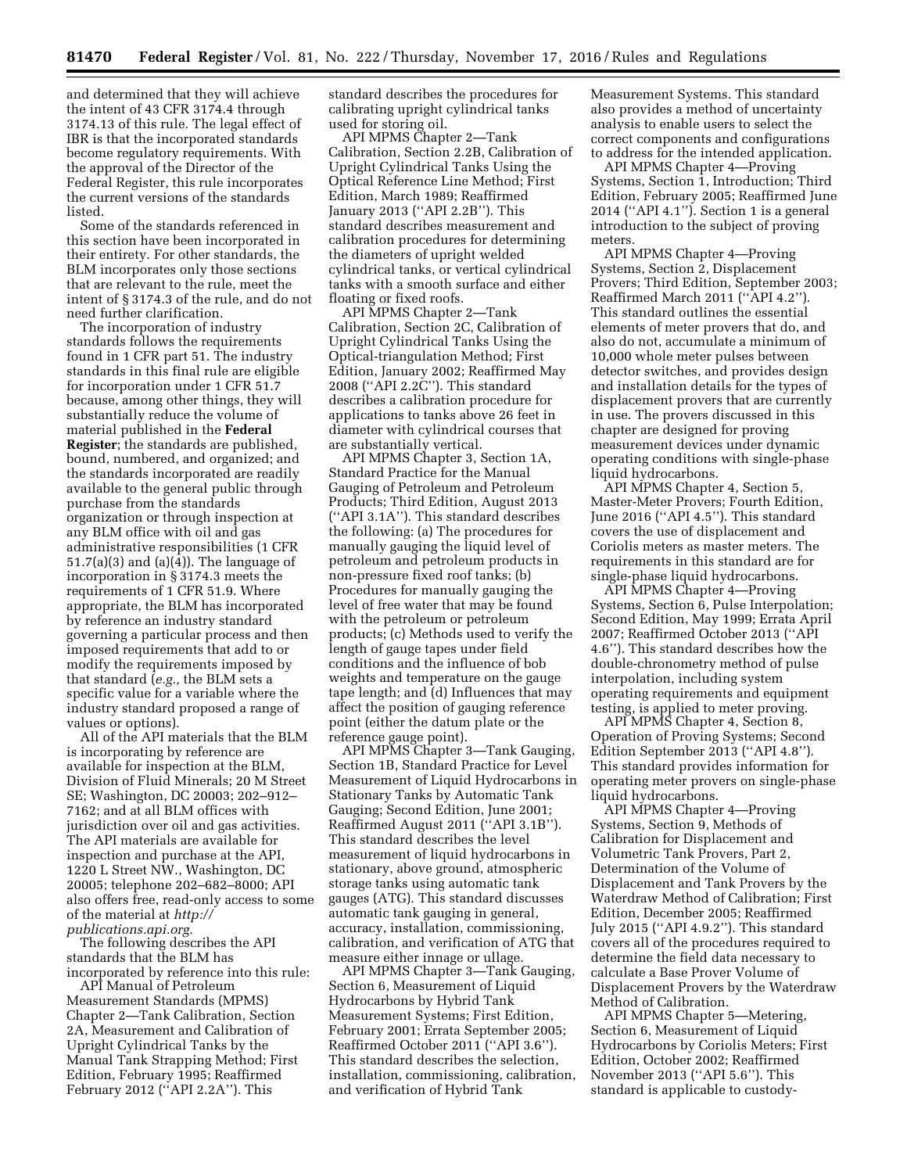and determined that they will achieve the intent of 43 CFR 3174.4 through 3174.13 of this rule. The legal effect of IBR is that the incorporated standards become regulatory requirements. With the approval of the Director of the Federal Register, this rule incorporates the current versions of the standards listed.

Some of the standards referenced in this section have been incorporated in their entirety. For other standards, the BLM incorporates only those sections that are relevant to the rule, meet the intent of § 3174.3 of the rule, and do not need further clarification.

The incorporation of industry standards follows the requirements found in 1 CFR part 51. The industry standards in this final rule are eligible for incorporation under 1 CFR 51.7 because, among other things, they will substantially reduce the volume of material published in the **Federal Register**; the standards are published, bound, numbered, and organized; and the standards incorporated are readily available to the general public through purchase from the standards organization or through inspection at any BLM office with oil and gas administrative responsibilities (1 CFR  $51.7(a)(3)$  and  $(a)(4)$ ). The language of incorporation in § 3174.3 meets the requirements of 1 CFR 51.9. Where appropriate, the BLM has incorporated by reference an industry standard governing a particular process and then imposed requirements that add to or modify the requirements imposed by that standard (*e.g.,* the BLM sets a specific value for a variable where the industry standard proposed a range of values or options).

All of the API materials that the BLM is incorporating by reference are available for inspection at the BLM, Division of Fluid Minerals; 20 M Street SE; Washington, DC 20003; 202–912– 7162; and at all BLM offices with jurisdiction over oil and gas activities. The API materials are available for inspection and purchase at the API, 1220 L Street NW., Washington, DC 20005; telephone 202–682–8000; API also offers free, read-only access to some of the material at *[http://](http://publications.api.org) [publications.api.org.](http://publications.api.org)* 

The following describes the API standards that the BLM has incorporated by reference into this rule:

API Manual of Petroleum Measurement Standards (MPMS) Chapter 2—Tank Calibration, Section 2A, Measurement and Calibration of Upright Cylindrical Tanks by the Manual Tank Strapping Method; First Edition, February 1995; Reaffirmed February 2012 (''API 2.2A''). This

standard describes the procedures for calibrating upright cylindrical tanks used for storing oil.

API MPMS Chapter 2—Tank Calibration, Section 2.2B, Calibration of Upright Cylindrical Tanks Using the Optical Reference Line Method; First Edition, March 1989; Reaffirmed January 2013 (''API 2.2B''). This standard describes measurement and calibration procedures for determining the diameters of upright welded cylindrical tanks, or vertical cylindrical tanks with a smooth surface and either floating or fixed roofs.

API MPMS Chapter 2—Tank Calibration, Section 2C, Calibration of Upright Cylindrical Tanks Using the Optical-triangulation Method; First Edition, January 2002; Reaffirmed May 2008 (''API 2.2C''). This standard describes a calibration procedure for applications to tanks above 26 feet in diameter with cylindrical courses that are substantially vertical.

API MPMS Chapter 3, Section 1A, Standard Practice for the Manual Gauging of Petroleum and Petroleum Products; Third Edition, August 2013 (''API 3.1A''). This standard describes the following: (a) The procedures for manually gauging the liquid level of petroleum and petroleum products in non-pressure fixed roof tanks; (b) Procedures for manually gauging the level of free water that may be found with the petroleum or petroleum products; (c) Methods used to verify the length of gauge tapes under field conditions and the influence of bob weights and temperature on the gauge tape length; and (d) Influences that may affect the position of gauging reference point (either the datum plate or the reference gauge point).

API MPMS Chapter 3—Tank Gauging, Section 1B, Standard Practice for Level Measurement of Liquid Hydrocarbons in Stationary Tanks by Automatic Tank Gauging; Second Edition, June 2001; Reaffirmed August 2011 (''API 3.1B''). This standard describes the level measurement of liquid hydrocarbons in stationary, above ground, atmospheric storage tanks using automatic tank gauges (ATG). This standard discusses automatic tank gauging in general, accuracy, installation, commissioning, calibration, and verification of ATG that measure either innage or ullage.

API MPMS Chapter 3—Tank Gauging, Section 6, Measurement of Liquid Hydrocarbons by Hybrid Tank Measurement Systems; First Edition, February 2001; Errata September 2005; Reaffirmed October 2011 (''API 3.6''). This standard describes the selection, installation, commissioning, calibration, and verification of Hybrid Tank

Measurement Systems. This standard also provides a method of uncertainty analysis to enable users to select the correct components and configurations to address for the intended application.

API MPMS Chapter 4—Proving Systems, Section 1, Introduction; Third Edition, February 2005; Reaffirmed June 2014 (''API 4.1''). Section 1 is a general introduction to the subject of proving meters.

API MPMS Chapter 4—Proving Systems, Section 2, Displacement Provers; Third Edition, September 2003; Reaffirmed March 2011 (''API 4.2''). This standard outlines the essential elements of meter provers that do, and also do not, accumulate a minimum of 10,000 whole meter pulses between detector switches, and provides design and installation details for the types of displacement provers that are currently in use. The provers discussed in this chapter are designed for proving measurement devices under dynamic operating conditions with single-phase liquid hydrocarbons.

API MPMS Chapter 4, Section 5, Master-Meter Provers; Fourth Edition, June 2016 (''API 4.5''). This standard covers the use of displacement and Coriolis meters as master meters. The requirements in this standard are for single-phase liquid hydrocarbons.

API MPMS Chapter 4—Proving Systems, Section 6, Pulse Interpolation; Second Edition, May 1999; Errata April 2007; Reaffirmed October 2013 (''API 4.6''). This standard describes how the double-chronometry method of pulse interpolation, including system operating requirements and equipment testing, is applied to meter proving.

API MPMS Chapter 4, Section 8, Operation of Proving Systems; Second Edition September 2013 (''API 4.8''). This standard provides information for operating meter provers on single-phase liquid hydrocarbons.

API MPMS Chapter 4—Proving Systems, Section 9, Methods of Calibration for Displacement and Volumetric Tank Provers, Part 2, Determination of the Volume of Displacement and Tank Provers by the Waterdraw Method of Calibration; First Edition, December 2005; Reaffirmed July 2015 (''API 4.9.2''). This standard covers all of the procedures required to determine the field data necessary to calculate a Base Prover Volume of Displacement Provers by the Waterdraw Method of Calibration.

API MPMS Chapter 5—Metering, Section 6, Measurement of Liquid Hydrocarbons by Coriolis Meters; First Edition, October 2002; Reaffirmed November 2013 (''API 5.6''). This standard is applicable to custody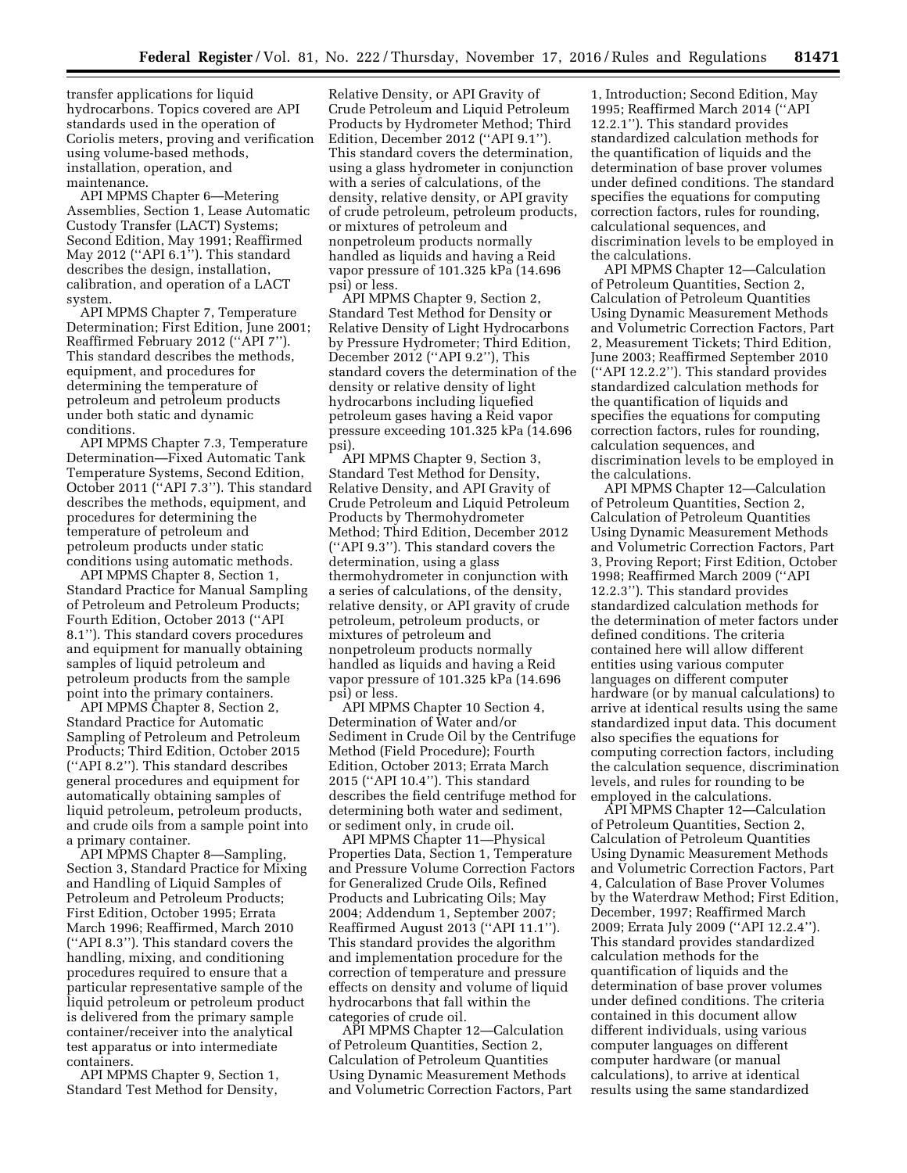transfer applications for liquid hydrocarbons. Topics covered are API standards used in the operation of Coriolis meters, proving and verification using volume-based methods, installation, operation, and maintenance.

API MPMS Chapter 6—Metering Assemblies, Section 1, Lease Automatic Custody Transfer (LACT) Systems; Second Edition, May 1991; Reaffirmed May 2012 ("API  $6.1$ "). This standard describes the design, installation, calibration, and operation of a LACT system.

API MPMS Chapter 7, Temperature Determination; First Edition, June 2001; Reaffirmed February 2012 (''API 7''). This standard describes the methods, equipment, and procedures for determining the temperature of petroleum and petroleum products under both static and dynamic conditions.

API MPMS Chapter 7.3, Temperature Determination—Fixed Automatic Tank Temperature Systems, Second Edition, October 2011 (''API 7.3''). This standard describes the methods, equipment, and procedures for determining the temperature of petroleum and petroleum products under static conditions using automatic methods.

API MPMS Chapter 8, Section 1, Standard Practice for Manual Sampling of Petroleum and Petroleum Products; Fourth Edition, October 2013 (''API 8.1''). This standard covers procedures and equipment for manually obtaining samples of liquid petroleum and petroleum products from the sample point into the primary containers.

API MPMS Chapter 8, Section 2, Standard Practice for Automatic Sampling of Petroleum and Petroleum Products; Third Edition, October 2015 (''API 8.2''). This standard describes general procedures and equipment for automatically obtaining samples of liquid petroleum, petroleum products, and crude oils from a sample point into a primary container.

API MPMS Chapter 8—Sampling, Section 3, Standard Practice for Mixing and Handling of Liquid Samples of Petroleum and Petroleum Products; First Edition, October 1995; Errata March 1996; Reaffirmed, March 2010 (''API 8.3''). This standard covers the handling, mixing, and conditioning procedures required to ensure that a particular representative sample of the liquid petroleum or petroleum product is delivered from the primary sample container/receiver into the analytical test apparatus or into intermediate containers.

API MPMS Chapter 9, Section 1, Standard Test Method for Density,

Relative Density, or API Gravity of Crude Petroleum and Liquid Petroleum Products by Hydrometer Method; Third Edition, December 2012 (''API 9.1''). This standard covers the determination, using a glass hydrometer in conjunction with a series of calculations, of the density, relative density, or API gravity of crude petroleum, petroleum products, or mixtures of petroleum and nonpetroleum products normally handled as liquids and having a Reid vapor pressure of 101.325 kPa (14.696 psi) or less.

API MPMS Chapter 9, Section 2, Standard Test Method for Density or Relative Density of Light Hydrocarbons by Pressure Hydrometer; Third Edition, December 2012 (''API 9.2''), This standard covers the determination of the density or relative density of light hydrocarbons including liquefied petroleum gases having a Reid vapor pressure exceeding 101.325 kPa (14.696 psi).

API MPMS Chapter 9, Section 3, Standard Test Method for Density, Relative Density, and API Gravity of Crude Petroleum and Liquid Petroleum Products by Thermohydrometer Method; Third Edition, December 2012 (''API 9.3''). This standard covers the determination, using a glass thermohydrometer in conjunction with a series of calculations, of the density, relative density, or API gravity of crude petroleum, petroleum products, or mixtures of petroleum and nonpetroleum products normally handled as liquids and having a Reid vapor pressure of 101.325 kPa (14.696 psi) or less.

API MPMS Chapter 10 Section 4, Determination of Water and/or Sediment in Crude Oil by the Centrifuge Method (Field Procedure); Fourth Edition, October 2013; Errata March 2015 (''API 10.4''). This standard describes the field centrifuge method for determining both water and sediment, or sediment only, in crude oil.

API MPMS Chapter 11—Physical Properties Data, Section 1, Temperature and Pressure Volume Correction Factors for Generalized Crude Oils, Refined Products and Lubricating Oils; May 2004; Addendum 1, September 2007; Reaffirmed August 2013 (''API 11.1''). This standard provides the algorithm and implementation procedure for the correction of temperature and pressure effects on density and volume of liquid hydrocarbons that fall within the categories of crude oil.

API MPMS Chapter 12—Calculation of Petroleum Quantities, Section 2, Calculation of Petroleum Quantities Using Dynamic Measurement Methods and Volumetric Correction Factors, Part

1, Introduction; Second Edition, May 1995; Reaffirmed March 2014 (''API 12.2.1''). This standard provides standardized calculation methods for the quantification of liquids and the determination of base prover volumes under defined conditions. The standard specifies the equations for computing correction factors, rules for rounding, calculational sequences, and discrimination levels to be employed in the calculations.

API MPMS Chapter 12—Calculation of Petroleum Quantities, Section 2, Calculation of Petroleum Quantities Using Dynamic Measurement Methods and Volumetric Correction Factors, Part 2, Measurement Tickets; Third Edition, June 2003; Reaffirmed September 2010 (''API 12.2.2''). This standard provides standardized calculation methods for the quantification of liquids and specifies the equations for computing correction factors, rules for rounding, calculation sequences, and discrimination levels to be employed in the calculations.

API MPMS Chapter 12—Calculation of Petroleum Quantities, Section 2, Calculation of Petroleum Quantities Using Dynamic Measurement Methods and Volumetric Correction Factors, Part 3, Proving Report; First Edition, October 1998; Reaffirmed March 2009 (''API 12.2.3''). This standard provides standardized calculation methods for the determination of meter factors under defined conditions. The criteria contained here will allow different entities using various computer languages on different computer hardware (or by manual calculations) to arrive at identical results using the same standardized input data. This document also specifies the equations for computing correction factors, including the calculation sequence, discrimination levels, and rules for rounding to be employed in the calculations.

API MPMS Chapter 12—Calculation of Petroleum Quantities, Section 2, Calculation of Petroleum Quantities Using Dynamic Measurement Methods and Volumetric Correction Factors, Part 4, Calculation of Base Prover Volumes by the Waterdraw Method; First Edition, December, 1997; Reaffirmed March 2009; Errata July 2009 (''API 12.2.4''). This standard provides standardized calculation methods for the quantification of liquids and the determination of base prover volumes under defined conditions. The criteria contained in this document allow different individuals, using various computer languages on different computer hardware (or manual calculations), to arrive at identical results using the same standardized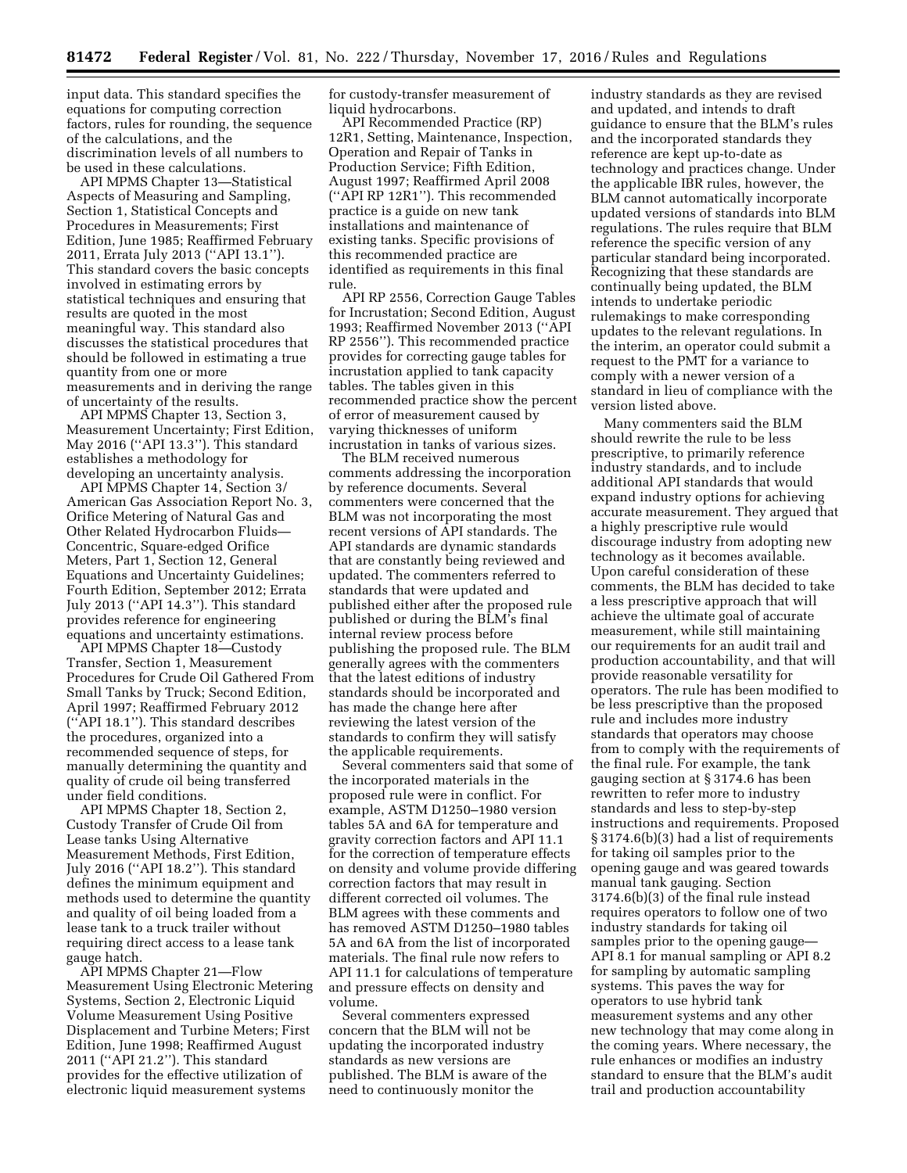input data. This standard specifies the equations for computing correction factors, rules for rounding, the sequence of the calculations, and the discrimination levels of all numbers to be used in these calculations.

API MPMS Chapter 13—Statistical Aspects of Measuring and Sampling, Section 1, Statistical Concepts and Procedures in Measurements; First Edition, June 1985; Reaffirmed February 2011, Errata July 2013 (''API 13.1''). This standard covers the basic concepts involved in estimating errors by statistical techniques and ensuring that results are quoted in the most meaningful way. This standard also discusses the statistical procedures that should be followed in estimating a true quantity from one or more measurements and in deriving the range of uncertainty of the results.

API MPMS Chapter 13, Section 3, Measurement Uncertainty; First Edition, May 2016 (''API 13.3''). This standard establishes a methodology for developing an uncertainty analysis.

API MPMS Chapter 14, Section 3/ American Gas Association Report No. 3, Orifice Metering of Natural Gas and Other Related Hydrocarbon Fluids— Concentric, Square-edged Orifice Meters, Part 1, Section 12, General Equations and Uncertainty Guidelines; Fourth Edition, September 2012; Errata July 2013 (''API 14.3''). This standard provides reference for engineering equations and uncertainty estimations.

API MPMS Chapter 18—Custody Transfer, Section 1, Measurement Procedures for Crude Oil Gathered From Small Tanks by Truck; Second Edition, April 1997; Reaffirmed February 2012 (''API 18.1''). This standard describes the procedures, organized into a recommended sequence of steps, for manually determining the quantity and quality of crude oil being transferred under field conditions.

API MPMS Chapter 18, Section 2, Custody Transfer of Crude Oil from Lease tanks Using Alternative Measurement Methods, First Edition, July 2016 (''API 18.2''). This standard defines the minimum equipment and methods used to determine the quantity and quality of oil being loaded from a lease tank to a truck trailer without requiring direct access to a lease tank gauge hatch.

API MPMS Chapter 21—Flow Measurement Using Electronic Metering Systems, Section 2, Electronic Liquid Volume Measurement Using Positive Displacement and Turbine Meters; First Edition, June 1998; Reaffirmed August 2011 (''API 21.2''). This standard provides for the effective utilization of electronic liquid measurement systems

for custody-transfer measurement of liquid hydrocarbons.

API Recommended Practice (RP) 12R1, Setting, Maintenance, Inspection, Operation and Repair of Tanks in Production Service; Fifth Edition, August 1997; Reaffirmed April 2008 (''API RP 12R1''). This recommended practice is a guide on new tank installations and maintenance of existing tanks. Specific provisions of this recommended practice are identified as requirements in this final rule.

API RP 2556, Correction Gauge Tables for Incrustation; Second Edition, August 1993; Reaffirmed November 2013 (''API RP 2556''). This recommended practice provides for correcting gauge tables for incrustation applied to tank capacity tables. The tables given in this recommended practice show the percent of error of measurement caused by varying thicknesses of uniform incrustation in tanks of various sizes.

The BLM received numerous comments addressing the incorporation by reference documents. Several commenters were concerned that the BLM was not incorporating the most recent versions of API standards. The API standards are dynamic standards that are constantly being reviewed and updated. The commenters referred to standards that were updated and published either after the proposed rule published or during the BLM's final internal review process before publishing the proposed rule. The BLM generally agrees with the commenters that the latest editions of industry standards should be incorporated and has made the change here after reviewing the latest version of the standards to confirm they will satisfy the applicable requirements.

Several commenters said that some of the incorporated materials in the proposed rule were in conflict. For example, ASTM D1250–1980 version tables 5A and 6A for temperature and gravity correction factors and API 11.1 for the correction of temperature effects on density and volume provide differing correction factors that may result in different corrected oil volumes. The BLM agrees with these comments and has removed ASTM D1250–1980 tables 5A and 6A from the list of incorporated materials. The final rule now refers to API 11.1 for calculations of temperature and pressure effects on density and volume.

Several commenters expressed concern that the BLM will not be updating the incorporated industry standards as new versions are published. The BLM is aware of the need to continuously monitor the

industry standards as they are revised and updated, and intends to draft guidance to ensure that the BLM's rules and the incorporated standards they reference are kept up-to-date as technology and practices change. Under the applicable IBR rules, however, the BLM cannot automatically incorporate updated versions of standards into BLM regulations. The rules require that BLM reference the specific version of any particular standard being incorporated. Recognizing that these standards are continually being updated, the BLM intends to undertake periodic rulemakings to make corresponding updates to the relevant regulations. In the interim, an operator could submit a request to the PMT for a variance to comply with a newer version of a standard in lieu of compliance with the version listed above.

Many commenters said the BLM should rewrite the rule to be less prescriptive, to primarily reference industry standards, and to include additional API standards that would expand industry options for achieving accurate measurement. They argued that a highly prescriptive rule would discourage industry from adopting new technology as it becomes available. Upon careful consideration of these comments, the BLM has decided to take a less prescriptive approach that will achieve the ultimate goal of accurate measurement, while still maintaining our requirements for an audit trail and production accountability, and that will provide reasonable versatility for operators. The rule has been modified to be less prescriptive than the proposed rule and includes more industry standards that operators may choose from to comply with the requirements of the final rule. For example, the tank gauging section at § 3174.6 has been rewritten to refer more to industry standards and less to step-by-step instructions and requirements. Proposed § 3174.6(b)(3) had a list of requirements for taking oil samples prior to the opening gauge and was geared towards manual tank gauging. Section 3174.6(b)(3) of the final rule instead requires operators to follow one of two industry standards for taking oil samples prior to the opening gauge— API 8.1 for manual sampling or API 8.2 for sampling by automatic sampling systems. This paves the way for operators to use hybrid tank measurement systems and any other new technology that may come along in the coming years. Where necessary, the rule enhances or modifies an industry standard to ensure that the BLM's audit trail and production accountability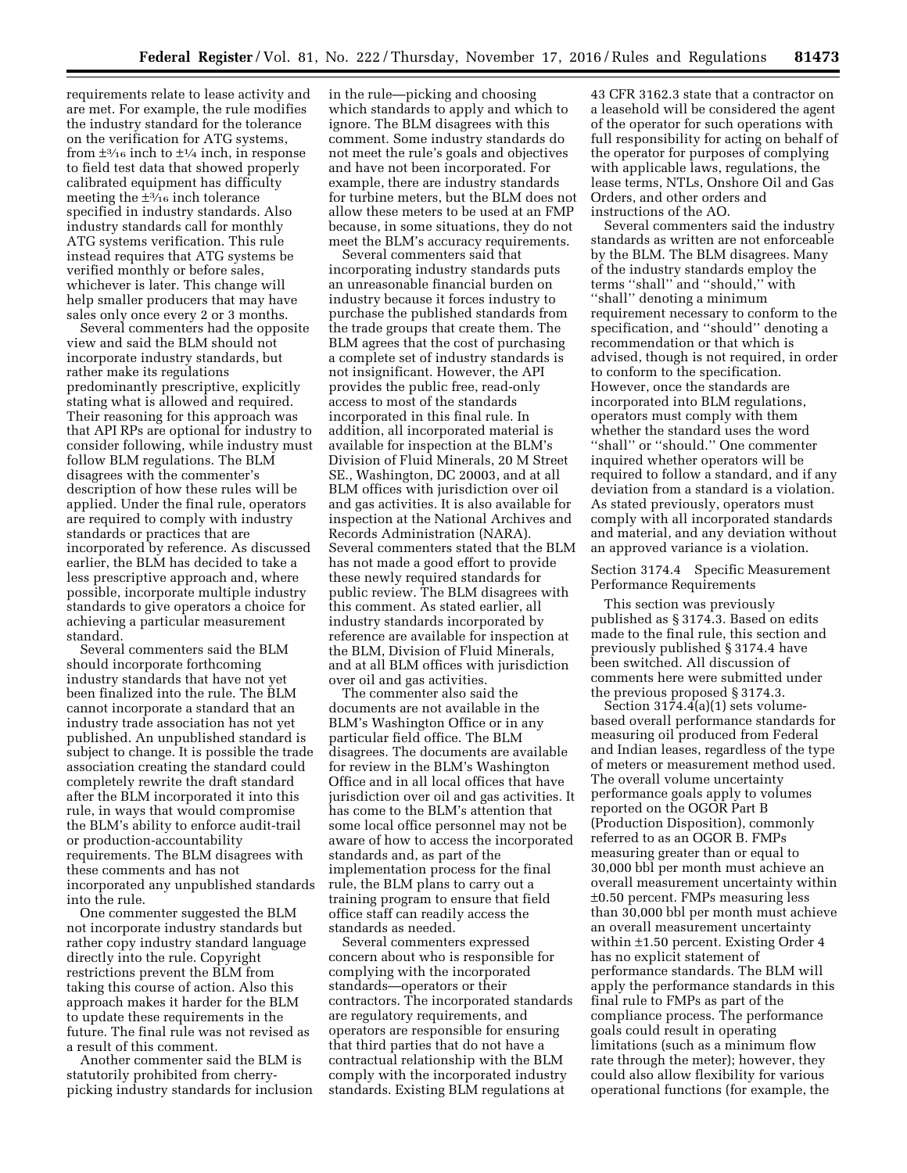requirements relate to lease activity and are met. For example, the rule modifies the industry standard for the tolerance on the verification for ATG systems, from  $\pm$ <sup>3</sup>/<sub>16</sub> inch to  $\pm$ <sup>1</sup>/<sub>4</sub> inch, in response to field test data that showed properly calibrated equipment has difficulty meeting the  $\pm$ <sup>3</sup>/<sub>16</sub> inch tolerance specified in industry standards. Also industry standards call for monthly ATG systems verification. This rule instead requires that ATG systems be verified monthly or before sales, whichever is later. This change will help smaller producers that may have sales only once every 2 or 3 months.

Several commenters had the opposite view and said the BLM should not incorporate industry standards, but rather make its regulations predominantly prescriptive, explicitly stating what is allowed and required. Their reasoning for this approach was that API RPs are optional for industry to consider following, while industry must follow BLM regulations. The BLM disagrees with the commenter's description of how these rules will be applied. Under the final rule, operators are required to comply with industry standards or practices that are incorporated by reference. As discussed earlier, the BLM has decided to take a less prescriptive approach and, where possible, incorporate multiple industry standards to give operators a choice for achieving a particular measurement standard.

Several commenters said the BLM should incorporate forthcoming industry standards that have not yet been finalized into the rule. The BLM cannot incorporate a standard that an industry trade association has not yet published. An unpublished standard is subject to change. It is possible the trade association creating the standard could completely rewrite the draft standard after the BLM incorporated it into this rule, in ways that would compromise the BLM's ability to enforce audit-trail or production-accountability requirements. The BLM disagrees with these comments and has not incorporated any unpublished standards into the rule.

One commenter suggested the BLM not incorporate industry standards but rather copy industry standard language directly into the rule. Copyright restrictions prevent the BLM from taking this course of action. Also this approach makes it harder for the BLM to update these requirements in the future. The final rule was not revised as a result of this comment.

Another commenter said the BLM is statutorily prohibited from cherrypicking industry standards for inclusion in the rule—picking and choosing which standards to apply and which to ignore. The BLM disagrees with this comment. Some industry standards do not meet the rule's goals and objectives and have not been incorporated. For example, there are industry standards for turbine meters, but the BLM does not allow these meters to be used at an FMP because, in some situations, they do not meet the BLM's accuracy requirements.

Several commenters said that incorporating industry standards puts an unreasonable financial burden on industry because it forces industry to purchase the published standards from the trade groups that create them. The BLM agrees that the cost of purchasing a complete set of industry standards is not insignificant. However, the API provides the public free, read-only access to most of the standards incorporated in this final rule. In addition, all incorporated material is available for inspection at the BLM's Division of Fluid Minerals, 20 M Street SE., Washington, DC 20003, and at all BLM offices with jurisdiction over oil and gas activities. It is also available for inspection at the National Archives and Records Administration (NARA). Several commenters stated that the BLM has not made a good effort to provide these newly required standards for public review. The BLM disagrees with this comment. As stated earlier, all industry standards incorporated by reference are available for inspection at the BLM, Division of Fluid Minerals, and at all BLM offices with jurisdiction over oil and gas activities.

The commenter also said the documents are not available in the BLM's Washington Office or in any particular field office. The BLM disagrees. The documents are available for review in the BLM's Washington Office and in all local offices that have jurisdiction over oil and gas activities. It has come to the BLM's attention that some local office personnel may not be aware of how to access the incorporated standards and, as part of the implementation process for the final rule, the BLM plans to carry out a training program to ensure that field office staff can readily access the standards as needed.

Several commenters expressed concern about who is responsible for complying with the incorporated standards—operators or their contractors. The incorporated standards are regulatory requirements, and operators are responsible for ensuring that third parties that do not have a contractual relationship with the BLM comply with the incorporated industry standards. Existing BLM regulations at

43 CFR 3162.3 state that a contractor on a leasehold will be considered the agent of the operator for such operations with full responsibility for acting on behalf of the operator for purposes of complying with applicable laws, regulations, the lease terms, NTLs, Onshore Oil and Gas Orders, and other orders and instructions of the AO.

Several commenters said the industry standards as written are not enforceable by the BLM. The BLM disagrees. Many of the industry standards employ the terms ''shall'' and ''should,'' with ''shall'' denoting a minimum requirement necessary to conform to the specification, and ''should'' denoting a recommendation or that which is advised, though is not required, in order to conform to the specification. However, once the standards are incorporated into BLM regulations, operators must comply with them whether the standard uses the word ''shall'' or ''should.'' One commenter inquired whether operators will be required to follow a standard, and if any deviation from a standard is a violation. As stated previously, operators must comply with all incorporated standards and material, and any deviation without an approved variance is a violation.

Section 3174.4 Specific Measurement Performance Requirements

This section was previously published as § 3174.3. Based on edits made to the final rule, this section and previously published § 3174.4 have been switched. All discussion of comments here were submitted under the previous proposed § 3174.3.

Section  $31\overline{7}4.\overline{4}$ (a)(1) sets volumebased overall performance standards for measuring oil produced from Federal and Indian leases, regardless of the type of meters or measurement method used. The overall volume uncertainty performance goals apply to volumes reported on the OGOR Part B (Production Disposition), commonly referred to as an OGOR B. FMPs measuring greater than or equal to 30,000 bbl per month must achieve an overall measurement uncertainty within ±0.50 percent. FMPs measuring less than 30,000 bbl per month must achieve an overall measurement uncertainty within ±1.50 percent. Existing Order 4 has no explicit statement of performance standards. The BLM will apply the performance standards in this final rule to FMPs as part of the compliance process. The performance goals could result in operating limitations (such as a minimum flow rate through the meter); however, they could also allow flexibility for various operational functions (for example, the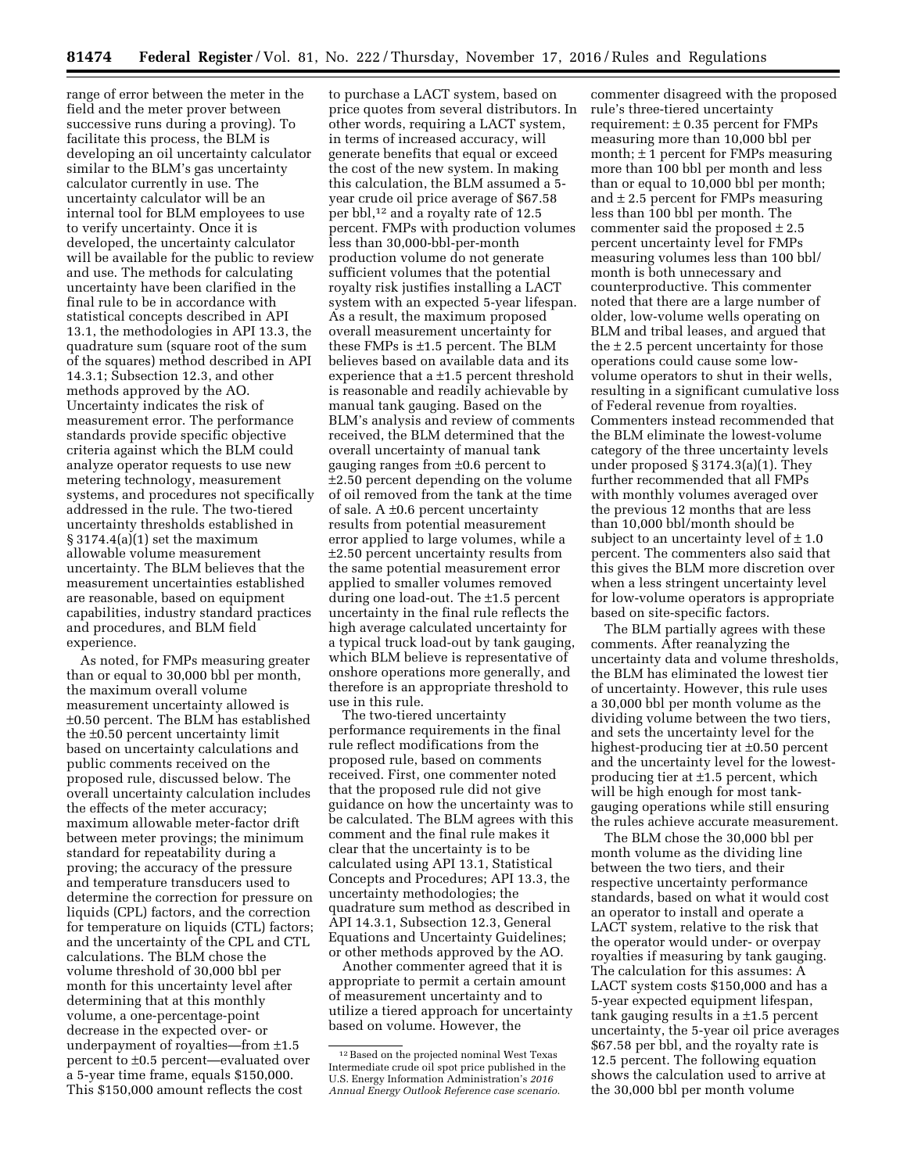range of error between the meter in the field and the meter prover between successive runs during a proving). To facilitate this process, the BLM is developing an oil uncertainty calculator similar to the BLM's gas uncertainty calculator currently in use. The uncertainty calculator will be an internal tool for BLM employees to use to verify uncertainty. Once it is developed, the uncertainty calculator will be available for the public to review and use. The methods for calculating uncertainty have been clarified in the final rule to be in accordance with statistical concepts described in API 13.1, the methodologies in API 13.3, the quadrature sum (square root of the sum of the squares) method described in API 14.3.1; Subsection 12.3, and other methods approved by the AO. Uncertainty indicates the risk of measurement error. The performance standards provide specific objective criteria against which the BLM could analyze operator requests to use new metering technology, measurement systems, and procedures not specifically addressed in the rule. The two-tiered uncertainty thresholds established in  $§ 3174.4(a)(1)$  set the maximum allowable volume measurement uncertainty. The BLM believes that the measurement uncertainties established are reasonable, based on equipment capabilities, industry standard practices and procedures, and BLM field experience.

As noted, for FMPs measuring greater than or equal to 30,000 bbl per month, the maximum overall volume measurement uncertainty allowed is ±0.50 percent. The BLM has established the ±0.50 percent uncertainty limit based on uncertainty calculations and public comments received on the proposed rule, discussed below. The overall uncertainty calculation includes the effects of the meter accuracy; maximum allowable meter-factor drift between meter provings; the minimum standard for repeatability during a proving; the accuracy of the pressure and temperature transducers used to determine the correction for pressure on liquids (CPL) factors, and the correction for temperature on liquids (CTL) factors; and the uncertainty of the CPL and CTL calculations. The BLM chose the volume threshold of 30,000 bbl per month for this uncertainty level after determining that at this monthly volume, a one-percentage-point decrease in the expected over- or underpayment of royalties—from ±1.5 percent to ±0.5 percent—evaluated over a 5-year time frame, equals \$150,000. This \$150,000 amount reflects the cost

to purchase a LACT system, based on price quotes from several distributors. In other words, requiring a LACT system, in terms of increased accuracy, will generate benefits that equal or exceed the cost of the new system. In making this calculation, the BLM assumed a 5 year crude oil price average of \$67.58 per bbl,12 and a royalty rate of 12.5 percent. FMPs with production volumes less than 30,000-bbl-per-month production volume do not generate sufficient volumes that the potential royalty risk justifies installing a LACT system with an expected 5-year lifespan. As a result, the maximum proposed overall measurement uncertainty for these FMPs is ±1.5 percent. The BLM believes based on available data and its experience that a ±1.5 percent threshold is reasonable and readily achievable by manual tank gauging. Based on the BLM's analysis and review of comments received, the BLM determined that the overall uncertainty of manual tank gauging ranges from ±0.6 percent to ±2.50 percent depending on the volume of oil removed from the tank at the time of sale. A  $\pm 0.6$  percent uncertainty results from potential measurement error applied to large volumes, while a ±2.50 percent uncertainty results from the same potential measurement error applied to smaller volumes removed during one load-out. The ±1.5 percent uncertainty in the final rule reflects the high average calculated uncertainty for a typical truck load-out by tank gauging, which BLM believe is representative of onshore operations more generally, and therefore is an appropriate threshold to use in this rule.

The two-tiered uncertainty performance requirements in the final rule reflect modifications from the proposed rule, based on comments received. First, one commenter noted that the proposed rule did not give guidance on how the uncertainty was to be calculated. The BLM agrees with this comment and the final rule makes it clear that the uncertainty is to be calculated using API 13.1, Statistical Concepts and Procedures; API 13.3, the uncertainty methodologies; the quadrature sum method as described in API 14.3.1, Subsection 12.3, General Equations and Uncertainty Guidelines; or other methods approved by the AO.

Another commenter agreed that it is appropriate to permit a certain amount of measurement uncertainty and to utilize a tiered approach for uncertainty based on volume. However, the

commenter disagreed with the proposed rule's three-tiered uncertainty requirement:  $\pm 0.35$  percent for FMPs measuring more than 10,000 bbl per month;  $\pm$  1 percent for FMPs measuring more than 100 bbl per month and less than or equal to 10,000 bbl per month; and  $\pm$  2.5 percent for FMPs measuring less than 100 bbl per month. The commenter said the proposed  $\pm 2.5$ percent uncertainty level for FMPs measuring volumes less than 100 bbl/ month is both unnecessary and counterproductive. This commenter noted that there are a large number of older, low-volume wells operating on BLM and tribal leases, and argued that the  $\pm$  2.5 percent uncertainty for those operations could cause some lowvolume operators to shut in their wells, resulting in a significant cumulative loss of Federal revenue from royalties. Commenters instead recommended that the BLM eliminate the lowest-volume category of the three uncertainty levels under proposed § 3174.3(a)(1). They further recommended that all FMPs with monthly volumes averaged over the previous 12 months that are less than 10,000 bbl/month should be subject to an uncertainty level of  $\pm 1.0$ percent. The commenters also said that this gives the BLM more discretion over when a less stringent uncertainty level for low-volume operators is appropriate based on site-specific factors.

The BLM partially agrees with these comments. After reanalyzing the uncertainty data and volume thresholds, the BLM has eliminated the lowest tier of uncertainty. However, this rule uses a 30,000 bbl per month volume as the dividing volume between the two tiers, and sets the uncertainty level for the highest-producing tier at ±0.50 percent and the uncertainty level for the lowestproducing tier at ±1.5 percent, which will be high enough for most tankgauging operations while still ensuring the rules achieve accurate measurement.

The BLM chose the 30,000 bbl per month volume as the dividing line between the two tiers, and their respective uncertainty performance standards, based on what it would cost an operator to install and operate a LACT system, relative to the risk that the operator would under- or overpay royalties if measuring by tank gauging. The calculation for this assumes: A LACT system costs \$150,000 and has a 5-year expected equipment lifespan, tank gauging results in a  $\pm 1.5$  percent uncertainty, the 5-year oil price averages \$67.58 per bbl, and the royalty rate is 12.5 percent. The following equation shows the calculation used to arrive at the 30,000 bbl per month volume

<sup>12</sup>Based on the projected nominal West Texas Intermediate crude oil spot price published in the U.S. Energy Information Administration's *2016 Annual Energy Outlook Reference case scenario.*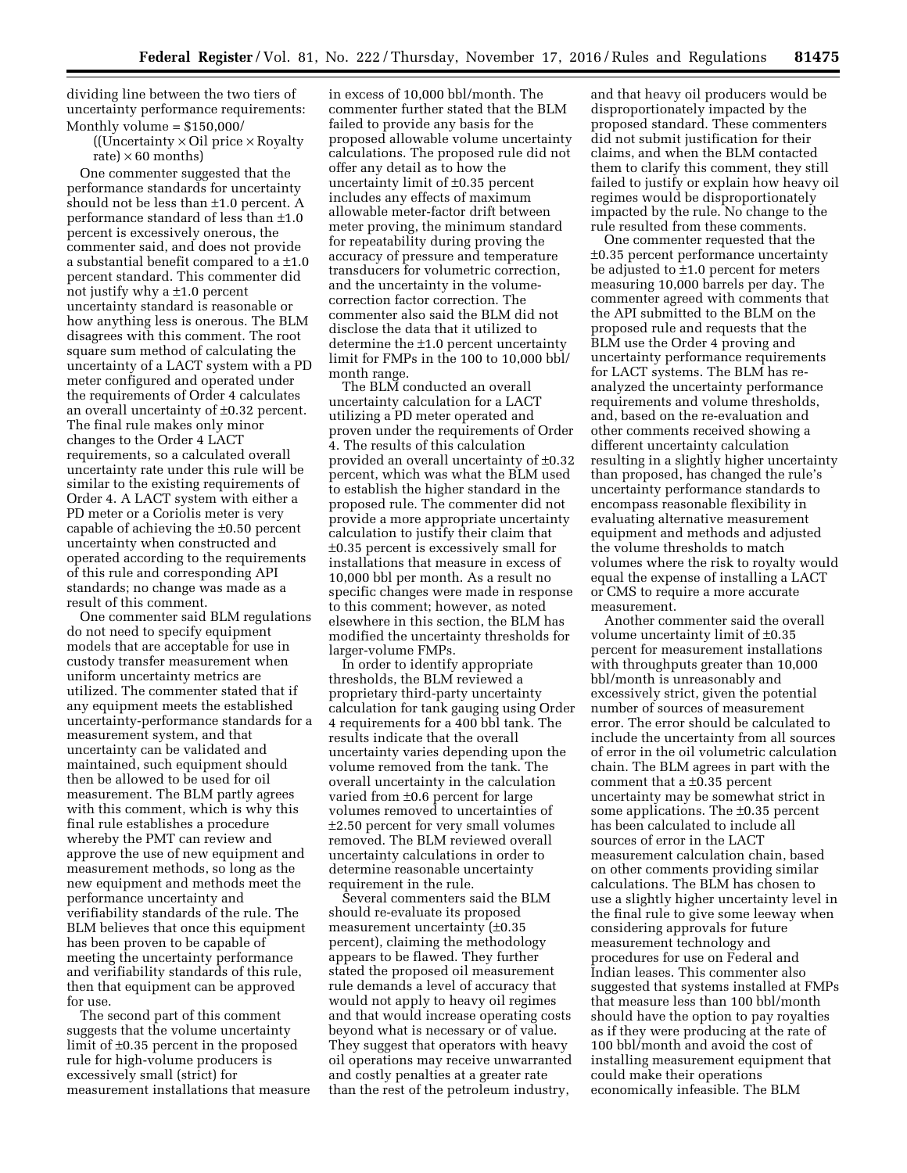dividing line between the two tiers of uncertainty performance requirements: Monthly volume = \$150,000/

> ((Uncertainty  $\times$  Oil price  $\times$  Royalty rate)  $\times$  60 months)

One commenter suggested that the performance standards for uncertainty should not be less than ±1.0 percent. A performance standard of less than ±1.0 percent is excessively onerous, the commenter said, and does not provide a substantial benefit compared to a ±1.0 percent standard. This commenter did not justify why a ±1.0 percent uncertainty standard is reasonable or how anything less is onerous. The BLM disagrees with this comment. The root square sum method of calculating the uncertainty of a LACT system with a PD meter configured and operated under the requirements of Order 4 calculates an overall uncertainty of ±0.32 percent. The final rule makes only minor changes to the Order 4 LACT requirements, so a calculated overall uncertainty rate under this rule will be similar to the existing requirements of Order 4. A LACT system with either a PD meter or a Coriolis meter is very capable of achieving the ±0.50 percent uncertainty when constructed and operated according to the requirements of this rule and corresponding API standards; no change was made as a result of this comment.

One commenter said BLM regulations do not need to specify equipment models that are acceptable for use in custody transfer measurement when uniform uncertainty metrics are utilized. The commenter stated that if any equipment meets the established uncertainty-performance standards for a measurement system, and that uncertainty can be validated and maintained, such equipment should then be allowed to be used for oil measurement. The BLM partly agrees with this comment, which is why this final rule establishes a procedure whereby the PMT can review and approve the use of new equipment and measurement methods, so long as the new equipment and methods meet the performance uncertainty and verifiability standards of the rule. The BLM believes that once this equipment has been proven to be capable of meeting the uncertainty performance and verifiability standards of this rule, then that equipment can be approved for use.

The second part of this comment suggests that the volume uncertainty limit of ±0.35 percent in the proposed rule for high-volume producers is excessively small (strict) for measurement installations that measure

in excess of 10,000 bbl/month. The commenter further stated that the BLM failed to provide any basis for the proposed allowable volume uncertainty calculations. The proposed rule did not offer any detail as to how the uncertainty limit of ±0.35 percent includes any effects of maximum allowable meter-factor drift between meter proving, the minimum standard for repeatability during proving the accuracy of pressure and temperature transducers for volumetric correction, and the uncertainty in the volumecorrection factor correction. The commenter also said the BLM did not disclose the data that it utilized to determine the ±1.0 percent uncertainty limit for FMPs in the 100 to 10,000 bbl/ month range.

The BLM conducted an overall uncertainty calculation for a LACT utilizing a PD meter operated and proven under the requirements of Order 4. The results of this calculation provided an overall uncertainty of ±0.32 percent, which was what the BLM used to establish the higher standard in the proposed rule. The commenter did not provide a more appropriate uncertainty calculation to justify their claim that ±0.35 percent is excessively small for installations that measure in excess of 10,000 bbl per month. As a result no specific changes were made in response to this comment; however, as noted elsewhere in this section, the BLM has modified the uncertainty thresholds for larger-volume FMPs.

In order to identify appropriate thresholds, the BLM reviewed a proprietary third-party uncertainty calculation for tank gauging using Order 4 requirements for a 400 bbl tank. The results indicate that the overall uncertainty varies depending upon the volume removed from the tank. The overall uncertainty in the calculation varied from ±0.6 percent for large volumes removed to uncertainties of ±2.50 percent for very small volumes removed. The BLM reviewed overall uncertainty calculations in order to determine reasonable uncertainty requirement in the rule.

Several commenters said the BLM should re-evaluate its proposed measurement uncertainty (±0.35 percent), claiming the methodology appears to be flawed. They further stated the proposed oil measurement rule demands a level of accuracy that would not apply to heavy oil regimes and that would increase operating costs beyond what is necessary or of value. They suggest that operators with heavy oil operations may receive unwarranted and costly penalties at a greater rate than the rest of the petroleum industry,

and that heavy oil producers would be disproportionately impacted by the proposed standard. These commenters did not submit justification for their claims, and when the BLM contacted them to clarify this comment, they still failed to justify or explain how heavy oil regimes would be disproportionately impacted by the rule. No change to the rule resulted from these comments.

One commenter requested that the ±0.35 percent performance uncertainty be adjusted to ±1.0 percent for meters measuring 10,000 barrels per day. The commenter agreed with comments that the API submitted to the BLM on the proposed rule and requests that the BLM use the Order 4 proving and uncertainty performance requirements for LACT systems. The BLM has reanalyzed the uncertainty performance requirements and volume thresholds, and, based on the re-evaluation and other comments received showing a different uncertainty calculation resulting in a slightly higher uncertainty than proposed, has changed the rule's uncertainty performance standards to encompass reasonable flexibility in evaluating alternative measurement equipment and methods and adjusted the volume thresholds to match volumes where the risk to royalty would equal the expense of installing a LACT or CMS to require a more accurate measurement.

Another commenter said the overall volume uncertainty limit of ±0.35 percent for measurement installations with throughputs greater than 10,000 bbl/month is unreasonably and excessively strict, given the potential number of sources of measurement error. The error should be calculated to include the uncertainty from all sources of error in the oil volumetric calculation chain. The BLM agrees in part with the comment that a ±0.35 percent uncertainty may be somewhat strict in some applications. The ±0.35 percent has been calculated to include all sources of error in the LACT measurement calculation chain, based on other comments providing similar calculations. The BLM has chosen to use a slightly higher uncertainty level in the final rule to give some leeway when considering approvals for future measurement technology and procedures for use on Federal and Indian leases. This commenter also suggested that systems installed at FMPs that measure less than 100 bbl/month should have the option to pay royalties as if they were producing at the rate of 100 bbl/month and avoid the cost of installing measurement equipment that could make their operations economically infeasible. The BLM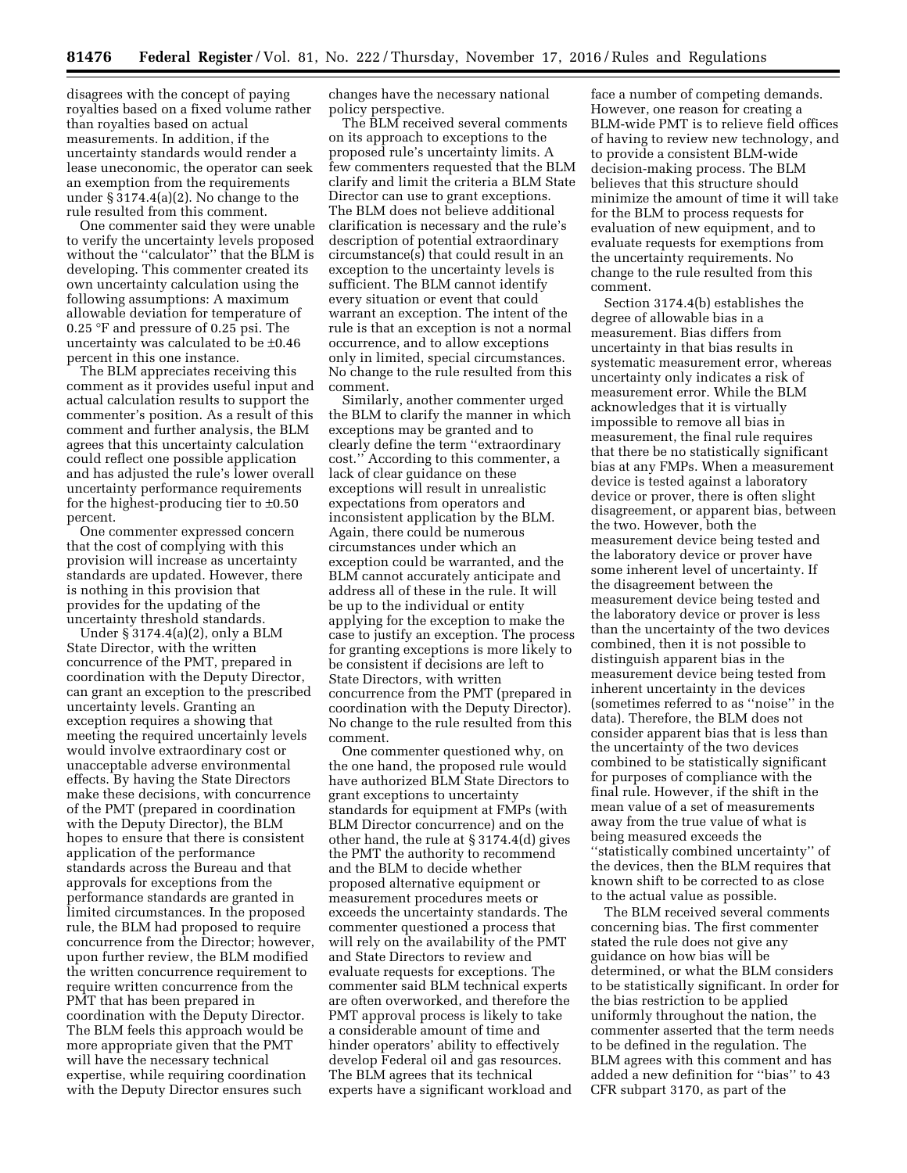disagrees with the concept of paying royalties based on a fixed volume rather than royalties based on actual measurements. In addition, if the uncertainty standards would render a lease uneconomic, the operator can seek an exemption from the requirements under § 3174.4(a)(2). No change to the rule resulted from this comment.

One commenter said they were unable to verify the uncertainty levels proposed without the ''calculator'' that the BLM is developing. This commenter created its own uncertainty calculation using the following assumptions: A maximum allowable deviation for temperature of 0.25 °F and pressure of 0.25 psi. The uncertainty was calculated to be ±0.46 percent in this one instance.

The BLM appreciates receiving this comment as it provides useful input and actual calculation results to support the commenter's position. As a result of this comment and further analysis, the BLM agrees that this uncertainty calculation could reflect one possible application and has adjusted the rule's lower overall uncertainty performance requirements for the highest-producing tier to ±0.50 percent.

One commenter expressed concern that the cost of complying with this provision will increase as uncertainty standards are updated. However, there is nothing in this provision that provides for the updating of the uncertainty threshold standards.

Under § 3174.4(a)(2), only a BLM State Director, with the written concurrence of the PMT, prepared in coordination with the Deputy Director, can grant an exception to the prescribed uncertainty levels. Granting an exception requires a showing that meeting the required uncertainly levels would involve extraordinary cost or unacceptable adverse environmental effects. By having the State Directors make these decisions, with concurrence of the PMT (prepared in coordination with the Deputy Director), the BLM hopes to ensure that there is consistent application of the performance standards across the Bureau and that approvals for exceptions from the performance standards are granted in limited circumstances. In the proposed rule, the BLM had proposed to require concurrence from the Director; however, upon further review, the BLM modified the written concurrence requirement to require written concurrence from the PMT that has been prepared in coordination with the Deputy Director. The BLM feels this approach would be more appropriate given that the PMT will have the necessary technical expertise, while requiring coordination with the Deputy Director ensures such

changes have the necessary national policy perspective.

The BLM received several comments on its approach to exceptions to the proposed rule's uncertainty limits. A few commenters requested that the BLM clarify and limit the criteria a BLM State Director can use to grant exceptions. The BLM does not believe additional clarification is necessary and the rule's description of potential extraordinary circumstance(s) that could result in an exception to the uncertainty levels is sufficient. The BLM cannot identify every situation or event that could warrant an exception. The intent of the rule is that an exception is not a normal occurrence, and to allow exceptions only in limited, special circumstances. No change to the rule resulted from this comment.

Similarly, another commenter urged the BLM to clarify the manner in which exceptions may be granted and to clearly define the term ''extraordinary cost.'' According to this commenter, a lack of clear guidance on these exceptions will result in unrealistic expectations from operators and inconsistent application by the BLM. Again, there could be numerous circumstances under which an exception could be warranted, and the BLM cannot accurately anticipate and address all of these in the rule. It will be up to the individual or entity applying for the exception to make the case to justify an exception. The process for granting exceptions is more likely to be consistent if decisions are left to State Directors, with written concurrence from the PMT (prepared in coordination with the Deputy Director). No change to the rule resulted from this comment.

One commenter questioned why, on the one hand, the proposed rule would have authorized BLM State Directors to grant exceptions to uncertainty standards for equipment at FMPs (with BLM Director concurrence) and on the other hand, the rule at § 3174.4(d) gives the PMT the authority to recommend and the BLM to decide whether proposed alternative equipment or measurement procedures meets or exceeds the uncertainty standards. The commenter questioned a process that will rely on the availability of the PMT and State Directors to review and evaluate requests for exceptions. The commenter said BLM technical experts are often overworked, and therefore the PMT approval process is likely to take a considerable amount of time and hinder operators' ability to effectively develop Federal oil and gas resources. The BLM agrees that its technical experts have a significant workload and face a number of competing demands. However, one reason for creating a BLM-wide PMT is to relieve field offices of having to review new technology, and to provide a consistent BLM-wide decision-making process. The BLM believes that this structure should minimize the amount of time it will take for the BLM to process requests for evaluation of new equipment, and to evaluate requests for exemptions from the uncertainty requirements. No change to the rule resulted from this comment.

Section 3174.4(b) establishes the degree of allowable bias in a measurement. Bias differs from uncertainty in that bias results in systematic measurement error, whereas uncertainty only indicates a risk of measurement error. While the BLM acknowledges that it is virtually impossible to remove all bias in measurement, the final rule requires that there be no statistically significant bias at any FMPs. When a measurement device is tested against a laboratory device or prover, there is often slight disagreement, or apparent bias, between the two. However, both the measurement device being tested and the laboratory device or prover have some inherent level of uncertainty. If the disagreement between the measurement device being tested and the laboratory device or prover is less than the uncertainty of the two devices combined, then it is not possible to distinguish apparent bias in the measurement device being tested from inherent uncertainty in the devices (sometimes referred to as ''noise'' in the data). Therefore, the BLM does not consider apparent bias that is less than the uncertainty of the two devices combined to be statistically significant for purposes of compliance with the final rule. However, if the shift in the mean value of a set of measurements away from the true value of what is being measured exceeds the ''statistically combined uncertainty'' of the devices, then the BLM requires that known shift to be corrected to as close to the actual value as possible.

The BLM received several comments concerning bias. The first commenter stated the rule does not give any guidance on how bias will be determined, or what the BLM considers to be statistically significant. In order for the bias restriction to be applied uniformly throughout the nation, the commenter asserted that the term needs to be defined in the regulation. The BLM agrees with this comment and has added a new definition for ''bias'' to 43 CFR subpart 3170, as part of the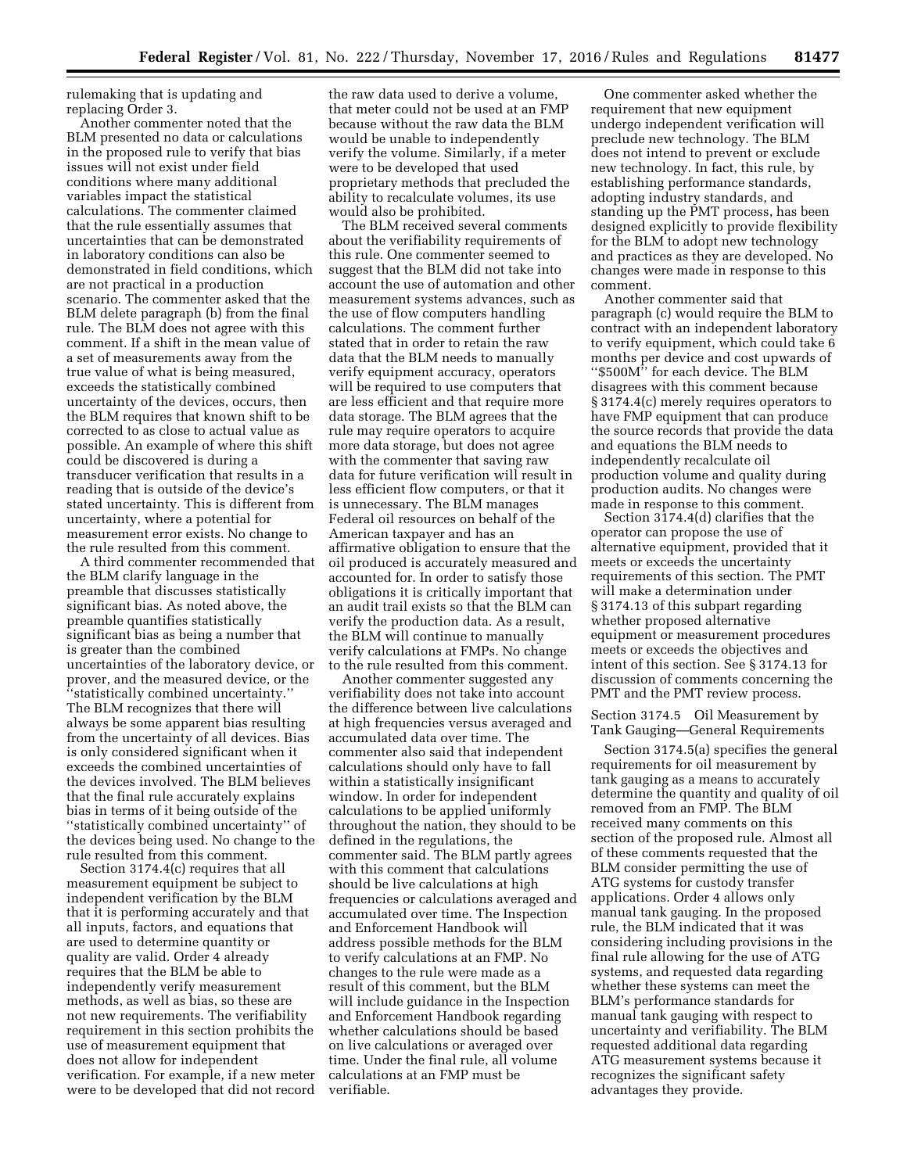rulemaking that is updating and replacing Order 3.

Another commenter noted that the BLM presented no data or calculations in the proposed rule to verify that bias issues will not exist under field conditions where many additional variables impact the statistical calculations. The commenter claimed that the rule essentially assumes that uncertainties that can be demonstrated in laboratory conditions can also be demonstrated in field conditions, which are not practical in a production scenario. The commenter asked that the BLM delete paragraph (b) from the final rule. The BLM does not agree with this comment. If a shift in the mean value of a set of measurements away from the true value of what is being measured, exceeds the statistically combined uncertainty of the devices, occurs, then the BLM requires that known shift to be corrected to as close to actual value as possible. An example of where this shift could be discovered is during a transducer verification that results in a reading that is outside of the device's stated uncertainty. This is different from uncertainty, where a potential for measurement error exists. No change to the rule resulted from this comment.

A third commenter recommended that the BLM clarify language in the preamble that discusses statistically significant bias. As noted above, the preamble quantifies statistically significant bias as being a number that is greater than the combined uncertainties of the laboratory device, or prover, and the measured device, or the ''statistically combined uncertainty.'' The BLM recognizes that there will always be some apparent bias resulting from the uncertainty of all devices. Bias is only considered significant when it exceeds the combined uncertainties of the devices involved. The BLM believes that the final rule accurately explains bias in terms of it being outside of the ''statistically combined uncertainty'' of the devices being used. No change to the rule resulted from this comment.

Section 3174.4(c) requires that all measurement equipment be subject to independent verification by the BLM that it is performing accurately and that all inputs, factors, and equations that are used to determine quantity or quality are valid. Order 4 already requires that the BLM be able to independently verify measurement methods, as well as bias, so these are not new requirements. The verifiability requirement in this section prohibits the use of measurement equipment that does not allow for independent verification. For example, if a new meter were to be developed that did not record the raw data used to derive a volume, that meter could not be used at an FMP because without the raw data the BLM would be unable to independently verify the volume. Similarly, if a meter were to be developed that used proprietary methods that precluded the ability to recalculate volumes, its use would also be prohibited.

The BLM received several comments about the verifiability requirements of this rule. One commenter seemed to suggest that the BLM did not take into account the use of automation and other measurement systems advances, such as the use of flow computers handling calculations. The comment further stated that in order to retain the raw data that the BLM needs to manually verify equipment accuracy, operators will be required to use computers that are less efficient and that require more data storage. The BLM agrees that the rule may require operators to acquire more data storage, but does not agree with the commenter that saving raw data for future verification will result in less efficient flow computers, or that it is unnecessary. The BLM manages Federal oil resources on behalf of the American taxpayer and has an affirmative obligation to ensure that the oil produced is accurately measured and accounted for. In order to satisfy those obligations it is critically important that an audit trail exists so that the BLM can verify the production data. As a result, the BLM will continue to manually verify calculations at FMPs. No change to the rule resulted from this comment.

Another commenter suggested any verifiability does not take into account the difference between live calculations at high frequencies versus averaged and accumulated data over time. The commenter also said that independent calculations should only have to fall within a statistically insignificant window. In order for independent calculations to be applied uniformly throughout the nation, they should to be defined in the regulations, the commenter said. The BLM partly agrees with this comment that calculations should be live calculations at high frequencies or calculations averaged and accumulated over time. The Inspection and Enforcement Handbook will address possible methods for the BLM to verify calculations at an FMP. No changes to the rule were made as a result of this comment, but the BLM will include guidance in the Inspection and Enforcement Handbook regarding whether calculations should be based on live calculations or averaged over time. Under the final rule, all volume calculations at an FMP must be verifiable.

One commenter asked whether the requirement that new equipment undergo independent verification will preclude new technology. The BLM does not intend to prevent or exclude new technology. In fact, this rule, by establishing performance standards, adopting industry standards, and standing up the PMT process, has been designed explicitly to provide flexibility for the BLM to adopt new technology and practices as they are developed. No changes were made in response to this comment.

Another commenter said that paragraph (c) would require the BLM to contract with an independent laboratory to verify equipment, which could take 6 months per device and cost upwards of ''\$500M'' for each device. The BLM disagrees with this comment because § 3174.4(c) merely requires operators to have FMP equipment that can produce the source records that provide the data and equations the BLM needs to independently recalculate oil production volume and quality during production audits. No changes were made in response to this comment.

Section 3174.4(d) clarifies that the operator can propose the use of alternative equipment, provided that it meets or exceeds the uncertainty requirements of this section. The PMT will make a determination under § 3174.13 of this subpart regarding whether proposed alternative equipment or measurement procedures meets or exceeds the objectives and intent of this section. See § 3174.13 for discussion of comments concerning the PMT and the PMT review process.

Section 3174.5 Oil Measurement by Tank Gauging—General Requirements

Section 3174.5(a) specifies the general requirements for oil measurement by tank gauging as a means to accurately determine the quantity and quality of oil removed from an FMP. The BLM received many comments on this section of the proposed rule. Almost all of these comments requested that the BLM consider permitting the use of ATG systems for custody transfer applications. Order 4 allows only manual tank gauging. In the proposed rule, the BLM indicated that it was considering including provisions in the final rule allowing for the use of ATG systems, and requested data regarding whether these systems can meet the BLM's performance standards for manual tank gauging with respect to uncertainty and verifiability. The BLM requested additional data regarding ATG measurement systems because it recognizes the significant safety advantages they provide.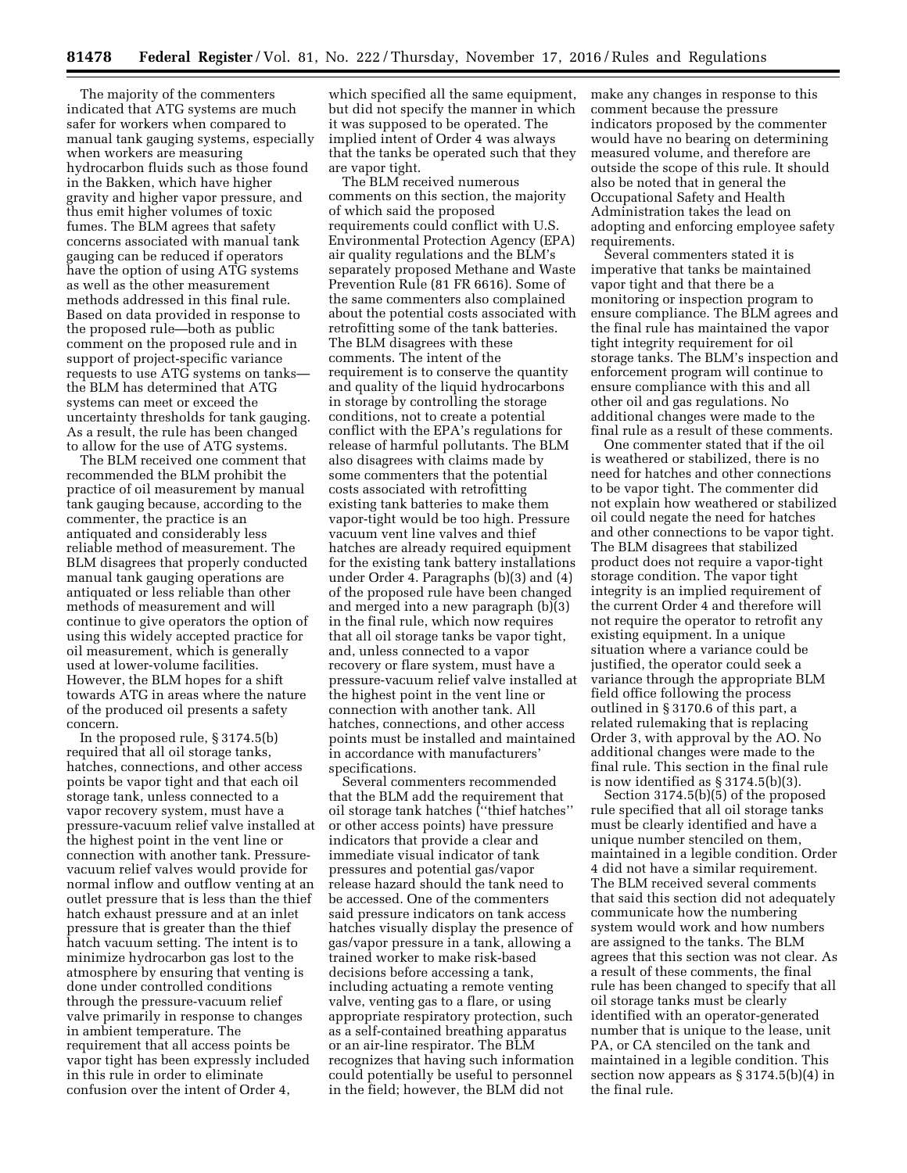The majority of the commenters indicated that ATG systems are much safer for workers when compared to manual tank gauging systems, especially when workers are measuring hydrocarbon fluids such as those found in the Bakken, which have higher gravity and higher vapor pressure, and thus emit higher volumes of toxic fumes. The BLM agrees that safety concerns associated with manual tank gauging can be reduced if operators have the option of using ATG systems as well as the other measurement methods addressed in this final rule. Based on data provided in response to the proposed rule—both as public comment on the proposed rule and in support of project-specific variance requests to use ATG systems on tanks the BLM has determined that ATG systems can meet or exceed the uncertainty thresholds for tank gauging. As a result, the rule has been changed to allow for the use of ATG systems.

The BLM received one comment that recommended the BLM prohibit the practice of oil measurement by manual tank gauging because, according to the commenter, the practice is an antiquated and considerably less reliable method of measurement. The BLM disagrees that properly conducted manual tank gauging operations are antiquated or less reliable than other methods of measurement and will continue to give operators the option of using this widely accepted practice for oil measurement, which is generally used at lower-volume facilities. However, the BLM hopes for a shift towards ATG in areas where the nature of the produced oil presents a safety concern.

In the proposed rule, § 3174.5(b) required that all oil storage tanks, hatches, connections, and other access points be vapor tight and that each oil storage tank, unless connected to a vapor recovery system, must have a pressure-vacuum relief valve installed at the highest point in the vent line or connection with another tank. Pressurevacuum relief valves would provide for normal inflow and outflow venting at an outlet pressure that is less than the thief hatch exhaust pressure and at an inlet pressure that is greater than the thief hatch vacuum setting. The intent is to minimize hydrocarbon gas lost to the atmosphere by ensuring that venting is done under controlled conditions through the pressure-vacuum relief valve primarily in response to changes in ambient temperature. The requirement that all access points be vapor tight has been expressly included in this rule in order to eliminate confusion over the intent of Order 4,

which specified all the same equipment, but did not specify the manner in which it was supposed to be operated. The implied intent of Order 4 was always that the tanks be operated such that they are vapor tight.

The BLM received numerous comments on this section, the majority of which said the proposed requirements could conflict with U.S. Environmental Protection Agency (EPA) air quality regulations and the BLM's separately proposed Methane and Waste Prevention Rule (81 FR 6616). Some of the same commenters also complained about the potential costs associated with retrofitting some of the tank batteries. The BLM disagrees with these comments. The intent of the requirement is to conserve the quantity and quality of the liquid hydrocarbons in storage by controlling the storage conditions, not to create a potential conflict with the EPA's regulations for release of harmful pollutants. The BLM also disagrees with claims made by some commenters that the potential costs associated with retrofitting existing tank batteries to make them vapor-tight would be too high. Pressure vacuum vent line valves and thief hatches are already required equipment for the existing tank battery installations under Order 4. Paragraphs (b)(3) and (4) of the proposed rule have been changed and merged into a new paragraph (b)(3) in the final rule, which now requires that all oil storage tanks be vapor tight, and, unless connected to a vapor recovery or flare system, must have a pressure-vacuum relief valve installed at the highest point in the vent line or connection with another tank. All hatches, connections, and other access points must be installed and maintained in accordance with manufacturers' specifications.

Several commenters recommended that the BLM add the requirement that oil storage tank hatches (''thief hatches'' or other access points) have pressure indicators that provide a clear and immediate visual indicator of tank pressures and potential gas/vapor release hazard should the tank need to be accessed. One of the commenters said pressure indicators on tank access hatches visually display the presence of gas/vapor pressure in a tank, allowing a trained worker to make risk-based decisions before accessing a tank, including actuating a remote venting valve, venting gas to a flare, or using appropriate respiratory protection, such as a self-contained breathing apparatus or an air-line respirator. The BLM recognizes that having such information could potentially be useful to personnel in the field; however, the BLM did not

make any changes in response to this comment because the pressure indicators proposed by the commenter would have no bearing on determining measured volume, and therefore are outside the scope of this rule. It should also be noted that in general the Occupational Safety and Health Administration takes the lead on adopting and enforcing employee safety requirements.

Several commenters stated it is imperative that tanks be maintained vapor tight and that there be a monitoring or inspection program to ensure compliance. The BLM agrees and the final rule has maintained the vapor tight integrity requirement for oil storage tanks. The BLM's inspection and enforcement program will continue to ensure compliance with this and all other oil and gas regulations. No additional changes were made to the final rule as a result of these comments.

One commenter stated that if the oil is weathered or stabilized, there is no need for hatches and other connections to be vapor tight. The commenter did not explain how weathered or stabilized oil could negate the need for hatches and other connections to be vapor tight. The BLM disagrees that stabilized product does not require a vapor-tight storage condition. The vapor tight integrity is an implied requirement of the current Order 4 and therefore will not require the operator to retrofit any existing equipment. In a unique situation where a variance could be justified, the operator could seek a variance through the appropriate BLM field office following the process outlined in § 3170.6 of this part, a related rulemaking that is replacing Order 3, with approval by the AO. No additional changes were made to the final rule. This section in the final rule is now identified as § 3174.5(b)(3).

Section 3174.5(b)(5) of the proposed rule specified that all oil storage tanks must be clearly identified and have a unique number stenciled on them, maintained in a legible condition. Order 4 did not have a similar requirement. The BLM received several comments that said this section did not adequately communicate how the numbering system would work and how numbers are assigned to the tanks. The BLM agrees that this section was not clear. As a result of these comments, the final rule has been changed to specify that all oil storage tanks must be clearly identified with an operator-generated number that is unique to the lease, unit PA, or CA stenciled on the tank and maintained in a legible condition. This section now appears as § 3174.5(b)(4) in the final rule.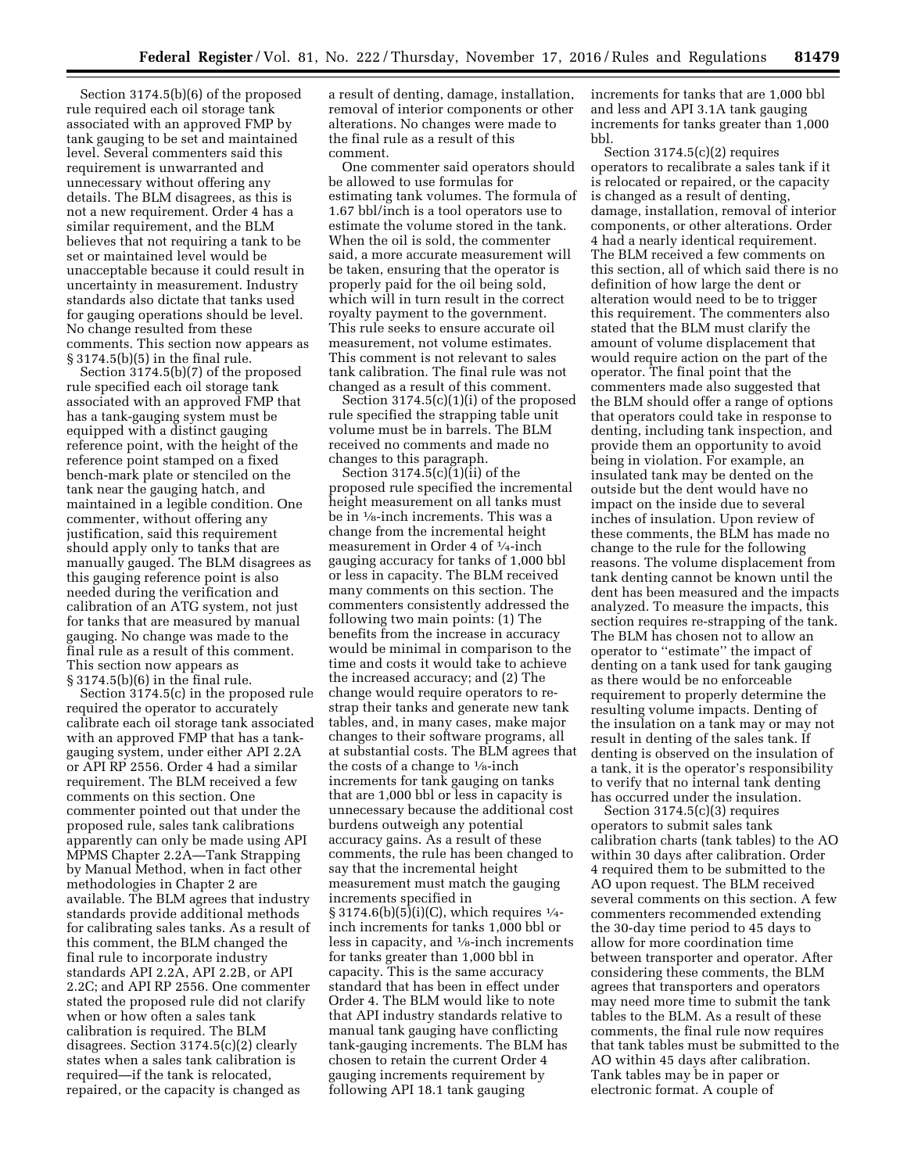Section 3174.5(b)(6) of the proposed rule required each oil storage tank associated with an approved FMP by tank gauging to be set and maintained level. Several commenters said this requirement is unwarranted and unnecessary without offering any details. The BLM disagrees, as this is not a new requirement. Order 4 has a similar requirement, and the BLM believes that not requiring a tank to be set or maintained level would be unacceptable because it could result in uncertainty in measurement. Industry standards also dictate that tanks used for gauging operations should be level. No change resulted from these comments. This section now appears as § 3174.5(b)(5) in the final rule.

Section 3174.5(b)(7) of the proposed rule specified each oil storage tank associated with an approved FMP that has a tank-gauging system must be equipped with a distinct gauging reference point, with the height of the reference point stamped on a fixed bench-mark plate or stenciled on the tank near the gauging hatch, and maintained in a legible condition. One commenter, without offering any justification, said this requirement should apply only to tanks that are manually gauged. The BLM disagrees as this gauging reference point is also needed during the verification and calibration of an ATG system, not just for tanks that are measured by manual gauging. No change was made to the final rule as a result of this comment. This section now appears as § 3174.5(b)(6) in the final rule.

Section 3174.5(c) in the proposed rule required the operator to accurately calibrate each oil storage tank associated with an approved FMP that has a tankgauging system, under either API 2.2A or API RP 2556. Order 4 had a similar requirement. The BLM received a few comments on this section. One commenter pointed out that under the proposed rule, sales tank calibrations apparently can only be made using API MPMS Chapter 2.2A—Tank Strapping by Manual Method, when in fact other methodologies in Chapter 2 are available. The BLM agrees that industry standards provide additional methods for calibrating sales tanks. As a result of this comment, the BLM changed the final rule to incorporate industry standards API 2.2A, API 2.2B, or API 2.2C; and API RP 2556. One commenter stated the proposed rule did not clarify when or how often a sales tank calibration is required. The BLM disagrees. Section 3174.5(c)(2) clearly states when a sales tank calibration is required—if the tank is relocated, repaired, or the capacity is changed as

a result of denting, damage, installation, removal of interior components or other alterations. No changes were made to the final rule as a result of this comment.

One commenter said operators should be allowed to use formulas for estimating tank volumes. The formula of 1.67 bbl/inch is a tool operators use to estimate the volume stored in the tank. When the oil is sold, the commenter said, a more accurate measurement will be taken, ensuring that the operator is properly paid for the oil being sold, which will in turn result in the correct royalty payment to the government. This rule seeks to ensure accurate oil measurement, not volume estimates. This comment is not relevant to sales tank calibration. The final rule was not changed as a result of this comment.

Section 3174.5(c)(1)(i) of the proposed rule specified the strapping table unit volume must be in barrels. The BLM received no comments and made no changes to this paragraph.

Section  $3174.5(c)(1)(ii)$  of the proposed rule specified the incremental height measurement on all tanks must be in 1⁄8-inch increments. This was a change from the incremental height measurement in Order 4 of 1⁄4-inch gauging accuracy for tanks of 1,000 bbl or less in capacity. The BLM received many comments on this section. The commenters consistently addressed the following two main points: (1) The benefits from the increase in accuracy would be minimal in comparison to the time and costs it would take to achieve the increased accuracy; and (2) The change would require operators to restrap their tanks and generate new tank tables, and, in many cases, make major changes to their software programs, all at substantial costs. The BLM agrees that the costs of a change to  $\frac{1}{8}$ -inch increments for tank gauging on tanks that are 1,000 bbl or less in capacity is unnecessary because the additional cost burdens outweigh any potential accuracy gains. As a result of these comments, the rule has been changed to say that the incremental height measurement must match the gauging increments specified in  $\S 3174.6(b)(5)(i)(C)$ , which requires  $\frac{1}{4}$ inch increments for tanks 1,000 bbl or less in capacity, and 1⁄8-inch increments for tanks greater than 1,000 bbl in capacity. This is the same accuracy standard that has been in effect under Order 4. The BLM would like to note that API industry standards relative to manual tank gauging have conflicting tank-gauging increments. The BLM has chosen to retain the current Order 4 gauging increments requirement by following API 18.1 tank gauging

increments for tanks that are 1,000 bbl and less and API 3.1A tank gauging increments for tanks greater than 1,000 bbl.

Section 3174.5(c)(2) requires operators to recalibrate a sales tank if it is relocated or repaired, or the capacity is changed as a result of denting, damage, installation, removal of interior components, or other alterations. Order 4 had a nearly identical requirement. The BLM received a few comments on this section, all of which said there is no definition of how large the dent or alteration would need to be to trigger this requirement. The commenters also stated that the BLM must clarify the amount of volume displacement that would require action on the part of the operator. The final point that the commenters made also suggested that the BLM should offer a range of options that operators could take in response to denting, including tank inspection, and provide them an opportunity to avoid being in violation. For example, an insulated tank may be dented on the outside but the dent would have no impact on the inside due to several inches of insulation. Upon review of these comments, the BLM has made no change to the rule for the following reasons. The volume displacement from tank denting cannot be known until the dent has been measured and the impacts analyzed. To measure the impacts, this section requires re-strapping of the tank. The BLM has chosen not to allow an operator to ''estimate'' the impact of denting on a tank used for tank gauging as there would be no enforceable requirement to properly determine the resulting volume impacts. Denting of the insulation on a tank may or may not result in denting of the sales tank. If denting is observed on the insulation of a tank, it is the operator's responsibility to verify that no internal tank denting has occurred under the insulation.

Section 3174.5(c)(3) requires operators to submit sales tank calibration charts (tank tables) to the AO within 30 days after calibration. Order 4 required them to be submitted to the AO upon request. The BLM received several comments on this section. A few commenters recommended extending the 30-day time period to 45 days to allow for more coordination time between transporter and operator. After considering these comments, the BLM agrees that transporters and operators may need more time to submit the tank tables to the BLM. As a result of these comments, the final rule now requires that tank tables must be submitted to the AO within 45 days after calibration. Tank tables may be in paper or electronic format. A couple of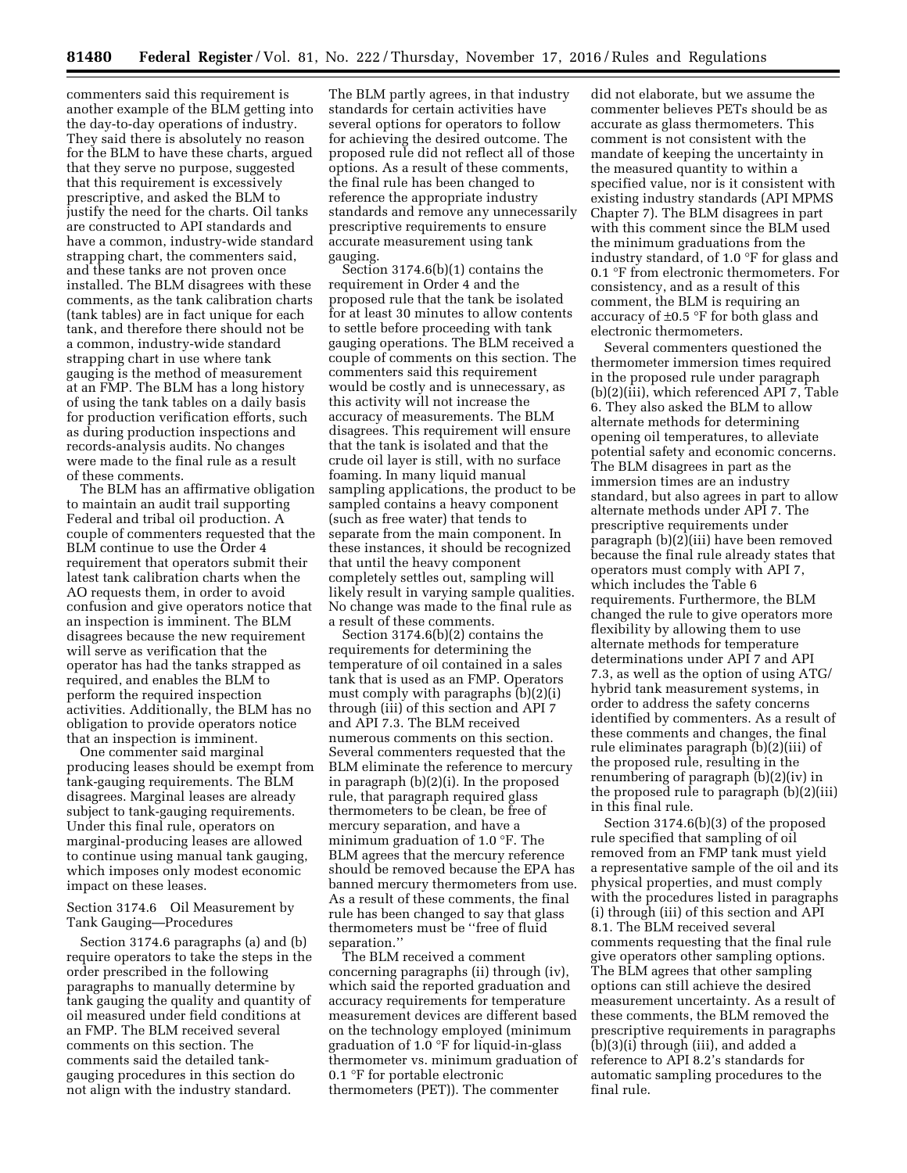commenters said this requirement is another example of the BLM getting into the day-to-day operations of industry. They said there is absolutely no reason for the BLM to have these charts, argued that they serve no purpose, suggested that this requirement is excessively prescriptive, and asked the BLM to justify the need for the charts. Oil tanks are constructed to API standards and have a common, industry-wide standard strapping chart, the commenters said, and these tanks are not proven once installed. The BLM disagrees with these comments, as the tank calibration charts (tank tables) are in fact unique for each tank, and therefore there should not be a common, industry-wide standard strapping chart in use where tank gauging is the method of measurement at an FMP. The BLM has a long history of using the tank tables on a daily basis for production verification efforts, such as during production inspections and records-analysis audits. No changes were made to the final rule as a result of these comments.

The BLM has an affirmative obligation to maintain an audit trail supporting Federal and tribal oil production. A couple of commenters requested that the BLM continue to use the Order 4 requirement that operators submit their latest tank calibration charts when the AO requests them, in order to avoid confusion and give operators notice that an inspection is imminent. The BLM disagrees because the new requirement will serve as verification that the operator has had the tanks strapped as required, and enables the BLM to perform the required inspection activities. Additionally, the BLM has no obligation to provide operators notice that an inspection is imminent.

One commenter said marginal producing leases should be exempt from tank-gauging requirements. The BLM disagrees. Marginal leases are already subject to tank-gauging requirements. Under this final rule, operators on marginal-producing leases are allowed to continue using manual tank gauging, which imposes only modest economic impact on these leases.

Section 3174.6 Oil Measurement by Tank Gauging—Procedures

Section 3174.6 paragraphs (a) and (b) require operators to take the steps in the order prescribed in the following paragraphs to manually determine by tank gauging the quality and quantity of oil measured under field conditions at an FMP. The BLM received several comments on this section. The comments said the detailed tankgauging procedures in this section do not align with the industry standard.

The BLM partly agrees, in that industry standards for certain activities have several options for operators to follow for achieving the desired outcome. The proposed rule did not reflect all of those options. As a result of these comments, the final rule has been changed to reference the appropriate industry standards and remove any unnecessarily prescriptive requirements to ensure accurate measurement using tank gauging.

Section 3174.6(b)(1) contains the requirement in Order 4 and the proposed rule that the tank be isolated for at least 30 minutes to allow contents to settle before proceeding with tank gauging operations. The BLM received a couple of comments on this section. The commenters said this requirement would be costly and is unnecessary, as this activity will not increase the accuracy of measurements. The BLM disagrees. This requirement will ensure that the tank is isolated and that the crude oil layer is still, with no surface foaming. In many liquid manual sampling applications, the product to be sampled contains a heavy component (such as free water) that tends to separate from the main component. In these instances, it should be recognized that until the heavy component completely settles out, sampling will likely result in varying sample qualities. No change was made to the final rule as a result of these comments.

Section 3174.6(b)(2) contains the requirements for determining the temperature of oil contained in a sales tank that is used as an FMP. Operators must comply with paragraphs (b)(2)(i) through (iii) of this section and API 7 and API 7.3. The BLM received numerous comments on this section. Several commenters requested that the BLM eliminate the reference to mercury in paragraph (b)(2)(i). In the proposed rule, that paragraph required glass thermometers to be clean, be free of mercury separation, and have a minimum graduation of 1.0 °F. The BLM agrees that the mercury reference should be removed because the EPA has banned mercury thermometers from use. As a result of these comments, the final rule has been changed to say that glass thermometers must be ''free of fluid separation.''

The BLM received a comment concerning paragraphs (ii) through (iv), which said the reported graduation and accuracy requirements for temperature measurement devices are different based on the technology employed (minimum graduation of  $1.0^{\circ}$ F for liquid-in-glass thermometer vs. minimum graduation of 0.1 °F for portable electronic thermometers (PET)). The commenter

did not elaborate, but we assume the commenter believes PETs should be as accurate as glass thermometers. This comment is not consistent with the mandate of keeping the uncertainty in the measured quantity to within a specified value, nor is it consistent with existing industry standards (API MPMS Chapter 7). The BLM disagrees in part with this comment since the BLM used the minimum graduations from the industry standard, of 1.0 °F for glass and 0.1 °F from electronic thermometers. For consistency, and as a result of this comment, the BLM is requiring an accuracy of ±0.5 °F for both glass and electronic thermometers.

Several commenters questioned the thermometer immersion times required in the proposed rule under paragraph (b)(2)(iii), which referenced API 7, Table 6. They also asked the BLM to allow alternate methods for determining opening oil temperatures, to alleviate potential safety and economic concerns. The BLM disagrees in part as the immersion times are an industry standard, but also agrees in part to allow alternate methods under API 7. The prescriptive requirements under paragraph (b)(2)(iii) have been removed because the final rule already states that operators must comply with API 7, which includes the Table 6 requirements. Furthermore, the BLM changed the rule to give operators more flexibility by allowing them to use alternate methods for temperature determinations under API 7 and API 7.3, as well as the option of using ATG/ hybrid tank measurement systems, in order to address the safety concerns identified by commenters. As a result of these comments and changes, the final rule eliminates paragraph (b)(2)(iii) of the proposed rule, resulting in the renumbering of paragraph (b)(2)(iv) in the proposed rule to paragraph (b)(2)(iii) in this final rule.

Section 3174.6(b)(3) of the proposed rule specified that sampling of oil removed from an FMP tank must yield a representative sample of the oil and its physical properties, and must comply with the procedures listed in paragraphs (i) through (iii) of this section and API 8.1. The BLM received several comments requesting that the final rule give operators other sampling options. The BLM agrees that other sampling options can still achieve the desired measurement uncertainty. As a result of these comments, the BLM removed the prescriptive requirements in paragraphs (b)(3)(i) through (iii), and added a reference to API 8.2's standards for automatic sampling procedures to the final rule.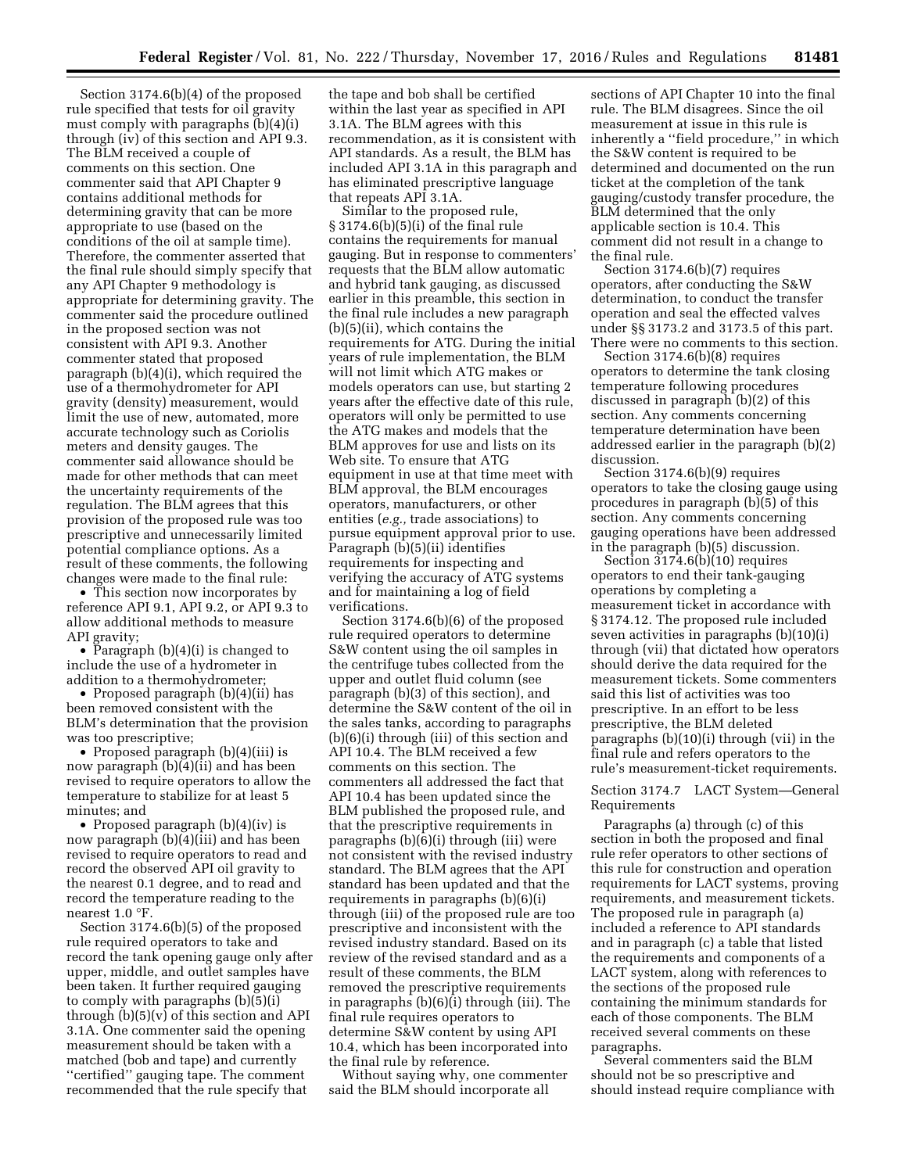Section 3174.6(b)(4) of the proposed rule specified that tests for oil gravity must comply with paragraphs (b)(4)(i) through (iv) of this section and API 9.3. The BLM received a couple of comments on this section. One commenter said that API Chapter 9 contains additional methods for determining gravity that can be more appropriate to use (based on the conditions of the oil at sample time). Therefore, the commenter asserted that the final rule should simply specify that any API Chapter 9 methodology is appropriate for determining gravity. The commenter said the procedure outlined in the proposed section was not consistent with API 9.3. Another commenter stated that proposed paragraph (b)(4)(i), which required the use of a thermohydrometer for API gravity (density) measurement, would limit the use of new, automated, more accurate technology such as Coriolis meters and density gauges. The commenter said allowance should be made for other methods that can meet the uncertainty requirements of the regulation. The BLM agrees that this provision of the proposed rule was too prescriptive and unnecessarily limited potential compliance options. As a result of these comments, the following changes were made to the final rule:

• This section now incorporates by reference API 9.1, API 9.2, or API 9.3 to allow additional methods to measure API gravity;

• Paragraph (b)(4)(i) is changed to include the use of a hydrometer in addition to a thermohydrometer;

• Proposed paragraph (b)(4)(ii) has been removed consistent with the BLM's determination that the provision was too prescriptive;

• Proposed paragraph (b)(4)(iii) is now paragraph (b)(4)(ii) and has been revised to require operators to allow the temperature to stabilize for at least 5 minutes; and

• Proposed paragraph (b)(4)(iv) is now paragraph (b)(4)(iii) and has been revised to require operators to read and record the observed API oil gravity to the nearest 0.1 degree, and to read and record the temperature reading to the nearest 1.0 °F.

Section 3174.6(b)(5) of the proposed rule required operators to take and record the tank opening gauge only after upper, middle, and outlet samples have been taken. It further required gauging to comply with paragraphs (b)(5)(i) through (b)(5)(v) of this section and API 3.1A. One commenter said the opening measurement should be taken with a matched (bob and tape) and currently ''certified'' gauging tape. The comment recommended that the rule specify that

the tape and bob shall be certified within the last year as specified in API 3.1A. The BLM agrees with this recommendation, as it is consistent with API standards. As a result, the BLM has included API 3.1A in this paragraph and has eliminated prescriptive language that repeats API 3.1A.

Similar to the proposed rule, § 3174.6(b)(5)(i) of the final rule contains the requirements for manual gauging. But in response to commenters' requests that the BLM allow automatic and hybrid tank gauging, as discussed earlier in this preamble, this section in the final rule includes a new paragraph (b)(5)(ii), which contains the requirements for ATG. During the initial years of rule implementation, the BLM will not limit which ATG makes or models operators can use, but starting 2 years after the effective date of this rule, operators will only be permitted to use the ATG makes and models that the BLM approves for use and lists on its Web site. To ensure that ATG equipment in use at that time meet with BLM approval, the BLM encourages operators, manufacturers, or other entities (*e.g.,* trade associations) to pursue equipment approval prior to use. Paragraph (b)(5)(ii) identifies requirements for inspecting and verifying the accuracy of ATG systems and for maintaining a log of field verifications.

Section 3174.6(b)(6) of the proposed rule required operators to determine S&W content using the oil samples in the centrifuge tubes collected from the upper and outlet fluid column (see paragraph (b)(3) of this section), and determine the S&W content of the oil in the sales tanks, according to paragraphs (b)(6)(i) through (iii) of this section and API 10.4. The BLM received a few comments on this section. The commenters all addressed the fact that API 10.4 has been updated since the BLM published the proposed rule, and that the prescriptive requirements in paragraphs (b)(6)(i) through (iii) were not consistent with the revised industry standard. The BLM agrees that the API standard has been updated and that the requirements in paragraphs (b)(6)(i) through (iii) of the proposed rule are too prescriptive and inconsistent with the revised industry standard. Based on its review of the revised standard and as a result of these comments, the BLM removed the prescriptive requirements in paragraphs (b)(6)(i) through (iii). The final rule requires operators to determine S&W content by using API 10.4, which has been incorporated into the final rule by reference.

Without saying why, one commenter said the BLM should incorporate all

sections of API Chapter 10 into the final rule. The BLM disagrees. Since the oil measurement at issue in this rule is inherently a ''field procedure,'' in which the S&W content is required to be determined and documented on the run ticket at the completion of the tank gauging/custody transfer procedure, the BLM determined that the only applicable section is 10.4. This comment did not result in a change to the final rule.

Section 3174.6(b)(7) requires operators, after conducting the S&W determination, to conduct the transfer operation and seal the effected valves under §§ 3173.2 and 3173.5 of this part. There were no comments to this section.

Section 3174.6(b)(8) requires operators to determine the tank closing temperature following procedures discussed in paragraph (b)(2) of this section. Any comments concerning temperature determination have been addressed earlier in the paragraph (b)(2) discussion.

Section 3174.6(b)(9) requires operators to take the closing gauge using procedures in paragraph (b)(5) of this section. Any comments concerning gauging operations have been addressed in the paragraph (b)(5) discussion.

Section 3174.6(b)(10) requires operators to end their tank-gauging operations by completing a measurement ticket in accordance with § 3174.12. The proposed rule included seven activities in paragraphs (b)(10)(i) through (vii) that dictated how operators should derive the data required for the measurement tickets. Some commenters said this list of activities was too prescriptive. In an effort to be less prescriptive, the BLM deleted paragraphs (b)(10)(i) through (vii) in the final rule and refers operators to the rule's measurement-ticket requirements.

## Section 3174.7 LACT System—General Requirements

Paragraphs (a) through (c) of this section in both the proposed and final rule refer operators to other sections of this rule for construction and operation requirements for LACT systems, proving requirements, and measurement tickets. The proposed rule in paragraph (a) included a reference to API standards and in paragraph (c) a table that listed the requirements and components of a LACT system, along with references to the sections of the proposed rule containing the minimum standards for each of those components. The BLM received several comments on these paragraphs.

Several commenters said the BLM should not be so prescriptive and should instead require compliance with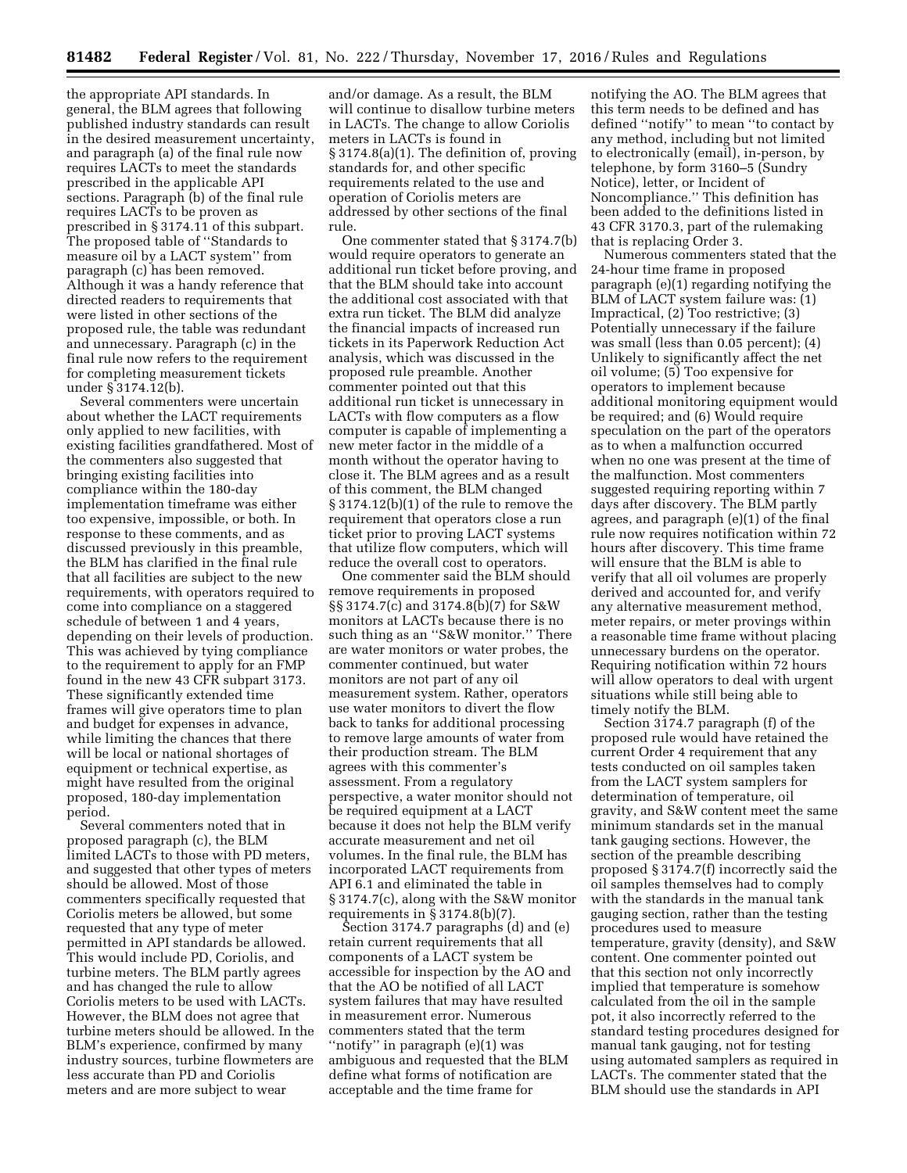the appropriate API standards. In general, the BLM agrees that following published industry standards can result in the desired measurement uncertainty, and paragraph (a) of the final rule now requires LACTs to meet the standards prescribed in the applicable API sections. Paragraph (b) of the final rule requires LACTs to be proven as prescribed in § 3174.11 of this subpart. The proposed table of ''Standards to measure oil by a LACT system'' from paragraph (c) has been removed. Although it was a handy reference that directed readers to requirements that were listed in other sections of the proposed rule, the table was redundant and unnecessary. Paragraph (c) in the final rule now refers to the requirement for completing measurement tickets under § 3174.12(b).

Several commenters were uncertain about whether the LACT requirements only applied to new facilities, with existing facilities grandfathered. Most of the commenters also suggested that bringing existing facilities into compliance within the 180-day implementation timeframe was either too expensive, impossible, or both. In response to these comments, and as discussed previously in this preamble, the BLM has clarified in the final rule that all facilities are subject to the new requirements, with operators required to come into compliance on a staggered schedule of between 1 and 4 years, depending on their levels of production. This was achieved by tying compliance to the requirement to apply for an FMP found in the new 43 CFR subpart 3173. These significantly extended time frames will give operators time to plan and budget for expenses in advance, while limiting the chances that there will be local or national shortages of equipment or technical expertise, as might have resulted from the original proposed, 180-day implementation period.

Several commenters noted that in proposed paragraph (c), the BLM limited LACTs to those with PD meters, and suggested that other types of meters should be allowed. Most of those commenters specifically requested that Coriolis meters be allowed, but some requested that any type of meter permitted in API standards be allowed. This would include PD, Coriolis, and turbine meters. The BLM partly agrees and has changed the rule to allow Coriolis meters to be used with LACTs. However, the BLM does not agree that turbine meters should be allowed. In the BLM's experience, confirmed by many industry sources, turbine flowmeters are less accurate than PD and Coriolis meters and are more subject to wear

and/or damage. As a result, the BLM will continue to disallow turbine meters in LACTs. The change to allow Coriolis meters in LACTs is found in § 3174.8(a)(1). The definition of, proving standards for, and other specific requirements related to the use and operation of Coriolis meters are addressed by other sections of the final rule.

One commenter stated that § 3174.7(b) would require operators to generate an additional run ticket before proving, and that the BLM should take into account the additional cost associated with that extra run ticket. The BLM did analyze the financial impacts of increased run tickets in its Paperwork Reduction Act analysis, which was discussed in the proposed rule preamble. Another commenter pointed out that this additional run ticket is unnecessary in LACTs with flow computers as a flow computer is capable of implementing a new meter factor in the middle of a month without the operator having to close it. The BLM agrees and as a result of this comment, the BLM changed § 3174.12(b)(1) of the rule to remove the requirement that operators close a run ticket prior to proving LACT systems that utilize flow computers, which will reduce the overall cost to operators.

One commenter said the BLM should remove requirements in proposed §§ 3174.7(c) and 3174.8(b)(7) for S&W monitors at LACTs because there is no such thing as an ''S&W monitor.'' There are water monitors or water probes, the commenter continued, but water monitors are not part of any oil measurement system. Rather, operators use water monitors to divert the flow back to tanks for additional processing to remove large amounts of water from their production stream. The BLM agrees with this commenter's assessment. From a regulatory perspective, a water monitor should not be required equipment at a LACT because it does not help the BLM verify accurate measurement and net oil volumes. In the final rule, the BLM has incorporated LACT requirements from API 6.1 and eliminated the table in § 3174.7(c), along with the S&W monitor requirements in § 3174.8(b)(7).

Section 3174.7 paragraphs (d) and (e) retain current requirements that all components of a LACT system be accessible for inspection by the AO and that the AO be notified of all LACT system failures that may have resulted in measurement error. Numerous commenters stated that the term ''notify'' in paragraph (e)(1) was ambiguous and requested that the BLM define what forms of notification are acceptable and the time frame for

notifying the AO. The BLM agrees that this term needs to be defined and has defined ''notify'' to mean ''to contact by any method, including but not limited to electronically (email), in-person, by telephone, by form 3160–5 (Sundry Notice), letter, or Incident of Noncompliance.'' This definition has been added to the definitions listed in 43 CFR 3170.3, part of the rulemaking that is replacing Order 3.

Numerous commenters stated that the 24-hour time frame in proposed paragraph (e)(1) regarding notifying the BLM of LACT system failure was: (1) Impractical, (2) Too restrictive; (3) Potentially unnecessary if the failure was small (less than 0.05 percent); (4) Unlikely to significantly affect the net oil volume; (5) Too expensive for operators to implement because additional monitoring equipment would be required; and (6) Would require speculation on the part of the operators as to when a malfunction occurred when no one was present at the time of the malfunction. Most commenters suggested requiring reporting within 7 days after discovery. The BLM partly agrees, and paragraph (e)(1) of the final rule now requires notification within 72 hours after discovery. This time frame will ensure that the BLM is able to verify that all oil volumes are properly derived and accounted for, and verify any alternative measurement method, meter repairs, or meter provings within a reasonable time frame without placing unnecessary burdens on the operator. Requiring notification within 72 hours will allow operators to deal with urgent situations while still being able to timely notify the BLM.

Section 3174.7 paragraph (f) of the proposed rule would have retained the current Order 4 requirement that any tests conducted on oil samples taken from the LACT system samplers for determination of temperature, oil gravity, and S&W content meet the same minimum standards set in the manual tank gauging sections. However, the section of the preamble describing proposed § 3174.7(f) incorrectly said the oil samples themselves had to comply with the standards in the manual tank gauging section, rather than the testing procedures used to measure temperature, gravity (density), and S&W content. One commenter pointed out that this section not only incorrectly implied that temperature is somehow calculated from the oil in the sample pot, it also incorrectly referred to the standard testing procedures designed for manual tank gauging, not for testing using automated samplers as required in LACTs. The commenter stated that the BLM should use the standards in API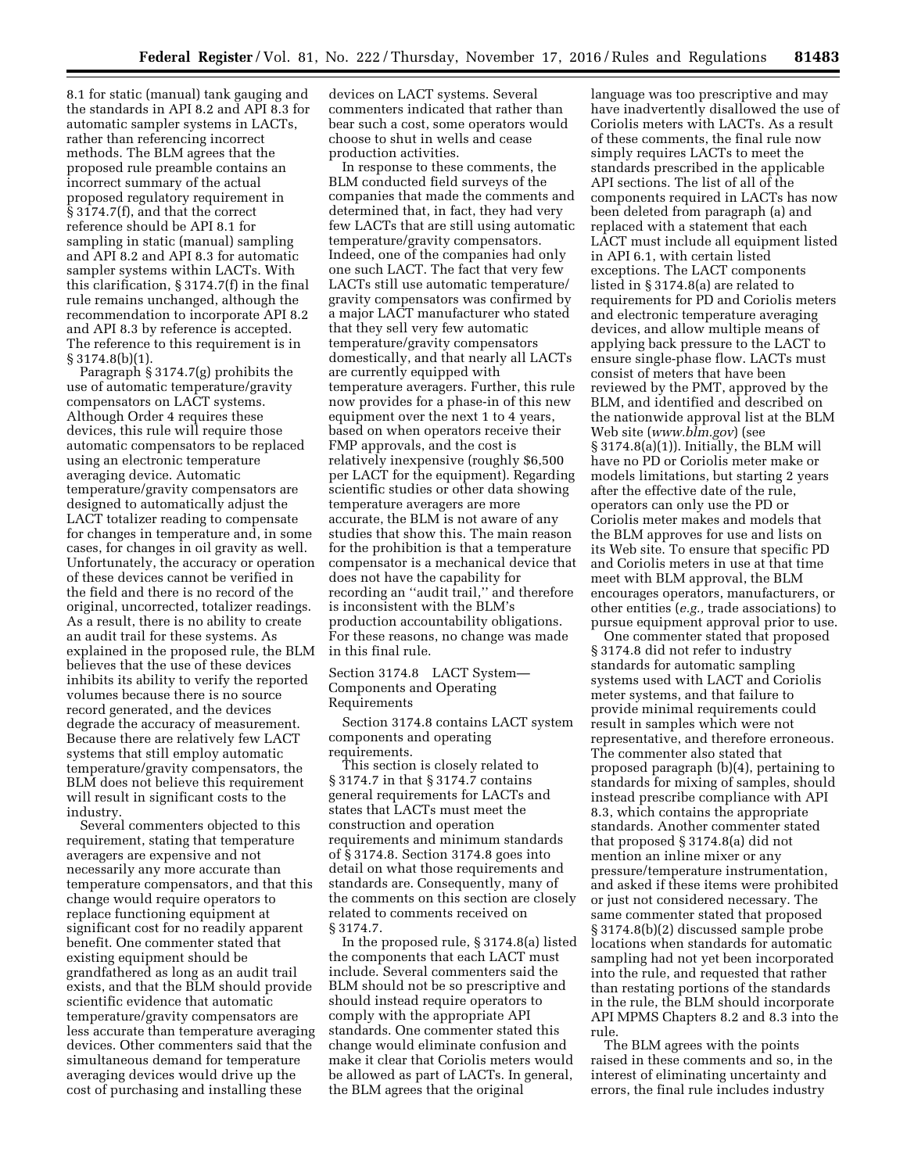8.1 for static (manual) tank gauging and the standards in API 8.2 and API 8.3 for automatic sampler systems in LACTs, rather than referencing incorrect methods. The BLM agrees that the proposed rule preamble contains an incorrect summary of the actual proposed regulatory requirement in § 3174.7(f), and that the correct reference should be API 8.1 for sampling in static (manual) sampling and API 8.2 and API 8.3 for automatic sampler systems within LACTs. With this clarification, § 3174.7(f) in the final rule remains unchanged, although the recommendation to incorporate API 8.2 and API 8.3 by reference is accepted. The reference to this requirement is in § 3174.8(b)(1).

Paragraph § 3174.7(g) prohibits the use of automatic temperature/gravity compensators on LACT systems. Although Order 4 requires these devices, this rule will require those automatic compensators to be replaced using an electronic temperature averaging device. Automatic temperature/gravity compensators are designed to automatically adjust the LACT totalizer reading to compensate for changes in temperature and, in some cases, for changes in oil gravity as well. Unfortunately, the accuracy or operation of these devices cannot be verified in the field and there is no record of the original, uncorrected, totalizer readings. As a result, there is no ability to create an audit trail for these systems. As explained in the proposed rule, the BLM believes that the use of these devices inhibits its ability to verify the reported volumes because there is no source record generated, and the devices degrade the accuracy of measurement. Because there are relatively few LACT systems that still employ automatic temperature/gravity compensators, the BLM does not believe this requirement will result in significant costs to the industry.

Several commenters objected to this requirement, stating that temperature averagers are expensive and not necessarily any more accurate than temperature compensators, and that this change would require operators to replace functioning equipment at significant cost for no readily apparent benefit. One commenter stated that existing equipment should be grandfathered as long as an audit trail exists, and that the BLM should provide scientific evidence that automatic temperature/gravity compensators are less accurate than temperature averaging devices. Other commenters said that the simultaneous demand for temperature averaging devices would drive up the cost of purchasing and installing these

devices on LACT systems. Several commenters indicated that rather than bear such a cost, some operators would choose to shut in wells and cease production activities.

In response to these comments, the BLM conducted field surveys of the companies that made the comments and determined that, in fact, they had very few LACTs that are still using automatic temperature/gravity compensators. Indeed, one of the companies had only one such LACT. The fact that very few LACTs still use automatic temperature/ gravity compensators was confirmed by a major LACT manufacturer who stated that they sell very few automatic temperature/gravity compensators domestically, and that nearly all LACTs are currently equipped with temperature averagers. Further, this rule now provides for a phase-in of this new equipment over the next 1 to 4 years, based on when operators receive their FMP approvals, and the cost is relatively inexpensive (roughly \$6,500 per LACT for the equipment). Regarding scientific studies or other data showing temperature averagers are more accurate, the BLM is not aware of any studies that show this. The main reason for the prohibition is that a temperature compensator is a mechanical device that does not have the capability for recording an ''audit trail,'' and therefore is inconsistent with the BLM's production accountability obligations. For these reasons, no change was made in this final rule.

### Section 3174.8 LACT System— Components and Operating Requirements

Section 3174.8 contains LACT system components and operating requirements.

This section is closely related to § 3174.7 in that § 3174.7 contains general requirements for LACTs and states that LACTs must meet the construction and operation requirements and minimum standards of § 3174.8. Section 3174.8 goes into detail on what those requirements and standards are. Consequently, many of the comments on this section are closely related to comments received on § 3174.7.

In the proposed rule, § 3174.8(a) listed the components that each LACT must include. Several commenters said the BLM should not be so prescriptive and should instead require operators to comply with the appropriate API standards. One commenter stated this change would eliminate confusion and make it clear that Coriolis meters would be allowed as part of LACTs. In general, the BLM agrees that the original

language was too prescriptive and may have inadvertently disallowed the use of Coriolis meters with LACTs. As a result of these comments, the final rule now simply requires LACTs to meet the standards prescribed in the applicable API sections. The list of all of the components required in LACTs has now been deleted from paragraph (a) and replaced with a statement that each LACT must include all equipment listed in API 6.1, with certain listed exceptions. The LACT components listed in § 3174.8(a) are related to requirements for PD and Coriolis meters and electronic temperature averaging devices, and allow multiple means of applying back pressure to the LACT to ensure single-phase flow. LACTs must consist of meters that have been reviewed by the PMT, approved by the BLM, and identified and described on the nationwide approval list at the BLM Web site (*[www.blm.gov](http://www.blm.gov)*) (see § 3174.8(a)(1)). Initially, the BLM will have no PD or Coriolis meter make or models limitations, but starting 2 years after the effective date of the rule, operators can only use the PD or Coriolis meter makes and models that the BLM approves for use and lists on its Web site. To ensure that specific PD and Coriolis meters in use at that time meet with BLM approval, the BLM encourages operators, manufacturers, or other entities (*e.g.,* trade associations) to pursue equipment approval prior to use.

One commenter stated that proposed § 3174.8 did not refer to industry standards for automatic sampling systems used with LACT and Coriolis meter systems, and that failure to provide minimal requirements could result in samples which were not representative, and therefore erroneous. The commenter also stated that proposed paragraph (b)(4), pertaining to standards for mixing of samples, should instead prescribe compliance with API 8.3, which contains the appropriate standards. Another commenter stated that proposed § 3174.8(a) did not mention an inline mixer or any pressure/temperature instrumentation, and asked if these items were prohibited or just not considered necessary. The same commenter stated that proposed § 3174.8(b)(2) discussed sample probe locations when standards for automatic sampling had not yet been incorporated into the rule, and requested that rather than restating portions of the standards in the rule, the BLM should incorporate API MPMS Chapters 8.2 and 8.3 into the rule.

The BLM agrees with the points raised in these comments and so, in the interest of eliminating uncertainty and errors, the final rule includes industry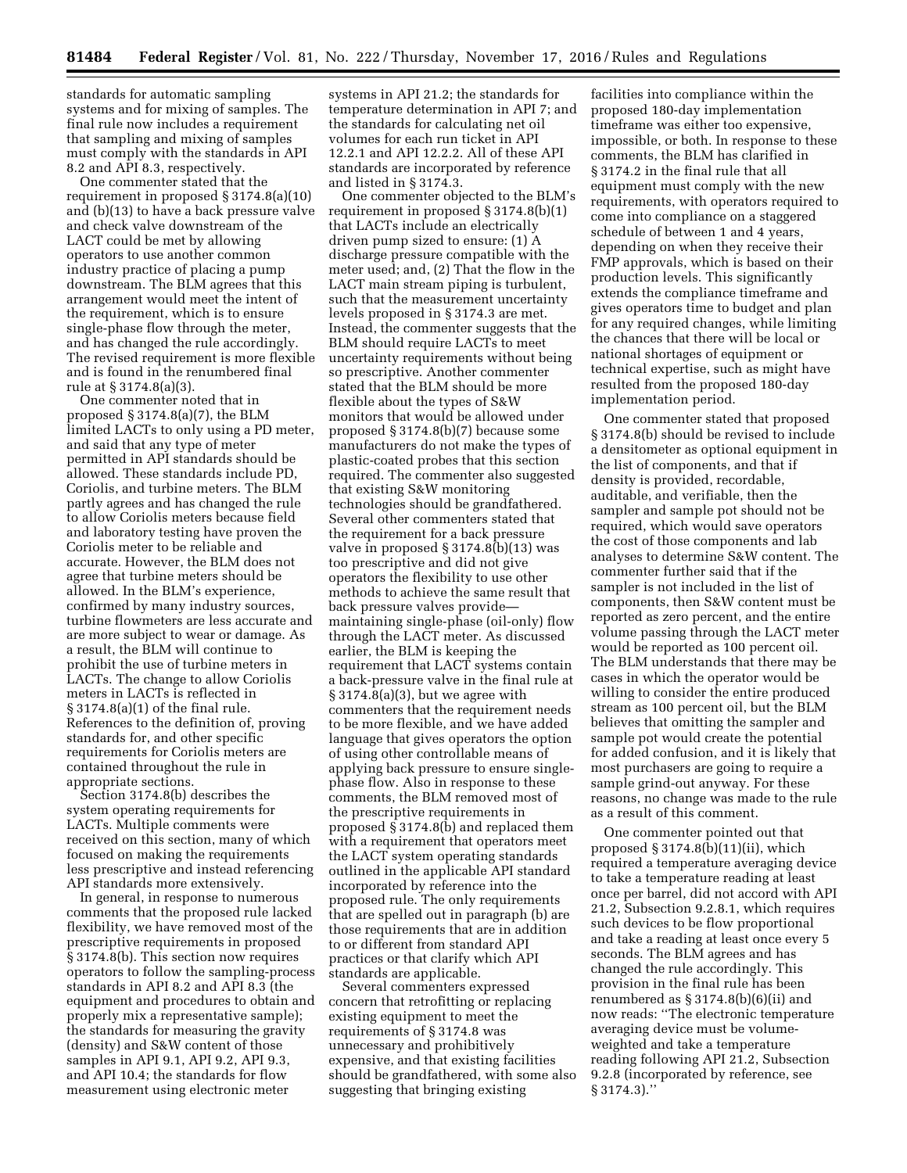standards for automatic sampling systems and for mixing of samples. The final rule now includes a requirement that sampling and mixing of samples must comply with the standards in API 8.2 and API 8.3, respectively.

One commenter stated that the requirement in proposed § 3174.8(a)(10) and (b)(13) to have a back pressure valve and check valve downstream of the LACT could be met by allowing operators to use another common industry practice of placing a pump downstream. The BLM agrees that this arrangement would meet the intent of the requirement, which is to ensure single-phase flow through the meter, and has changed the rule accordingly. The revised requirement is more flexible and is found in the renumbered final rule at § 3174.8(a)(3).

One commenter noted that in proposed § 3174.8(a)(7), the BLM limited LACTs to only using a PD meter, and said that any type of meter permitted in API standards should be allowed. These standards include PD, Coriolis, and turbine meters. The BLM partly agrees and has changed the rule to allow Coriolis meters because field and laboratory testing have proven the Coriolis meter to be reliable and accurate. However, the BLM does not agree that turbine meters should be allowed. In the BLM's experience, confirmed by many industry sources, turbine flowmeters are less accurate and are more subject to wear or damage. As a result, the BLM will continue to prohibit the use of turbine meters in LACTs. The change to allow Coriolis meters in LACTs is reflected in § 3174.8(a)(1) of the final rule. References to the definition of, proving standards for, and other specific requirements for Coriolis meters are contained throughout the rule in appropriate sections.

Section 3174.8(b) describes the system operating requirements for LACTs. Multiple comments were received on this section, many of which focused on making the requirements less prescriptive and instead referencing API standards more extensively.

In general, in response to numerous comments that the proposed rule lacked flexibility, we have removed most of the prescriptive requirements in proposed § 3174.8(b). This section now requires operators to follow the sampling-process standards in API 8.2 and API 8.3 (the equipment and procedures to obtain and properly mix a representative sample); the standards for measuring the gravity (density) and S&W content of those samples in API 9.1, API 9.2, API 9.3, and API 10.4; the standards for flow measurement using electronic meter

systems in API 21.2; the standards for temperature determination in API 7; and the standards for calculating net oil volumes for each run ticket in API 12.2.1 and API 12.2.2. All of these API standards are incorporated by reference and listed in § 3174.3.

One commenter objected to the BLM's requirement in proposed § 3174.8(b)(1) that LACTs include an electrically driven pump sized to ensure: (1) A discharge pressure compatible with the meter used; and, (2) That the flow in the LACT main stream piping is turbulent, such that the measurement uncertainty levels proposed in § 3174.3 are met. Instead, the commenter suggests that the BLM should require LACTs to meet uncertainty requirements without being so prescriptive. Another commenter stated that the BLM should be more flexible about the types of S&W monitors that would be allowed under proposed § 3174.8(b)(7) because some manufacturers do not make the types of plastic-coated probes that this section required. The commenter also suggested that existing S&W monitoring technologies should be grandfathered. Several other commenters stated that the requirement for a back pressure valve in proposed § 3174.8(b)(13) was too prescriptive and did not give operators the flexibility to use other methods to achieve the same result that back pressure valves provide maintaining single-phase (oil-only) flow through the LACT meter. As discussed earlier, the BLM is keeping the requirement that LACT systems contain a back-pressure valve in the final rule at § 3174.8(a)(3), but we agree with commenters that the requirement needs to be more flexible, and we have added language that gives operators the option of using other controllable means of applying back pressure to ensure singlephase flow. Also in response to these comments, the BLM removed most of the prescriptive requirements in proposed § 3174.8(b) and replaced them with a requirement that operators meet the LACT system operating standards outlined in the applicable API standard incorporated by reference into the proposed rule. The only requirements that are spelled out in paragraph (b) are those requirements that are in addition to or different from standard API practices or that clarify which API standards are applicable.

Several commenters expressed concern that retrofitting or replacing existing equipment to meet the requirements of § 3174.8 was unnecessary and prohibitively expensive, and that existing facilities should be grandfathered, with some also suggesting that bringing existing

facilities into compliance within the proposed 180-day implementation timeframe was either too expensive, impossible, or both. In response to these comments, the BLM has clarified in § 3174.2 in the final rule that all equipment must comply with the new requirements, with operators required to come into compliance on a staggered schedule of between 1 and 4 years, depending on when they receive their FMP approvals, which is based on their production levels. This significantly extends the compliance timeframe and gives operators time to budget and plan for any required changes, while limiting the chances that there will be local or national shortages of equipment or technical expertise, such as might have resulted from the proposed 180-day implementation period.

One commenter stated that proposed § 3174.8(b) should be revised to include a densitometer as optional equipment in the list of components, and that if density is provided, recordable, auditable, and verifiable, then the sampler and sample pot should not be required, which would save operators the cost of those components and lab analyses to determine S&W content. The commenter further said that if the sampler is not included in the list of components, then S&W content must be reported as zero percent, and the entire volume passing through the LACT meter would be reported as 100 percent oil. The BLM understands that there may be cases in which the operator would be willing to consider the entire produced stream as 100 percent oil, but the BLM believes that omitting the sampler and sample pot would create the potential for added confusion, and it is likely that most purchasers are going to require a sample grind-out anyway. For these reasons, no change was made to the rule as a result of this comment.

One commenter pointed out that proposed § 3174.8(b)(11)(ii), which required a temperature averaging device to take a temperature reading at least once per barrel, did not accord with API 21.2, Subsection 9.2.8.1, which requires such devices to be flow proportional and take a reading at least once every 5 seconds. The BLM agrees and has changed the rule accordingly. This provision in the final rule has been renumbered as  $\S 3174.8(b)(6)(ii)$  and now reads: ''The electronic temperature averaging device must be volumeweighted and take a temperature reading following API 21.2, Subsection 9.2.8 (incorporated by reference, see § 3174.3).''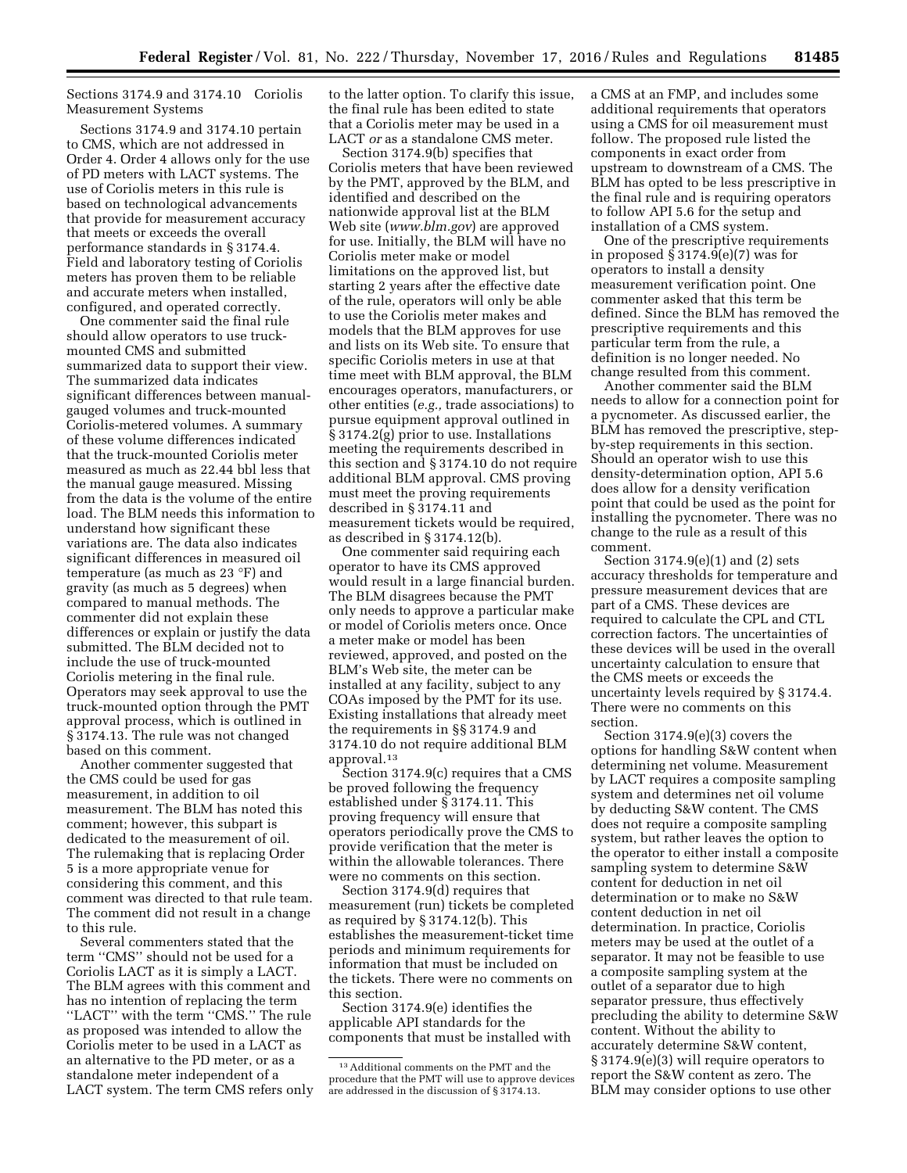## Sections 3174.9 and 3174.10 Coriolis Measurement Systems

Sections 3174.9 and 3174.10 pertain to CMS, which are not addressed in Order 4. Order 4 allows only for the use of PD meters with LACT systems. The use of Coriolis meters in this rule is based on technological advancements that provide for measurement accuracy that meets or exceeds the overall performance standards in § 3174.4. Field and laboratory testing of Coriolis meters has proven them to be reliable and accurate meters when installed, configured, and operated correctly.

One commenter said the final rule should allow operators to use truckmounted CMS and submitted summarized data to support their view. The summarized data indicates significant differences between manualgauged volumes and truck-mounted Coriolis-metered volumes. A summary of these volume differences indicated that the truck-mounted Coriolis meter measured as much as 22.44 bbl less that the manual gauge measured. Missing from the data is the volume of the entire load. The BLM needs this information to understand how significant these variations are. The data also indicates significant differences in measured oil temperature (as much as 23 °F) and gravity (as much as 5 degrees) when compared to manual methods. The commenter did not explain these differences or explain or justify the data submitted. The BLM decided not to include the use of truck-mounted Coriolis metering in the final rule. Operators may seek approval to use the truck-mounted option through the PMT approval process, which is outlined in § 3174.13. The rule was not changed based on this comment.

Another commenter suggested that the CMS could be used for gas measurement, in addition to oil measurement. The BLM has noted this comment; however, this subpart is dedicated to the measurement of oil. The rulemaking that is replacing Order 5 is a more appropriate venue for considering this comment, and this comment was directed to that rule team. The comment did not result in a change to this rule.

Several commenters stated that the term ''CMS'' should not be used for a Coriolis LACT as it is simply a LACT. The BLM agrees with this comment and has no intention of replacing the term ''LACT'' with the term ''CMS.'' The rule as proposed was intended to allow the Coriolis meter to be used in a LACT as an alternative to the PD meter, or as a standalone meter independent of a LACT system. The term CMS refers only to the latter option. To clarify this issue, the final rule has been edited to state that a Coriolis meter may be used in a LACT *or* as a standalone CMS meter.

Section 3174.9(b) specifies that Coriolis meters that have been reviewed by the PMT, approved by the BLM, and identified and described on the nationwide approval list at the BLM Web site (*[www.blm.gov](http://www.blm.gov)*) are approved for use. Initially, the BLM will have no Coriolis meter make or model limitations on the approved list, but starting 2 years after the effective date of the rule, operators will only be able to use the Coriolis meter makes and models that the BLM approves for use and lists on its Web site. To ensure that specific Coriolis meters in use at that time meet with BLM approval, the BLM encourages operators, manufacturers, or other entities (*e.g.,* trade associations) to pursue equipment approval outlined in § 3174.2(g) prior to use. Installations meeting the requirements described in this section and § 3174.10 do not require additional BLM approval. CMS proving must meet the proving requirements described in § 3174.11 and measurement tickets would be required, as described in § 3174.12(b).

One commenter said requiring each operator to have its CMS approved would result in a large financial burden. The BLM disagrees because the PMT only needs to approve a particular make or model of Coriolis meters once. Once a meter make or model has been reviewed, approved, and posted on the BLM's Web site, the meter can be installed at any facility, subject to any COAs imposed by the PMT for its use. Existing installations that already meet the requirements in §§ 3174.9 and 3174.10 do not require additional BLM approval.13

Section 3174.9(c) requires that a CMS be proved following the frequency established under § 3174.11. This proving frequency will ensure that operators periodically prove the CMS to provide verification that the meter is within the allowable tolerances. There were no comments on this section.

Section 3174.9(d) requires that measurement (run) tickets be completed as required by § 3174.12(b). This establishes the measurement-ticket time periods and minimum requirements for information that must be included on the tickets. There were no comments on this section.

Section 3174.9(e) identifies the applicable API standards for the components that must be installed with a CMS at an FMP, and includes some additional requirements that operators using a CMS for oil measurement must follow. The proposed rule listed the components in exact order from upstream to downstream of a CMS. The BLM has opted to be less prescriptive in the final rule and is requiring operators to follow API 5.6 for the setup and installation of a CMS system.

One of the prescriptive requirements in proposed § 3174.9(e)(7) was for operators to install a density measurement verification point. One commenter asked that this term be defined. Since the BLM has removed the prescriptive requirements and this particular term from the rule, a definition is no longer needed. No change resulted from this comment.

Another commenter said the BLM needs to allow for a connection point for a pycnometer. As discussed earlier, the BLM has removed the prescriptive, stepby-step requirements in this section. Should an operator wish to use this density-determination option, API 5.6 does allow for a density verification point that could be used as the point for installing the pycnometer. There was no change to the rule as a result of this comment.

Section 3174.9(e)(1) and (2) sets accuracy thresholds for temperature and pressure measurement devices that are part of a CMS. These devices are required to calculate the CPL and CTL correction factors. The uncertainties of these devices will be used in the overall uncertainty calculation to ensure that the CMS meets or exceeds the uncertainty levels required by § 3174.4. There were no comments on this section.

Section 3174.9(e)(3) covers the options for handling S&W content when determining net volume. Measurement by LACT requires a composite sampling system and determines net oil volume by deducting S&W content. The CMS does not require a composite sampling system, but rather leaves the option to the operator to either install a composite sampling system to determine S&W content for deduction in net oil determination or to make no S&W content deduction in net oil determination. In practice, Coriolis meters may be used at the outlet of a separator. It may not be feasible to use a composite sampling system at the outlet of a separator due to high separator pressure, thus effectively precluding the ability to determine S&W content. Without the ability to accurately determine S&W content, § 3174.9(e)(3) will require operators to report the S&W content as zero. The BLM may consider options to use other

 $^{\rm 13}\,$  Additional comments on the PMT and the procedure that the PMT will use to approve devices are addressed in the discussion of § 3174.13.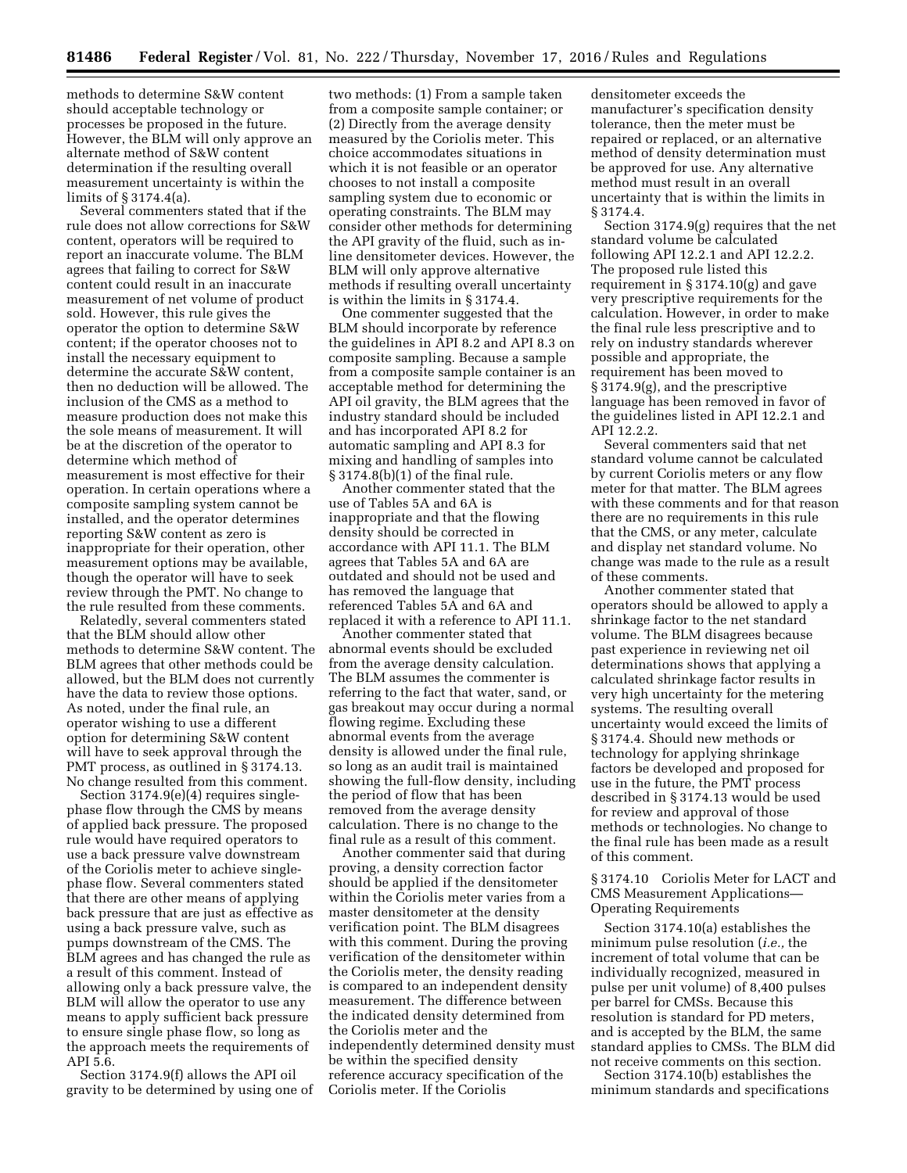methods to determine S&W content should acceptable technology or processes be proposed in the future. However, the BLM will only approve an alternate method of S&W content determination if the resulting overall measurement uncertainty is within the limits of § 3174.4(a).

Several commenters stated that if the rule does not allow corrections for S&W content, operators will be required to report an inaccurate volume. The BLM agrees that failing to correct for S&W content could result in an inaccurate measurement of net volume of product sold. However, this rule gives the operator the option to determine S&W content; if the operator chooses not to install the necessary equipment to determine the accurate S&W content, then no deduction will be allowed. The inclusion of the CMS as a method to measure production does not make this the sole means of measurement. It will be at the discretion of the operator to determine which method of measurement is most effective for their operation. In certain operations where a composite sampling system cannot be installed, and the operator determines reporting S&W content as zero is inappropriate for their operation, other measurement options may be available, though the operator will have to seek review through the PMT. No change to the rule resulted from these comments.

Relatedly, several commenters stated that the BLM should allow other methods to determine S&W content. The BLM agrees that other methods could be allowed, but the BLM does not currently have the data to review those options. As noted, under the final rule, an operator wishing to use a different option for determining S&W content will have to seek approval through the PMT process, as outlined in § 3174.13. No change resulted from this comment.

Section 3174.9(e)(4) requires singlephase flow through the CMS by means of applied back pressure. The proposed rule would have required operators to use a back pressure valve downstream of the Coriolis meter to achieve singlephase flow. Several commenters stated that there are other means of applying back pressure that are just as effective as using a back pressure valve, such as pumps downstream of the CMS. The BLM agrees and has changed the rule as a result of this comment. Instead of allowing only a back pressure valve, the BLM will allow the operator to use any means to apply sufficient back pressure to ensure single phase flow, so long as the approach meets the requirements of API 5.6.

Section 3174.9(f) allows the API oil gravity to be determined by using one of

two methods: (1) From a sample taken from a composite sample container; or (2) Directly from the average density measured by the Coriolis meter. This choice accommodates situations in which it is not feasible or an operator chooses to not install a composite sampling system due to economic or operating constraints. The BLM may consider other methods for determining the API gravity of the fluid, such as inline densitometer devices. However, the BLM will only approve alternative methods if resulting overall uncertainty is within the limits in § 3174.4.

One commenter suggested that the BLM should incorporate by reference the guidelines in API 8.2 and API 8.3 on composite sampling. Because a sample from a composite sample container is an acceptable method for determining the API oil gravity, the BLM agrees that the industry standard should be included and has incorporated API 8.2 for automatic sampling and API 8.3 for mixing and handling of samples into § 3174.8(b)(1) of the final rule.

Another commenter stated that the use of Tables 5A and 6A is inappropriate and that the flowing density should be corrected in accordance with API 11.1. The BLM agrees that Tables 5A and 6A are outdated and should not be used and has removed the language that referenced Tables 5A and 6A and replaced it with a reference to API 11.1.

Another commenter stated that abnormal events should be excluded from the average density calculation. The BLM assumes the commenter is referring to the fact that water, sand, or gas breakout may occur during a normal flowing regime. Excluding these abnormal events from the average density is allowed under the final rule, so long as an audit trail is maintained showing the full-flow density, including the period of flow that has been removed from the average density calculation. There is no change to the final rule as a result of this comment.

Another commenter said that during proving, a density correction factor should be applied if the densitometer within the Coriolis meter varies from a master densitometer at the density verification point. The BLM disagrees with this comment. During the proving verification of the densitometer within the Coriolis meter, the density reading is compared to an independent density measurement. The difference between the indicated density determined from the Coriolis meter and the independently determined density must be within the specified density reference accuracy specification of the Coriolis meter. If the Coriolis

densitometer exceeds the manufacturer's specification density tolerance, then the meter must be repaired or replaced, or an alternative method of density determination must be approved for use. Any alternative method must result in an overall uncertainty that is within the limits in § 3174.4.

Section 3174.9(g) requires that the net standard volume be calculated following API 12.2.1 and API 12.2.2. The proposed rule listed this requirement in § 3174.10(g) and gave very prescriptive requirements for the calculation. However, in order to make the final rule less prescriptive and to rely on industry standards wherever possible and appropriate, the requirement has been moved to § 3174.9(g), and the prescriptive language has been removed in favor of the guidelines listed in API 12.2.1 and API 12.2.2.

Several commenters said that net standard volume cannot be calculated by current Coriolis meters or any flow meter for that matter. The BLM agrees with these comments and for that reason there are no requirements in this rule that the CMS, or any meter, calculate and display net standard volume. No change was made to the rule as a result of these comments.

Another commenter stated that operators should be allowed to apply a shrinkage factor to the net standard volume. The BLM disagrees because past experience in reviewing net oil determinations shows that applying a calculated shrinkage factor results in very high uncertainty for the metering systems. The resulting overall uncertainty would exceed the limits of § 3174.4. Should new methods or technology for applying shrinkage factors be developed and proposed for use in the future, the PMT process described in § 3174.13 would be used for review and approval of those methods or technologies. No change to the final rule has been made as a result of this comment.

§ 3174.10 Coriolis Meter for LACT and CMS Measurement Applications— Operating Requirements

Section 3174.10(a) establishes the minimum pulse resolution (*i.e.,* the increment of total volume that can be individually recognized, measured in pulse per unit volume) of 8,400 pulses per barrel for CMSs. Because this resolution is standard for PD meters, and is accepted by the BLM, the same standard applies to CMSs. The BLM did not receive comments on this section.

Section 3174.10(b) establishes the minimum standards and specifications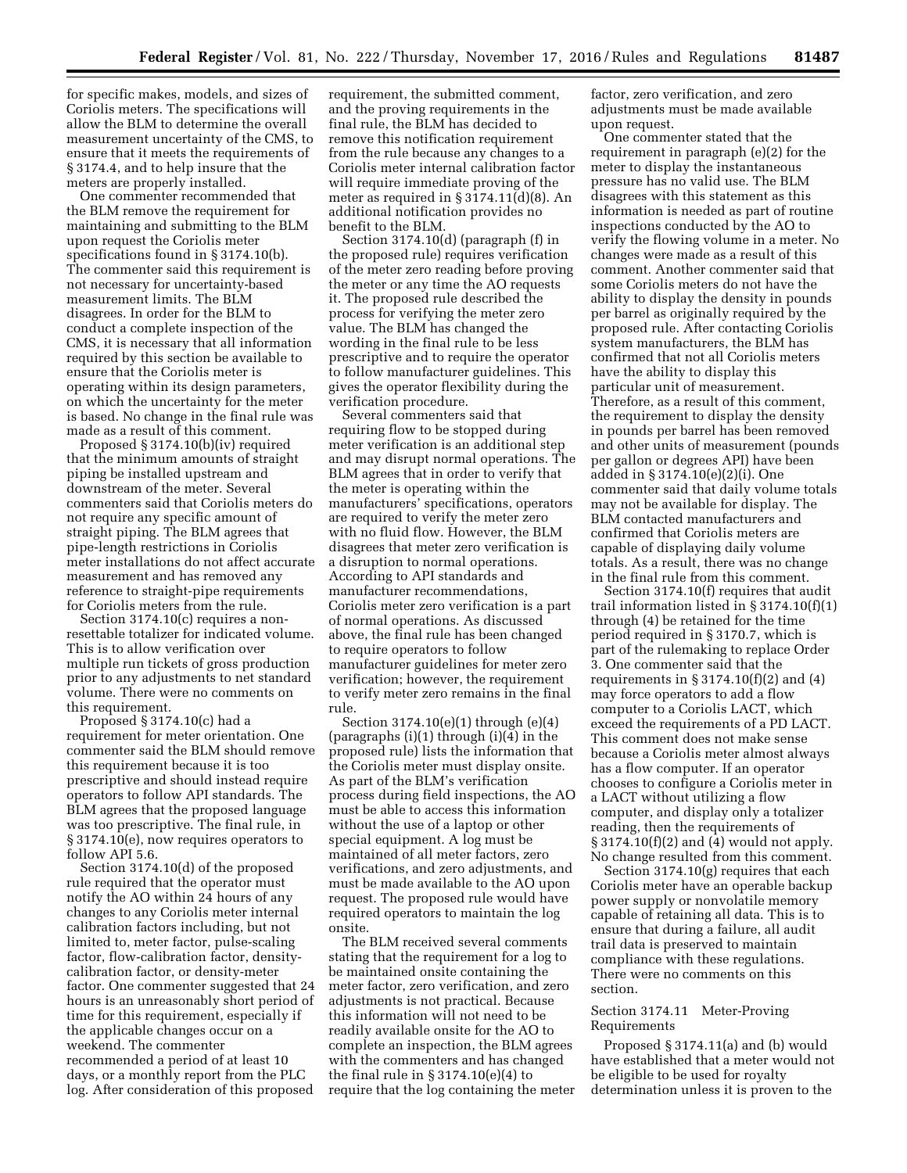for specific makes, models, and sizes of Coriolis meters. The specifications will allow the BLM to determine the overall measurement uncertainty of the CMS, to ensure that it meets the requirements of § 3174.4, and to help insure that the meters are properly installed.

One commenter recommended that the BLM remove the requirement for maintaining and submitting to the BLM upon request the Coriolis meter specifications found in § 3174.10(b). The commenter said this requirement is not necessary for uncertainty-based measurement limits. The BLM disagrees. In order for the BLM to conduct a complete inspection of the CMS, it is necessary that all information required by this section be available to ensure that the Coriolis meter is operating within its design parameters, on which the uncertainty for the meter is based. No change in the final rule was made as a result of this comment.

Proposed § 3174.10(b)(iv) required that the minimum amounts of straight piping be installed upstream and downstream of the meter. Several commenters said that Coriolis meters do not require any specific amount of straight piping. The BLM agrees that pipe-length restrictions in Coriolis meter installations do not affect accurate measurement and has removed any reference to straight-pipe requirements for Coriolis meters from the rule.

Section 3174.10(c) requires a nonresettable totalizer for indicated volume. This is to allow verification over multiple run tickets of gross production prior to any adjustments to net standard volume. There were no comments on this requirement.

Proposed § 3174.10(c) had a requirement for meter orientation. One commenter said the BLM should remove this requirement because it is too prescriptive and should instead require operators to follow API standards. The BLM agrees that the proposed language was too prescriptive. The final rule, in § 3174.10(e), now requires operators to follow API 5.6.

Section 3174.10(d) of the proposed rule required that the operator must notify the AO within 24 hours of any changes to any Coriolis meter internal calibration factors including, but not limited to, meter factor, pulse-scaling factor, flow-calibration factor, densitycalibration factor, or density-meter factor. One commenter suggested that 24 hours is an unreasonably short period of time for this requirement, especially if the applicable changes occur on a weekend. The commenter recommended a period of at least 10 days, or a monthly report from the PLC log. After consideration of this proposed

requirement, the submitted comment, and the proving requirements in the final rule, the BLM has decided to remove this notification requirement from the rule because any changes to a Coriolis meter internal calibration factor will require immediate proving of the meter as required in § 3174.11(d)(8). An additional notification provides no benefit to the BLM.

Section 3174.10(d) (paragraph (f) in the proposed rule) requires verification of the meter zero reading before proving the meter or any time the AO requests it. The proposed rule described the process for verifying the meter zero value. The BLM has changed the wording in the final rule to be less prescriptive and to require the operator to follow manufacturer guidelines. This gives the operator flexibility during the verification procedure.

Several commenters said that requiring flow to be stopped during meter verification is an additional step and may disrupt normal operations. The BLM agrees that in order to verify that the meter is operating within the manufacturers' specifications, operators are required to verify the meter zero with no fluid flow. However, the BLM disagrees that meter zero verification is a disruption to normal operations. According to API standards and manufacturer recommendations, Coriolis meter zero verification is a part of normal operations. As discussed above, the final rule has been changed to require operators to follow manufacturer guidelines for meter zero verification; however, the requirement to verify meter zero remains in the final rule.

Section 3174.10(e)(1) through (e)(4) (paragraphs (i)(1) through (i)(4) in the proposed rule) lists the information that the Coriolis meter must display onsite. As part of the BLM's verification process during field inspections, the AO must be able to access this information without the use of a laptop or other special equipment. A log must be maintained of all meter factors, zero verifications, and zero adjustments, and must be made available to the AO upon request. The proposed rule would have required operators to maintain the log onsite.

The BLM received several comments stating that the requirement for a log to be maintained onsite containing the meter factor, zero verification, and zero adjustments is not practical. Because this information will not need to be readily available onsite for the AO to complete an inspection, the BLM agrees with the commenters and has changed the final rule in § 3174.10(e)(4) to require that the log containing the meter factor, zero verification, and zero adjustments must be made available upon request.

One commenter stated that the requirement in paragraph (e)(2) for the meter to display the instantaneous pressure has no valid use. The BLM disagrees with this statement as this information is needed as part of routine inspections conducted by the AO to verify the flowing volume in a meter. No changes were made as a result of this comment. Another commenter said that some Coriolis meters do not have the ability to display the density in pounds per barrel as originally required by the proposed rule. After contacting Coriolis system manufacturers, the BLM has confirmed that not all Coriolis meters have the ability to display this particular unit of measurement. Therefore, as a result of this comment, the requirement to display the density in pounds per barrel has been removed and other units of measurement (pounds per gallon or degrees API) have been added in § 3174.10(e)(2)(i). One commenter said that daily volume totals may not be available for display. The BLM contacted manufacturers and confirmed that Coriolis meters are capable of displaying daily volume totals. As a result, there was no change in the final rule from this comment.

Section 3174.10(f) requires that audit trail information listed in § 3174.10(f)(1) through (4) be retained for the time period required in § 3170.7, which is part of the rulemaking to replace Order 3. One commenter said that the requirements in  $\S 3174.10(f)(2)$  and  $(4)$ may force operators to add a flow computer to a Coriolis LACT, which exceed the requirements of a PD LACT. This comment does not make sense because a Coriolis meter almost always has a flow computer. If an operator chooses to configure a Coriolis meter in a LACT without utilizing a flow computer, and display only a totalizer reading, then the requirements of  $\S 3174.10(f)(2)$  and (4) would not apply. No change resulted from this comment.

Section 3174.10(g) requires that each Coriolis meter have an operable backup power supply or nonvolatile memory capable of retaining all data. This is to ensure that during a failure, all audit trail data is preserved to maintain compliance with these regulations. There were no comments on this section.

## Section 3174.11 Meter-Proving Requirements

Proposed § 3174.11(a) and (b) would have established that a meter would not be eligible to be used for royalty determination unless it is proven to the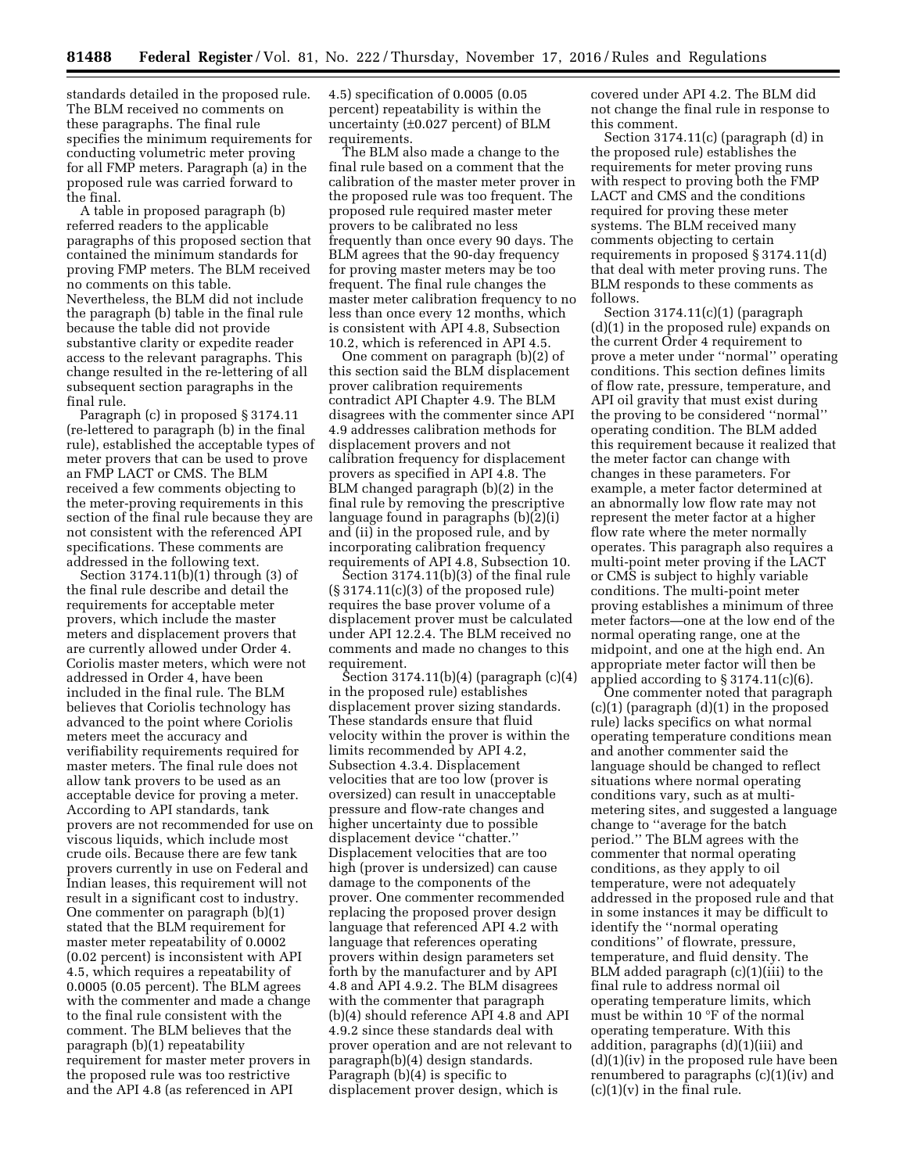standards detailed in the proposed rule. The BLM received no comments on these paragraphs. The final rule specifies the minimum requirements for conducting volumetric meter proving for all FMP meters. Paragraph (a) in the proposed rule was carried forward to the final.

A table in proposed paragraph (b) referred readers to the applicable paragraphs of this proposed section that contained the minimum standards for proving FMP meters. The BLM received no comments on this table. Nevertheless, the BLM did not include the paragraph (b) table in the final rule because the table did not provide substantive clarity or expedite reader access to the relevant paragraphs. This change resulted in the re-lettering of all subsequent section paragraphs in the final rule.

Paragraph (c) in proposed § 3174.11 (re-lettered to paragraph (b) in the final rule), established the acceptable types of meter provers that can be used to prove an FMP LACT or CMS. The BLM received a few comments objecting to the meter-proving requirements in this section of the final rule because they are not consistent with the referenced API specifications. These comments are addressed in the following text.

Section 3174.11(b)(1) through (3) of the final rule describe and detail the requirements for acceptable meter provers, which include the master meters and displacement provers that are currently allowed under Order 4. Coriolis master meters, which were not addressed in Order 4, have been included in the final rule. The BLM believes that Coriolis technology has advanced to the point where Coriolis meters meet the accuracy and verifiability requirements required for master meters. The final rule does not allow tank provers to be used as an acceptable device for proving a meter. According to API standards, tank provers are not recommended for use on viscous liquids, which include most crude oils. Because there are few tank provers currently in use on Federal and Indian leases, this requirement will not result in a significant cost to industry. One commenter on paragraph (b)(1) stated that the BLM requirement for master meter repeatability of 0.0002 (0.02 percent) is inconsistent with API 4.5, which requires a repeatability of 0.0005 (0.05 percent). The BLM agrees with the commenter and made a change to the final rule consistent with the comment. The BLM believes that the paragraph (b)(1) repeatability requirement for master meter provers in the proposed rule was too restrictive and the API 4.8 (as referenced in API

4.5) specification of 0.0005 (0.05 percent) repeatability is within the uncertainty (±0.027 percent) of BLM requirements.

The BLM also made a change to the final rule based on a comment that the calibration of the master meter prover in the proposed rule was too frequent. The proposed rule required master meter provers to be calibrated no less frequently than once every 90 days. The BLM agrees that the 90-day frequency for proving master meters may be too frequent. The final rule changes the master meter calibration frequency to no less than once every 12 months, which is consistent with API 4.8, Subsection 10.2, which is referenced in API 4.5.

One comment on paragraph (b)(2) of this section said the BLM displacement prover calibration requirements contradict API Chapter 4.9. The BLM disagrees with the commenter since API 4.9 addresses calibration methods for displacement provers and not calibration frequency for displacement provers as specified in API 4.8. The BLM changed paragraph (b)(2) in the final rule by removing the prescriptive language found in paragraphs (b)(2)(i) and (ii) in the proposed rule, and by incorporating calibration frequency requirements of API 4.8, Subsection 10.

Section 3174.11(b)(3) of the final rule  $(\S 3174.11(c)(3)$  of the proposed rule) requires the base prover volume of a displacement prover must be calculated under API 12.2.4. The BLM received no comments and made no changes to this requirement.

Section 3174.11(b)(4) (paragraph (c)(4) in the proposed rule) establishes displacement prover sizing standards. These standards ensure that fluid velocity within the prover is within the limits recommended by API 4.2, Subsection 4.3.4. Displacement velocities that are too low (prover is oversized) can result in unacceptable pressure and flow-rate changes and higher uncertainty due to possible displacement device ''chatter.'' Displacement velocities that are too high (prover is undersized) can cause damage to the components of the prover. One commenter recommended replacing the proposed prover design language that referenced API 4.2 with language that references operating provers within design parameters set forth by the manufacturer and by API 4.8 and API 4.9.2. The BLM disagrees with the commenter that paragraph (b)(4) should reference API 4.8 and API 4.9.2 since these standards deal with prover operation and are not relevant to paragraph(b)(4) design standards. Paragraph (b)(4) is specific to displacement prover design, which is

covered under API 4.2. The BLM did not change the final rule in response to this comment.

Section 3174.11(c) (paragraph (d) in the proposed rule) establishes the requirements for meter proving runs with respect to proving both the FMP LACT and CMS and the conditions required for proving these meter systems. The BLM received many comments objecting to certain requirements in proposed § 3174.11(d) that deal with meter proving runs. The BLM responds to these comments as follows.

Section 3174.11(c)(1) (paragraph (d)(1) in the proposed rule) expands on the current Order 4 requirement to prove a meter under ''normal'' operating conditions. This section defines limits of flow rate, pressure, temperature, and API oil gravity that must exist during the proving to be considered ''normal'' operating condition. The BLM added this requirement because it realized that the meter factor can change with changes in these parameters. For example, a meter factor determined at an abnormally low flow rate may not represent the meter factor at a higher flow rate where the meter normally operates. This paragraph also requires a multi-point meter proving if the LACT or CMS is subject to highly variable conditions. The multi-point meter proving establishes a minimum of three meter factors—one at the low end of the normal operating range, one at the midpoint, and one at the high end. An appropriate meter factor will then be applied according to  $\S 3174.11(c)(6)$ .

One commenter noted that paragraph  $(c)(1)$  (paragraph  $(d)(1)$  in the proposed rule) lacks specifics on what normal operating temperature conditions mean and another commenter said the language should be changed to reflect situations where normal operating conditions vary, such as at multimetering sites, and suggested a language change to ''average for the batch period.'' The BLM agrees with the commenter that normal operating conditions, as they apply to oil temperature, were not adequately addressed in the proposed rule and that in some instances it may be difficult to identify the ''normal operating conditions'' of flowrate, pressure, temperature, and fluid density. The BLM added paragraph (c)(1)(iii) to the final rule to address normal oil operating temperature limits, which must be within 10 °F of the normal operating temperature. With this addition, paragraphs (d)(1)(iii) and  $(d)(1)(iv)$  in the proposed rule have been renumbered to paragraphs (c)(1)(iv) and  $(c)(1)(v)$  in the final rule.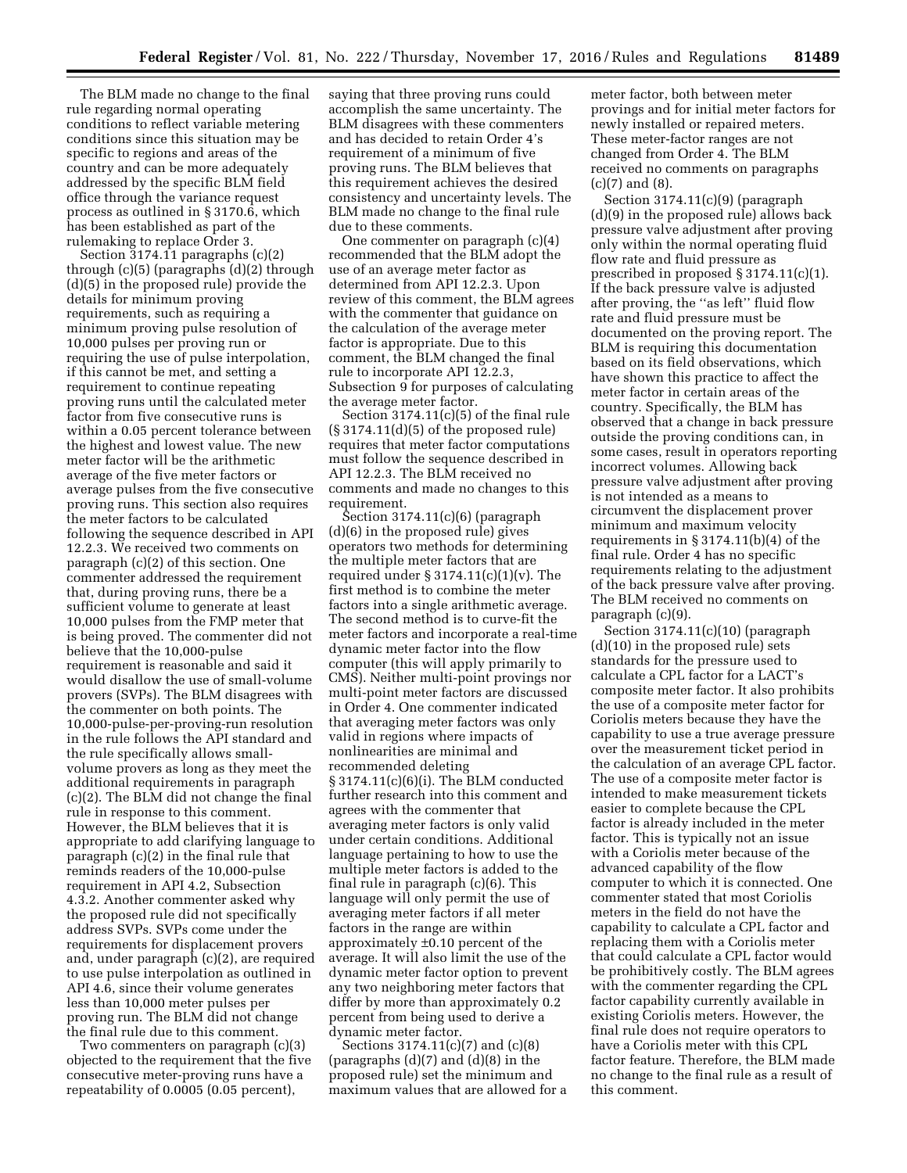The BLM made no change to the final rule regarding normal operating conditions to reflect variable metering conditions since this situation may be specific to regions and areas of the country and can be more adequately addressed by the specific BLM field office through the variance request process as outlined in § 3170.6, which has been established as part of the rulemaking to replace Order 3.

Section 3174.11 paragraphs (c)(2) through (c)(5) (paragraphs (d)(2) through (d)(5) in the proposed rule) provide the details for minimum proving requirements, such as requiring a minimum proving pulse resolution of 10,000 pulses per proving run or requiring the use of pulse interpolation, if this cannot be met, and setting a requirement to continue repeating proving runs until the calculated meter factor from five consecutive runs is within a 0.05 percent tolerance between the highest and lowest value. The new meter factor will be the arithmetic average of the five meter factors or average pulses from the five consecutive proving runs. This section also requires the meter factors to be calculated following the sequence described in API 12.2.3. We received two comments on paragraph (c)(2) of this section. One commenter addressed the requirement that, during proving runs, there be a sufficient volume to generate at least 10,000 pulses from the FMP meter that is being proved. The commenter did not believe that the 10,000-pulse requirement is reasonable and said it would disallow the use of small-volume provers (SVPs). The BLM disagrees with the commenter on both points. The 10,000-pulse-per-proving-run resolution in the rule follows the API standard and the rule specifically allows smallvolume provers as long as they meet the additional requirements in paragraph (c)(2). The BLM did not change the final rule in response to this comment. However, the BLM believes that it is appropriate to add clarifying language to paragraph (c)(2) in the final rule that reminds readers of the 10,000-pulse requirement in API 4.2, Subsection 4.3.2. Another commenter asked why the proposed rule did not specifically address SVPs. SVPs come under the requirements for displacement provers and, under paragraph (c)(2), are required to use pulse interpolation as outlined in API 4.6, since their volume generates less than 10,000 meter pulses per proving run. The BLM did not change the final rule due to this comment.

Two commenters on paragraph (c)(3) objected to the requirement that the five consecutive meter-proving runs have a repeatability of 0.0005 (0.05 percent),

saying that three proving runs could accomplish the same uncertainty. The BLM disagrees with these commenters and has decided to retain Order 4's requirement of a minimum of five proving runs. The BLM believes that this requirement achieves the desired consistency and uncertainty levels. The BLM made no change to the final rule due to these comments.

One commenter on paragraph (c)(4) recommended that the BLM adopt the use of an average meter factor as determined from API 12.2.3. Upon review of this comment, the BLM agrees with the commenter that guidance on the calculation of the average meter factor is appropriate. Due to this comment, the BLM changed the final rule to incorporate API 12.2.3, Subsection 9 for purposes of calculating the average meter factor.

Section 3174.11(c)(5) of the final rule (§ 3174.11(d)(5) of the proposed rule) requires that meter factor computations must follow the sequence described in API 12.2.3. The BLM received no comments and made no changes to this requirement.

Section 3174.11(c)(6) (paragraph (d)(6) in the proposed rule) gives operators two methods for determining the multiple meter factors that are required under  $\S 3174.11(c)(1)(v)$ . The first method is to combine the meter factors into a single arithmetic average. The second method is to curve-fit the meter factors and incorporate a real-time dynamic meter factor into the flow computer (this will apply primarily to CMS). Neither multi-point provings nor multi-point meter factors are discussed in Order 4. One commenter indicated that averaging meter factors was only valid in regions where impacts of nonlinearities are minimal and recommended deleting § 3174.11(c)(6)(i). The BLM conducted further research into this comment and agrees with the commenter that averaging meter factors is only valid under certain conditions. Additional language pertaining to how to use the multiple meter factors is added to the final rule in paragraph (c)(6). This language will only permit the use of averaging meter factors if all meter factors in the range are within approximately ±0.10 percent of the average. It will also limit the use of the dynamic meter factor option to prevent any two neighboring meter factors that differ by more than approximately 0.2 percent from being used to derive a dynamic meter factor.

Sections 3174.11(c)(7) and (c)(8) (paragraphs  $(d)(7)$  and  $(d)(8)$  in the proposed rule) set the minimum and maximum values that are allowed for a meter factor, both between meter provings and for initial meter factors for newly installed or repaired meters. These meter-factor ranges are not changed from Order 4. The BLM received no comments on paragraphs (c)(7) and (8).

Section 3174.11(c)(9) (paragraph (d)(9) in the proposed rule) allows back pressure valve adjustment after proving only within the normal operating fluid flow rate and fluid pressure as prescribed in proposed § 3174.11(c)(1). If the back pressure valve is adjusted after proving, the ''as left'' fluid flow rate and fluid pressure must be documented on the proving report. The BLM is requiring this documentation based on its field observations, which have shown this practice to affect the meter factor in certain areas of the country. Specifically, the BLM has observed that a change in back pressure outside the proving conditions can, in some cases, result in operators reporting incorrect volumes. Allowing back pressure valve adjustment after proving is not intended as a means to circumvent the displacement prover minimum and maximum velocity requirements in § 3174.11(b)(4) of the final rule. Order 4 has no specific requirements relating to the adjustment of the back pressure valve after proving. The BLM received no comments on paragraph (c)(9).

Section 3174.11(c)(10) (paragraph (d)(10) in the proposed rule) sets standards for the pressure used to calculate a CPL factor for a LACT's composite meter factor. It also prohibits the use of a composite meter factor for Coriolis meters because they have the capability to use a true average pressure over the measurement ticket period in the calculation of an average CPL factor. The use of a composite meter factor is intended to make measurement tickets easier to complete because the CPL factor is already included in the meter factor. This is typically not an issue with a Coriolis meter because of the advanced capability of the flow computer to which it is connected. One commenter stated that most Coriolis meters in the field do not have the capability to calculate a CPL factor and replacing them with a Coriolis meter that could calculate a CPL factor would be prohibitively costly. The BLM agrees with the commenter regarding the CPL factor capability currently available in existing Coriolis meters. However, the final rule does not require operators to have a Coriolis meter with this CPL factor feature. Therefore, the BLM made no change to the final rule as a result of this comment.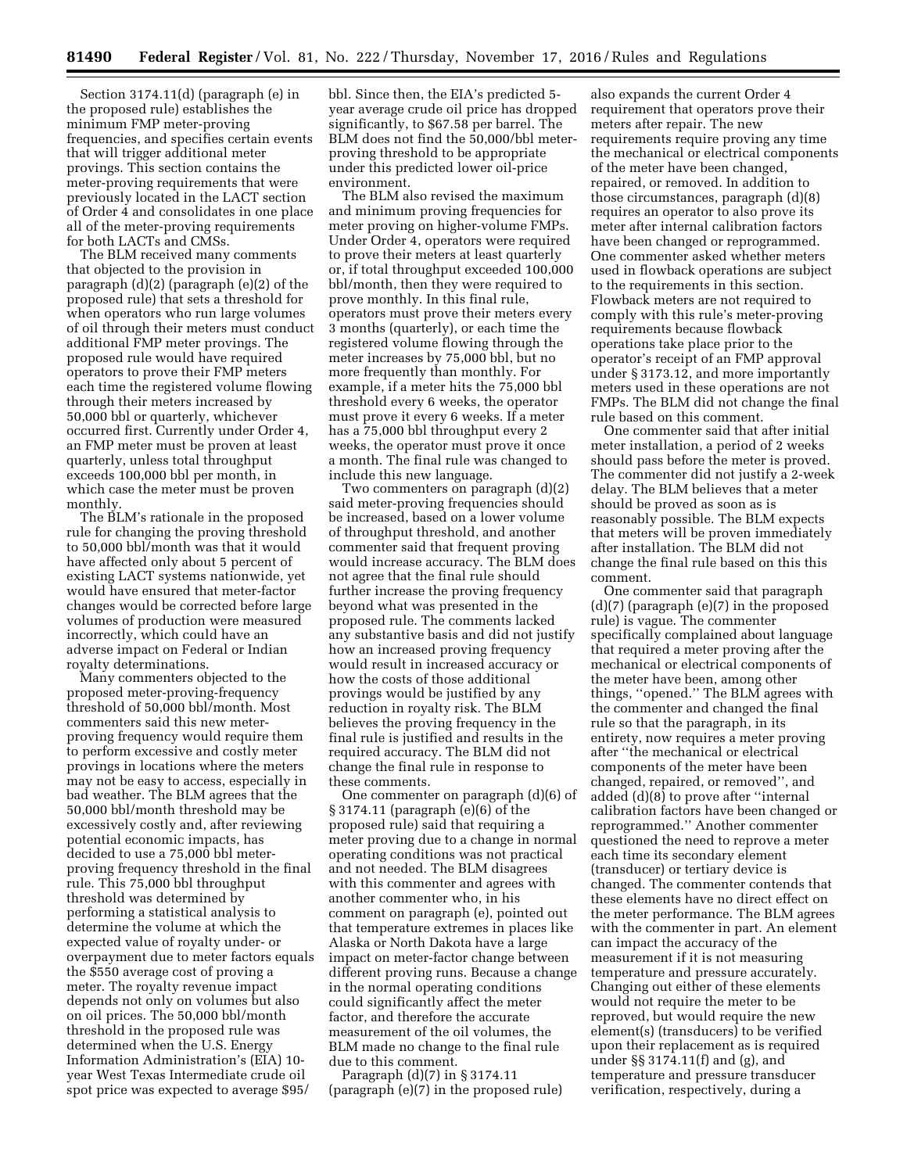Section 3174.11(d) (paragraph (e) in the proposed rule) establishes the minimum FMP meter-proving frequencies, and specifies certain events that will trigger additional meter provings. This section contains the meter-proving requirements that were previously located in the LACT section of Order 4 and consolidates in one place all of the meter-proving requirements for both LACTs and CMSs.

The BLM received many comments that objected to the provision in paragraph (d)(2) (paragraph (e)(2) of the proposed rule) that sets a threshold for when operators who run large volumes of oil through their meters must conduct additional FMP meter provings. The proposed rule would have required operators to prove their FMP meters each time the registered volume flowing through their meters increased by 50,000 bbl or quarterly, whichever occurred first. Currently under Order 4, an FMP meter must be proven at least quarterly, unless total throughput exceeds 100,000 bbl per month, in which case the meter must be proven monthly.

The BLM's rationale in the proposed rule for changing the proving threshold to 50,000 bbl/month was that it would have affected only about 5 percent of existing LACT systems nationwide, yet would have ensured that meter-factor changes would be corrected before large volumes of production were measured incorrectly, which could have an adverse impact on Federal or Indian royalty determinations.

Many commenters objected to the proposed meter-proving-frequency threshold of 50,000 bbl/month. Most commenters said this new meterproving frequency would require them to perform excessive and costly meter provings in locations where the meters may not be easy to access, especially in bad weather. The BLM agrees that the 50,000 bbl/month threshold may be excessively costly and, after reviewing potential economic impacts, has decided to use a 75,000 bbl meterproving frequency threshold in the final rule. This 75,000 bbl throughput threshold was determined by performing a statistical analysis to determine the volume at which the expected value of royalty under- or overpayment due to meter factors equals the \$550 average cost of proving a meter. The royalty revenue impact depends not only on volumes but also on oil prices. The 50,000 bbl/month threshold in the proposed rule was determined when the U.S. Energy Information Administration's (EIA) 10 year West Texas Intermediate crude oil spot price was expected to average \$95/

bbl. Since then, the EIA's predicted 5 year average crude oil price has dropped significantly, to \$67.58 per barrel. The BLM does not find the 50,000/bbl meterproving threshold to be appropriate under this predicted lower oil-price environment.

The BLM also revised the maximum and minimum proving frequencies for meter proving on higher-volume FMPs. Under Order 4, operators were required to prove their meters at least quarterly or, if total throughput exceeded 100,000 bbl/month, then they were required to prove monthly. In this final rule, operators must prove their meters every 3 months (quarterly), or each time the registered volume flowing through the meter increases by 75,000 bbl, but no more frequently than monthly. For example, if a meter hits the 75,000 bbl threshold every 6 weeks, the operator must prove it every 6 weeks. If a meter has a 75,000 bbl throughput every 2 weeks, the operator must prove it once a month. The final rule was changed to include this new language.

Two commenters on paragraph (d)(2) said meter-proving frequencies should be increased, based on a lower volume of throughput threshold, and another commenter said that frequent proving would increase accuracy. The BLM does not agree that the final rule should further increase the proving frequency beyond what was presented in the proposed rule. The comments lacked any substantive basis and did not justify how an increased proving frequency would result in increased accuracy or how the costs of those additional provings would be justified by any reduction in royalty risk. The BLM believes the proving frequency in the final rule is justified and results in the required accuracy. The BLM did not change the final rule in response to these comments.

One commenter on paragraph (d)(6) of § 3174.11 (paragraph (e)(6) of the proposed rule) said that requiring a meter proving due to a change in normal operating conditions was not practical and not needed. The BLM disagrees with this commenter and agrees with another commenter who, in his comment on paragraph (e), pointed out that temperature extremes in places like Alaska or North Dakota have a large impact on meter-factor change between different proving runs. Because a change in the normal operating conditions could significantly affect the meter factor, and therefore the accurate measurement of the oil volumes, the BLM made no change to the final rule due to this comment.

Paragraph (d)(7) in § 3174.11 (paragraph (e)(7) in the proposed rule)

also expands the current Order 4 requirement that operators prove their meters after repair. The new requirements require proving any time the mechanical or electrical components of the meter have been changed, repaired, or removed. In addition to those circumstances, paragraph (d)(8) requires an operator to also prove its meter after internal calibration factors have been changed or reprogrammed. One commenter asked whether meters used in flowback operations are subject to the requirements in this section. Flowback meters are not required to comply with this rule's meter-proving requirements because flowback operations take place prior to the operator's receipt of an FMP approval under § 3173.12, and more importantly meters used in these operations are not FMPs. The BLM did not change the final rule based on this comment.

One commenter said that after initial meter installation, a period of 2 weeks should pass before the meter is proved. The commenter did not justify a 2-week delay. The BLM believes that a meter should be proved as soon as is reasonably possible. The BLM expects that meters will be proven immediately after installation. The BLM did not change the final rule based on this this comment.

One commenter said that paragraph (d)(7) (paragraph (e)(7) in the proposed rule) is vague. The commenter specifically complained about language that required a meter proving after the mechanical or electrical components of the meter have been, among other things, ''opened.'' The BLM agrees with the commenter and changed the final rule so that the paragraph, in its entirety, now requires a meter proving after ''the mechanical or electrical components of the meter have been changed, repaired, or removed'', and added (d)(8) to prove after ''internal calibration factors have been changed or reprogrammed.'' Another commenter questioned the need to reprove a meter each time its secondary element (transducer) or tertiary device is changed. The commenter contends that these elements have no direct effect on the meter performance. The BLM agrees with the commenter in part. An element can impact the accuracy of the measurement if it is not measuring temperature and pressure accurately. Changing out either of these elements would not require the meter to be reproved, but would require the new element(s) (transducers) to be verified upon their replacement as is required under §§ 3174.11(f) and (g), and temperature and pressure transducer verification, respectively, during a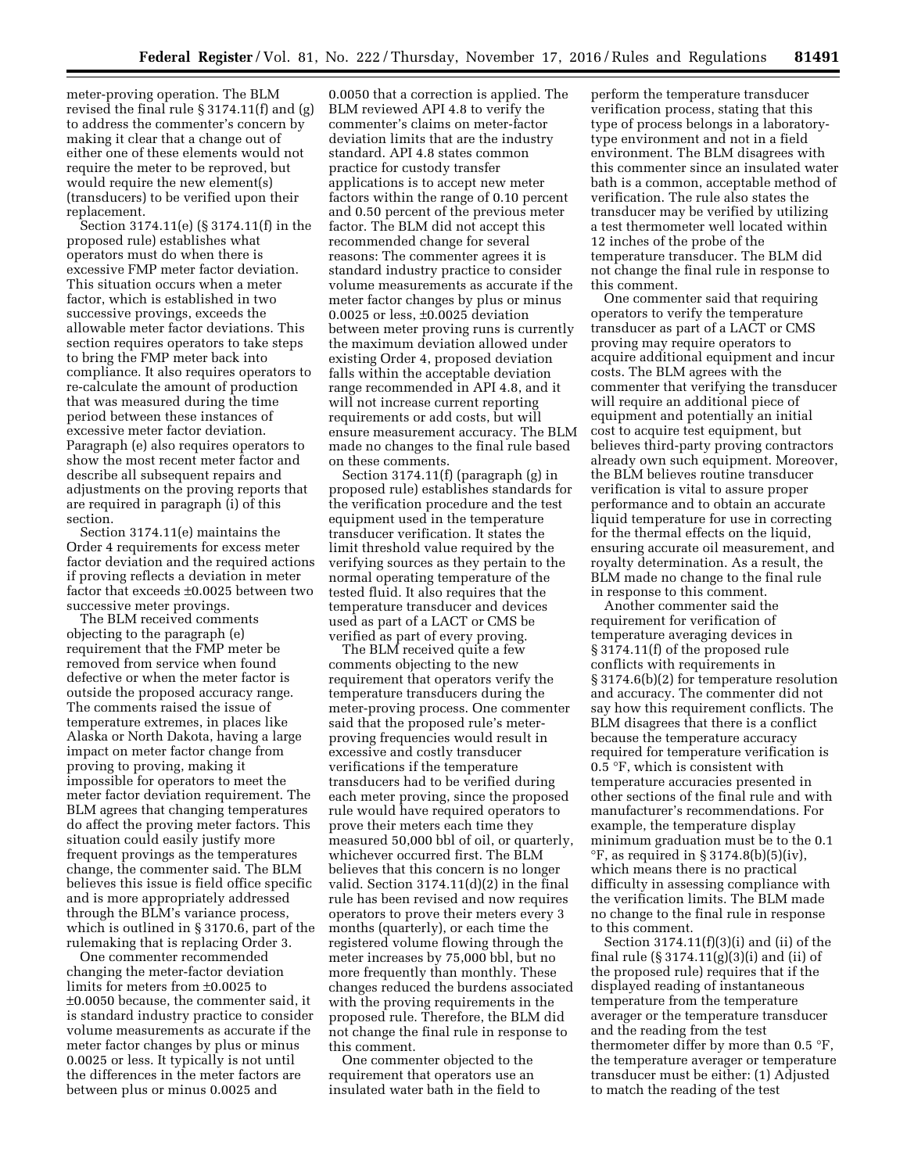meter-proving operation. The BLM revised the final rule § 3174.11(f) and (g) to address the commenter's concern by making it clear that a change out of either one of these elements would not require the meter to be reproved, but would require the new element(s) (transducers) to be verified upon their replacement.

Section 3174.11(e) (§ 3174.11(f) in the proposed rule) establishes what operators must do when there is excessive FMP meter factor deviation. This situation occurs when a meter factor, which is established in two successive provings, exceeds the allowable meter factor deviations. This section requires operators to take steps to bring the FMP meter back into compliance. It also requires operators to re-calculate the amount of production that was measured during the time period between these instances of excessive meter factor deviation. Paragraph (e) also requires operators to show the most recent meter factor and describe all subsequent repairs and adjustments on the proving reports that are required in paragraph (i) of this section.

Section 3174.11(e) maintains the Order 4 requirements for excess meter factor deviation and the required actions if proving reflects a deviation in meter factor that exceeds ±0.0025 between two successive meter provings.

The BLM received comments objecting to the paragraph (e) requirement that the FMP meter be removed from service when found defective or when the meter factor is outside the proposed accuracy range. The comments raised the issue of temperature extremes, in places like Alaska or North Dakota, having a large impact on meter factor change from proving to proving, making it impossible for operators to meet the meter factor deviation requirement. The BLM agrees that changing temperatures do affect the proving meter factors. This situation could easily justify more frequent provings as the temperatures change, the commenter said. The BLM believes this issue is field office specific and is more appropriately addressed through the BLM's variance process, which is outlined in § 3170.6, part of the rulemaking that is replacing Order 3.

One commenter recommended changing the meter-factor deviation limits for meters from ±0.0025 to ±0.0050 because, the commenter said, it is standard industry practice to consider volume measurements as accurate if the meter factor changes by plus or minus 0.0025 or less. It typically is not until the differences in the meter factors are between plus or minus 0.0025 and

0.0050 that a correction is applied. The BLM reviewed API 4.8 to verify the commenter's claims on meter-factor deviation limits that are the industry standard. API 4.8 states common practice for custody transfer applications is to accept new meter factors within the range of 0.10 percent and 0.50 percent of the previous meter factor. The BLM did not accept this recommended change for several reasons: The commenter agrees it is standard industry practice to consider volume measurements as accurate if the meter factor changes by plus or minus 0.0025 or less, ±0.0025 deviation between meter proving runs is currently the maximum deviation allowed under existing Order 4, proposed deviation falls within the acceptable deviation range recommended in API 4.8, and it will not increase current reporting requirements or add costs, but will ensure measurement accuracy. The BLM made no changes to the final rule based on these comments.

Section 3174.11(f) (paragraph (g) in proposed rule) establishes standards for the verification procedure and the test equipment used in the temperature transducer verification. It states the limit threshold value required by the verifying sources as they pertain to the normal operating temperature of the tested fluid. It also requires that the temperature transducer and devices used as part of a LACT or CMS be verified as part of every proving.

The BLM received quite a few comments objecting to the new requirement that operators verify the temperature transducers during the meter-proving process. One commenter said that the proposed rule's meterproving frequencies would result in excessive and costly transducer verifications if the temperature transducers had to be verified during each meter proving, since the proposed rule would have required operators to prove their meters each time they measured 50,000 bbl of oil, or quarterly, whichever occurred first. The BLM believes that this concern is no longer valid. Section  $3174.11(d)(2)$  in the final rule has been revised and now requires operators to prove their meters every 3 months (quarterly), or each time the registered volume flowing through the meter increases by 75,000 bbl, but no more frequently than monthly. These changes reduced the burdens associated with the proving requirements in the proposed rule. Therefore, the BLM did not change the final rule in response to this comment.

One commenter objected to the requirement that operators use an insulated water bath in the field to

perform the temperature transducer verification process, stating that this type of process belongs in a laboratorytype environment and not in a field environment. The BLM disagrees with this commenter since an insulated water bath is a common, acceptable method of verification. The rule also states the transducer may be verified by utilizing a test thermometer well located within 12 inches of the probe of the temperature transducer. The BLM did not change the final rule in response to this comment.

One commenter said that requiring operators to verify the temperature transducer as part of a LACT or CMS proving may require operators to acquire additional equipment and incur costs. The BLM agrees with the commenter that verifying the transducer will require an additional piece of equipment and potentially an initial cost to acquire test equipment, but believes third-party proving contractors already own such equipment. Moreover, the BLM believes routine transducer verification is vital to assure proper performance and to obtain an accurate liquid temperature for use in correcting for the thermal effects on the liquid, ensuring accurate oil measurement, and royalty determination. As a result, the BLM made no change to the final rule in response to this comment.

Another commenter said the requirement for verification of temperature averaging devices in § 3174.11(f) of the proposed rule conflicts with requirements in § 3174.6(b)(2) for temperature resolution and accuracy. The commenter did not say how this requirement conflicts. The BLM disagrees that there is a conflict because the temperature accuracy required for temperature verification is 0.5 °F, which is consistent with temperature accuracies presented in other sections of the final rule and with manufacturer's recommendations. For example, the temperature display minimum graduation must be to the 0.1  $\degree$ F, as required in § 3174.8(b)(5)(iv), which means there is no practical difficulty in assessing compliance with the verification limits. The BLM made no change to the final rule in response to this comment.

Section  $3174.11(f)(3)(i)$  and (ii) of the final rule (§ 3174.11(g)(3)(i) and (ii) of the proposed rule) requires that if the displayed reading of instantaneous temperature from the temperature averager or the temperature transducer and the reading from the test thermometer differ by more than 0.5 °F, the temperature averager or temperature transducer must be either: (1) Adjusted to match the reading of the test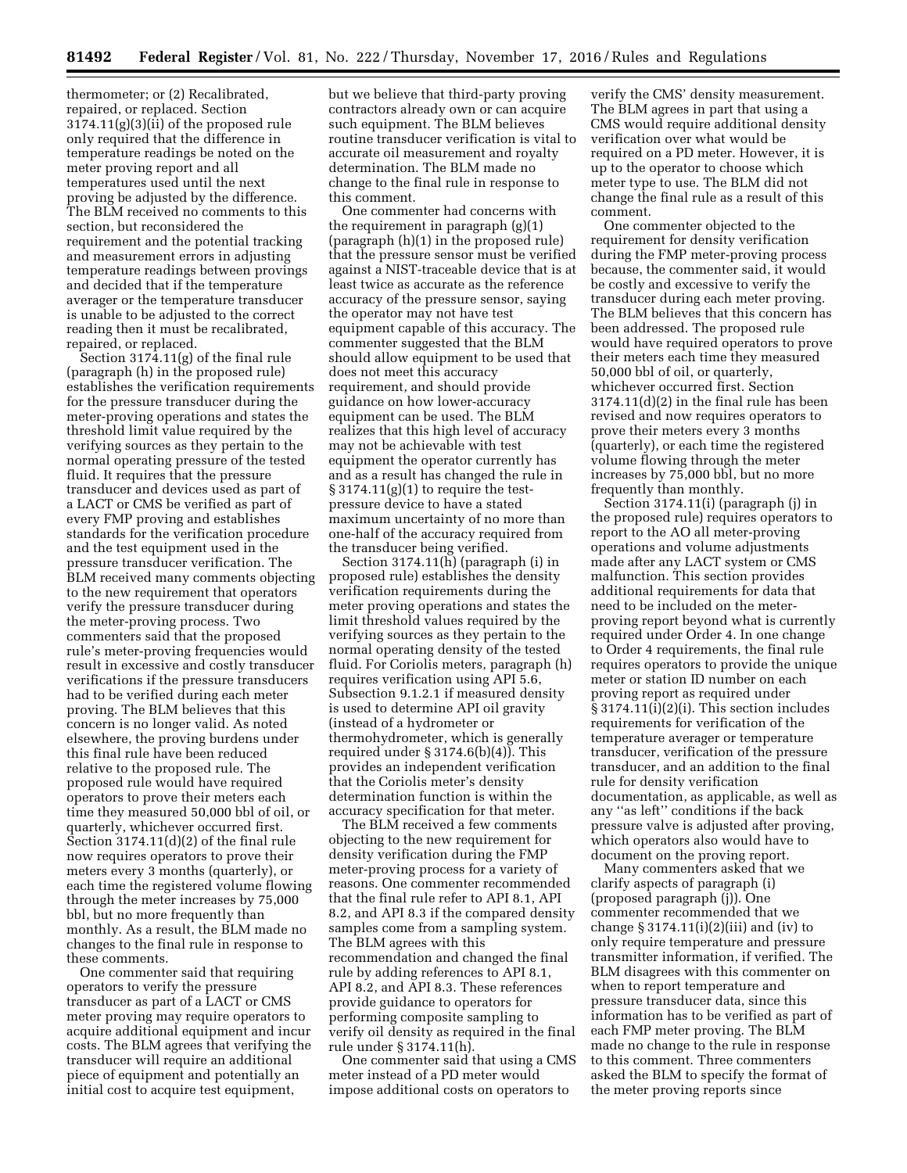thermometer; or (2) Recalibrated, repaired, or replaced. Section 3174.11(g)(3)(ii) of the proposed rule only required that the difference in temperature readings be noted on the meter proving report and all temperatures used until the next proving be adjusted by the difference. The BLM received no comments to this section, but reconsidered the requirement and the potential tracking and measurement errors in adjusting temperature readings between provings and decided that if the temperature averager or the temperature transducer is unable to be adjusted to the correct reading then it must be recalibrated, repaired, or replaced.

Section 3174.11(g) of the final rule (paragraph (h) in the proposed rule) establishes the verification requirements for the pressure transducer during the meter-proving operations and states the threshold limit value required by the verifying sources as they pertain to the normal operating pressure of the tested fluid. It requires that the pressure transducer and devices used as part of a LACT or CMS be verified as part of every FMP proving and establishes standards for the verification procedure and the test equipment used in the pressure transducer verification. The BLM received many comments objecting to the new requirement that operators verify the pressure transducer during the meter-proving process. Two commenters said that the proposed rule's meter-proving frequencies would result in excessive and costly transducer verifications if the pressure transducers had to be verified during each meter proving. The BLM believes that this concern is no longer valid. As noted elsewhere, the proving burdens under this final rule have been reduced relative to the proposed rule. The proposed rule would have required operators to prove their meters each time they measured 50,000 bbl of oil, or quarterly, whichever occurred first. Section 3174.11(d)(2) of the final rule now requires operators to prove their meters every 3 months (quarterly), or each time the registered volume flowing through the meter increases by 75,000 bbl, but no more frequently than monthly. As a result, the BLM made no changes to the final rule in response to these comments.

One commenter said that requiring operators to verify the pressure transducer as part of a LACT or CMS meter proving may require operators to acquire additional equipment and incur costs. The BLM agrees that verifying the transducer will require an additional piece of equipment and potentially an initial cost to acquire test equipment,

but we believe that third-party proving contractors already own or can acquire such equipment. The BLM believes routine transducer verification is vital to accurate oil measurement and royalty determination. The BLM made no change to the final rule in response to this comment.

One commenter had concerns with the requirement in paragraph (g)(1) (paragraph (h)(1) in the proposed rule) that the pressure sensor must be verified against a NIST-traceable device that is at least twice as accurate as the reference accuracy of the pressure sensor, saying the operator may not have test equipment capable of this accuracy. The commenter suggested that the BLM should allow equipment to be used that does not meet this accuracy requirement, and should provide guidance on how lower-accuracy equipment can be used. The BLM realizes that this high level of accuracy may not be achievable with test equipment the operator currently has and as a result has changed the rule in  $\S 3174.11(g)(1)$  to require the testpressure device to have a stated maximum uncertainty of no more than one-half of the accuracy required from the transducer being verified.

Section 3174.11(h) (paragraph (i) in proposed rule) establishes the density verification requirements during the meter proving operations and states the limit threshold values required by the verifying sources as they pertain to the normal operating density of the tested fluid. For Coriolis meters, paragraph (h) requires verification using API 5.6, Subsection 9.1.2.1 if measured density is used to determine API oil gravity (instead of a hydrometer or thermohydrometer, which is generally required under  $\S 3174.6(b)(4)$ . This provides an independent verification that the Coriolis meter's density determination function is within the accuracy specification for that meter.

The BLM received a few comments objecting to the new requirement for density verification during the FMP meter-proving process for a variety of reasons. One commenter recommended that the final rule refer to API 8.1, API 8.2, and API 8.3 if the compared density samples come from a sampling system. The BLM agrees with this recommendation and changed the final rule by adding references to API 8.1, API 8.2, and API 8.3. These references provide guidance to operators for performing composite sampling to verify oil density as required in the final rule under § 3174.11(h).

One commenter said that using a CMS meter instead of a PD meter would impose additional costs on operators to

verify the CMS' density measurement. The BLM agrees in part that using a CMS would require additional density verification over what would be required on a PD meter. However, it is up to the operator to choose which meter type to use. The BLM did not change the final rule as a result of this comment.

One commenter objected to the requirement for density verification during the FMP meter-proving process because, the commenter said, it would be costly and excessive to verify the transducer during each meter proving. The BLM believes that this concern has been addressed. The proposed rule would have required operators to prove their meters each time they measured 50,000 bbl of oil, or quarterly, whichever occurred first. Section 3174.11(d)(2) in the final rule has been revised and now requires operators to prove their meters every 3 months (quarterly), or each time the registered volume flowing through the meter increases by 75,000 bbl, but no more frequently than monthly.

Section 3174.11(i) (paragraph (j) in the proposed rule) requires operators to report to the AO all meter-proving operations and volume adjustments made after any LACT system or CMS malfunction. This section provides additional requirements for data that need to be included on the meterproving report beyond what is currently required under Order 4. In one change to Order 4 requirements, the final rule requires operators to provide the unique meter or station ID number on each proving report as required under § 3174.11(i)(2)(i). This section includes requirements for verification of the temperature averager or temperature transducer, verification of the pressure transducer, and an addition to the final rule for density verification documentation, as applicable, as well as any ''as left'' conditions if the back pressure valve is adjusted after proving, which operators also would have to document on the proving report.

Many commenters asked that we clarify aspects of paragraph (i) (proposed paragraph (j)). One commenter recommended that we change  $\S 3174.11(i)(2)(iii)$  and (iv) to only require temperature and pressure transmitter information, if verified. The BLM disagrees with this commenter on when to report temperature and pressure transducer data, since this information has to be verified as part of each FMP meter proving. The BLM made no change to the rule in response to this comment. Three commenters asked the BLM to specify the format of the meter proving reports since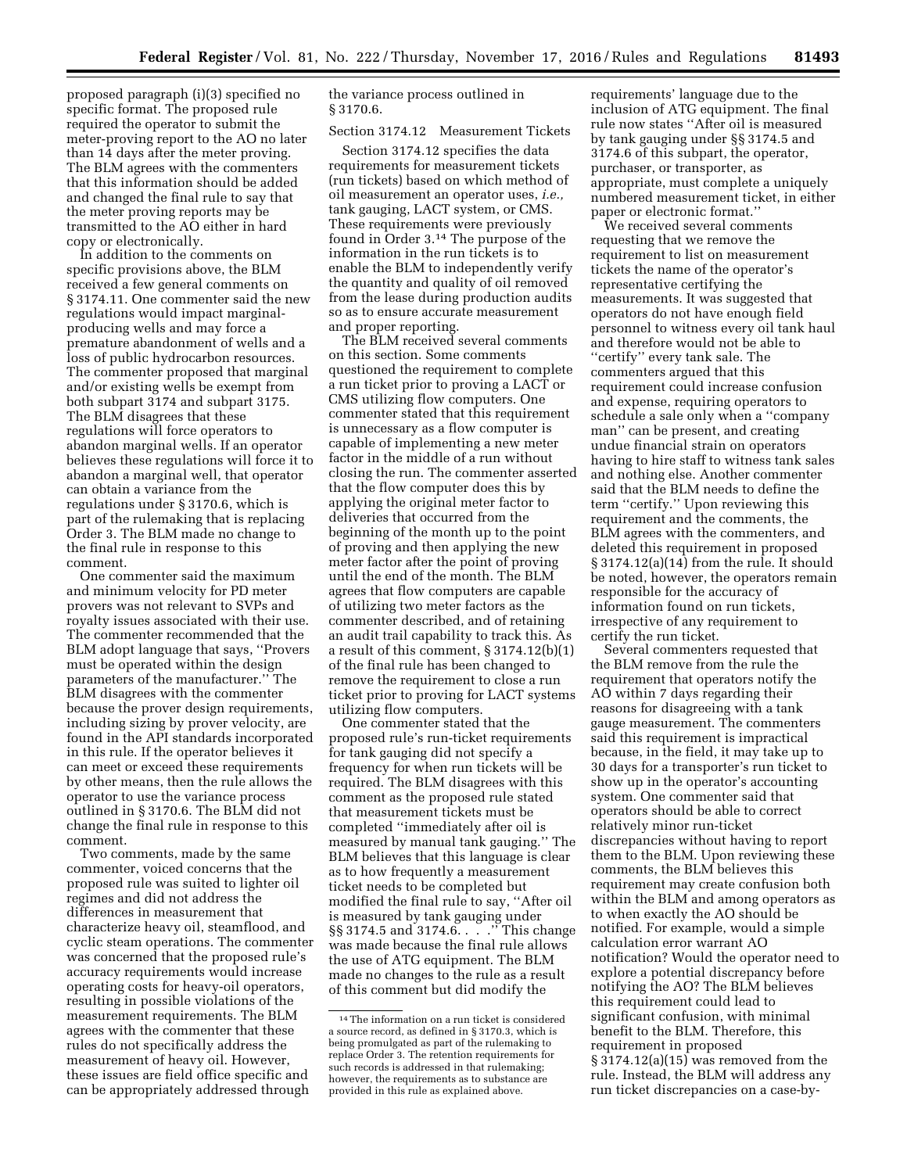proposed paragraph (i)(3) specified no specific format. The proposed rule required the operator to submit the meter-proving report to the AO no later than 14 days after the meter proving. The BLM agrees with the commenters that this information should be added and changed the final rule to say that the meter proving reports may be transmitted to the AO either in hard copy or electronically.

In addition to the comments on specific provisions above, the BLM received a few general comments on § 3174.11. One commenter said the new regulations would impact marginalproducing wells and may force a premature abandonment of wells and a loss of public hydrocarbon resources. The commenter proposed that marginal and/or existing wells be exempt from both subpart 3174 and subpart 3175. The BLM disagrees that these regulations will force operators to abandon marginal wells. If an operator believes these regulations will force it to abandon a marginal well, that operator can obtain a variance from the regulations under § 3170.6, which is part of the rulemaking that is replacing Order 3. The BLM made no change to the final rule in response to this comment.

One commenter said the maximum and minimum velocity for PD meter provers was not relevant to SVPs and royalty issues associated with their use. The commenter recommended that the BLM adopt language that says, ''Provers must be operated within the design parameters of the manufacturer.'' The BLM disagrees with the commenter because the prover design requirements, including sizing by prover velocity, are found in the API standards incorporated in this rule. If the operator believes it can meet or exceed these requirements by other means, then the rule allows the operator to use the variance process outlined in § 3170.6. The BLM did not change the final rule in response to this comment.

Two comments, made by the same commenter, voiced concerns that the proposed rule was suited to lighter oil regimes and did not address the differences in measurement that characterize heavy oil, steamflood, and cyclic steam operations. The commenter was concerned that the proposed rule's accuracy requirements would increase operating costs for heavy-oil operators, resulting in possible violations of the measurement requirements. The BLM agrees with the commenter that these rules do not specifically address the measurement of heavy oil. However, these issues are field office specific and can be appropriately addressed through

the variance process outlined in § 3170.6.

Section 3174.12 Measurement Tickets

Section 3174.12 specifies the data requirements for measurement tickets (run tickets) based on which method of oil measurement an operator uses, *i.e.,*  tank gauging, LACT system, or CMS. These requirements were previously found in Order 3.14 The purpose of the information in the run tickets is to enable the BLM to independently verify the quantity and quality of oil removed from the lease during production audits so as to ensure accurate measurement and proper reporting.

The BLM received several comments on this section. Some comments questioned the requirement to complete a run ticket prior to proving a LACT or CMS utilizing flow computers. One commenter stated that this requirement is unnecessary as a flow computer is capable of implementing a new meter factor in the middle of a run without closing the run. The commenter asserted that the flow computer does this by applying the original meter factor to deliveries that occurred from the beginning of the month up to the point of proving and then applying the new meter factor after the point of proving until the end of the month. The BLM agrees that flow computers are capable of utilizing two meter factors as the commenter described, and of retaining an audit trail capability to track this. As a result of this comment, § 3174.12(b)(1) of the final rule has been changed to remove the requirement to close a run ticket prior to proving for LACT systems utilizing flow computers.

One commenter stated that the proposed rule's run-ticket requirements for tank gauging did not specify a frequency for when run tickets will be required. The BLM disagrees with this comment as the proposed rule stated that measurement tickets must be completed ''immediately after oil is measured by manual tank gauging.'' The BLM believes that this language is clear as to how frequently a measurement ticket needs to be completed but modified the final rule to say, ''After oil is measured by tank gauging under §§ 3174.5 and 3174.6. . . . . <sup>"</sup> This change was made because the final rule allows the use of ATG equipment. The BLM made no changes to the rule as a result of this comment but did modify the

requirements' language due to the inclusion of ATG equipment. The final rule now states ''After oil is measured by tank gauging under §§ 3174.5 and 3174.6 of this subpart, the operator, purchaser, or transporter, as appropriate, must complete a uniquely numbered measurement ticket, in either paper or electronic format.''

We received several comments requesting that we remove the requirement to list on measurement tickets the name of the operator's representative certifying the measurements. It was suggested that operators do not have enough field personnel to witness every oil tank haul and therefore would not be able to ''certify'' every tank sale. The commenters argued that this requirement could increase confusion and expense, requiring operators to schedule a sale only when a ''company man'' can be present, and creating undue financial strain on operators having to hire staff to witness tank sales and nothing else. Another commenter said that the BLM needs to define the term ''certify.'' Upon reviewing this requirement and the comments, the BLM agrees with the commenters, and deleted this requirement in proposed § 3174.12(a)(14) from the rule. It should be noted, however, the operators remain responsible for the accuracy of information found on run tickets, irrespective of any requirement to certify the run ticket.

Several commenters requested that the BLM remove from the rule the requirement that operators notify the AO within 7 days regarding their reasons for disagreeing with a tank gauge measurement. The commenters said this requirement is impractical because, in the field, it may take up to 30 days for a transporter's run ticket to show up in the operator's accounting system. One commenter said that operators should be able to correct relatively minor run-ticket discrepancies without having to report them to the BLM. Upon reviewing these comments, the BLM believes this requirement may create confusion both within the BLM and among operators as to when exactly the AO should be notified. For example, would a simple calculation error warrant AO notification? Would the operator need to explore a potential discrepancy before notifying the AO? The BLM believes this requirement could lead to significant confusion, with minimal benefit to the BLM. Therefore, this requirement in proposed § 3174.12(a)(15) was removed from the rule. Instead, the BLM will address any run ticket discrepancies on a case-by-

<sup>14</sup>The information on a run ticket is considered a source record, as defined in § 3170.3, which is being promulgated as part of the rulemaking to replace Order 3. The retention requirements for such records is addressed in that rulemaking; however, the requirements as to substance are provided in this rule as explained above.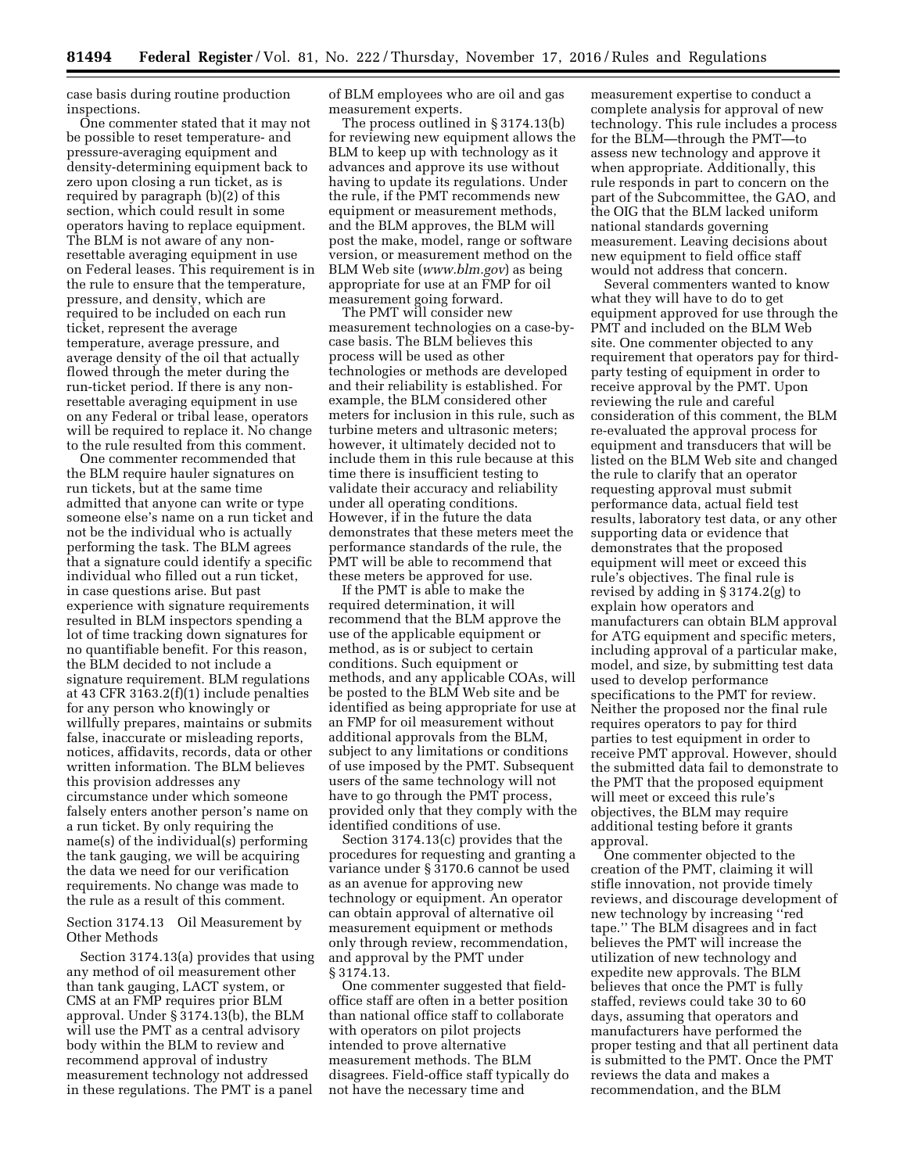case basis during routine production inspections.

One commenter stated that it may not be possible to reset temperature- and pressure-averaging equipment and density-determining equipment back to zero upon closing a run ticket, as is required by paragraph (b)(2) of this section, which could result in some operators having to replace equipment. The BLM is not aware of any nonresettable averaging equipment in use on Federal leases. This requirement is in the rule to ensure that the temperature, pressure, and density, which are required to be included on each run ticket, represent the average temperature, average pressure, and average density of the oil that actually flowed through the meter during the run-ticket period. If there is any nonresettable averaging equipment in use on any Federal or tribal lease, operators will be required to replace it. No change to the rule resulted from this comment.

One commenter recommended that the BLM require hauler signatures on run tickets, but at the same time admitted that anyone can write or type someone else's name on a run ticket and not be the individual who is actually performing the task. The BLM agrees that a signature could identify a specific individual who filled out a run ticket, in case questions arise. But past experience with signature requirements resulted in BLM inspectors spending a lot of time tracking down signatures for no quantifiable benefit. For this reason, the BLM decided to not include a signature requirement. BLM regulations at 43 CFR 3163.2(f)(1) include penalties for any person who knowingly or willfully prepares, maintains or submits false, inaccurate or misleading reports, notices, affidavits, records, data or other written information. The BLM believes this provision addresses any circumstance under which someone falsely enters another person's name on a run ticket. By only requiring the name(s) of the individual(s) performing the tank gauging, we will be acquiring the data we need for our verification requirements. No change was made to the rule as a result of this comment.

Section 3174.13 Oil Measurement by Other Methods

Section 3174.13(a) provides that using any method of oil measurement other than tank gauging, LACT system, or CMS at an FMP requires prior BLM approval. Under § 3174.13(b), the BLM will use the PMT as a central advisory body within the BLM to review and recommend approval of industry measurement technology not addressed in these regulations. The PMT is a panel

of BLM employees who are oil and gas measurement experts.

The process outlined in § 3174.13(b) for reviewing new equipment allows the BLM to keep up with technology as it advances and approve its use without having to update its regulations. Under the rule, if the PMT recommends new equipment or measurement methods, and the BLM approves, the BLM will post the make, model, range or software version, or measurement method on the BLM Web site (*[www.blm.gov](http://www.blm.gov)*) as being appropriate for use at an FMP for oil measurement going forward.

The PMT will consider new measurement technologies on a case-bycase basis. The BLM believes this process will be used as other technologies or methods are developed and their reliability is established. For example, the BLM considered other meters for inclusion in this rule, such as turbine meters and ultrasonic meters; however, it ultimately decided not to include them in this rule because at this time there is insufficient testing to validate their accuracy and reliability under all operating conditions. However, if in the future the data demonstrates that these meters meet the performance standards of the rule, the PMT will be able to recommend that these meters be approved for use.

If the PMT is able to make the required determination, it will recommend that the BLM approve the use of the applicable equipment or method, as is or subject to certain conditions. Such equipment or methods, and any applicable COAs, will be posted to the BLM Web site and be identified as being appropriate for use at an FMP for oil measurement without additional approvals from the BLM, subject to any limitations or conditions of use imposed by the PMT. Subsequent users of the same technology will not have to go through the PMT process, provided only that they comply with the identified conditions of use.

Section 3174.13(c) provides that the procedures for requesting and granting a variance under § 3170.6 cannot be used as an avenue for approving new technology or equipment. An operator can obtain approval of alternative oil measurement equipment or methods only through review, recommendation, and approval by the PMT under § 3174.13.

One commenter suggested that fieldoffice staff are often in a better position than national office staff to collaborate with operators on pilot projects intended to prove alternative measurement methods. The BLM disagrees. Field-office staff typically do not have the necessary time and

measurement expertise to conduct a complete analysis for approval of new technology. This rule includes a process for the BLM—through the PMT—to assess new technology and approve it when appropriate. Additionally, this rule responds in part to concern on the part of the Subcommittee, the GAO, and the OIG that the BLM lacked uniform national standards governing measurement. Leaving decisions about new equipment to field office staff would not address that concern.

Several commenters wanted to know what they will have to do to get equipment approved for use through the PMT and included on the BLM Web site. One commenter objected to any requirement that operators pay for thirdparty testing of equipment in order to receive approval by the PMT. Upon reviewing the rule and careful consideration of this comment, the BLM re-evaluated the approval process for equipment and transducers that will be listed on the BLM Web site and changed the rule to clarify that an operator requesting approval must submit performance data, actual field test results, laboratory test data, or any other supporting data or evidence that demonstrates that the proposed equipment will meet or exceed this rule's objectives. The final rule is revised by adding in § 3174.2(g) to explain how operators and manufacturers can obtain BLM approval for ATG equipment and specific meters, including approval of a particular make, model, and size, by submitting test data used to develop performance specifications to the PMT for review. Neither the proposed nor the final rule requires operators to pay for third parties to test equipment in order to receive PMT approval. However, should the submitted data fail to demonstrate to the PMT that the proposed equipment will meet or exceed this rule's objectives, the BLM may require additional testing before it grants approval.

One commenter objected to the creation of the PMT, claiming it will stifle innovation, not provide timely reviews, and discourage development of new technology by increasing ''red tape.'' The BLM disagrees and in fact believes the PMT will increase the utilization of new technology and expedite new approvals. The BLM believes that once the PMT is fully staffed, reviews could take 30 to 60 days, assuming that operators and manufacturers have performed the proper testing and that all pertinent data is submitted to the PMT. Once the PMT reviews the data and makes a recommendation, and the BLM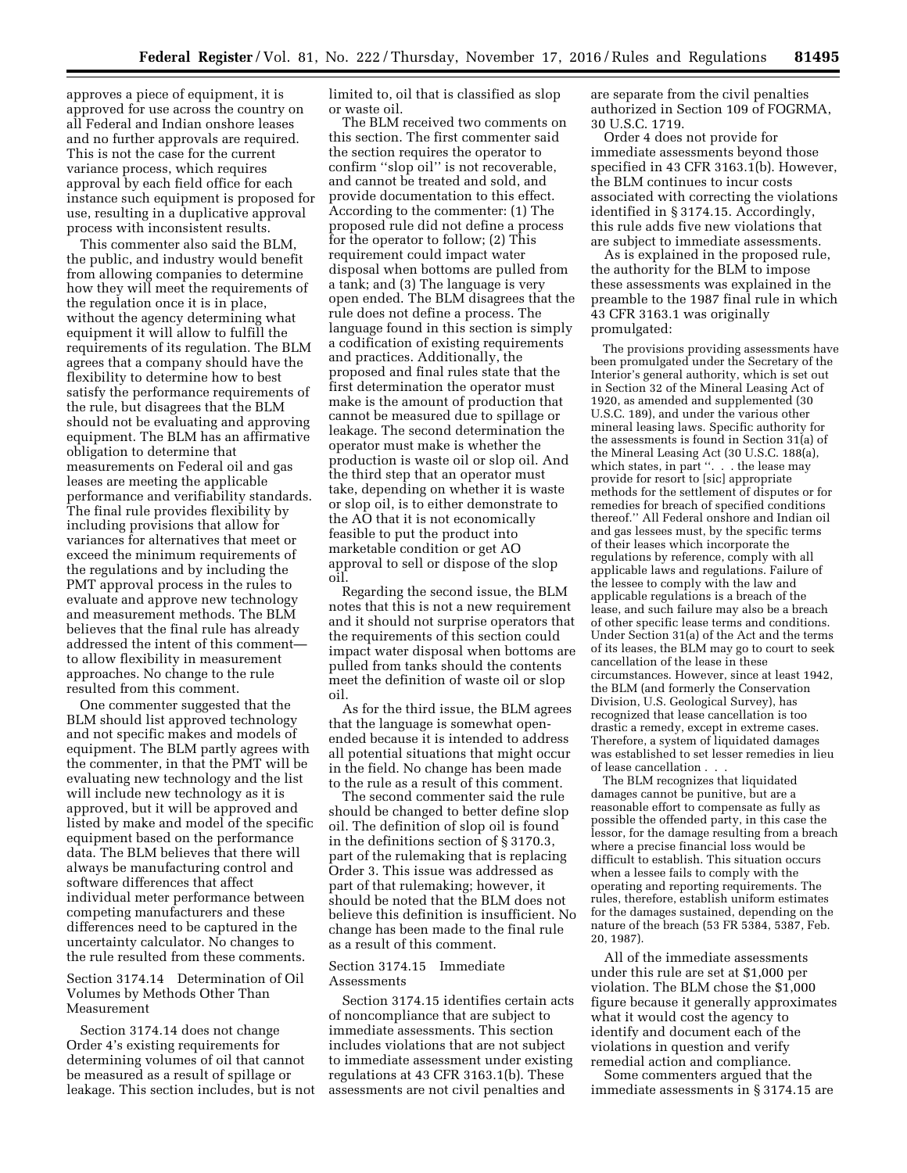approves a piece of equipment, it is approved for use across the country on all Federal and Indian onshore leases and no further approvals are required. This is not the case for the current variance process, which requires approval by each field office for each instance such equipment is proposed for use, resulting in a duplicative approval process with inconsistent results.

This commenter also said the BLM, the public, and industry would benefit from allowing companies to determine how they will meet the requirements of the regulation once it is in place, without the agency determining what equipment it will allow to fulfill the requirements of its regulation. The BLM agrees that a company should have the flexibility to determine how to best satisfy the performance requirements of the rule, but disagrees that the BLM should not be evaluating and approving equipment. The BLM has an affirmative obligation to determine that measurements on Federal oil and gas leases are meeting the applicable performance and verifiability standards. The final rule provides flexibility by including provisions that allow for variances for alternatives that meet or exceed the minimum requirements of the regulations and by including the PMT approval process in the rules to evaluate and approve new technology and measurement methods. The BLM believes that the final rule has already addressed the intent of this comment to allow flexibility in measurement approaches. No change to the rule resulted from this comment.

One commenter suggested that the BLM should list approved technology and not specific makes and models of equipment. The BLM partly agrees with the commenter, in that the PMT will be evaluating new technology and the list will include new technology as it is approved, but it will be approved and listed by make and model of the specific equipment based on the performance data. The BLM believes that there will always be manufacturing control and software differences that affect individual meter performance between competing manufacturers and these differences need to be captured in the uncertainty calculator. No changes to the rule resulted from these comments.

### Section 3174.14 Determination of Oil Volumes by Methods Other Than Measurement

Section 3174.14 does not change Order 4's existing requirements for determining volumes of oil that cannot be measured as a result of spillage or leakage. This section includes, but is not limited to, oil that is classified as slop or waste oil.

The BLM received two comments on this section. The first commenter said the section requires the operator to confirm ''slop oil'' is not recoverable, and cannot be treated and sold, and provide documentation to this effect. According to the commenter: (1) The proposed rule did not define a process for the operator to follow; (2) This requirement could impact water disposal when bottoms are pulled from a tank; and (3) The language is very open ended. The BLM disagrees that the rule does not define a process. The language found in this section is simply a codification of existing requirements and practices. Additionally, the proposed and final rules state that the first determination the operator must make is the amount of production that cannot be measured due to spillage or leakage. The second determination the operator must make is whether the production is waste oil or slop oil. And the third step that an operator must take, depending on whether it is waste or slop oil, is to either demonstrate to the AO that it is not economically feasible to put the product into marketable condition or get AO approval to sell or dispose of the slop oil.

Regarding the second issue, the BLM notes that this is not a new requirement and it should not surprise operators that the requirements of this section could impact water disposal when bottoms are pulled from tanks should the contents meet the definition of waste oil or slop oil.

As for the third issue, the BLM agrees that the language is somewhat openended because it is intended to address all potential situations that might occur in the field. No change has been made to the rule as a result of this comment.

The second commenter said the rule should be changed to better define slop oil. The definition of slop oil is found in the definitions section of § 3170.3, part of the rulemaking that is replacing Order 3. This issue was addressed as part of that rulemaking; however, it should be noted that the BLM does not believe this definition is insufficient. No change has been made to the final rule as a result of this comment.

### Section 3174.15 Immediate Assessments

Section 3174.15 identifies certain acts of noncompliance that are subject to immediate assessments. This section includes violations that are not subject to immediate assessment under existing regulations at 43 CFR 3163.1(b). These assessments are not civil penalties and

are separate from the civil penalties authorized in Section 109 of FOGRMA, 30 U.S.C. 1719.

Order 4 does not provide for immediate assessments beyond those specified in 43 CFR 3163.1(b). However, the BLM continues to incur costs associated with correcting the violations identified in § 3174.15. Accordingly, this rule adds five new violations that are subject to immediate assessments.

As is explained in the proposed rule, the authority for the BLM to impose these assessments was explained in the preamble to the 1987 final rule in which 43 CFR 3163.1 was originally promulgated:

The provisions providing assessments have been promulgated under the Secretary of the Interior's general authority, which is set out in Section 32 of the Mineral Leasing Act of 1920, as amended and supplemented (30 U.S.C. 189), and under the various other mineral leasing laws. Specific authority for the assessments is found in Section 31(a) of the Mineral Leasing Act (30 U.S.C. 188(a), which states, in part ". . . the lease may provide for resort to [sic] appropriate methods for the settlement of disputes or for remedies for breach of specified conditions thereof.'' All Federal onshore and Indian oil and gas lessees must, by the specific terms of their leases which incorporate the regulations by reference, comply with all applicable laws and regulations. Failure of the lessee to comply with the law and applicable regulations is a breach of the lease, and such failure may also be a breach of other specific lease terms and conditions. Under Section 31(a) of the Act and the terms of its leases, the BLM may go to court to seek cancellation of the lease in these circumstances. However, since at least 1942, the BLM (and formerly the Conservation Division, U.S. Geological Survey), has recognized that lease cancellation is too drastic a remedy, except in extreme cases. Therefore, a system of liquidated damages was established to set lesser remedies in lieu of lease cancellation . . .

The BLM recognizes that liquidated damages cannot be punitive, but are a reasonable effort to compensate as fully as possible the offended party, in this case the lessor, for the damage resulting from a breach where a precise financial loss would be difficult to establish. This situation occurs when a lessee fails to comply with the operating and reporting requirements. The rules, therefore, establish uniform estimates for the damages sustained, depending on the nature of the breach (53 FR 5384, 5387, Feb. 20, 1987).

All of the immediate assessments under this rule are set at \$1,000 per violation. The BLM chose the \$1,000 figure because it generally approximates what it would cost the agency to identify and document each of the violations in question and verify remedial action and compliance.

Some commenters argued that the immediate assessments in § 3174.15 are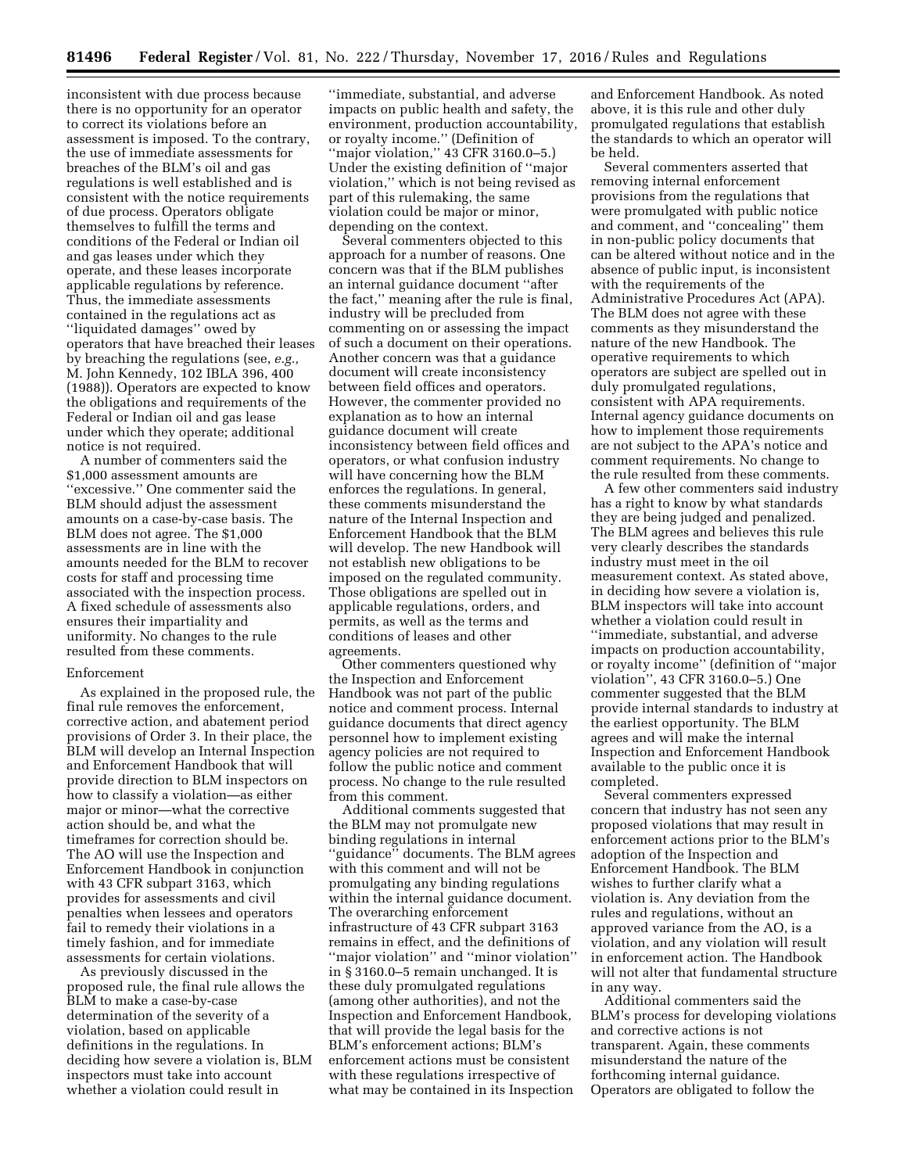inconsistent with due process because there is no opportunity for an operator to correct its violations before an assessment is imposed. To the contrary, the use of immediate assessments for breaches of the BLM's oil and gas regulations is well established and is consistent with the notice requirements of due process. Operators obligate themselves to fulfill the terms and conditions of the Federal or Indian oil and gas leases under which they operate, and these leases incorporate applicable regulations by reference. Thus, the immediate assessments contained in the regulations act as ''liquidated damages'' owed by operators that have breached their leases by breaching the regulations (see, *e.g.,*  M. John Kennedy, 102 IBLA 396, 400 (1988)). Operators are expected to know the obligations and requirements of the Federal or Indian oil and gas lease under which they operate; additional notice is not required.

A number of commenters said the \$1,000 assessment amounts are ''excessive.'' One commenter said the BLM should adjust the assessment amounts on a case-by-case basis. The BLM does not agree. The \$1,000 assessments are in line with the amounts needed for the BLM to recover costs for staff and processing time associated with the inspection process. A fixed schedule of assessments also ensures their impartiality and uniformity. No changes to the rule resulted from these comments.

### Enforcement

As explained in the proposed rule, the final rule removes the enforcement, corrective action, and abatement period provisions of Order 3. In their place, the BLM will develop an Internal Inspection and Enforcement Handbook that will provide direction to BLM inspectors on how to classify a violation—as either major or minor—what the corrective action should be, and what the timeframes for correction should be. The AO will use the Inspection and Enforcement Handbook in conjunction with 43 CFR subpart 3163, which provides for assessments and civil penalties when lessees and operators fail to remedy their violations in a timely fashion, and for immediate assessments for certain violations.

As previously discussed in the proposed rule, the final rule allows the BLM to make a case-by-case determination of the severity of a violation, based on applicable definitions in the regulations. In deciding how severe a violation is, BLM inspectors must take into account whether a violation could result in

''immediate, substantial, and adverse impacts on public health and safety, the environment, production accountability, or royalty income.'' (Definition of "major violation," 43 CFR 3160.0-5.) Under the existing definition of ''major violation,'' which is not being revised as part of this rulemaking, the same violation could be major or minor, depending on the context.

Several commenters objected to this approach for a number of reasons. One concern was that if the BLM publishes an internal guidance document ''after the fact,'' meaning after the rule is final, industry will be precluded from commenting on or assessing the impact of such a document on their operations. Another concern was that a guidance document will create inconsistency between field offices and operators. However, the commenter provided no explanation as to how an internal guidance document will create inconsistency between field offices and operators, or what confusion industry will have concerning how the BLM enforces the regulations. In general, these comments misunderstand the nature of the Internal Inspection and Enforcement Handbook that the BLM will develop. The new Handbook will not establish new obligations to be imposed on the regulated community. Those obligations are spelled out in applicable regulations, orders, and permits, as well as the terms and conditions of leases and other agreements.

Other commenters questioned why the Inspection and Enforcement Handbook was not part of the public notice and comment process. Internal guidance documents that direct agency personnel how to implement existing agency policies are not required to follow the public notice and comment process. No change to the rule resulted from this comment.

Additional comments suggested that the BLM may not promulgate new binding regulations in internal ''guidance'' documents. The BLM agrees with this comment and will not be promulgating any binding regulations within the internal guidance document. The overarching enforcement infrastructure of 43 CFR subpart 3163 remains in effect, and the definitions of ''major violation'' and ''minor violation'' in § 3160.0–5 remain unchanged. It is these duly promulgated regulations (among other authorities), and not the Inspection and Enforcement Handbook, that will provide the legal basis for the BLM's enforcement actions; BLM's enforcement actions must be consistent with these regulations irrespective of what may be contained in its Inspection

and Enforcement Handbook. As noted above, it is this rule and other duly promulgated regulations that establish the standards to which an operator will be held.

Several commenters asserted that removing internal enforcement provisions from the regulations that were promulgated with public notice and comment, and ''concealing'' them in non-public policy documents that can be altered without notice and in the absence of public input, is inconsistent with the requirements of the Administrative Procedures Act (APA). The BLM does not agree with these comments as they misunderstand the nature of the new Handbook. The operative requirements to which operators are subject are spelled out in duly promulgated regulations, consistent with APA requirements. Internal agency guidance documents on how to implement those requirements are not subject to the APA's notice and comment requirements. No change to the rule resulted from these comments.

A few other commenters said industry has a right to know by what standards they are being judged and penalized. The BLM agrees and believes this rule very clearly describes the standards industry must meet in the oil measurement context. As stated above, in deciding how severe a violation is, BLM inspectors will take into account whether a violation could result in ''immediate, substantial, and adverse impacts on production accountability, or royalty income'' (definition of ''major violation'', 43 CFR 3160.0–5.) One commenter suggested that the BLM provide internal standards to industry at the earliest opportunity. The BLM agrees and will make the internal Inspection and Enforcement Handbook available to the public once it is completed.

Several commenters expressed concern that industry has not seen any proposed violations that may result in enforcement actions prior to the BLM's adoption of the Inspection and Enforcement Handbook. The BLM wishes to further clarify what a violation is. Any deviation from the rules and regulations, without an approved variance from the AO, is a violation, and any violation will result in enforcement action. The Handbook will not alter that fundamental structure in any way.

Additional commenters said the BLM's process for developing violations and corrective actions is not transparent. Again, these comments misunderstand the nature of the forthcoming internal guidance. Operators are obligated to follow the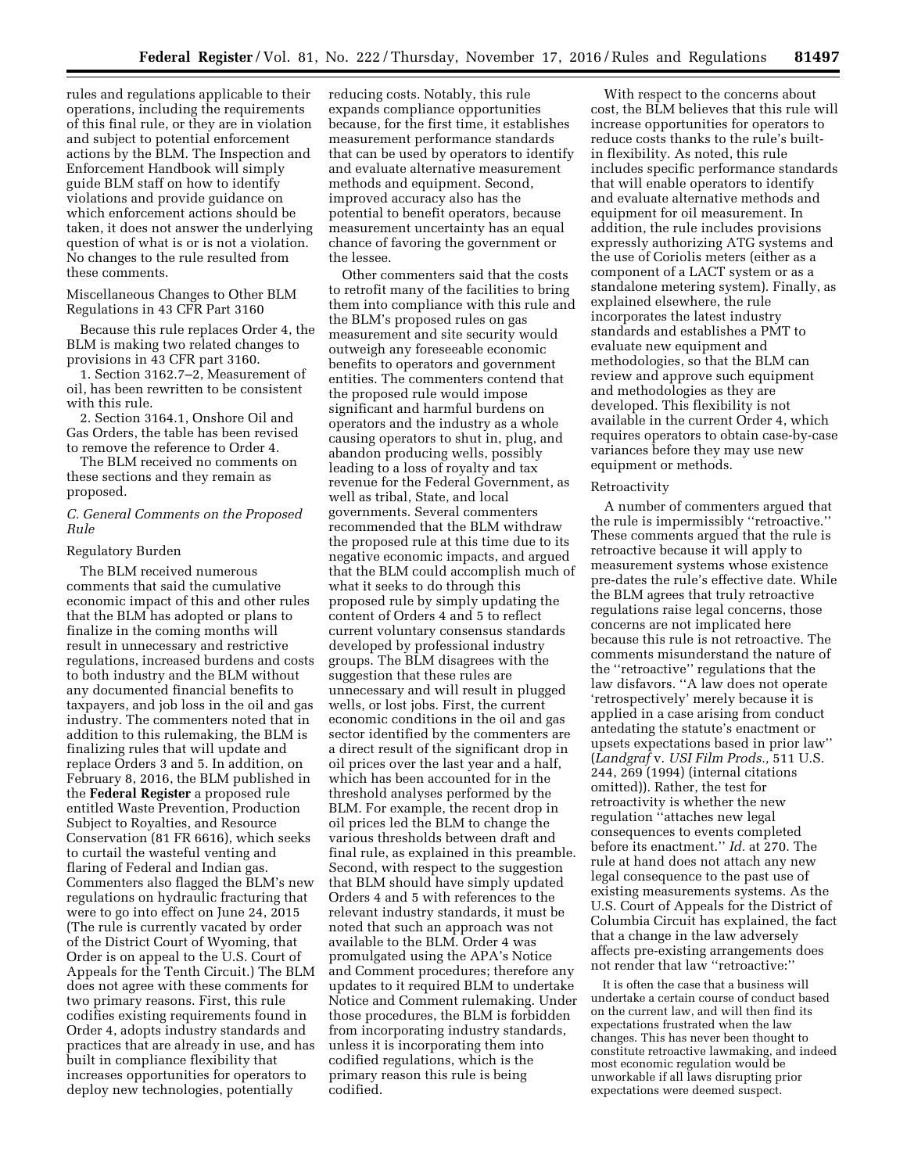rules and regulations applicable to their operations, including the requirements of this final rule, or they are in violation and subject to potential enforcement actions by the BLM. The Inspection and Enforcement Handbook will simply guide BLM staff on how to identify violations and provide guidance on which enforcement actions should be taken, it does not answer the underlying question of what is or is not a violation. No changes to the rule resulted from these comments.

## Miscellaneous Changes to Other BLM Regulations in 43 CFR Part 3160

Because this rule replaces Order 4, the BLM is making two related changes to provisions in 43 CFR part 3160.

1. Section 3162.7–2, Measurement of oil, has been rewritten to be consistent with this rule.

2. Section 3164.1, Onshore Oil and Gas Orders, the table has been revised to remove the reference to Order 4.

The BLM received no comments on these sections and they remain as proposed.

#### *C. General Comments on the Proposed Rule*

#### Regulatory Burden

The BLM received numerous comments that said the cumulative economic impact of this and other rules that the BLM has adopted or plans to finalize in the coming months will result in unnecessary and restrictive regulations, increased burdens and costs to both industry and the BLM without any documented financial benefits to taxpayers, and job loss in the oil and gas industry. The commenters noted that in addition to this rulemaking, the BLM is finalizing rules that will update and replace Orders 3 and 5. In addition, on February 8, 2016, the BLM published in the **Federal Register** a proposed rule entitled Waste Prevention, Production Subject to Royalties, and Resource Conservation (81 FR 6616), which seeks to curtail the wasteful venting and flaring of Federal and Indian gas. Commenters also flagged the BLM's new regulations on hydraulic fracturing that were to go into effect on June 24, 2015 (The rule is currently vacated by order of the District Court of Wyoming, that Order is on appeal to the U.S. Court of Appeals for the Tenth Circuit.) The BLM does not agree with these comments for two primary reasons. First, this rule codifies existing requirements found in Order 4, adopts industry standards and practices that are already in use, and has built in compliance flexibility that increases opportunities for operators to deploy new technologies, potentially

reducing costs. Notably, this rule expands compliance opportunities because, for the first time, it establishes measurement performance standards that can be used by operators to identify and evaluate alternative measurement methods and equipment. Second, improved accuracy also has the potential to benefit operators, because measurement uncertainty has an equal chance of favoring the government or the lessee.

Other commenters said that the costs to retrofit many of the facilities to bring them into compliance with this rule and the BLM's proposed rules on gas measurement and site security would outweigh any foreseeable economic benefits to operators and government entities. The commenters contend that the proposed rule would impose significant and harmful burdens on operators and the industry as a whole causing operators to shut in, plug, and abandon producing wells, possibly leading to a loss of royalty and tax revenue for the Federal Government, as well as tribal, State, and local governments. Several commenters recommended that the BLM withdraw the proposed rule at this time due to its negative economic impacts, and argued that the BLM could accomplish much of what it seeks to do through this proposed rule by simply updating the content of Orders 4 and 5 to reflect current voluntary consensus standards developed by professional industry groups. The BLM disagrees with the suggestion that these rules are unnecessary and will result in plugged wells, or lost jobs. First, the current economic conditions in the oil and gas sector identified by the commenters are a direct result of the significant drop in oil prices over the last year and a half, which has been accounted for in the threshold analyses performed by the BLM. For example, the recent drop in oil prices led the BLM to change the various thresholds between draft and final rule, as explained in this preamble. Second, with respect to the suggestion that BLM should have simply updated Orders 4 and 5 with references to the relevant industry standards, it must be noted that such an approach was not available to the BLM. Order 4 was promulgated using the APA's Notice and Comment procedures; therefore any updates to it required BLM to undertake Notice and Comment rulemaking. Under those procedures, the BLM is forbidden from incorporating industry standards, unless it is incorporating them into codified regulations, which is the primary reason this rule is being codified.

With respect to the concerns about cost, the BLM believes that this rule will increase opportunities for operators to reduce costs thanks to the rule's builtin flexibility. As noted, this rule includes specific performance standards that will enable operators to identify and evaluate alternative methods and equipment for oil measurement. In addition, the rule includes provisions expressly authorizing ATG systems and the use of Coriolis meters (either as a component of a LACT system or as a standalone metering system). Finally, as explained elsewhere, the rule incorporates the latest industry standards and establishes a PMT to evaluate new equipment and methodologies, so that the BLM can review and approve such equipment and methodologies as they are developed. This flexibility is not available in the current Order 4, which requires operators to obtain case-by-case variances before they may use new equipment or methods.

#### Retroactivity

A number of commenters argued that the rule is impermissibly ''retroactive.'' These comments argued that the rule is retroactive because it will apply to measurement systems whose existence pre-dates the rule's effective date. While the BLM agrees that truly retroactive regulations raise legal concerns, those concerns are not implicated here because this rule is not retroactive. The comments misunderstand the nature of the ''retroactive'' regulations that the law disfavors. ''A law does not operate 'retrospectively' merely because it is applied in a case arising from conduct antedating the statute's enactment or upsets expectations based in prior law'' (*Landgraf* v. *USI Film Prods.,* 511 U.S. 244, 269 (1994) (internal citations omitted)). Rather, the test for retroactivity is whether the new regulation ''attaches new legal consequences to events completed before its enactment.'' *Id.* at 270. The rule at hand does not attach any new legal consequence to the past use of existing measurements systems. As the U.S. Court of Appeals for the District of Columbia Circuit has explained, the fact that a change in the law adversely affects pre-existing arrangements does not render that law ''retroactive:''

It is often the case that a business will undertake a certain course of conduct based on the current law, and will then find its expectations frustrated when the law changes. This has never been thought to constitute retroactive lawmaking, and indeed most economic regulation would be unworkable if all laws disrupting prior expectations were deemed suspect.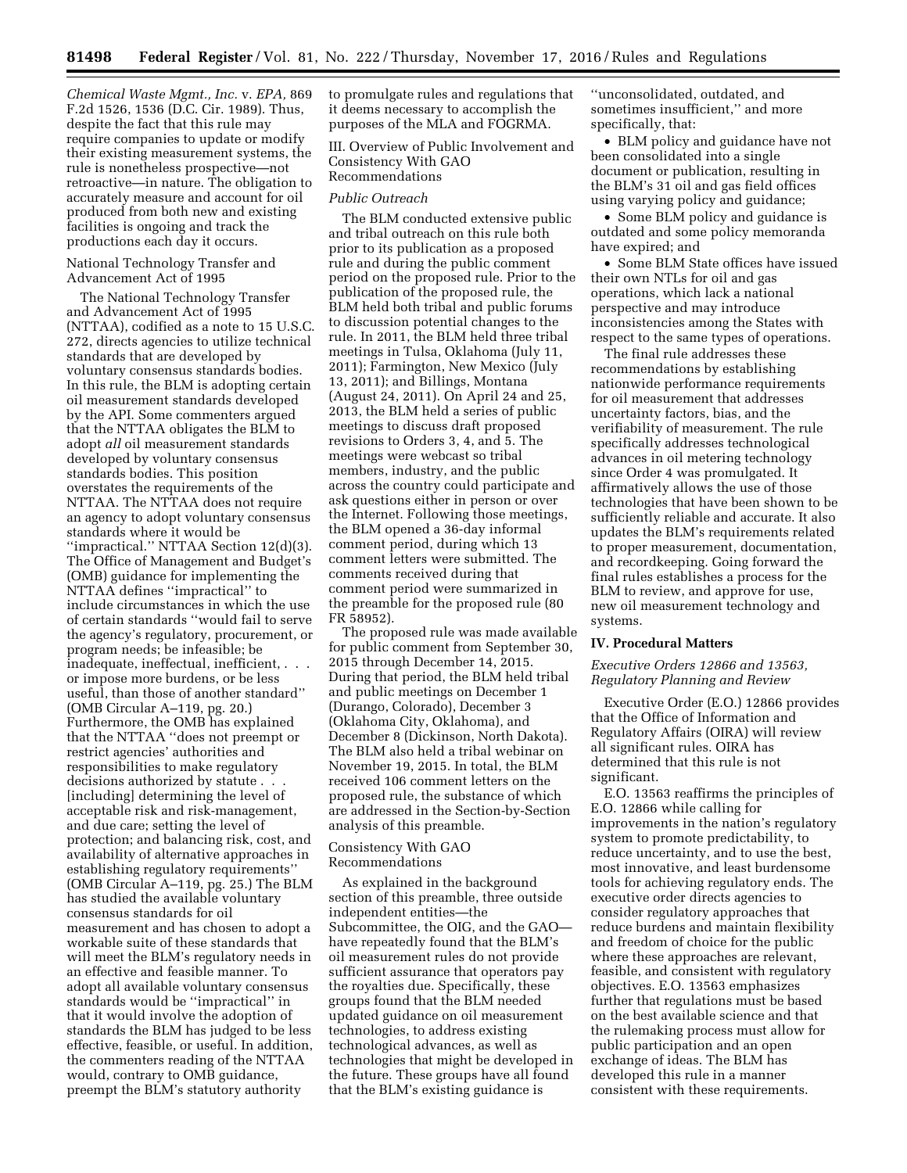*Chemical Waste Mgmt., Inc.* v. *EPA,* 869 F.2d 1526, 1536 (D.C. Cir. 1989). Thus, despite the fact that this rule may require companies to update or modify their existing measurement systems, the rule is nonetheless prospective—not retroactive—in nature. The obligation to accurately measure and account for oil produced from both new and existing facilities is ongoing and track the productions each day it occurs.

### National Technology Transfer and Advancement Act of 1995

The National Technology Transfer and Advancement Act of 1995 (NTTAA), codified as a note to 15 U.S.C. 272, directs agencies to utilize technical standards that are developed by voluntary consensus standards bodies. In this rule, the BLM is adopting certain oil measurement standards developed by the API. Some commenters argued that the NTTAA obligates the BLM to adopt *all* oil measurement standards developed by voluntary consensus standards bodies. This position overstates the requirements of the NTTAA. The NTTAA does not require an agency to adopt voluntary consensus standards where it would be ''impractical.'' NTTAA Section 12(d)(3). The Office of Management and Budget's (OMB) guidance for implementing the NTTAA defines ''impractical'' to include circumstances in which the use of certain standards ''would fail to serve the agency's regulatory, procurement, or program needs; be infeasible; be inadequate, ineffectual, inefficient, . . . or impose more burdens, or be less useful, than those of another standard'' (OMB Circular A–119, pg. 20.) Furthermore, the OMB has explained that the NTTAA ''does not preempt or restrict agencies' authorities and responsibilities to make regulatory decisions authorized by statute . . . [including] determining the level of acceptable risk and risk-management, and due care; setting the level of protection; and balancing risk, cost, and availability of alternative approaches in establishing regulatory requirements'' (OMB Circular A–119, pg. 25.) The BLM has studied the available voluntary consensus standards for oil measurement and has chosen to adopt a workable suite of these standards that will meet the BLM's regulatory needs in an effective and feasible manner. To adopt all available voluntary consensus standards would be ''impractical'' in that it would involve the adoption of standards the BLM has judged to be less effective, feasible, or useful. In addition, the commenters reading of the NTTAA would, contrary to OMB guidance, preempt the BLM's statutory authority

to promulgate rules and regulations that it deems necessary to accomplish the purposes of the MLA and FOGRMA.

III. Overview of Public Involvement and Consistency With GAO Recommendations

### *Public Outreach*

The BLM conducted extensive public and tribal outreach on this rule both prior to its publication as a proposed rule and during the public comment period on the proposed rule. Prior to the publication of the proposed rule, the BLM held both tribal and public forums to discussion potential changes to the rule. In 2011, the BLM held three tribal meetings in Tulsa, Oklahoma (July 11, 2011); Farmington, New Mexico (July 13, 2011); and Billings, Montana (August 24, 2011). On April 24 and 25, 2013, the BLM held a series of public meetings to discuss draft proposed revisions to Orders 3, 4, and 5. The meetings were webcast so tribal members, industry, and the public across the country could participate and ask questions either in person or over the Internet. Following those meetings, the BLM opened a 36-day informal comment period, during which 13 comment letters were submitted. The comments received during that comment period were summarized in the preamble for the proposed rule (80 FR 58952).

The proposed rule was made available for public comment from September 30, 2015 through December 14, 2015. During that period, the BLM held tribal and public meetings on December 1 (Durango, Colorado), December 3 (Oklahoma City, Oklahoma), and December 8 (Dickinson, North Dakota). The BLM also held a tribal webinar on November 19, 2015. In total, the BLM received 106 comment letters on the proposed rule, the substance of which are addressed in the Section-by-Section analysis of this preamble.

#### Consistency With GAO Recommendations

As explained in the background section of this preamble, three outside independent entities—the Subcommittee, the OIG, and the GAO have repeatedly found that the BLM's oil measurement rules do not provide sufficient assurance that operators pay the royalties due. Specifically, these groups found that the BLM needed updated guidance on oil measurement technologies, to address existing technological advances, as well as technologies that might be developed in the future. These groups have all found that the BLM's existing guidance is

''unconsolidated, outdated, and sometimes insufficient,'' and more specifically, that:

• BLM policy and guidance have not been consolidated into a single document or publication, resulting in the BLM's 31 oil and gas field offices using varying policy and guidance;

• Some BLM policy and guidance is outdated and some policy memoranda have expired; and

• Some BLM State offices have issued their own NTLs for oil and gas operations, which lack a national perspective and may introduce inconsistencies among the States with respect to the same types of operations.

The final rule addresses these recommendations by establishing nationwide performance requirements for oil measurement that addresses uncertainty factors, bias, and the verifiability of measurement. The rule specifically addresses technological advances in oil metering technology since Order 4 was promulgated. It affirmatively allows the use of those technologies that have been shown to be sufficiently reliable and accurate. It also updates the BLM's requirements related to proper measurement, documentation, and recordkeeping. Going forward the final rules establishes a process for the BLM to review, and approve for use, new oil measurement technology and systems.

## **IV. Procedural Matters**

#### *Executive Orders 12866 and 13563, Regulatory Planning and Review*

Executive Order (E.O.) 12866 provides that the Office of Information and Regulatory Affairs (OIRA) will review all significant rules. OIRA has determined that this rule is not significant.

E.O. 13563 reaffirms the principles of E.O. 12866 while calling for improvements in the nation's regulatory system to promote predictability, to reduce uncertainty, and to use the best, most innovative, and least burdensome tools for achieving regulatory ends. The executive order directs agencies to consider regulatory approaches that reduce burdens and maintain flexibility and freedom of choice for the public where these approaches are relevant, feasible, and consistent with regulatory objectives. E.O. 13563 emphasizes further that regulations must be based on the best available science and that the rulemaking process must allow for public participation and an open exchange of ideas. The BLM has developed this rule in a manner consistent with these requirements.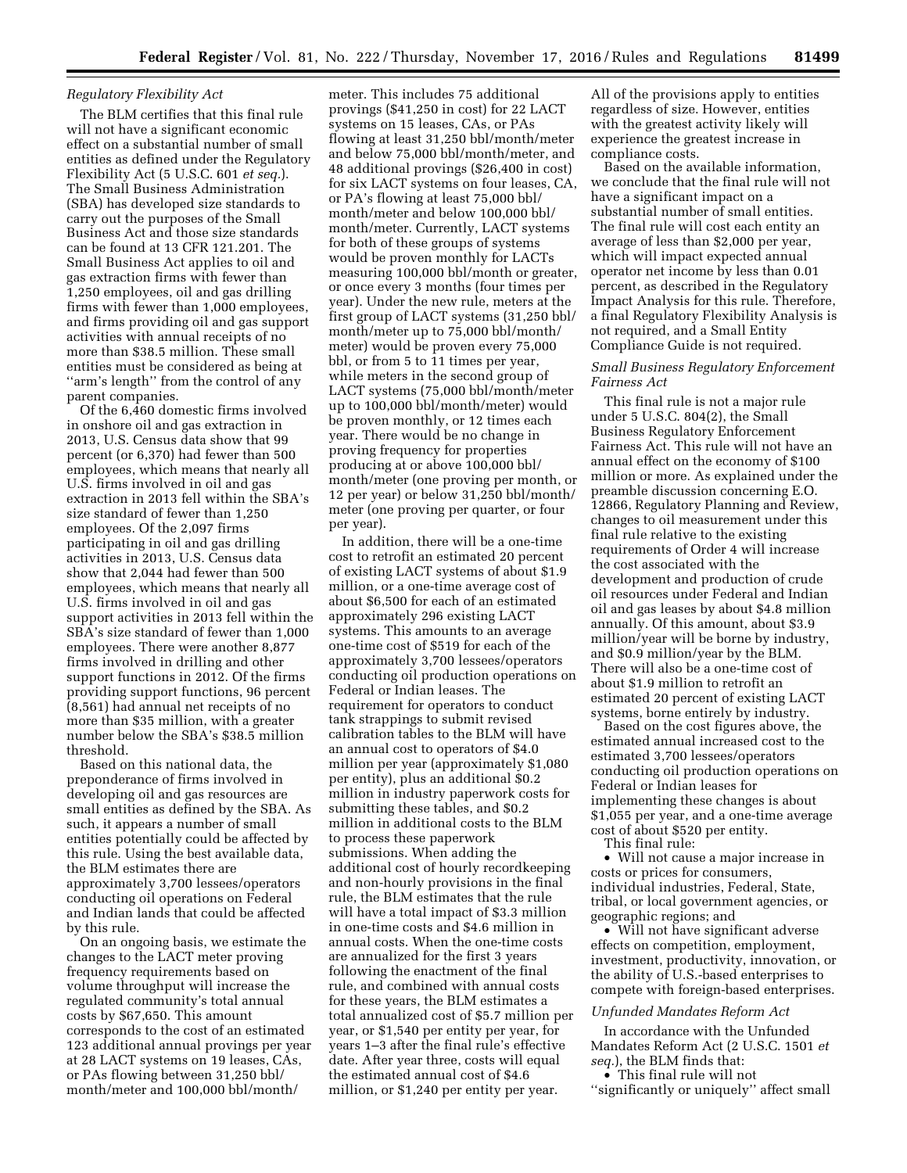### *Regulatory Flexibility Act*

The BLM certifies that this final rule will not have a significant economic effect on a substantial number of small entities as defined under the Regulatory Flexibility Act (5 U.S.C. 601 *et seq.*). The Small Business Administration (SBA) has developed size standards to carry out the purposes of the Small Business Act and those size standards can be found at 13 CFR 121.201. The Small Business Act applies to oil and gas extraction firms with fewer than 1,250 employees, oil and gas drilling firms with fewer than 1,000 employees, and firms providing oil and gas support activities with annual receipts of no more than \$38.5 million. These small entities must be considered as being at "arm's length" from the control of any parent companies.

Of the 6,460 domestic firms involved in onshore oil and gas extraction in 2013, U.S. Census data show that 99 percent (or 6,370) had fewer than 500 employees, which means that nearly all U.S. firms involved in oil and gas extraction in 2013 fell within the SBA's size standard of fewer than 1,250 employees. Of the 2,097 firms participating in oil and gas drilling activities in 2013, U.S. Census data show that 2,044 had fewer than 500 employees, which means that nearly all U.S. firms involved in oil and gas support activities in 2013 fell within the SBA's size standard of fewer than 1,000 employees. There were another 8,877 firms involved in drilling and other support functions in 2012. Of the firms providing support functions, 96 percent (8,561) had annual net receipts of no more than \$35 million, with a greater number below the SBA's \$38.5 million threshold.

Based on this national data, the preponderance of firms involved in developing oil and gas resources are small entities as defined by the SBA. As such, it appears a number of small entities potentially could be affected by this rule. Using the best available data, the BLM estimates there are approximately 3,700 lessees/operators conducting oil operations on Federal and Indian lands that could be affected by this rule.

On an ongoing basis, we estimate the changes to the LACT meter proving frequency requirements based on volume throughput will increase the regulated community's total annual costs by \$67,650. This amount corresponds to the cost of an estimated 123 additional annual provings per year at 28 LACT systems on 19 leases, CAs, or PAs flowing between 31,250 bbl/ month/meter and 100,000 bbl/month/

meter. This includes 75 additional provings (\$41,250 in cost) for 22 LACT systems on 15 leases, CAs, or PAs flowing at least 31,250 bbl/month/meter and below 75,000 bbl/month/meter, and 48 additional provings (\$26,400 in cost) for six LACT systems on four leases, CA, or PA's flowing at least 75,000 bbl/ month/meter and below 100,000 bbl/ month/meter. Currently, LACT systems for both of these groups of systems would be proven monthly for LACTs measuring 100,000 bbl/month or greater, or once every 3 months (four times per year). Under the new rule, meters at the first group of LACT systems (31,250 bbl/ month/meter up to 75,000 bbl/month/ meter) would be proven every 75,000 bbl, or from 5 to 11 times per year, while meters in the second group of LACT systems (75,000 bbl/month/meter up to 100,000 bbl/month/meter) would be proven monthly, or 12 times each year. There would be no change in proving frequency for properties producing at or above 100,000 bbl/ month/meter (one proving per month, or 12 per year) or below 31,250 bbl/month/ meter (one proving per quarter, or four per year).

In addition, there will be a one-time cost to retrofit an estimated 20 percent of existing LACT systems of about \$1.9 million, or a one-time average cost of about \$6,500 for each of an estimated approximately 296 existing LACT systems. This amounts to an average one-time cost of \$519 for each of the approximately 3,700 lessees/operators conducting oil production operations on Federal or Indian leases. The requirement for operators to conduct tank strappings to submit revised calibration tables to the BLM will have an annual cost to operators of \$4.0 million per year (approximately \$1,080 per entity), plus an additional \$0.2 million in industry paperwork costs for submitting these tables, and \$0.2 million in additional costs to the BLM to process these paperwork submissions. When adding the additional cost of hourly recordkeeping and non-hourly provisions in the final rule, the BLM estimates that the rule will have a total impact of \$3.3 million in one-time costs and \$4.6 million in annual costs. When the one-time costs are annualized for the first 3 years following the enactment of the final rule, and combined with annual costs for these years, the BLM estimates a total annualized cost of \$5.7 million per year, or \$1,540 per entity per year, for years 1–3 after the final rule's effective date. After year three, costs will equal the estimated annual cost of \$4.6 million, or \$1,240 per entity per year.

All of the provisions apply to entities regardless of size. However, entities with the greatest activity likely will experience the greatest increase in compliance costs.

Based on the available information, we conclude that the final rule will not have a significant impact on a substantial number of small entities. The final rule will cost each entity an average of less than \$2,000 per year, which will impact expected annual operator net income by less than 0.01 percent, as described in the Regulatory Impact Analysis for this rule. Therefore, a final Regulatory Flexibility Analysis is not required, and a Small Entity Compliance Guide is not required.

### *Small Business Regulatory Enforcement Fairness Act*

This final rule is not a major rule under 5 U.S.C. 804(2), the Small Business Regulatory Enforcement Fairness Act. This rule will not have an annual effect on the economy of \$100 million or more. As explained under the preamble discussion concerning E.O. 12866, Regulatory Planning and Review, changes to oil measurement under this final rule relative to the existing requirements of Order 4 will increase the cost associated with the development and production of crude oil resources under Federal and Indian oil and gas leases by about \$4.8 million annually. Of this amount, about \$3.9 million/year will be borne by industry, and \$0.9 million/year by the BLM. There will also be a one-time cost of about \$1.9 million to retrofit an estimated 20 percent of existing LACT systems, borne entirely by industry.

Based on the cost figures above, the estimated annual increased cost to the estimated 3,700 lessees/operators conducting oil production operations on Federal or Indian leases for implementing these changes is about \$1,055 per year, and a one-time average cost of about \$520 per entity.

This final rule:

• Will not cause a major increase in costs or prices for consumers, individual industries, Federal, State, tribal, or local government agencies, or geographic regions; and

• Will not have significant adverse effects on competition, employment, investment, productivity, innovation, or the ability of U.S.-based enterprises to compete with foreign-based enterprises.

### *Unfunded Mandates Reform Act*

In accordance with the Unfunded Mandates Reform Act (2 U.S.C. 1501 *et seq.*), the BLM finds that:

• This final rule will not ''significantly or uniquely'' affect small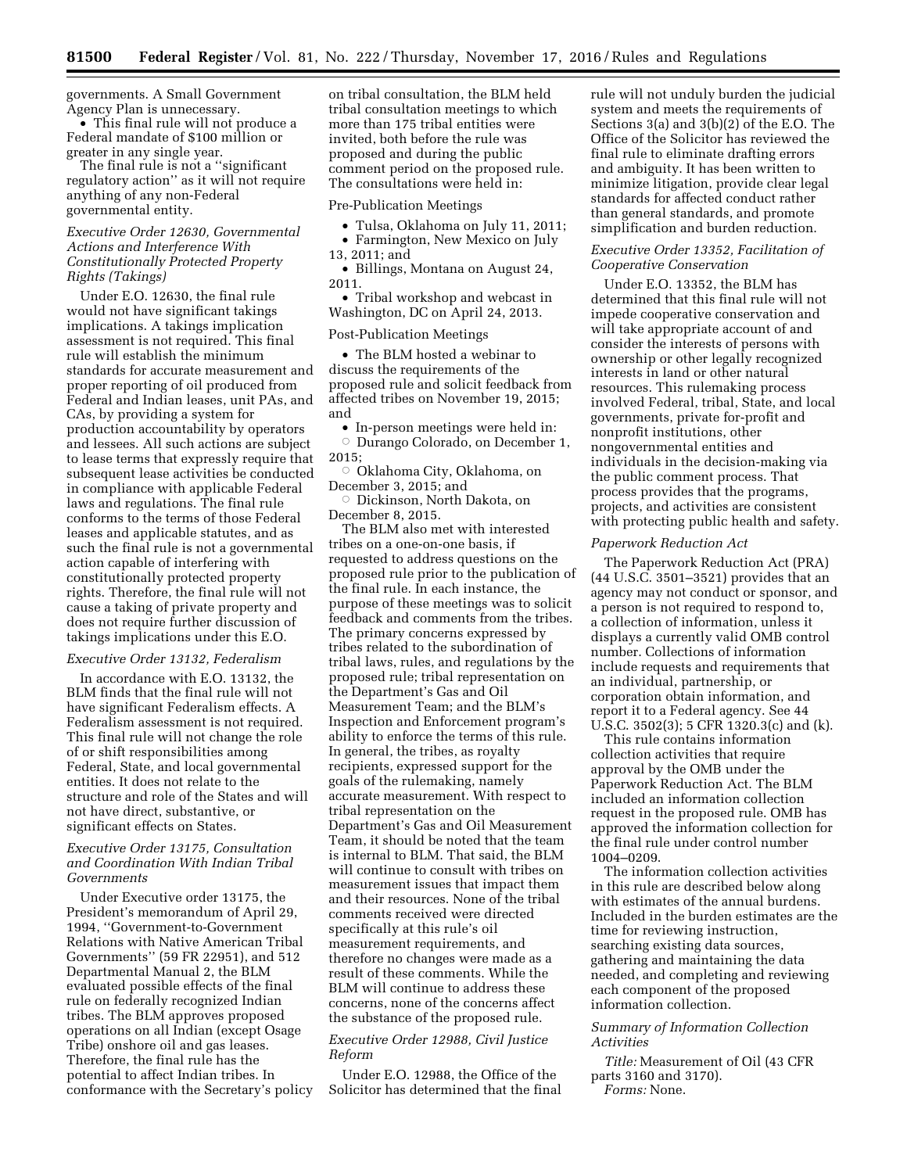governments. A Small Government Agency Plan is unnecessary.

• This final rule will not produce a Federal mandate of \$100 million or greater in any single year.

The final rule is not a ''significant regulatory action'' as it will not require anything of any non-Federal governmental entity.

## *Executive Order 12630, Governmental Actions and Interference With Constitutionally Protected Property Rights (Takings)*

Under E.O. 12630, the final rule would not have significant takings implications. A takings implication assessment is not required. This final rule will establish the minimum standards for accurate measurement and proper reporting of oil produced from Federal and Indian leases, unit PAs, and CAs, by providing a system for production accountability by operators and lessees. All such actions are subject to lease terms that expressly require that subsequent lease activities be conducted in compliance with applicable Federal laws and regulations. The final rule conforms to the terms of those Federal leases and applicable statutes, and as such the final rule is not a governmental action capable of interfering with constitutionally protected property rights. Therefore, the final rule will not cause a taking of private property and does not require further discussion of takings implications under this E.O.

### *Executive Order 13132, Federalism*

In accordance with E.O. 13132, the BLM finds that the final rule will not have significant Federalism effects. A Federalism assessment is not required. This final rule will not change the role of or shift responsibilities among Federal, State, and local governmental entities. It does not relate to the structure and role of the States and will not have direct, substantive, or significant effects on States.

### *Executive Order 13175, Consultation and Coordination With Indian Tribal Governments*

Under Executive order 13175, the President's memorandum of April 29, 1994, ''Government-to-Government Relations with Native American Tribal Governments'' (59 FR 22951), and 512 Departmental Manual 2, the BLM evaluated possible effects of the final rule on federally recognized Indian tribes. The BLM approves proposed operations on all Indian (except Osage Tribe) onshore oil and gas leases. Therefore, the final rule has the potential to affect Indian tribes. In conformance with the Secretary's policy

on tribal consultation, the BLM held tribal consultation meetings to which more than 175 tribal entities were invited, both before the rule was proposed and during the public comment period on the proposed rule. The consultations were held in:

#### Pre-Publication Meetings

- Tulsa, Oklahoma on July 11, 2011; • Farmington, New Mexico on July
- 13, 2011; and

• Billings, Montana on August 24, 2011.

• Tribal workshop and webcast in Washington, DC on April 24, 2013.

#### Post-Publication Meetings

• The BLM hosted a webinar to discuss the requirements of the proposed rule and solicit feedback from affected tribes on November 19, 2015; and

• In-person meetings were held in: Æ Durango Colorado, on December 1, 2015;

 $\circ\,$  Oklahoma City, Oklahoma, on December 3, 2015; and

 $\circ$  Dickinson, North Dakota, on December 8, 2015.

The BLM also met with interested tribes on a one-on-one basis, if requested to address questions on the proposed rule prior to the publication of the final rule. In each instance, the purpose of these meetings was to solicit feedback and comments from the tribes. The primary concerns expressed by tribes related to the subordination of tribal laws, rules, and regulations by the proposed rule; tribal representation on the Department's Gas and Oil Measurement Team; and the BLM's Inspection and Enforcement program's ability to enforce the terms of this rule. In general, the tribes, as royalty recipients, expressed support for the goals of the rulemaking, namely accurate measurement. With respect to tribal representation on the Department's Gas and Oil Measurement Team, it should be noted that the team is internal to BLM. That said, the BLM will continue to consult with tribes on measurement issues that impact them and their resources. None of the tribal comments received were directed specifically at this rule's oil measurement requirements, and therefore no changes were made as a result of these comments. While the BLM will continue to address these concerns, none of the concerns affect the substance of the proposed rule.

## *Executive Order 12988, Civil Justice Reform*

Under E.O. 12988, the Office of the Solicitor has determined that the final rule will not unduly burden the judicial system and meets the requirements of Sections 3(a) and 3(b)(2) of the E.O. The Office of the Solicitor has reviewed the final rule to eliminate drafting errors and ambiguity. It has been written to minimize litigation, provide clear legal standards for affected conduct rather than general standards, and promote simplification and burden reduction.

## *Executive Order 13352, Facilitation of Cooperative Conservation*

Under E.O. 13352, the BLM has determined that this final rule will not impede cooperative conservation and will take appropriate account of and consider the interests of persons with ownership or other legally recognized interests in land or other natural resources. This rulemaking process involved Federal, tribal, State, and local governments, private for-profit and nonprofit institutions, other nongovernmental entities and individuals in the decision-making via the public comment process. That process provides that the programs, projects, and activities are consistent with protecting public health and safety.

#### *Paperwork Reduction Act*

The Paperwork Reduction Act (PRA) (44 U.S.C. 3501–3521) provides that an agency may not conduct or sponsor, and a person is not required to respond to, a collection of information, unless it displays a currently valid OMB control number. Collections of information include requests and requirements that an individual, partnership, or corporation obtain information, and report it to a Federal agency. See 44 U.S.C. 3502(3); 5 CFR 1320.3(c) and (k).

This rule contains information collection activities that require approval by the OMB under the Paperwork Reduction Act. The BLM included an information collection request in the proposed rule. OMB has approved the information collection for the final rule under control number 1004–0209.

The information collection activities in this rule are described below along with estimates of the annual burdens. Included in the burden estimates are the time for reviewing instruction, searching existing data sources, gathering and maintaining the data needed, and completing and reviewing each component of the proposed information collection.

### *Summary of Information Collection Activities*

*Title:* Measurement of Oil (43 CFR parts 3160 and 3170). *Forms:* None.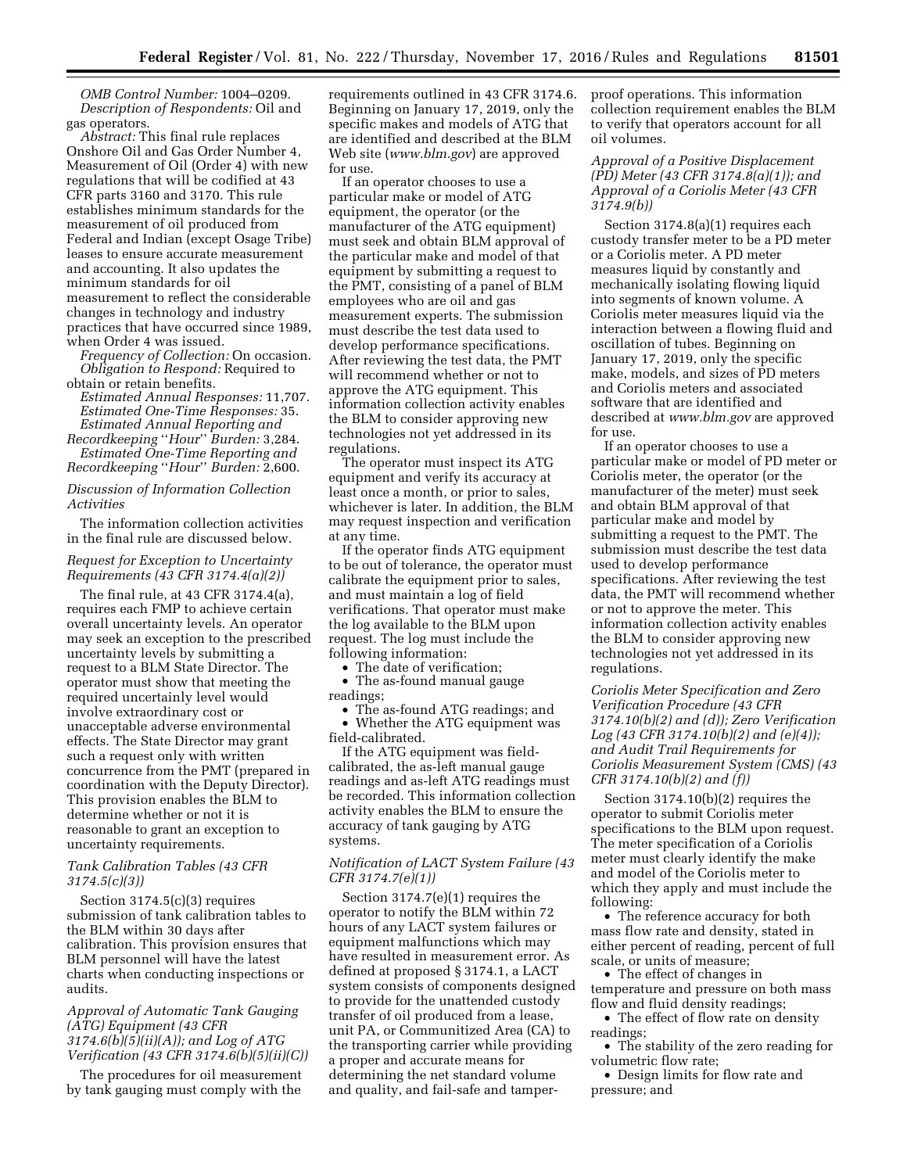*OMB Control Number:* 1004–0209. *Description of Respondents:* Oil and gas operators.

*Abstract:* This final rule replaces Onshore Oil and Gas Order Number 4, Measurement of Oil (Order 4) with new regulations that will be codified at 43 CFR parts 3160 and 3170. This rule establishes minimum standards for the measurement of oil produced from Federal and Indian (except Osage Tribe) leases to ensure accurate measurement and accounting. It also updates the minimum standards for oil measurement to reflect the considerable changes in technology and industry practices that have occurred since 1989, when Order 4 was issued.

*Frequency of Collection:* On occasion. *Obligation to Respond:* Required to obtain or retain benefits.

*Estimated Annual Responses:* 11,707. *Estimated One-Time Responses:* 35. *Estimated Annual Reporting and* 

*Recordkeeping* ''*Hour*'' *Burden:* 3,284. *Estimated One-Time Reporting and Recordkeeping* ''*Hour*'' *Burden:* 2,600.

### *Discussion of Information Collection Activities*

The information collection activities in the final rule are discussed below.

## *Request for Exception to Uncertainty Requirements (43 CFR 3174.4(a)(2))*

The final rule, at 43 CFR 3174.4(a), requires each FMP to achieve certain overall uncertainty levels. An operator may seek an exception to the prescribed uncertainty levels by submitting a request to a BLM State Director. The operator must show that meeting the required uncertainly level would involve extraordinary cost or unacceptable adverse environmental effects. The State Director may grant such a request only with written concurrence from the PMT (prepared in coordination with the Deputy Director). This provision enables the BLM to determine whether or not it is reasonable to grant an exception to uncertainty requirements.

#### *Tank Calibration Tables (43 CFR 3174.5(c)(3))*

Section 3174.5(c)(3) requires submission of tank calibration tables to the BLM within 30 days after calibration. This provision ensures that BLM personnel will have the latest charts when conducting inspections or audits.

### *Approval of Automatic Tank Gauging (ATG) Equipment (43 CFR 3174.6(b)(5)(ii)(A)); and Log of ATG Verification (43 CFR 3174.6(b)(5)(ii)(C))*

The procedures for oil measurement by tank gauging must comply with the requirements outlined in 43 CFR 3174.6. Beginning on January 17, 2019, only the specific makes and models of ATG that are identified and described at the BLM Web site (*[www.blm.gov](http://www.blm.gov)*) are approved for use.

If an operator chooses to use a particular make or model of ATG equipment, the operator (or the manufacturer of the ATG equipment) must seek and obtain BLM approval of the particular make and model of that equipment by submitting a request to the PMT, consisting of a panel of BLM employees who are oil and gas measurement experts. The submission must describe the test data used to develop performance specifications. After reviewing the test data, the PMT will recommend whether or not to approve the ATG equipment. This information collection activity enables the BLM to consider approving new technologies not yet addressed in its regulations.

The operator must inspect its ATG equipment and verify its accuracy at least once a month, or prior to sales, whichever is later. In addition, the BLM may request inspection and verification at any time.

If the operator finds ATG equipment to be out of tolerance, the operator must calibrate the equipment prior to sales, and must maintain a log of field verifications. That operator must make the log available to the BLM upon request. The log must include the following information:

The date of verification;

• The as-found manual gauge readings;

• The as-found ATG readings; and • Whether the ATG equipment was field-calibrated.

If the ATG equipment was fieldcalibrated, the as-left manual gauge readings and as-left ATG readings must be recorded. This information collection activity enables the BLM to ensure the accuracy of tank gauging by ATG systems.

### *Notification of LACT System Failure (43 CFR 3174.7(e)(1))*

Section 3174.7(e)(1) requires the operator to notify the BLM within 72 hours of any LACT system failures or equipment malfunctions which may have resulted in measurement error. As defined at proposed § 3174.1, a LACT system consists of components designed to provide for the unattended custody transfer of oil produced from a lease, unit PA, or Communitized Area (CA) to the transporting carrier while providing a proper and accurate means for determining the net standard volume and quality, and fail-safe and tamperproof operations. This information collection requirement enables the BLM to verify that operators account for all oil volumes.

### *Approval of a Positive Displacement (PD) Meter (43 CFR 3174.8(a)(1)); and Approval of a Coriolis Meter (43 CFR 3174.9(b))*

Section 3174.8(a)(1) requires each custody transfer meter to be a PD meter or a Coriolis meter. A PD meter measures liquid by constantly and mechanically isolating flowing liquid into segments of known volume. A Coriolis meter measures liquid via the interaction between a flowing fluid and oscillation of tubes. Beginning on January 17, 2019, only the specific make, models, and sizes of PD meters and Coriolis meters and associated software that are identified and described at *[www.blm.gov](http://www.blm.gov)* are approved for use.

If an operator chooses to use a particular make or model of PD meter or Coriolis meter, the operator (or the manufacturer of the meter) must seek and obtain BLM approval of that particular make and model by submitting a request to the PMT. The submission must describe the test data used to develop performance specifications. After reviewing the test data, the PMT will recommend whether or not to approve the meter. This information collection activity enables the BLM to consider approving new technologies not yet addressed in its regulations.

*Coriolis Meter Specification and Zero Verification Procedure (43 CFR 3174.10(b)(2) and (d)); Zero Verification Log (43 CFR 3174.10(b)(2) and (e)(4)); and Audit Trail Requirements for Coriolis Measurement System (CMS) (43 CFR 3174.10(b)(2) and (f))* 

Section 3174.10(b)(2) requires the operator to submit Coriolis meter specifications to the BLM upon request. The meter specification of a Coriolis meter must clearly identify the make and model of the Coriolis meter to which they apply and must include the following:

• The reference accuracy for both mass flow rate and density, stated in either percent of reading, percent of full scale, or units of measure;

• The effect of changes in temperature and pressure on both mass flow and fluid density readings;

• The effect of flow rate on density readings;

• The stability of the zero reading for volumetric flow rate;

• Design limits for flow rate and pressure; and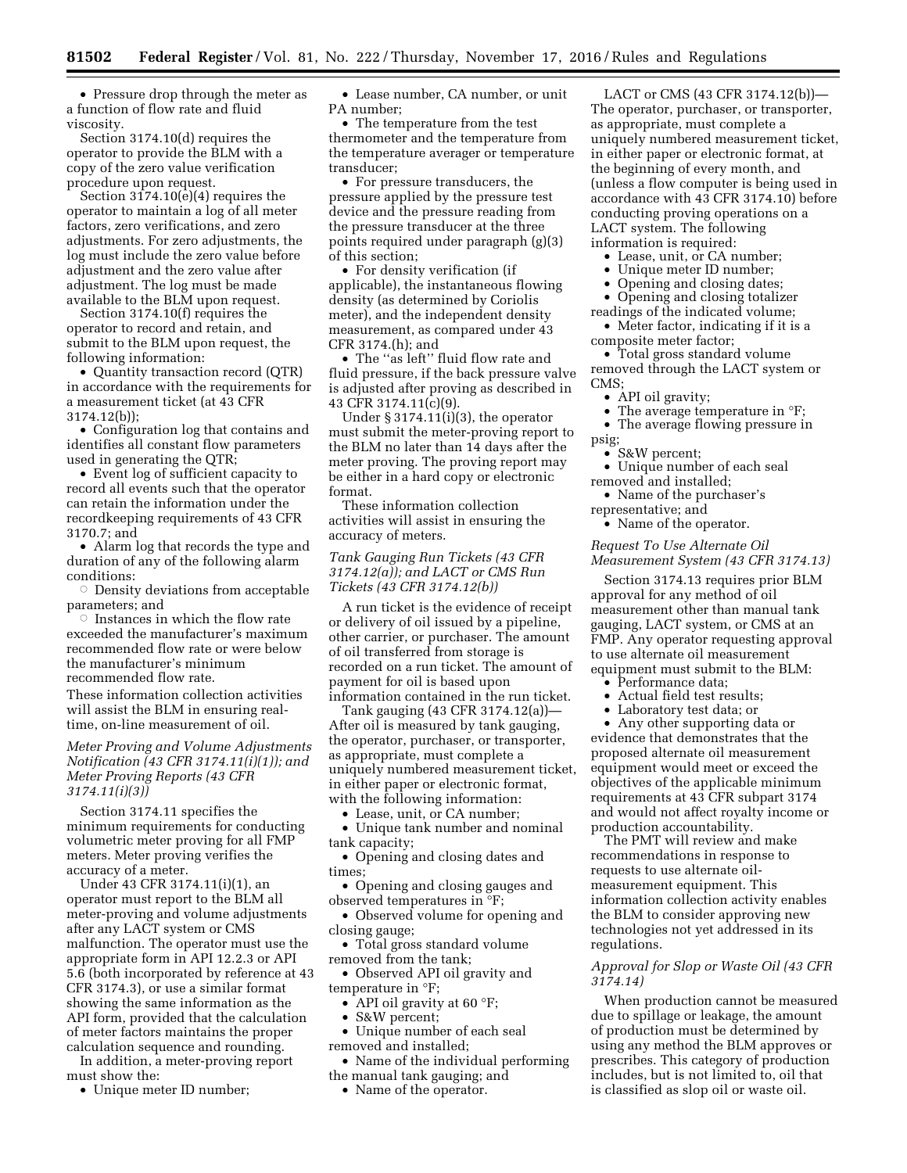• Pressure drop through the meter as a function of flow rate and fluid viscosity.

Section 3174.10(d) requires the operator to provide the BLM with a copy of the zero value verification procedure upon request.

Section  $3174.10(e)(4)$  requires the operator to maintain a log of all meter factors, zero verifications, and zero adjustments. For zero adjustments, the log must include the zero value before adjustment and the zero value after adjustment. The log must be made available to the BLM upon request.

Section 3174.10(f) requires the operator to record and retain, and submit to the BLM upon request, the following information:

• Quantity transaction record (QTR) in accordance with the requirements for a measurement ticket (at 43 CFR 3174.12(b));

• Configuration log that contains and identifies all constant flow parameters used in generating the QTR;

• Event log of sufficient capacity to record all events such that the operator can retain the information under the recordkeeping requirements of 43 CFR 3170.7; and

• Alarm log that records the type and duration of any of the following alarm conditions:

 $\circ$  Density deviations from acceptable parameters; and<br>© Instances in

 Instances in which the flow rate exceeded the manufacturer's maximum recommended flow rate or were below the manufacturer's minimum recommended flow rate.

These information collection activities will assist the BLM in ensuring realtime, on-line measurement of oil.

## *Meter Proving and Volume Adjustments Notification (43 CFR 3174.11(i)(1)); and Meter Proving Reports (43 CFR 3174.11(i)(3))*

Section 3174.11 specifies the minimum requirements for conducting volumetric meter proving for all FMP meters. Meter proving verifies the accuracy of a meter.

Under 43 CFR 3174.11(i)(1), an operator must report to the BLM all meter-proving and volume adjustments after any LACT system or CMS malfunction. The operator must use the appropriate form in API 12.2.3 or API 5.6 (both incorporated by reference at 43 CFR 3174.3), or use a similar format showing the same information as the API form, provided that the calculation of meter factors maintains the proper calculation sequence and rounding.

In addition, a meter-proving report must show the:

• Unique meter ID number;

• Lease number, CA number, or unit PA number;

• The temperature from the test thermometer and the temperature from the temperature averager or temperature transducer;

• For pressure transducers, the pressure applied by the pressure test device and the pressure reading from the pressure transducer at the three points required under paragraph (g)(3) of this section;

• For density verification (if applicable), the instantaneous flowing density (as determined by Coriolis meter), and the independent density measurement, as compared under 43 CFR 3174.(h); and

• The ''as left'' fluid flow rate and fluid pressure, if the back pressure valve is adjusted after proving as described in 43 CFR 3174.11(c)(9).

Under  $\S 3174.11(i)(3)$ , the operator must submit the meter-proving report to the BLM no later than 14 days after the meter proving. The proving report may be either in a hard copy or electronic format.

These information collection activities will assist in ensuring the accuracy of meters.

## *Tank Gauging Run Tickets (43 CFR 3174.12(a)); and LACT or CMS Run Tickets (43 CFR 3174.12(b))*

A run ticket is the evidence of receipt or delivery of oil issued by a pipeline, other carrier, or purchaser. The amount of oil transferred from storage is recorded on a run ticket. The amount of payment for oil is based upon information contained in the run ticket.

Tank gauging (43 CFR 3174.12(a))— After oil is measured by tank gauging, the operator, purchaser, or transporter, as appropriate, must complete a uniquely numbered measurement ticket, in either paper or electronic format, with the following information:

• Lease, unit, or CA number;

• Unique tank number and nominal tank capacity;

• Opening and closing dates and times;

• Opening and closing gauges and observed temperatures in °F;

• Observed volume for opening and closing gauge;

• Total gross standard volume removed from the tank;

• Observed API oil gravity and temperature in °F;

- API oil gravity at 60 °F;
- S&W percent;

• Unique number of each seal

removed and installed;

• Name of the individual performing the manual tank gauging; and

• Name of the operator.

LACT or CMS (43 CFR 3174.12(b))— The operator, purchaser, or transporter, as appropriate, must complete a uniquely numbered measurement ticket, in either paper or electronic format, at the beginning of every month, and (unless a flow computer is being used in accordance with 43 CFR 3174.10) before conducting proving operations on a LACT system. The following information is required:

Lease, unit, or CA number;

- Unique meter ID number;
- Opening and closing dates;

• Opening and closing totalizer

readings of the indicated volume;

• Meter factor, indicating if it is a composite meter factor;

• Total gross standard volume removed through the LACT system or CMS;

• API oil gravity;

- The average temperature in  $\mathrm{P}F$ ;
- The average flowing pressure in

psig; • S&W percent;

- Unique number of each seal removed and installed;
- Name of the purchaser's

representative; and

• Name of the operator.

## *Request To Use Alternate Oil Measurement System (43 CFR 3174.13)*

Section 3174.13 requires prior BLM approval for any method of oil measurement other than manual tank gauging, LACT system, or CMS at an FMP. Any operator requesting approval to use alternate oil measurement equipment must submit to the BLM:

- Performance data;
- Actual field test results;
- Laboratory test data; or
- Any other supporting data or

evidence that demonstrates that the proposed alternate oil measurement equipment would meet or exceed the objectives of the applicable minimum requirements at 43 CFR subpart 3174 and would not affect royalty income or production accountability.

The PMT will review and make recommendations in response to requests to use alternate oilmeasurement equipment. This information collection activity enables the BLM to consider approving new technologies not yet addressed in its regulations.

## *Approval for Slop or Waste Oil (43 CFR 3174.14)*

When production cannot be measured due to spillage or leakage, the amount of production must be determined by using any method the BLM approves or prescribes. This category of production includes, but is not limited to, oil that is classified as slop oil or waste oil.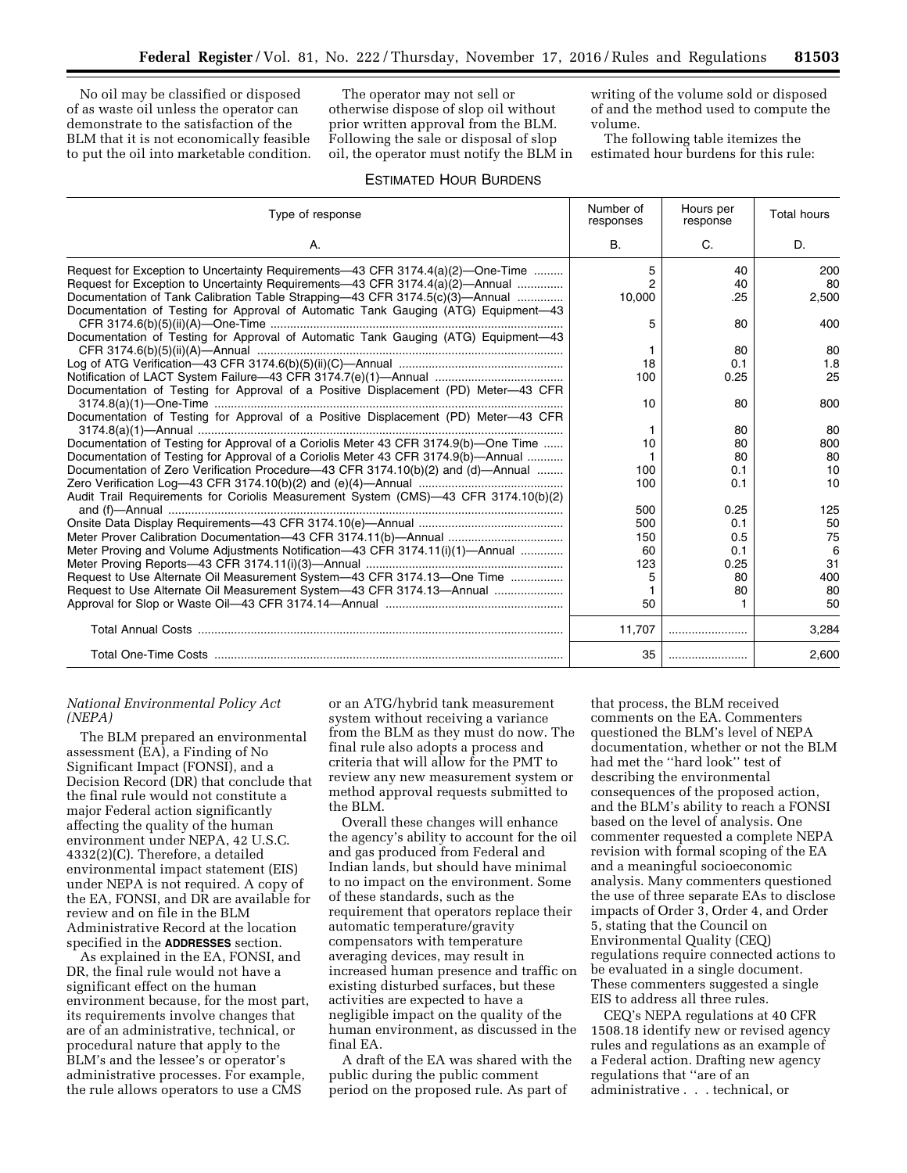No oil may be classified or disposed of as waste oil unless the operator can demonstrate to the satisfaction of the BLM that it is not economically feasible to put the oil into marketable condition.

The operator may not sell or otherwise dispose of slop oil without prior written approval from the BLM. Following the sale or disposal of slop oil, the operator must notify the BLM in writing of the volume sold or disposed of and the method used to compute the volume.

The following table itemizes the estimated hour burdens for this rule:

# ESTIMATED HOUR BURDENS

| Type of response                                                                                                                                                   |                | Hours per<br>response | <b>Total hours</b> |
|--------------------------------------------------------------------------------------------------------------------------------------------------------------------|----------------|-----------------------|--------------------|
| А.                                                                                                                                                                 | <b>B.</b>      | C.                    | D.                 |
| Request for Exception to Uncertainty Requirements-43 CFR 3174.4(a)(2)-One-Time                                                                                     | 5              | 40                    | 200                |
| Request for Exception to Uncertainty Requirements-43 CFR 3174.4(a)(2)-Annual                                                                                       | $\overline{2}$ | 40                    | 80                 |
| Documentation of Tank Calibration Table Strapping-43 CFR 3174.5(c)(3)-Annual<br>Documentation of Testing for Approval of Automatic Tank Gauging (ATG) Equipment-43 | 10,000         | .25                   | 2,500              |
|                                                                                                                                                                    | 5              | 80                    | 400                |
| Documentation of Testing for Approval of Automatic Tank Gauging (ATG) Equipment-43                                                                                 |                |                       |                    |
|                                                                                                                                                                    |                | 80                    | 80                 |
|                                                                                                                                                                    | 18             | 0.1                   | 1.8                |
| Documentation of Testing for Approval of a Positive Displacement (PD) Meter-43 CFR                                                                                 | 100            | 0.25                  | 25                 |
|                                                                                                                                                                    | 10             | 80                    | 800                |
| Documentation of Testing for Approval of a Positive Displacement (PD) Meter-43 CFR                                                                                 |                |                       |                    |
|                                                                                                                                                                    | 1              | 80                    | 80                 |
| Documentation of Testing for Approval of a Coriolis Meter 43 CFR 3174.9(b)—One Time                                                                                | 10             | 80                    | 800                |
| Documentation of Testing for Approval of a Coriolis Meter 43 CFR 3174.9(b)—Annual                                                                                  |                | 80                    | 80                 |
| Documentation of Zero Verification Procedure-43 CFR 3174.10(b)(2) and (d)-Annual                                                                                   |                | 0.1                   | 10                 |
|                                                                                                                                                                    | 100            | 0.1                   | 10                 |
| Audit Trail Requirements for Coriolis Measurement System (CMS)-43 CFR 3174.10(b)(2)                                                                                |                |                       |                    |
|                                                                                                                                                                    |                | 0.25                  | 125                |
|                                                                                                                                                                    | 500            | 0.1                   | 50                 |
|                                                                                                                                                                    |                | 0.5                   | 75                 |
| Meter Proving and Volume Adjustments Notification—43 CFR 3174.11(i)(1)—Annual                                                                                      | 60             | 0.1                   | 6                  |
|                                                                                                                                                                    | 123            | 0.25                  | 31                 |
| Request to Use Alternate Oil Measurement System-43 CFR 3174.13-One Time                                                                                            | 5              | 80                    | 400                |
|                                                                                                                                                                    |                | 80                    | 80                 |
|                                                                                                                                                                    | 50             |                       | 50                 |
|                                                                                                                                                                    | 11,707         |                       | 3,284              |
|                                                                                                                                                                    | 35             |                       | 2,600              |

### *National Environmental Policy Act (NEPA)*

The BLM prepared an environmental assessment (EA), a Finding of No Significant Impact (FONSI), and a Decision Record (DR) that conclude that the final rule would not constitute a major Federal action significantly affecting the quality of the human environment under NEPA, 42 U.S.C. 4332(2)(C). Therefore, a detailed environmental impact statement (EIS) under NEPA is not required. A copy of the EA, FONSI, and DR are available for review and on file in the BLM Administrative Record at the location specified in the **ADDRESSES** section.

As explained in the EA, FONSI, and DR, the final rule would not have a significant effect on the human environment because, for the most part, its requirements involve changes that are of an administrative, technical, or procedural nature that apply to the BLM's and the lessee's or operator's administrative processes. For example, the rule allows operators to use a CMS

or an ATG/hybrid tank measurement system without receiving a variance from the BLM as they must do now. The final rule also adopts a process and criteria that will allow for the PMT to review any new measurement system or method approval requests submitted to the BLM.

Overall these changes will enhance the agency's ability to account for the oil and gas produced from Federal and Indian lands, but should have minimal to no impact on the environment. Some of these standards, such as the requirement that operators replace their automatic temperature/gravity compensators with temperature averaging devices, may result in increased human presence and traffic on existing disturbed surfaces, but these activities are expected to have a negligible impact on the quality of the human environment, as discussed in the final EA.

A draft of the EA was shared with the public during the public comment period on the proposed rule. As part of

that process, the BLM received comments on the EA. Commenters questioned the BLM's level of NEPA documentation, whether or not the BLM had met the ''hard look'' test of describing the environmental consequences of the proposed action, and the BLM's ability to reach a FONSI based on the level of analysis. One commenter requested a complete NEPA revision with formal scoping of the EA and a meaningful socioeconomic analysis. Many commenters questioned the use of three separate EAs to disclose impacts of Order 3, Order 4, and Order 5, stating that the Council on Environmental Quality (CEQ) regulations require connected actions to be evaluated in a single document. These commenters suggested a single EIS to address all three rules.

CEQ's NEPA regulations at 40 CFR 1508.18 identify new or revised agency rules and regulations as an example of a Federal action. Drafting new agency regulations that ''are of an administrative . . . technical, or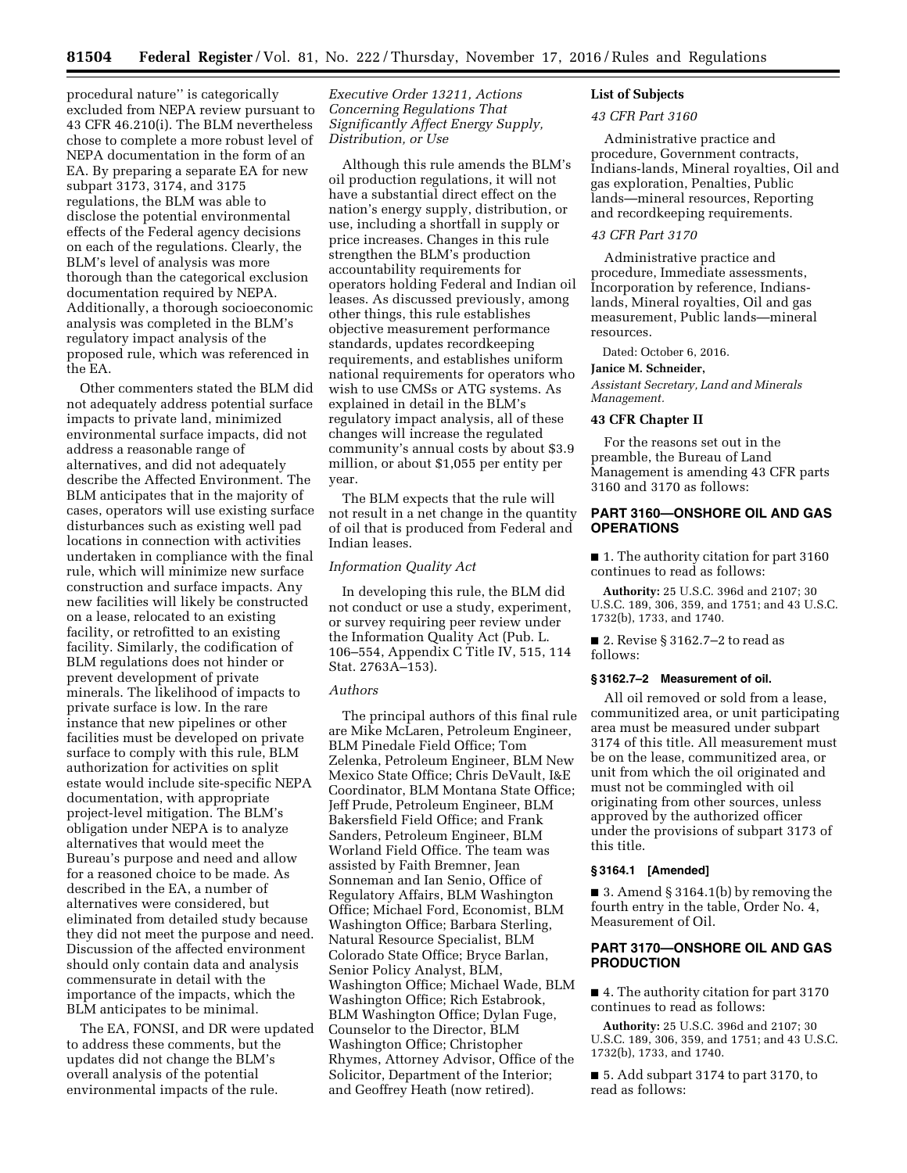procedural nature'' is categorically excluded from NEPA review pursuant to 43 CFR 46.210(i). The BLM nevertheless chose to complete a more robust level of NEPA documentation in the form of an EA. By preparing a separate EA for new subpart 3173, 3174, and 3175 regulations, the BLM was able to disclose the potential environmental effects of the Federal agency decisions on each of the regulations. Clearly, the BLM's level of analysis was more thorough than the categorical exclusion documentation required by NEPA. Additionally, a thorough socioeconomic analysis was completed in the BLM's regulatory impact analysis of the proposed rule, which was referenced in the EA.

Other commenters stated the BLM did not adequately address potential surface impacts to private land, minimized environmental surface impacts, did not address a reasonable range of alternatives, and did not adequately describe the Affected Environment. The BLM anticipates that in the majority of cases, operators will use existing surface disturbances such as existing well pad locations in connection with activities undertaken in compliance with the final rule, which will minimize new surface construction and surface impacts. Any new facilities will likely be constructed on a lease, relocated to an existing facility, or retrofitted to an existing facility. Similarly, the codification of BLM regulations does not hinder or prevent development of private minerals. The likelihood of impacts to private surface is low. In the rare instance that new pipelines or other facilities must be developed on private surface to comply with this rule, BLM authorization for activities on split estate would include site-specific NEPA documentation, with appropriate project-level mitigation. The BLM's obligation under NEPA is to analyze alternatives that would meet the Bureau's purpose and need and allow for a reasoned choice to be made. As described in the EA, a number of alternatives were considered, but eliminated from detailed study because they did not meet the purpose and need. Discussion of the affected environment should only contain data and analysis commensurate in detail with the importance of the impacts, which the BLM anticipates to be minimal.

The EA, FONSI, and DR were updated to address these comments, but the updates did not change the BLM's overall analysis of the potential environmental impacts of the rule.

## *Executive Order 13211, Actions Concerning Regulations That Significantly Affect Energy Supply, Distribution, or Use*

Although this rule amends the BLM's oil production regulations, it will not have a substantial direct effect on the nation's energy supply, distribution, or use, including a shortfall in supply or price increases. Changes in this rule strengthen the BLM's production accountability requirements for operators holding Federal and Indian oil leases. As discussed previously, among other things, this rule establishes objective measurement performance standards, updates recordkeeping requirements, and establishes uniform national requirements for operators who wish to use CMSs or ATG systems. As explained in detail in the BLM's regulatory impact analysis, all of these changes will increase the regulated community's annual costs by about \$3.9 million, or about \$1,055 per entity per year.

The BLM expects that the rule will not result in a net change in the quantity of oil that is produced from Federal and Indian leases.

#### *Information Quality Act*

In developing this rule, the BLM did not conduct or use a study, experiment, or survey requiring peer review under the Information Quality Act (Pub. L. 106–554, Appendix C Title IV, 515, 114 Stat. 2763A–153).

#### *Authors*

The principal authors of this final rule are Mike McLaren, Petroleum Engineer, BLM Pinedale Field Office; Tom Zelenka, Petroleum Engineer, BLM New Mexico State Office; Chris DeVault, I&E Coordinator, BLM Montana State Office; Jeff Prude, Petroleum Engineer, BLM Bakersfield Field Office; and Frank Sanders, Petroleum Engineer, BLM Worland Field Office. The team was assisted by Faith Bremner, Jean Sonneman and Ian Senio, Office of Regulatory Affairs, BLM Washington Office; Michael Ford, Economist, BLM Washington Office; Barbara Sterling, Natural Resource Specialist, BLM Colorado State Office; Bryce Barlan, Senior Policy Analyst, BLM, Washington Office; Michael Wade, BLM Washington Office; Rich Estabrook, BLM Washington Office; Dylan Fuge, Counselor to the Director, BLM Washington Office; Christopher Rhymes, Attorney Advisor, Office of the Solicitor, Department of the Interior; and Geoffrey Heath (now retired).

## **List of Subjects**

#### *43 CFR Part 3160*

Administrative practice and procedure, Government contracts, Indians-lands, Mineral royalties, Oil and gas exploration, Penalties, Public lands—mineral resources, Reporting and recordkeeping requirements.

## *43 CFR Part 3170*

Administrative practice and procedure, Immediate assessments, Incorporation by reference, Indianslands, Mineral royalties, Oil and gas measurement, Public lands—mineral resources.

Dated: October 6, 2016.

### **Janice M. Schneider,**

*Assistant Secretary, Land and Minerals Management.* 

## **43 CFR Chapter II**

For the reasons set out in the preamble, the Bureau of Land Management is amending 43 CFR parts 3160 and 3170 as follows:

## **PART 3160—ONSHORE OIL AND GAS OPERATIONS**

■ 1. The authority citation for part 3160 continues to read as follows:

**Authority:** 25 U.S.C. 396d and 2107; 30 U.S.C. 189, 306, 359, and 1751; and 43 U.S.C. 1732(b), 1733, and 1740.

■ 2. Revise § 3162.7–2 to read as follows:

#### **§ 3162.7–2 Measurement of oil.**

All oil removed or sold from a lease, communitized area, or unit participating area must be measured under subpart 3174 of this title. All measurement must be on the lease, communitized area, or unit from which the oil originated and must not be commingled with oil originating from other sources, unless approved by the authorized officer under the provisions of subpart 3173 of this title.

### **§ 3164.1 [Amended]**

 $\blacksquare$  3. Amend § 3164.1(b) by removing the fourth entry in the table, Order No. 4, Measurement of Oil.

## **PART 3170—ONSHORE OIL AND GAS PRODUCTION**

■ 4. The authority citation for part 3170 continues to read as follows:

**Authority:** 25 U.S.C. 396d and 2107; 30 U.S.C. 189, 306, 359, and 1751; and 43 U.S.C. 1732(b), 1733, and 1740.

■ 5. Add subpart 3174 to part 3170, to read as follows: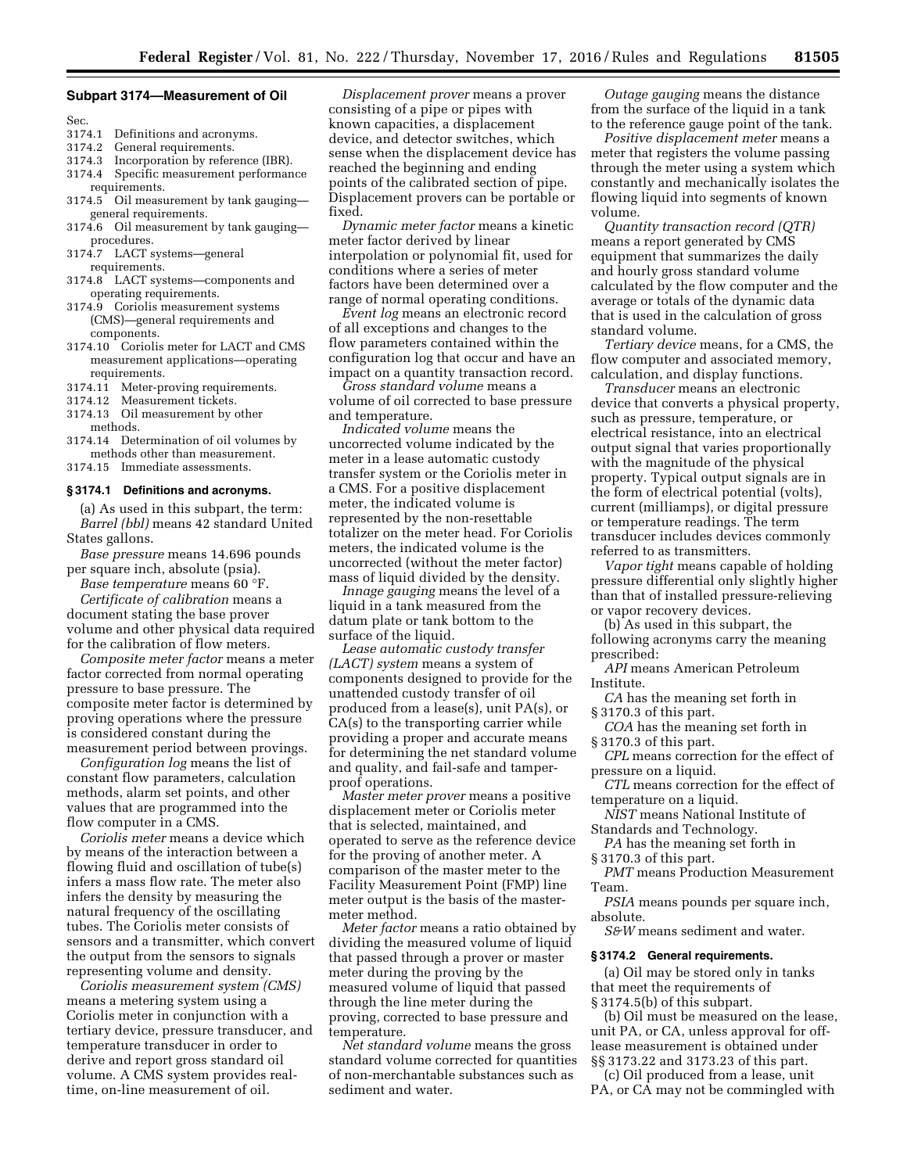#### **Subpart 3174—Measurement of Oil**

Sec.<br>3174.1

- Definitions and acronyms.
- 3174.2 General requirements.
- 3174.3 Incorporation by reference (IBR). 3174.4 Specific measurement performance requirements.
- 3174.5 Oil measurement by tank gauging general requirements.
- 3174.6 Oil measurement by tank gauging procedures.
- 3174.7 LACT systems—general requirements.
- 3174.8 LACT systems—components and operating requirements.
- 3174.9 Coriolis measurement systems (CMS)—general requirements and components.
- 3174.10 Coriolis meter for LACT and CMS measurement applications—operating requirements.
- 3174.11 Meter-proving requirements.
- 3174.12 Measurement tickets.
- 3174.13 Oil measurement by other methods.
- 3174.14 Determination of oil volumes by methods other than measurement.
- 3174.15 Immediate assessments.

#### **§ 3174.1 Definitions and acronyms.**

(a) As used in this subpart, the term: *Barrel (bbl)* means 42 standard United States gallons.

*Base pressure* means 14.696 pounds per square inch, absolute (psia).

*Base temperature* means 60 °F. *Certificate of calibration* means a document stating the base prover

volume and other physical data required for the calibration of flow meters. *Composite meter factor* means a meter

factor corrected from normal operating pressure to base pressure. The composite meter factor is determined by proving operations where the pressure is considered constant during the measurement period between provings.

*Configuration log* means the list of constant flow parameters, calculation methods, alarm set points, and other values that are programmed into the flow computer in a CMS.

*Coriolis meter* means a device which by means of the interaction between a flowing fluid and oscillation of tube(s) infers a mass flow rate. The meter also infers the density by measuring the natural frequency of the oscillating tubes. The Coriolis meter consists of sensors and a transmitter, which convert the output from the sensors to signals representing volume and density.

*Coriolis measurement system (CMS)*  means a metering system using a Coriolis meter in conjunction with a tertiary device, pressure transducer, and temperature transducer in order to derive and report gross standard oil volume. A CMS system provides realtime, on-line measurement of oil.

*Displacement prover* means a prover consisting of a pipe or pipes with known capacities, a displacement device, and detector switches, which sense when the displacement device has reached the beginning and ending points of the calibrated section of pipe. Displacement provers can be portable or fixed.

*Dynamic meter factor* means a kinetic meter factor derived by linear interpolation or polynomial fit, used for conditions where a series of meter factors have been determined over a range of normal operating conditions.

*Event log* means an electronic record of all exceptions and changes to the flow parameters contained within the configuration log that occur and have an impact on a quantity transaction record.

*Gross standard volume* means a volume of oil corrected to base pressure and temperature.

*Indicated volume* means the uncorrected volume indicated by the meter in a lease automatic custody transfer system or the Coriolis meter in a CMS. For a positive displacement meter, the indicated volume is represented by the non-resettable totalizer on the meter head. For Coriolis meters, the indicated volume is the uncorrected (without the meter factor) mass of liquid divided by the density.

*Innage gauging* means the level of a liquid in a tank measured from the datum plate or tank bottom to the surface of the liquid.

*Lease automatic custody transfer (LACT) system* means a system of components designed to provide for the unattended custody transfer of oil produced from a lease(s), unit PA(s), or CA(s) to the transporting carrier while providing a proper and accurate means for determining the net standard volume and quality, and fail-safe and tamperproof operations.

*Master meter prover* means a positive displacement meter or Coriolis meter that is selected, maintained, and operated to serve as the reference device for the proving of another meter. A comparison of the master meter to the Facility Measurement Point (FMP) line meter output is the basis of the mastermeter method.

*Meter factor* means a ratio obtained by dividing the measured volume of liquid that passed through a prover or master meter during the proving by the measured volume of liquid that passed through the line meter during the proving, corrected to base pressure and temperature.

*Net standard volume* means the gross standard volume corrected for quantities of non-merchantable substances such as sediment and water.

*Outage gauging* means the distance from the surface of the liquid in a tank to the reference gauge point of the tank.

*Positive displacement meter* means a meter that registers the volume passing through the meter using a system which constantly and mechanically isolates the flowing liquid into segments of known volume.

*Quantity transaction record (QTR)*  means a report generated by CMS equipment that summarizes the daily and hourly gross standard volume calculated by the flow computer and the average or totals of the dynamic data that is used in the calculation of gross standard volume.

*Tertiary device* means, for a CMS, the flow computer and associated memory, calculation, and display functions.

*Transducer* means an electronic device that converts a physical property, such as pressure, temperature, or electrical resistance, into an electrical output signal that varies proportionally with the magnitude of the physical property. Typical output signals are in the form of electrical potential (volts), current (milliamps), or digital pressure or temperature readings. The term transducer includes devices commonly referred to as transmitters.

*Vapor tight* means capable of holding pressure differential only slightly higher than that of installed pressure-relieving or vapor recovery devices.

(b) As used in this subpart, the following acronyms carry the meaning prescribed:

*API* means American Petroleum Institute.

*CA* has the meaning set forth in § 3170.3 of this part.

*COA* has the meaning set forth in § 3170.3 of this part.

*CPL* means correction for the effect of pressure on a liquid.

*CTL* means correction for the effect of temperature on a liquid.

*NIST* means National Institute of Standards and Technology.

*PA* has the meaning set forth in § 3170.3 of this part.

*PMT* means Production Measurement Team.

*PSIA* means pounds per square inch, absolute.

*S&W* means sediment and water.

## **§ 3174.2 General requirements.**

(a) Oil may be stored only in tanks that meet the requirements of § 3174.5(b) of this subpart.

(b) Oil must be measured on the lease, unit PA, or CA, unless approval for offlease measurement is obtained under §§ 3173.22 and 3173.23 of this part.

(c) Oil produced from a lease, unit PA, or CA may not be commingled with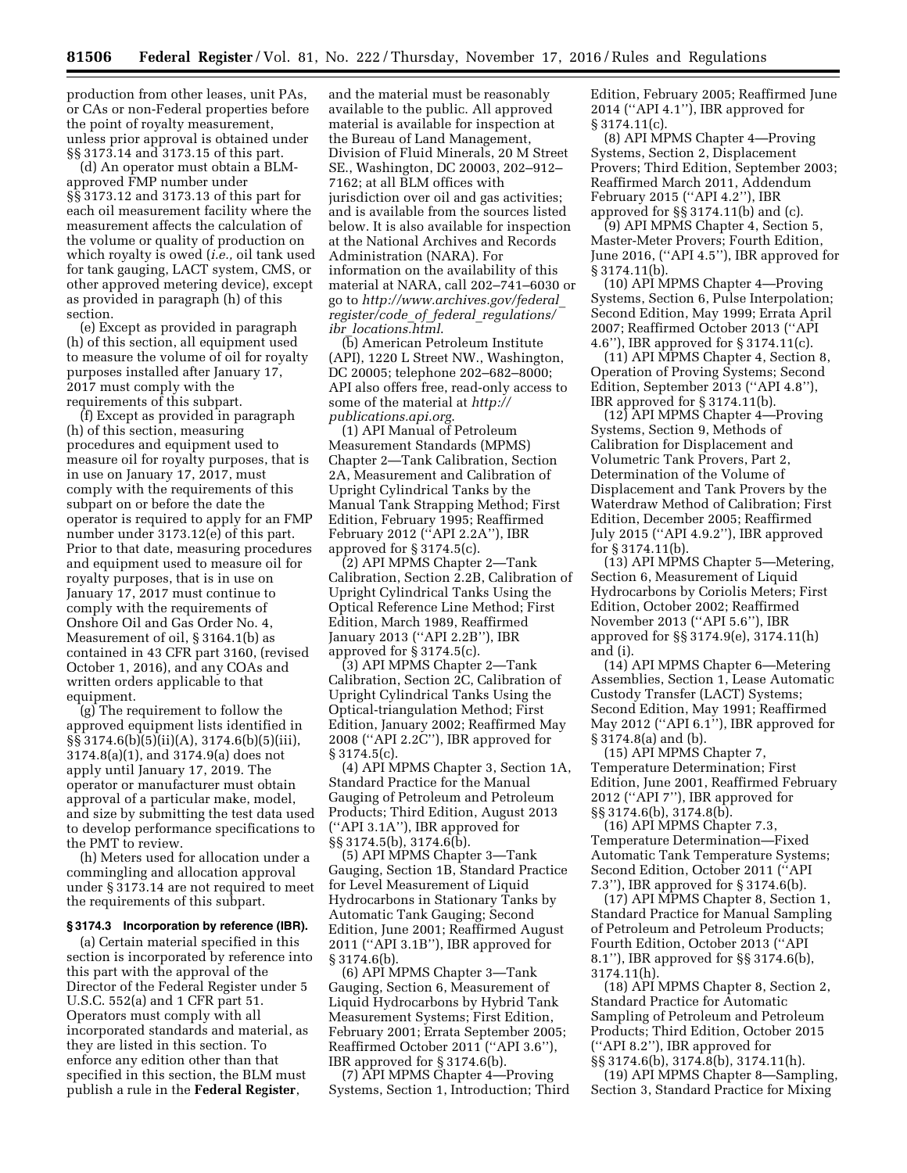production from other leases, unit PAs, or CAs or non-Federal properties before the point of royalty measurement, unless prior approval is obtained under §§ 3173.14 and 3173.15 of this part.

(d) An operator must obtain a BLMapproved FMP number under §§ 3173.12 and 3173.13 of this part for each oil measurement facility where the measurement affects the calculation of the volume or quality of production on which royalty is owed (*i.e.,* oil tank used for tank gauging, LACT system, CMS, or other approved metering device), except as provided in paragraph (h) of this section.

(e) Except as provided in paragraph (h) of this section, all equipment used to measure the volume of oil for royalty purposes installed after January 17, 2017 must comply with the requirements of this subpart.

(f) Except as provided in paragraph (h) of this section, measuring procedures and equipment used to measure oil for royalty purposes, that is in use on January 17, 2017, must comply with the requirements of this subpart on or before the date the operator is required to apply for an FMP number under 3173.12(e) of this part. Prior to that date, measuring procedures and equipment used to measure oil for royalty purposes, that is in use on January 17, 2017 must continue to comply with the requirements of Onshore Oil and Gas Order No. 4, Measurement of oil, § 3164.1(b) as contained in 43 CFR part 3160, (revised October 1, 2016), and any COAs and written orders applicable to that equipment.

(g) The requirement to follow the approved equipment lists identified in §§ 3174.6(b)(5)(ii)(A), 3174.6(b)(5)(iii), 3174.8(a)(1), and 3174.9(a) does not apply until January 17, 2019. The operator or manufacturer must obtain approval of a particular make, model, and size by submitting the test data used to develop performance specifications to the PMT to review.

(h) Meters used for allocation under a commingling and allocation approval under § 3173.14 are not required to meet the requirements of this subpart.

#### **§ 3174.3 Incorporation by reference (IBR).**

(a) Certain material specified in this section is incorporated by reference into this part with the approval of the Director of the Federal Register under 5 U.S.C. 552(a) and 1 CFR part 51. Operators must comply with all incorporated standards and material, as they are listed in this section. To enforce any edition other than that specified in this section, the BLM must publish a rule in the **Federal Register**,

and the material must be reasonably available to the public. All approved material is available for inspection at the Bureau of Land Management, Division of Fluid Minerals, 20 M Street SE., Washington, DC 20003, 202–912– 7162; at all BLM offices with jurisdiction over oil and gas activities; and is available from the sources listed below. It is also available for inspection at the National Archives and Records Administration (NARA). For information on the availability of this material at NARA, call 202–741–6030 or go to *[http://www.archives.gov/federal](http://www.archives.gov/federal_register/code_of_federal_regulations/ibr_locations.html)*\_ *[register/code](http://www.archives.gov/federal_register/code_of_federal_regulations/ibr_locations.html)*\_*of*\_*federal*\_*regulations/ ibr*\_*[locations.html](http://www.archives.gov/federal_register/code_of_federal_regulations/ibr_locations.html)*.

(b) American Petroleum Institute (API), 1220 L Street NW., Washington, DC 20005; telephone 202–682–8000; API also offers free, read-only access to some of the material at *[http://](http://publications.api.org) [publications.api.org](http://publications.api.org)*.

(1) API Manual of Petroleum Measurement Standards (MPMS) Chapter 2—Tank Calibration, Section 2A, Measurement and Calibration of Upright Cylindrical Tanks by the Manual Tank Strapping Method; First Edition, February 1995; Reaffirmed February 2012 (''API 2.2A''), IBR approved for § 3174.5(c).

(2) API MPMS Chapter 2—Tank Calibration, Section 2.2B, Calibration of Upright Cylindrical Tanks Using the Optical Reference Line Method; First Edition, March 1989, Reaffirmed January 2013 (''API 2.2B''), IBR approved for § 3174.5(c).

(3) API MPMS Chapter 2—Tank Calibration, Section 2C, Calibration of Upright Cylindrical Tanks Using the Optical-triangulation Method; First Edition, January 2002; Reaffirmed May 2008 (''API 2.2C''), IBR approved for  $§ 3174.5(c)$ .

(4) API MPMS Chapter 3, Section 1A, Standard Practice for the Manual Gauging of Petroleum and Petroleum Products; Third Edition, August 2013 (''API 3.1A''), IBR approved for §§ 3174.5(b), 3174.6(b).

(5) API MPMS Chapter 3—Tank Gauging, Section 1B, Standard Practice for Level Measurement of Liquid Hydrocarbons in Stationary Tanks by Automatic Tank Gauging; Second Edition, June 2001; Reaffirmed August 2011 (''API 3.1B''), IBR approved for § 3174.6(b).

(6) API MPMS Chapter 3—Tank Gauging, Section 6, Measurement of Liquid Hydrocarbons by Hybrid Tank Measurement Systems; First Edition, February 2001; Errata September 2005; Reaffirmed October 2011 (''API 3.6''), IBR approved for § 3174.6(b).

(7) API MPMS Chapter 4—Proving Systems, Section 1, Introduction; Third Edition, February 2005; Reaffirmed June 2014 (''API 4.1''), IBR approved for  $\S 3174.11(c)$ .

(8) API MPMS Chapter 4—Proving Systems, Section 2, Displacement Provers; Third Edition, September 2003; Reaffirmed March 2011, Addendum February 2015 (''API 4.2''), IBR approved for §§ 3174.11(b) and (c).

(9) API MPMS Chapter 4, Section 5, Master-Meter Provers; Fourth Edition, June 2016, (''API 4.5''), IBR approved for § 3174.11(b).

(10) API MPMS Chapter 4—Proving Systems, Section 6, Pulse Interpolation; Second Edition, May 1999; Errata April 2007; Reaffirmed October 2013 (''API 4.6''), IBR approved for § 3174.11(c).

(11) API MPMS Chapter 4, Section 8, Operation of Proving Systems; Second Edition, September 2013 (''API 4.8''), IBR approved for § 3174.11(b).

(12) API MPMS Chapter 4—Proving Systems, Section 9, Methods of Calibration for Displacement and Volumetric Tank Provers, Part 2, Determination of the Volume of Displacement and Tank Provers by the Waterdraw Method of Calibration; First Edition, December 2005; Reaffirmed July 2015 (''API 4.9.2''), IBR approved for § 3174.11(b).

(13) API MPMS Chapter 5—Metering, Section 6, Measurement of Liquid Hydrocarbons by Coriolis Meters; First Edition, October 2002; Reaffirmed November 2013 (''API 5.6''), IBR approved for §§ 3174.9(e), 3174.11(h) and (i).

(14) API MPMS Chapter 6—Metering Assemblies, Section 1, Lease Automatic Custody Transfer (LACT) Systems; Second Edition, May 1991; Reaffirmed May 2012 ("API 6.1"), IBR approved for § 3174.8(a) and (b).

(15) API MPMS Chapter 7, Temperature Determination; First Edition, June 2001, Reaffirmed February 2012 (''API 7''), IBR approved for §§ 3174.6(b), 3174.8(b).

(16) API MPMS Chapter 7.3, Temperature Determination—Fixed Automatic Tank Temperature Systems; Second Edition, October 2011 (''API 7.3''), IBR approved for § 3174.6(b).

(17) API MPMS Chapter 8, Section 1, Standard Practice for Manual Sampling of Petroleum and Petroleum Products; Fourth Edition, October 2013 (''API 8.1''), IBR approved for §§ 3174.6(b), 3174.11(h).

(18) API MPMS Chapter 8, Section 2, Standard Practice for Automatic Sampling of Petroleum and Petroleum Products; Third Edition, October 2015 (''API 8.2''), IBR approved for §§ 3174.6(b), 3174.8(b), 3174.11(h).

(19) API MPMS Chapter 8—Sampling, Section 3, Standard Practice for Mixing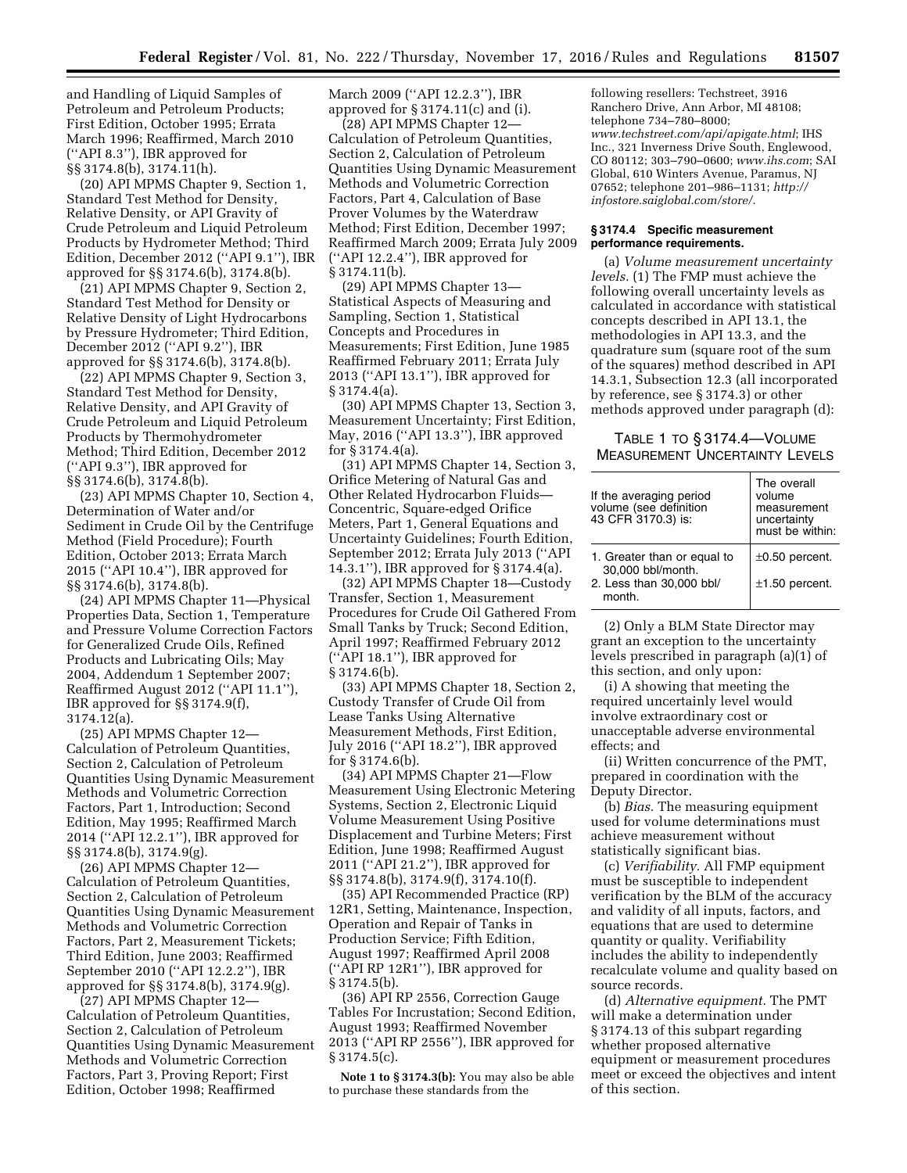and Handling of Liquid Samples of Petroleum and Petroleum Products; First Edition, October 1995; Errata March 1996; Reaffirmed, March 2010 (''API 8.3''), IBR approved for §§ 3174.8(b), 3174.11(h).

(20) API MPMS Chapter 9, Section 1, Standard Test Method for Density, Relative Density, or API Gravity of Crude Petroleum and Liquid Petroleum Products by Hydrometer Method; Third Edition, December 2012 (''API 9.1''), IBR approved for §§ 3174.6(b), 3174.8(b).

(21) API MPMS Chapter 9, Section 2, Standard Test Method for Density or Relative Density of Light Hydrocarbons by Pressure Hydrometer; Third Edition, December 2012 (''API 9.2''), IBR approved for §§ 3174.6(b), 3174.8(b).

(22) API MPMS Chapter 9, Section 3, Standard Test Method for Density, Relative Density, and API Gravity of Crude Petroleum and Liquid Petroleum Products by Thermohydrometer Method; Third Edition, December 2012 (''API 9.3''), IBR approved for  $\S$ § 3174.6(b), 3174.8(b).

(23) API MPMS Chapter 10, Section 4, Determination of Water and/or Sediment in Crude Oil by the Centrifuge Method (Field Procedure); Fourth Edition, October 2013; Errata March 2015 (''API 10.4''), IBR approved for §§ 3174.6(b), 3174.8(b).

(24) API MPMS Chapter 11—Physical Properties Data, Section 1, Temperature and Pressure Volume Correction Factors for Generalized Crude Oils, Refined Products and Lubricating Oils; May 2004, Addendum 1 September 2007; Reaffirmed August 2012 (''API 11.1''), IBR approved for §§ 3174.9(f), 3174.12(a).

(25) API MPMS Chapter 12— Calculation of Petroleum Quantities, Section 2, Calculation of Petroleum Quantities Using Dynamic Measurement Methods and Volumetric Correction Factors, Part 1, Introduction; Second Edition, May 1995; Reaffirmed March 2014 (''API 12.2.1''), IBR approved for §§ 3174.8(b), 3174.9(g).

(26) API MPMS Chapter 12— Calculation of Petroleum Quantities, Section 2, Calculation of Petroleum Quantities Using Dynamic Measurement Methods and Volumetric Correction Factors, Part 2, Measurement Tickets; Third Edition, June 2003; Reaffirmed September 2010 (''API 12.2.2''), IBR approved for §§ 3174.8(b), 3174.9(g).

(27) API MPMS Chapter 12— Calculation of Petroleum Quantities, Section 2, Calculation of Petroleum Quantities Using Dynamic Measurement Methods and Volumetric Correction Factors, Part 3, Proving Report; First Edition, October 1998; Reaffirmed

March 2009 (''API 12.2.3''), IBR approved for § 3174.11(c) and (i).

(28) API MPMS Chapter 12— Calculation of Petroleum Quantities, Section 2, Calculation of Petroleum Quantities Using Dynamic Measurement Methods and Volumetric Correction Factors, Part 4, Calculation of Base Prover Volumes by the Waterdraw Method; First Edition, December 1997; Reaffirmed March 2009; Errata July 2009 (''API 12.2.4''), IBR approved for § 3174.11(b).

(29) API MPMS Chapter 13— Statistical Aspects of Measuring and Sampling, Section 1, Statistical Concepts and Procedures in Measurements; First Edition, June 1985 Reaffirmed February 2011; Errata July 2013 (''API 13.1''), IBR approved for § 3174.4(a).

(30) API MPMS Chapter 13, Section 3, Measurement Uncertainty; First Edition, May, 2016 (''API 13.3''), IBR approved for § 3174.4(a).

(31) API MPMS Chapter 14, Section 3, Orifice Metering of Natural Gas and Other Related Hydrocarbon Fluids— Concentric, Square-edged Orifice Meters, Part 1, General Equations and Uncertainty Guidelines; Fourth Edition, September 2012; Errata July 2013 (''API 14.3.1''), IBR approved for § 3174.4(a).

(32) API MPMS Chapter 18—Custody Transfer, Section 1, Measurement Procedures for Crude Oil Gathered From Small Tanks by Truck; Second Edition, April 1997; Reaffirmed February 2012 (''API 18.1''), IBR approved for  $§ 3174.6(b).$ 

(33) API MPMS Chapter 18, Section 2, Custody Transfer of Crude Oil from Lease Tanks Using Alternative Measurement Methods, First Edition, July 2016 (''API 18.2''), IBR approved for § 3174.6(b).

(34) API MPMS Chapter 21—Flow Measurement Using Electronic Metering Systems, Section 2, Electronic Liquid Volume Measurement Using Positive Displacement and Turbine Meters; First Edition, June 1998; Reaffirmed August 2011 (''API 21.2''), IBR approved for §§ 3174.8(b), 3174.9(f), 3174.10(f).

(35) API Recommended Practice (RP) 12R1, Setting, Maintenance, Inspection, Operation and Repair of Tanks in Production Service; Fifth Edition, August 1997; Reaffirmed April 2008 (''API RP 12R1''), IBR approved for § 3174.5(b).

(36) API RP 2556, Correction Gauge Tables For Incrustation; Second Edition, August 1993; Reaffirmed November 2013 (''API RP 2556''), IBR approved for § 3174.5(c).

**Note 1 to § 3174.3(b):** You may also be able to purchase these standards from the

following resellers: Techstreet, 3916 Ranchero Drive, Ann Arbor, MI 48108; telephone 734–780–8000; *[www.techstreet.com/api/apigate.html](http://www.techstreet.com/api/apigate.html)*; IHS Inc., 321 Inverness Drive South, Englewood, CO 80112; 303–790–0600; *[www.ihs.com](http://www.ihs.com)*; SAI Global, 610 Winters Avenue, Paramus, NJ 07652; telephone 201–986–1131; *[http://](http://infostore.saiglobal.com/store/) [infostore.saiglobal.com/store/](http://infostore.saiglobal.com/store/)*.

#### **§ 3174.4 Specific measurement performance requirements.**

(a) *Volume measurement uncertainty levels.* (1) The FMP must achieve the following overall uncertainty levels as calculated in accordance with statistical concepts described in API 13.1, the methodologies in API 13.3, and the quadrature sum (square root of the sum of the squares) method described in API 14.3.1, Subsection 12.3 (all incorporated by reference, see § 3174.3) or other methods approved under paragraph (d):

# TABLE 1 TO § 3174.4—VOLUME MEASUREMENT UNCERTAINTY LEVELS

| The overall<br>volume<br>measurement<br>uncertainty<br>must be within: |
|------------------------------------------------------------------------|
| $\pm 0.50$ percent.<br>$±1.50$ percent.                                |
|                                                                        |

(2) Only a BLM State Director may grant an exception to the uncertainty levels prescribed in paragraph (a)(1) of this section, and only upon:

(i) A showing that meeting the required uncertainly level would involve extraordinary cost or unacceptable adverse environmental effects; and

(ii) Written concurrence of the PMT, prepared in coordination with the Deputy Director.

(b) *Bias.* The measuring equipment used for volume determinations must achieve measurement without statistically significant bias.

(c) *Verifiability.* All FMP equipment must be susceptible to independent verification by the BLM of the accuracy and validity of all inputs, factors, and equations that are used to determine quantity or quality. Verifiability includes the ability to independently recalculate volume and quality based on source records.

(d) *Alternative equipment.* The PMT will make a determination under § 3174.13 of this subpart regarding whether proposed alternative equipment or measurement procedures meet or exceed the objectives and intent of this section.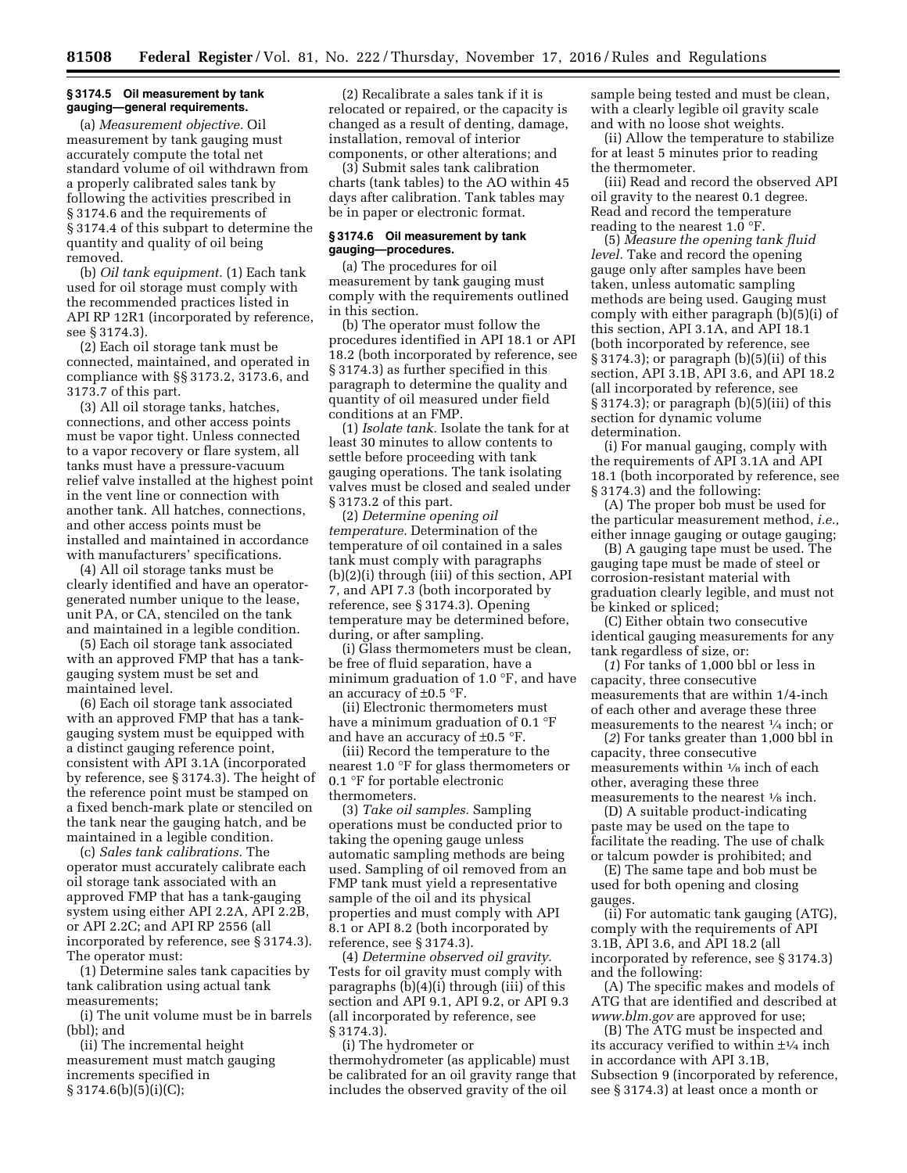#### **§ 3174.5 Oil measurement by tank gauging—general requirements.**

(a) *Measurement objective.* Oil measurement by tank gauging must accurately compute the total net standard volume of oil withdrawn from a properly calibrated sales tank by following the activities prescribed in § 3174.6 and the requirements of § 3174.4 of this subpart to determine the quantity and quality of oil being removed.

(b) *Oil tank equipment.* (1) Each tank used for oil storage must comply with the recommended practices listed in API RP 12R1 (incorporated by reference, see § 3174.3).

(2) Each oil storage tank must be connected, maintained, and operated in compliance with §§ 3173.2, 3173.6, and 3173.7 of this part.

(3) All oil storage tanks, hatches, connections, and other access points must be vapor tight. Unless connected to a vapor recovery or flare system, all tanks must have a pressure-vacuum relief valve installed at the highest point in the vent line or connection with another tank. All hatches, connections, and other access points must be installed and maintained in accordance with manufacturers' specifications.

(4) All oil storage tanks must be clearly identified and have an operatorgenerated number unique to the lease, unit PA, or CA, stenciled on the tank and maintained in a legible condition.

(5) Each oil storage tank associated with an approved FMP that has a tankgauging system must be set and maintained level.

(6) Each oil storage tank associated with an approved FMP that has a tankgauging system must be equipped with a distinct gauging reference point, consistent with API 3.1A (incorporated by reference, see § 3174.3). The height of the reference point must be stamped on a fixed bench-mark plate or stenciled on the tank near the gauging hatch, and be maintained in a legible condition.

(c) *Sales tank calibrations.* The operator must accurately calibrate each oil storage tank associated with an approved FMP that has a tank-gauging system using either API 2.2A, API 2.2B, or API 2.2C; and API RP 2556 (all incorporated by reference, see § 3174.3). The operator must:

(1) Determine sales tank capacities by tank calibration using actual tank measurements;

(i) The unit volume must be in barrels (bbl); and

(ii) The incremental height measurement must match gauging increments specified in § 3174.6(b)(5)(i)(C);

(2) Recalibrate a sales tank if it is relocated or repaired, or the capacity is changed as a result of denting, damage, installation, removal of interior components, or other alterations; and

(3) Submit sales tank calibration charts (tank tables) to the AO within 45 days after calibration. Tank tables may be in paper or electronic format.

#### **§ 3174.6 Oil measurement by tank gauging—procedures.**

(a) The procedures for oil measurement by tank gauging must comply with the requirements outlined in this section.

(b) The operator must follow the procedures identified in API 18.1 or API 18.2 (both incorporated by reference, see § 3174.3) as further specified in this paragraph to determine the quality and quantity of oil measured under field conditions at an FMP.

(1) *Isolate tank.* Isolate the tank for at least 30 minutes to allow contents to settle before proceeding with tank gauging operations. The tank isolating valves must be closed and sealed under § 3173.2 of this part.

(2) *Determine opening oil temperature.* Determination of the temperature of oil contained in a sales tank must comply with paragraphs (b)(2)(i) through (iii) of this section, API 7, and API 7.3 (both incorporated by reference, see § 3174.3). Opening temperature may be determined before, during, or after sampling.

(i) Glass thermometers must be clean, be free of fluid separation, have a minimum graduation of 1.0 °F, and have an accuracy of  $\pm 0.5$  °F.

(ii) Electronic thermometers must have a minimum graduation of 0.1 °F and have an accuracy of  $\pm 0.5$  °F.

(iii) Record the temperature to the nearest 1.0 °F for glass thermometers or 0.1 °F for portable electronic thermometers.

(3) *Take oil samples.* Sampling operations must be conducted prior to taking the opening gauge unless automatic sampling methods are being used. Sampling of oil removed from an FMP tank must yield a representative sample of the oil and its physical properties and must comply with API 8.1 or API 8.2 (both incorporated by reference, see § 3174.3).

(4) *Determine observed oil gravity.*  Tests for oil gravity must comply with paragraphs (b)(4)(i) through (iii) of this section and API 9.1, API 9.2, or API 9.3 (all incorporated by reference, see § 3174.3).

(i) The hydrometer or thermohydrometer (as applicable) must be calibrated for an oil gravity range that includes the observed gravity of the oil

sample being tested and must be clean, with a clearly legible oil gravity scale and with no loose shot weights.

(ii) Allow the temperature to stabilize for at least 5 minutes prior to reading the thermometer.

(iii) Read and record the observed API oil gravity to the nearest 0.1 degree. Read and record the temperature reading to the nearest 1.0 °F.

(5) *Measure the opening tank fluid level.* Take and record the opening gauge only after samples have been taken, unless automatic sampling methods are being used. Gauging must comply with either paragraph (b)(5)(i) of this section, API 3.1A, and API 18.1 (both incorporated by reference, see § 3174.3); or paragraph (b)(5)(ii) of this section, API 3.1B, API 3.6, and API 18.2 (all incorporated by reference, see  $§ 3174.3$ ; or paragraph  $(b)(5)(iii)$  of this section for dynamic volume determination.

(i) For manual gauging, comply with the requirements of API 3.1A and API 18.1 (both incorporated by reference, see § 3174.3) and the following:

(A) The proper bob must be used for the particular measurement method, *i.e.,*  either innage gauging or outage gauging;

(B) A gauging tape must be used. The gauging tape must be made of steel or corrosion-resistant material with graduation clearly legible, and must not be kinked or spliced;

(C) Either obtain two consecutive identical gauging measurements for any tank regardless of size, or:

(*1*) For tanks of 1,000 bbl or less in capacity, three consecutive measurements that are within 1/4-inch of each other and average these three measurements to the nearest 1⁄4 inch; or

(*2*) For tanks greater than 1,000 bbl in capacity, three consecutive measurements within 1⁄8 inch of each other, averaging these three measurements to the nearest 1⁄8 inch.

(D) A suitable product-indicating paste may be used on the tape to facilitate the reading. The use of chalk or talcum powder is prohibited; and

(E) The same tape and bob must be used for both opening and closing gauges.

(ii) For automatic tank gauging (ATG), comply with the requirements of API 3.1B, API 3.6, and API 18.2 (all incorporated by reference, see § 3174.3) and the following:

(A) The specific makes and models of ATG that are identified and described at *[www.blm.gov](http://www.blm.gov)* are approved for use;

(B) The ATG must be inspected and its accuracy verified to within  $\pm\frac{1}{4}$  inch in accordance with API 3.1B, Subsection 9 (incorporated by reference, see § 3174.3) at least once a month or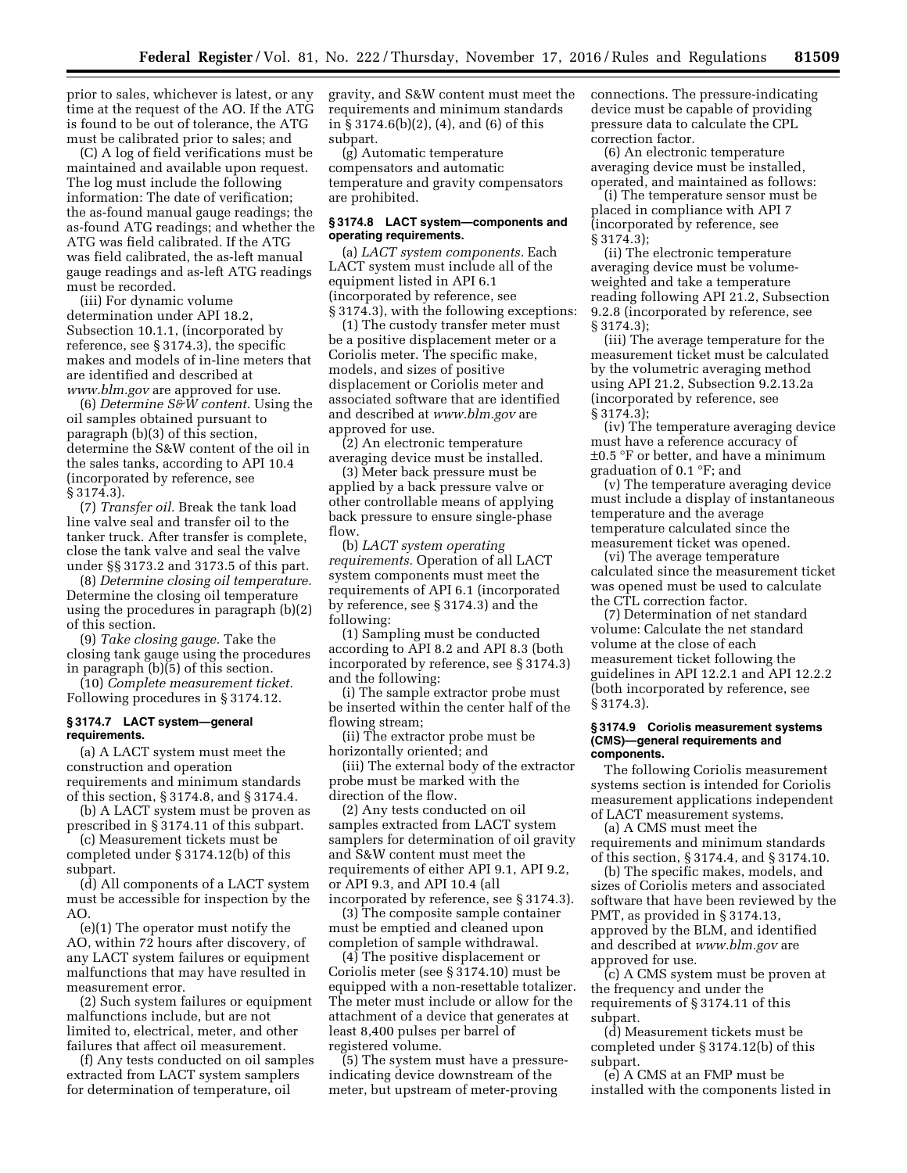prior to sales, whichever is latest, or any time at the request of the AO. If the ATG is found to be out of tolerance, the ATG must be calibrated prior to sales; and

(C) A log of field verifications must be maintained and available upon request. The log must include the following information: The date of verification; the as-found manual gauge readings; the as-found ATG readings; and whether the ATG was field calibrated. If the ATG was field calibrated, the as-left manual gauge readings and as-left ATG readings must be recorded.

(iii) For dynamic volume determination under API 18.2, Subsection 10.1.1, (incorporated by reference, see § 3174.3), the specific makes and models of in-line meters that are identified and described at *[www.blm.gov](http://www.blm.gov)* are approved for use.

(6) *Determine S&W content.* Using the oil samples obtained pursuant to paragraph (b)(3) of this section, determine the S&W content of the oil in the sales tanks, according to API 10.4 (incorporated by reference, see § 3174.3).

(7) *Transfer oil.* Break the tank load line valve seal and transfer oil to the tanker truck. After transfer is complete, close the tank valve and seal the valve under §§ 3173.2 and 3173.5 of this part.

(8) *Determine closing oil temperature.*  Determine the closing oil temperature using the procedures in paragraph (b)(2) of this section.

(9) *Take closing gauge.* Take the closing tank gauge using the procedures in paragraph (b)(5) of this section.

(10) *Complete measurement ticket.*  Following procedures in § 3174.12.

### **§ 3174.7 LACT system—general requirements.**

(a) A LACT system must meet the construction and operation requirements and minimum standards of this section, § 3174.8, and § 3174.4.

(b) A LACT system must be proven as prescribed in § 3174.11 of this subpart.

(c) Measurement tickets must be completed under § 3174.12(b) of this subpart.

(d) All components of a LACT system must be accessible for inspection by the AO.

(e)(1) The operator must notify the AO, within 72 hours after discovery, of any LACT system failures or equipment malfunctions that may have resulted in measurement error.

(2) Such system failures or equipment malfunctions include, but are not limited to, electrical, meter, and other failures that affect oil measurement.

(f) Any tests conducted on oil samples extracted from LACT system samplers for determination of temperature, oil

gravity, and S&W content must meet the requirements and minimum standards in § 3174.6(b)(2), (4), and (6) of this subpart.

(g) Automatic temperature compensators and automatic temperature and gravity compensators are prohibited.

### **§ 3174.8 LACT system—components and operating requirements.**

(a) *LACT system components.* Each LACT system must include all of the equipment listed in API 6.1 (incorporated by reference, see § 3174.3), with the following exceptions:

(1) The custody transfer meter must be a positive displacement meter or a Coriolis meter. The specific make, models, and sizes of positive displacement or Coriolis meter and associated software that are identified and described at *[www.blm.gov](http://www.blm.gov)* are approved for use.

(2) An electronic temperature averaging device must be installed.

(3) Meter back pressure must be applied by a back pressure valve or other controllable means of applying back pressure to ensure single-phase flow.

(b) *LACT system operating requirements.* Operation of all LACT system components must meet the requirements of API 6.1 (incorporated by reference, see § 3174.3) and the following:

(1) Sampling must be conducted according to API 8.2 and API 8.3 (both incorporated by reference, see § 3174.3) and the following:

(i) The sample extractor probe must be inserted within the center half of the flowing stream;

(ii) The extractor probe must be horizontally oriented; and

(iii) The external body of the extractor probe must be marked with the direction of the flow.

(2) Any tests conducted on oil samples extracted from LACT system samplers for determination of oil gravity and S&W content must meet the requirements of either API 9.1, API 9.2, or API 9.3, and API 10.4 (all incorporated by reference, see § 3174.3).

(3) The composite sample container must be emptied and cleaned upon completion of sample withdrawal.

(4) The positive displacement or Coriolis meter (see § 3174.10) must be equipped with a non-resettable totalizer. The meter must include or allow for the attachment of a device that generates at least 8,400 pulses per barrel of registered volume.

(5) The system must have a pressureindicating device downstream of the meter, but upstream of meter-proving

connections. The pressure-indicating device must be capable of providing pressure data to calculate the CPL correction factor.

(6) An electronic temperature averaging device must be installed, operated, and maintained as follows:

(i) The temperature sensor must be placed in compliance with API 7 (incorporated by reference, see § 3174.3);

(ii) The electronic temperature averaging device must be volumeweighted and take a temperature reading following API 21.2, Subsection 9.2.8 (incorporated by reference, see § 3174.3);

(iii) The average temperature for the measurement ticket must be calculated by the volumetric averaging method using API 21.2, Subsection 9.2.13.2a (incorporated by reference, see § 3174.3);

(iv) The temperature averaging device must have a reference accuracy of ±0.5 °F or better, and have a minimum graduation of 0.1 °F; and

(v) The temperature averaging device must include a display of instantaneous temperature and the average temperature calculated since the measurement ticket was opened.

(vi) The average temperature calculated since the measurement ticket was opened must be used to calculate the CTL correction factor.

(7) Determination of net standard volume: Calculate the net standard volume at the close of each measurement ticket following the guidelines in API 12.2.1 and API 12.2.2 (both incorporated by reference, see § 3174.3).

#### **§ 3174.9 Coriolis measurement systems (CMS)—general requirements and components.**

The following Coriolis measurement systems section is intended for Coriolis measurement applications independent of LACT measurement systems.

(a) A CMS must meet the requirements and minimum standards of this section, § 3174.4, and § 3174.10.

(b) The specific makes, models, and sizes of Coriolis meters and associated software that have been reviewed by the PMT, as provided in § 3174.13, approved by the BLM, and identified and described at *[www.blm.gov](http://www.blm.gov)* are approved for use.

(c) A CMS system must be proven at the frequency and under the requirements of § 3174.11 of this subpart.

(d) Measurement tickets must be completed under § 3174.12(b) of this subpart.

(e) A CMS at an FMP must be installed with the components listed in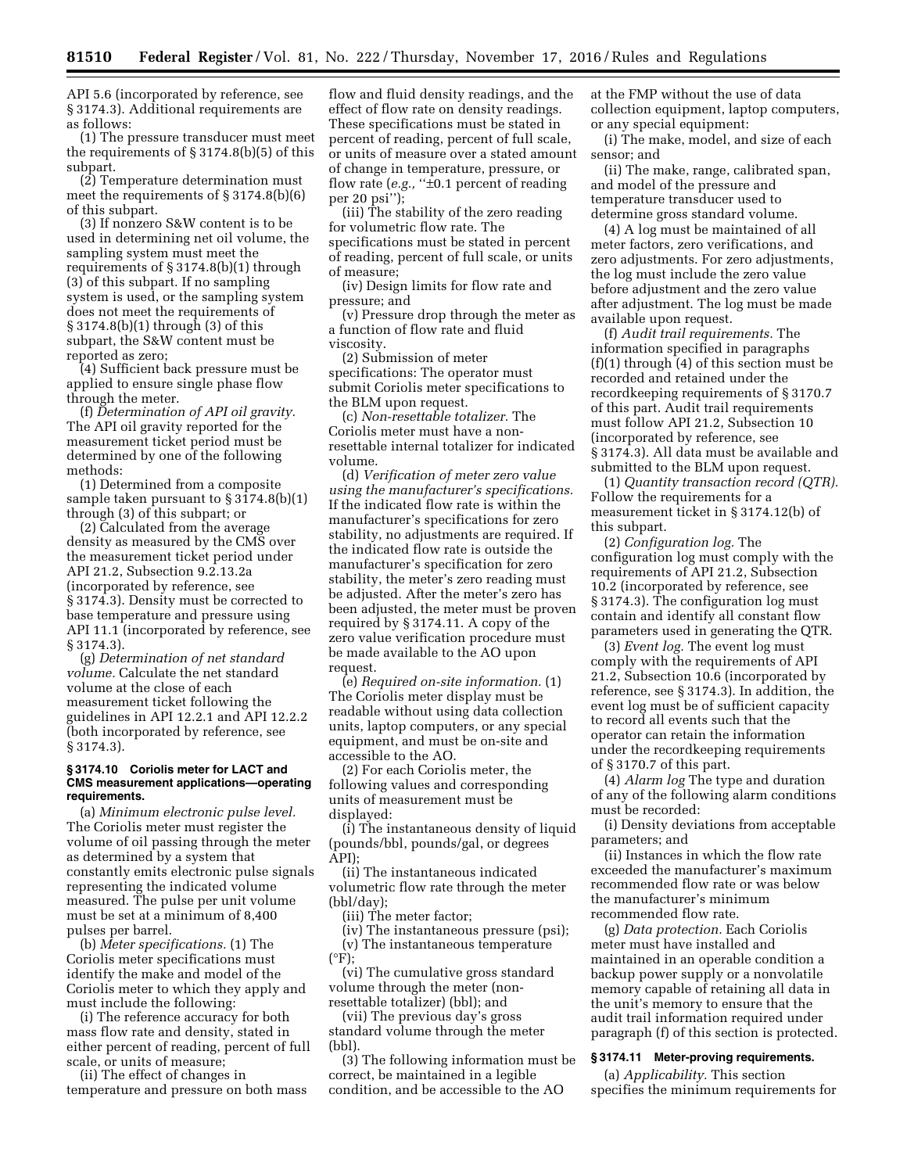API 5.6 (incorporated by reference, see § 3174.3). Additional requirements are as follows:

(1) The pressure transducer must meet the requirements of § 3174.8(b)(5) of this subpart.

(2) Temperature determination must meet the requirements of  $\S 3174.8(b)(6)$ of this subpart.

(3) If nonzero S&W content is to be used in determining net oil volume, the sampling system must meet the requirements of § 3174.8(b)(1) through (3) of this subpart. If no sampling system is used, or the sampling system does not meet the requirements of § 3174.8(b)(1) through (3) of this subpart, the S&W content must be reported as zero;

(4) Sufficient back pressure must be applied to ensure single phase flow through the meter.

(f) *Determination of API oil gravity.*  The API oil gravity reported for the measurement ticket period must be determined by one of the following methods:

(1) Determined from a composite sample taken pursuant to § 3174.8(b)(1) through (3) of this subpart; or

(2) Calculated from the average density as measured by the CMS over the measurement ticket period under API 21.2, Subsection 9.2.13.2a (incorporated by reference, see § 3174.3). Density must be corrected to base temperature and pressure using API 11.1 (incorporated by reference, see § 3174.3).

(g) *Determination of net standard volume.* Calculate the net standard volume at the close of each measurement ticket following the guidelines in API 12.2.1 and API 12.2.2 (both incorporated by reference, see § 3174.3).

### **§ 3174.10 Coriolis meter for LACT and CMS measurement applications—operating requirements.**

(a) *Minimum electronic pulse level.*  The Coriolis meter must register the volume of oil passing through the meter as determined by a system that constantly emits electronic pulse signals representing the indicated volume measured. The pulse per unit volume must be set at a minimum of 8,400 pulses per barrel.

(b) *Meter specifications.* (1) The Coriolis meter specifications must identify the make and model of the Coriolis meter to which they apply and must include the following:

(i) The reference accuracy for both mass flow rate and density, stated in either percent of reading, percent of full scale, or units of measure;

(ii) The effect of changes in temperature and pressure on both mass

flow and fluid density readings, and the effect of flow rate on density readings. These specifications must be stated in percent of reading, percent of full scale, or units of measure over a stated amount of change in temperature, pressure, or flow rate (*e.g.*, " $\pm$ 0.1 percent of reading per 20 psi'');

(iii) The stability of the zero reading for volumetric flow rate. The specifications must be stated in percent of reading, percent of full scale, or units of measure;

(iv) Design limits for flow rate and pressure; and

(v) Pressure drop through the meter as a function of flow rate and fluid viscosity.

(2) Submission of meter specifications: The operator must submit Coriolis meter specifications to the BLM upon request.

(c) *Non-resettable totalizer.* The Coriolis meter must have a nonresettable internal totalizer for indicated volume.

(d) *Verification of meter zero value using the manufacturer's specifications.*  If the indicated flow rate is within the manufacturer's specifications for zero stability, no adjustments are required. If the indicated flow rate is outside the manufacturer's specification for zero stability, the meter's zero reading must be adjusted. After the meter's zero has been adjusted, the meter must be proven required by § 3174.11. A copy of the zero value verification procedure must be made available to the AO upon request.

(e) *Required on-site information.* (1) The Coriolis meter display must be readable without using data collection units, laptop computers, or any special equipment, and must be on-site and accessible to the AO.

(2) For each Coriolis meter, the following values and corresponding units of measurement must be displayed:

(i) The instantaneous density of liquid (pounds/bbl, pounds/gal, or degrees API);

(ii) The instantaneous indicated volumetric flow rate through the meter (bbl/day);

(iii) The meter factor;

(iv) The instantaneous pressure (psi); (v) The instantaneous temperature  $(^{\circ}F)$ ;

(vi) The cumulative gross standard volume through the meter (nonresettable totalizer) (bbl); and

(vii) The previous day's gross standard volume through the meter (bbl).

(3) The following information must be correct, be maintained in a legible condition, and be accessible to the AO

at the FMP without the use of data collection equipment, laptop computers, or any special equipment:

(i) The make, model, and size of each sensor; and

(ii) The make, range, calibrated span, and model of the pressure and temperature transducer used to determine gross standard volume.

(4) A log must be maintained of all meter factors, zero verifications, and zero adjustments. For zero adjustments, the log must include the zero value before adjustment and the zero value after adjustment. The log must be made available upon request.

(f) *Audit trail requirements.* The information specified in paragraphs (f)(1) through (4) of this section must be recorded and retained under the recordkeeping requirements of § 3170.7 of this part. Audit trail requirements must follow API 21.2, Subsection 10 (incorporated by reference, see § 3174.3). All data must be available and submitted to the BLM upon request.

(1) *Quantity transaction record (QTR).*  Follow the requirements for a measurement ticket in § 3174.12(b) of this subpart.

(2) *Configuration log.* The configuration log must comply with the requirements of API 21.2, Subsection 10.2 (incorporated by reference, see § 3174.3). The configuration log must contain and identify all constant flow parameters used in generating the QTR.

(3) *Event log.* The event log must comply with the requirements of API 21.2, Subsection 10.6 (incorporated by reference, see § 3174.3). In addition, the event log must be of sufficient capacity to record all events such that the operator can retain the information under the recordkeeping requirements of § 3170.7 of this part.

(4) *Alarm log* The type and duration of any of the following alarm conditions must be recorded:

(i) Density deviations from acceptable parameters; and

(ii) Instances in which the flow rate exceeded the manufacturer's maximum recommended flow rate or was below the manufacturer's minimum recommended flow rate.

(g) *Data protection.* Each Coriolis meter must have installed and maintained in an operable condition a backup power supply or a nonvolatile memory capable of retaining all data in the unit's memory to ensure that the audit trail information required under paragraph (f) of this section is protected.

### **§ 3174.11 Meter-proving requirements.**

(a) *Applicability.* This section specifies the minimum requirements for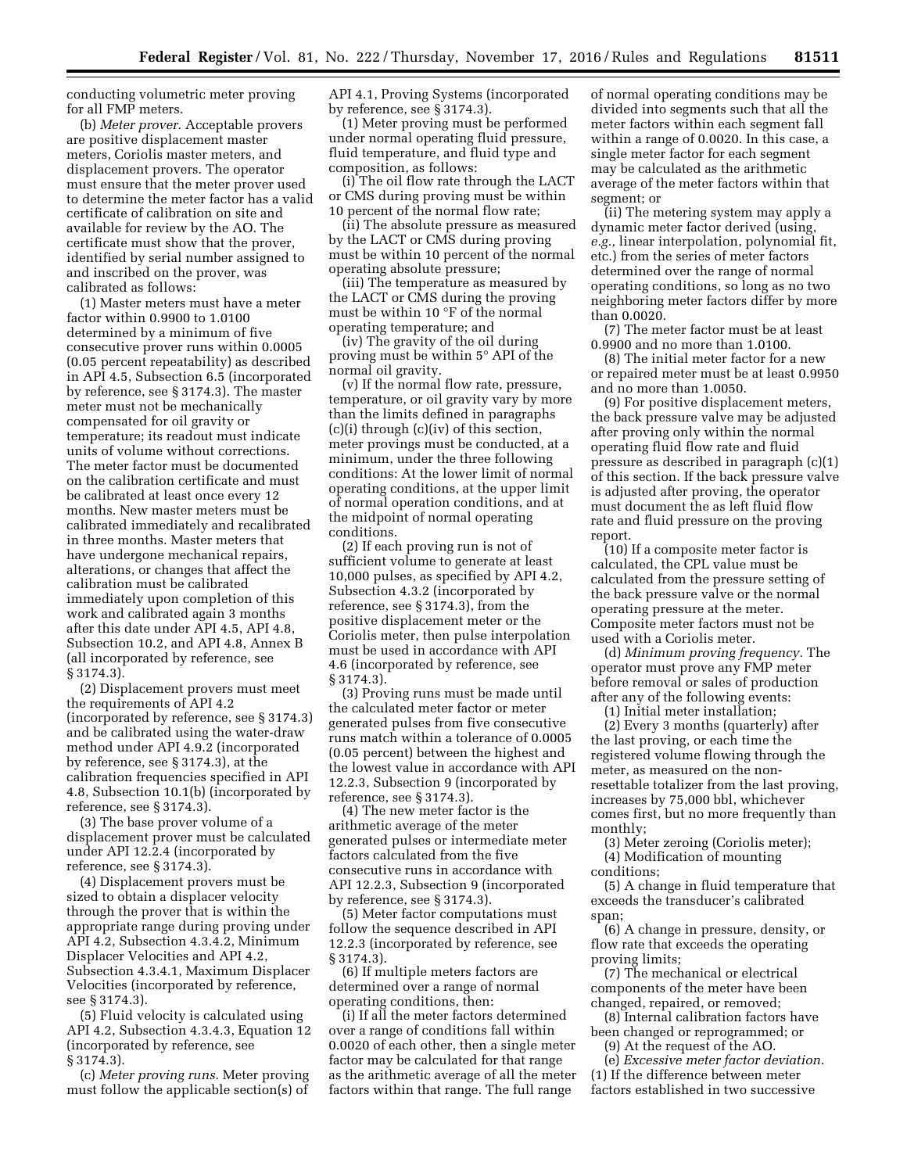conducting volumetric meter proving for all FMP meters.

(b) *Meter prover.* Acceptable provers are positive displacement master meters, Coriolis master meters, and displacement provers. The operator must ensure that the meter prover used to determine the meter factor has a valid certificate of calibration on site and available for review by the AO. The certificate must show that the prover, identified by serial number assigned to and inscribed on the prover, was calibrated as follows:

(1) Master meters must have a meter factor within 0.9900 to 1.0100 determined by a minimum of five consecutive prover runs within 0.0005 (0.05 percent repeatability) as described in API 4.5, Subsection 6.5 (incorporated by reference, see § 3174.3). The master meter must not be mechanically compensated for oil gravity or temperature; its readout must indicate units of volume without corrections. The meter factor must be documented on the calibration certificate and must be calibrated at least once every 12 months. New master meters must be calibrated immediately and recalibrated in three months. Master meters that have undergone mechanical repairs, alterations, or changes that affect the calibration must be calibrated immediately upon completion of this work and calibrated again 3 months after this date under API 4.5, API 4.8, Subsection 10.2, and API 4.8, Annex B (all incorporated by reference, see § 3174.3).

(2) Displacement provers must meet the requirements of API 4.2 (incorporated by reference, see § 3174.3) and be calibrated using the water-draw method under API 4.9.2 (incorporated by reference, see § 3174.3), at the calibration frequencies specified in API 4.8, Subsection 10.1(b) (incorporated by reference, see § 3174.3).

(3) The base prover volume of a displacement prover must be calculated under API 12.2.4 (incorporated by reference, see § 3174.3).

(4) Displacement provers must be sized to obtain a displacer velocity through the prover that is within the appropriate range during proving under API 4.2, Subsection 4.3.4.2, Minimum Displacer Velocities and API 4.2, Subsection 4.3.4.1, Maximum Displacer Velocities (incorporated by reference, see § 3174.3).

(5) Fluid velocity is calculated using API 4.2, Subsection 4.3.4.3, Equation 12 (incorporated by reference, see § 3174.3).

(c) *Meter proving runs.* Meter proving must follow the applicable section(s) of

API 4.1, Proving Systems (incorporated by reference, see § 3174.3).

(1) Meter proving must be performed under normal operating fluid pressure, fluid temperature, and fluid type and composition, as follows:

(i) The oil flow rate through the LACT or CMS during proving must be within 10 percent of the normal flow rate;

(ii) The absolute pressure as measured by the LACT or CMS during proving must be within 10 percent of the normal operating absolute pressure;

(iii) The temperature as measured by the LACT or CMS during the proving must be within 10 °F of the normal operating temperature; and

(iv) The gravity of the oil during proving must be within 5° API of the normal oil gravity.

(v) If the normal flow rate, pressure, temperature, or oil gravity vary by more than the limits defined in paragraphs (c)(i) through (c)(iv) of this section, meter provings must be conducted, at a minimum, under the three following conditions: At the lower limit of normal operating conditions, at the upper limit of normal operation conditions, and at the midpoint of normal operating conditions.

(2) If each proving run is not of sufficient volume to generate at least 10,000 pulses, as specified by API 4.2, Subsection 4.3.2 (incorporated by reference, see § 3174.3), from the positive displacement meter or the Coriolis meter, then pulse interpolation must be used in accordance with API 4.6 (incorporated by reference, see § 3174.3).

(3) Proving runs must be made until the calculated meter factor or meter generated pulses from five consecutive runs match within a tolerance of 0.0005 (0.05 percent) between the highest and the lowest value in accordance with API 12.2.3, Subsection 9 (incorporated by reference, see § 3174.3).

(4) The new meter factor is the arithmetic average of the meter generated pulses or intermediate meter factors calculated from the five consecutive runs in accordance with API 12.2.3, Subsection 9 (incorporated by reference, see § 3174.3).

(5) Meter factor computations must follow the sequence described in API 12.2.3 (incorporated by reference, see § 3174.3).

(6) If multiple meters factors are determined over a range of normal operating conditions, then:

(i) If all the meter factors determined over a range of conditions fall within 0.0020 of each other, then a single meter factor may be calculated for that range as the arithmetic average of all the meter factors within that range. The full range

of normal operating conditions may be divided into segments such that all the meter factors within each segment fall within a range of 0.0020. In this case, a single meter factor for each segment may be calculated as the arithmetic average of the meter factors within that segment; or

(ii) The metering system may apply a dynamic meter factor derived (using, *e.g.,* linear interpolation, polynomial fit, etc.) from the series of meter factors determined over the range of normal operating conditions, so long as no two neighboring meter factors differ by more than 0.0020.

(7) The meter factor must be at least 0.9900 and no more than 1.0100.

(8) The initial meter factor for a new or repaired meter must be at least 0.9950 and no more than 1.0050.

(9) For positive displacement meters, the back pressure valve may be adjusted after proving only within the normal operating fluid flow rate and fluid pressure as described in paragraph (c)(1) of this section. If the back pressure valve is adjusted after proving, the operator must document the as left fluid flow rate and fluid pressure on the proving report.

(10) If a composite meter factor is calculated, the CPL value must be calculated from the pressure setting of the back pressure valve or the normal operating pressure at the meter. Composite meter factors must not be used with a Coriolis meter.

(d) *Minimum proving frequency.* The operator must prove any FMP meter before removal or sales of production after any of the following events:

(1) Initial meter installation;

(2) Every 3 months (quarterly) after the last proving, or each time the registered volume flowing through the meter, as measured on the nonresettable totalizer from the last proving, increases by 75,000 bbl, whichever comes first, but no more frequently than monthly;

(3) Meter zeroing (Coriolis meter); (4) Modification of mounting conditions;

(5) A change in fluid temperature that exceeds the transducer's calibrated span;

(6) A change in pressure, density, or flow rate that exceeds the operating proving limits;

(7) The mechanical or electrical components of the meter have been changed, repaired, or removed;

(8) Internal calibration factors have been changed or reprogrammed; or

(9) At the request of the AO.

(e) *Excessive meter factor deviation.*  (1) If the difference between meter factors established in two successive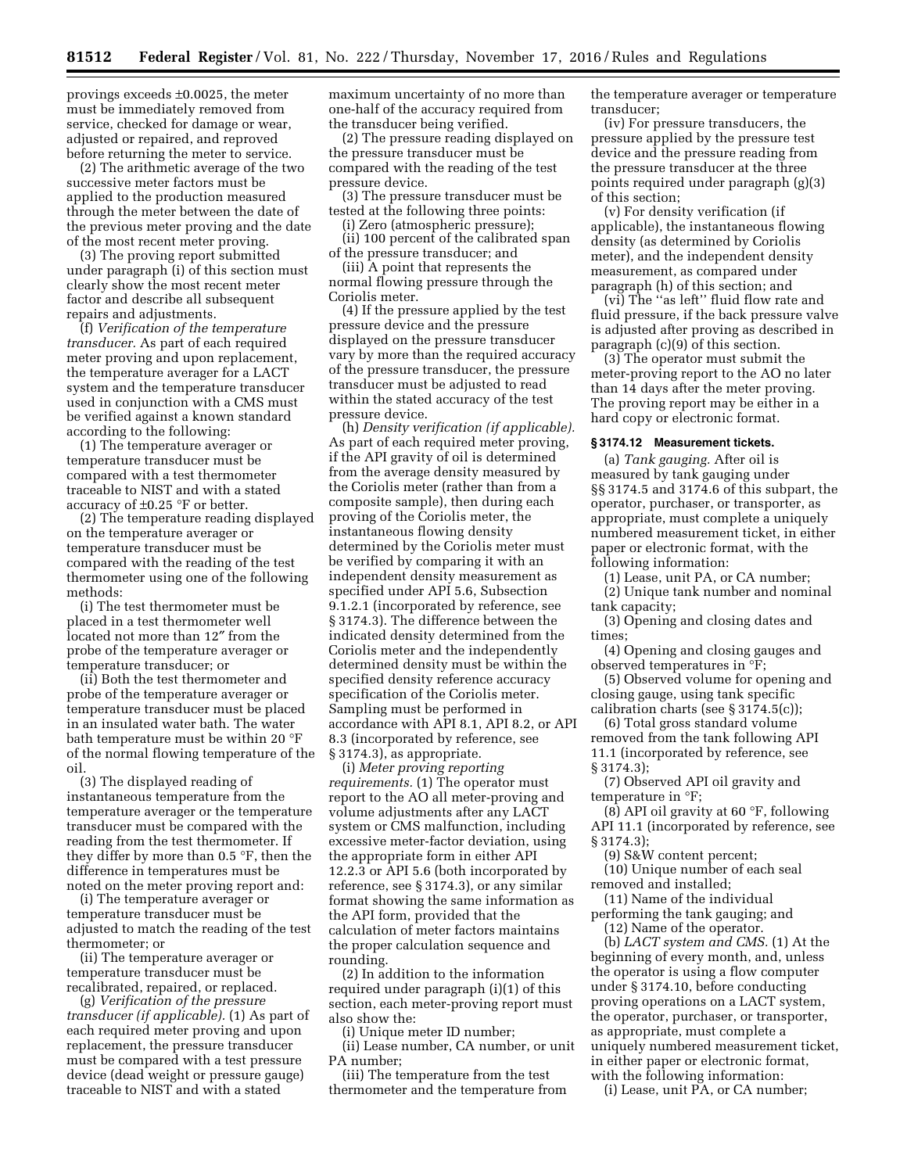provings exceeds ±0.0025, the meter must be immediately removed from service, checked for damage or wear, adjusted or repaired, and reproved before returning the meter to service.

(2) The arithmetic average of the two successive meter factors must be applied to the production measured through the meter between the date of the previous meter proving and the date of the most recent meter proving.

(3) The proving report submitted under paragraph (i) of this section must clearly show the most recent meter factor and describe all subsequent repairs and adjustments.

(f) *Verification of the temperature transducer.* As part of each required meter proving and upon replacement, the temperature averager for a LACT system and the temperature transducer used in conjunction with a CMS must be verified against a known standard according to the following:

(1) The temperature averager or temperature transducer must be compared with a test thermometer traceable to NIST and with a stated accuracy of ±0.25 °F or better.

(2) The temperature reading displayed on the temperature averager or temperature transducer must be compared with the reading of the test thermometer using one of the following methods:

(i) The test thermometer must be placed in a test thermometer well located not more than 12″ from the probe of the temperature averager or temperature transducer; or

(ii) Both the test thermometer and probe of the temperature averager or temperature transducer must be placed in an insulated water bath. The water bath temperature must be within 20 °F of the normal flowing temperature of the oil.

(3) The displayed reading of instantaneous temperature from the temperature averager or the temperature transducer must be compared with the reading from the test thermometer. If they differ by more than 0.5 °F, then the difference in temperatures must be noted on the meter proving report and:

(i) The temperature averager or temperature transducer must be adjusted to match the reading of the test thermometer; or

(ii) The temperature averager or temperature transducer must be recalibrated, repaired, or replaced.

(g) *Verification of the pressure transducer (if applicable).* (1) As part of each required meter proving and upon replacement, the pressure transducer must be compared with a test pressure device (dead weight or pressure gauge) traceable to NIST and with a stated

maximum uncertainty of no more than one-half of the accuracy required from the transducer being verified.

(2) The pressure reading displayed on the pressure transducer must be compared with the reading of the test pressure device.

(3) The pressure transducer must be tested at the following three points:

(i) Zero (atmospheric pressure);

(ii) 100 percent of the calibrated span of the pressure transducer; and

(iii) A point that represents the normal flowing pressure through the Coriolis meter.

(4) If the pressure applied by the test pressure device and the pressure displayed on the pressure transducer vary by more than the required accuracy of the pressure transducer, the pressure transducer must be adjusted to read within the stated accuracy of the test pressure device.

(h) *Density verification (if applicable).*  As part of each required meter proving, if the API gravity of oil is determined from the average density measured by the Coriolis meter (rather than from a composite sample), then during each proving of the Coriolis meter, the instantaneous flowing density determined by the Coriolis meter must be verified by comparing it with an independent density measurement as specified under API 5.6, Subsection 9.1.2.1 (incorporated by reference, see § 3174.3). The difference between the indicated density determined from the Coriolis meter and the independently determined density must be within the specified density reference accuracy specification of the Coriolis meter. Sampling must be performed in accordance with API 8.1, API 8.2, or API 8.3 (incorporated by reference, see § 3174.3), as appropriate.

(i) *Meter proving reporting requirements.* (1) The operator must report to the AO all meter-proving and volume adjustments after any LACT system or CMS malfunction, including excessive meter-factor deviation, using the appropriate form in either API 12.2.3 or API 5.6 (both incorporated by reference, see § 3174.3), or any similar format showing the same information as the API form, provided that the calculation of meter factors maintains the proper calculation sequence and rounding.

(2) In addition to the information required under paragraph (i)(1) of this section, each meter-proving report must also show the:

(i) Unique meter ID number;

(ii) Lease number, CA number, or unit PA number;

(iii) The temperature from the test thermometer and the temperature from the temperature averager or temperature transducer;

(iv) For pressure transducers, the pressure applied by the pressure test device and the pressure reading from the pressure transducer at the three points required under paragraph (g)(3) of this section;

(v) For density verification (if applicable), the instantaneous flowing density (as determined by Coriolis meter), and the independent density measurement, as compared under paragraph (h) of this section; and

(vi) The ''as left'' fluid flow rate and fluid pressure, if the back pressure valve is adjusted after proving as described in paragraph (c)(9) of this section.

(3) The operator must submit the meter-proving report to the AO no later than 14 days after the meter proving. The proving report may be either in a hard copy or electronic format.

#### **§ 3174.12 Measurement tickets.**

(a) *Tank gauging.* After oil is measured by tank gauging under §§ 3174.5 and 3174.6 of this subpart, the operator, purchaser, or transporter, as appropriate, must complete a uniquely numbered measurement ticket, in either paper or electronic format, with the following information:

(1) Lease, unit PA, or CA number;

(2) Unique tank number and nominal tank capacity;

(3) Opening and closing dates and times;

(4) Opening and closing gauges and observed temperatures in °F;

(5) Observed volume for opening and closing gauge, using tank specific calibration charts (see § 3174.5(c));

(6) Total gross standard volume removed from the tank following API 11.1 (incorporated by reference, see § 3174.3);

(7) Observed API oil gravity and temperature in °F;

(8) API oil gravity at 60 °F, following API 11.1 (incorporated by reference, see § 3174.3);

(9) S&W content percent;

(10) Unique number of each seal removed and installed;

(11) Name of the individual performing the tank gauging; and

(12) Name of the operator.

(b) *LACT system and CMS.* (1) At the beginning of every month, and, unless the operator is using a flow computer under § 3174.10, before conducting proving operations on a LACT system, the operator, purchaser, or transporter, as appropriate, must complete a uniquely numbered measurement ticket, in either paper or electronic format, with the following information:

(i) Lease, unit PA, or CA number;